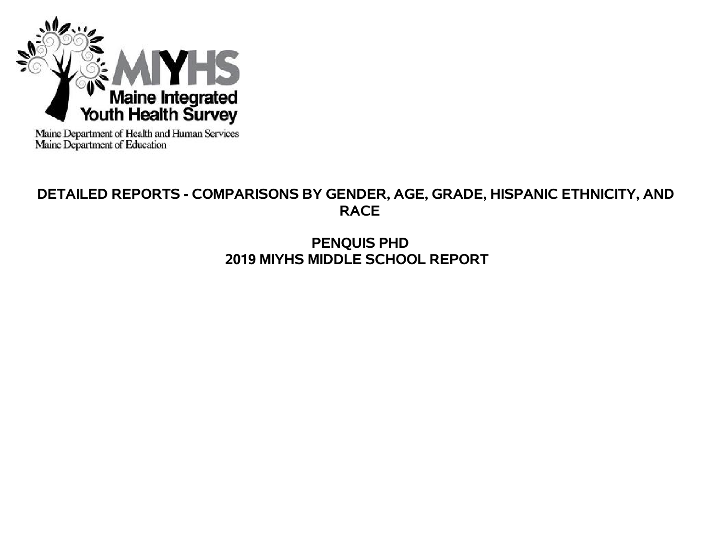

Maine Department of Health and Human Services<br>Maine Department of Education

# **DETAILED REPORTS - COMPARISONS BY GENDER, AGE, GRADE, HISPANIC ETHNICITY, AND RACE**

# **PENQUIS PHD 2019 MIYHS MIDDLE SCHOOL REPORT**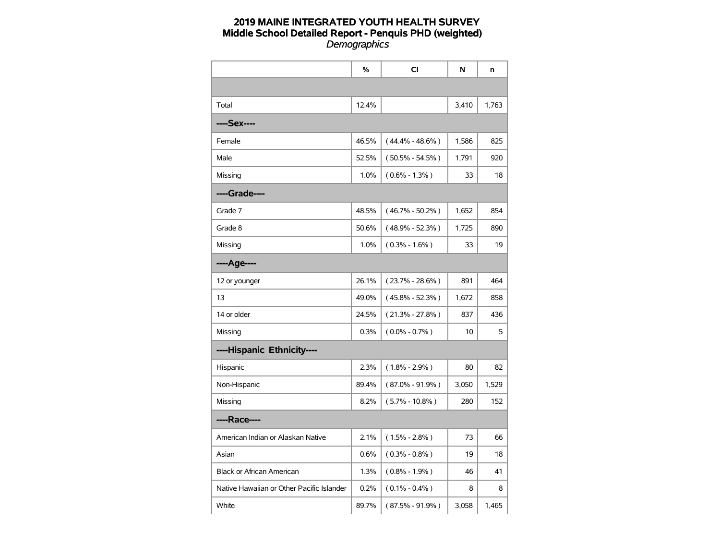|                                           | %     | CI                  | N     | n     |
|-------------------------------------------|-------|---------------------|-------|-------|
|                                           |       |                     |       |       |
| Total                                     | 12.4% |                     | 3,410 | 1,763 |
| ----Sex----                               |       |                     |       |       |
| Female                                    | 46.5% | $(44.4\% - 48.6\%)$ | 1,586 | 825   |
| Male                                      | 52.5% | $(50.5\% - 54.5\%)$ | 1,791 | 920   |
| Missing                                   | 1.0%  | $(0.6\% - 1.3\%)$   | 33    | 18    |
| ----Grade----                             |       |                     |       |       |
| Grade 7                                   | 48.5% | $(46.7\% - 50.2\%)$ | 1,652 | 854   |
| Grade 8                                   | 50.6% | $(48.9% - 52.3%)$   | 1,725 | 890   |
| Missing                                   | 1.0%  | $(0.3\% - 1.6\%)$   | 33    | 19    |
| ----Age----                               |       |                     |       |       |
| 12 or younger                             | 26.1% | $(23.7\% - 28.6\%)$ | 891   | 464   |
| 13                                        | 49.0% | $(45.8\% - 52.3\%)$ | 1,672 | 858   |
| 14 or older                               | 24.5% | $(21.3\% - 27.8\%)$ | 837   | 436   |
| Missing                                   | 0.3%  | $(0.0\% - 0.7\%)$   | 10    | 5     |
| ----Hispanic Ethnicity----                |       |                     |       |       |
| Hispanic                                  | 2.3%  | $(1.8\% - 2.9\%)$   | 80    | 82    |
| Non-Hispanic                              | 89.4% | $(87.0\% - 91.9\%)$ | 3,050 | 1,529 |
| Missing                                   | 8.2%  | $(5.7\% - 10.8\%)$  | 280   | 152   |
| ----Race----                              |       |                     |       |       |
| American Indian or Alaskan Native         | 2.1%  | $(1.5\% - 2.8\%)$   | 73    | 66    |
| Asian                                     | 0.6%  | $(0.3\% - 0.8\%)$   | 19    | 18    |
| <b>Black or African American</b>          | 1.3%  | $(0.8\% - 1.9\%)$   | 46    | 41    |
| Native Hawaiian or Other Pacific Islander | 0.2%  | $(0.1\% - 0.4\%)$   | 8     | 8     |
| White                                     | 89.7% | (87.5% - 91.9%)     | 3,058 | 1,465 |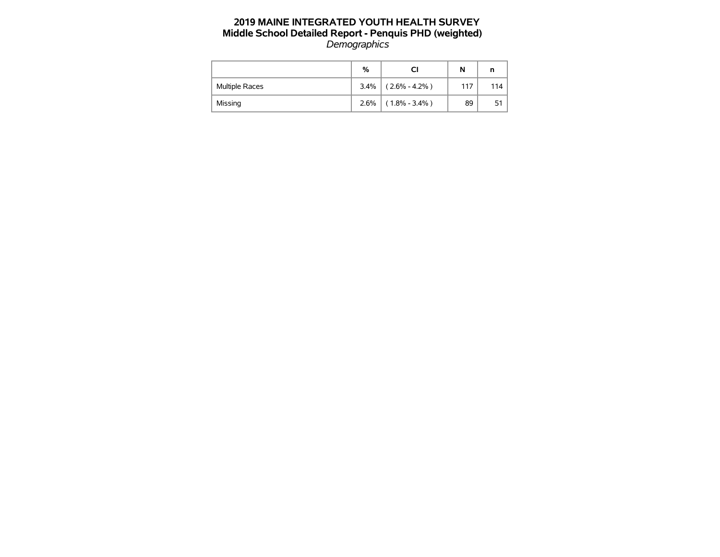|                       | %    |                   | N   | n   |
|-----------------------|------|-------------------|-----|-----|
| <b>Multiple Races</b> | 3.4% | $(2.6\% - 4.2\%)$ | 117 | 114 |
| Missing               | 2.6% | $(1.8\% - 3.4\%)$ | 89  | 51  |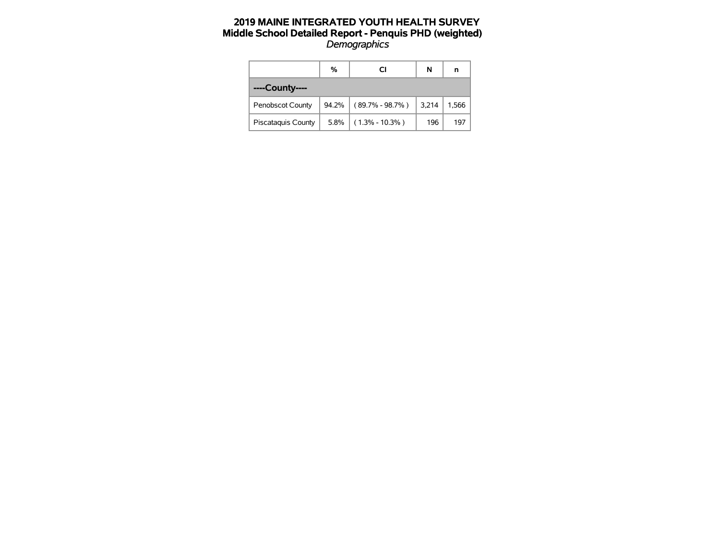|                           | %        | СI                     | N     | n     |
|---------------------------|----------|------------------------|-------|-------|
| ----County----            |          |                        |       |       |
| <b>Penobscot County</b>   | $94.2\%$ | $(89.7\% - 98.7\%)$    | 3,214 | 1,566 |
| <b>Piscataquis County</b> |          | $5.8\%$ (1.3% - 10.3%) | 196   | 197   |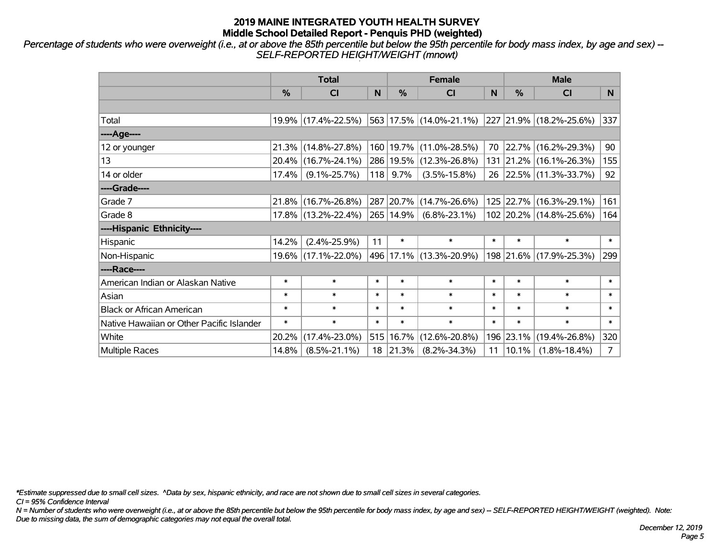*Percentage of students who were overweight (i.e., at or above the 85th percentile but below the 95th percentile for body mass index, by age and sex) -- SELF-REPORTED HEIGHT/WEIGHT (mnowt)*

|                                           |               | <b>Total</b>        |        |           | <b>Female</b>                                   |        | <b>Male</b> |                         |                |
|-------------------------------------------|---------------|---------------------|--------|-----------|-------------------------------------------------|--------|-------------|-------------------------|----------------|
|                                           | $\frac{0}{0}$ | <b>CI</b>           | N      | $\%$      | <b>CI</b>                                       | N      | $\%$        | <b>CI</b>               | N.             |
|                                           |               |                     |        |           |                                                 |        |             |                         |                |
| Total                                     |               | 19.9% (17.4%-22.5%) |        |           | 563 17.5% (14.0%-21.1%) 227 21.9% (18.2%-25.6%) |        |             |                         | 337            |
| ----Age----                               |               |                     |        |           |                                                 |        |             |                         |                |
| 12 or younger                             |               | 21.3% (14.8%-27.8%) |        |           | 160   19.7%   (11.0%-28.5%)                     | 70     |             | 22.7% (16.2%-29.3%)     | 90             |
| 13                                        |               | 20.4% (16.7%-24.1%) |        |           | 286   19.5%   (12.3%-26.8%)                     |        |             | 131 21.2% (16.1%-26.3%) | 155            |
| 14 or older                               | 17.4%         | $(9.1\% - 25.7\%)$  | 118    | 9.7%      | $(3.5\% - 15.8\%)$                              |        |             | 26 22.5% (11.3%-33.7%)  | 92             |
| ----Grade----                             |               |                     |        |           |                                                 |        |             |                         |                |
| Grade 7                                   |               | 21.8% (16.7%-26.8%) |        |           | 287 20.7% (14.7%-26.6%)                         |        |             | 125 22.7% (16.3%-29.1%) | 161            |
| Grade 8                                   |               | 17.8% (13.2%-22.4%) |        | 265 14.9% | $(6.8\% - 23.1\%)$                              |        |             | 102 20.2% (14.8%-25.6%) | 164            |
| ----Hispanic Ethnicity----                |               |                     |        |           |                                                 |        |             |                         |                |
| Hispanic                                  | 14.2%         | $(2.4\% - 25.9\%)$  | 11     | $\ast$    | $\ast$                                          | $\ast$ | $\ast$      | $\ast$                  | $\ast$         |
| Non-Hispanic                              |               | 19.6% (17.1%-22.0%) |        |           | 496 17.1% (13.3%-20.9%)                         |        |             | 198 21.6% (17.9%-25.3%) | 299            |
| ----Race----                              |               |                     |        |           |                                                 |        |             |                         |                |
| American Indian or Alaskan Native         | $\ast$        | $\ast$              | $\ast$ | $\ast$    | $\ast$                                          | $\ast$ | $\ast$      | $\ast$                  | $\ast$         |
| Asian                                     | $\ast$        | $\ast$              | $\ast$ | $\ast$    | $\ast$                                          | $\ast$ | $\ast$      | $\ast$                  | $\ast$         |
| <b>Black or African American</b>          | $\ast$        | $\ast$              | $\ast$ | $\ast$    | $\ast$                                          | $\ast$ | $\ast$      | $\ast$                  | $\ast$         |
| Native Hawaiian or Other Pacific Islander | $\ast$        | $\ast$              | $\ast$ | $\ast$    | $\ast$                                          | $\ast$ | $\ast$      | $\ast$                  | $\ast$         |
| White                                     | 20.2%         | $(17.4\% - 23.0\%)$ | 515    | 16.7%     | $(12.6\% - 20.8\%)$                             |        | 196 23.1%   | $(19.4\% - 26.8\%)$     | 320            |
| <b>Multiple Races</b>                     | 14.8%         | $(8.5\% - 21.1\%)$  | 18     | 21.3%     | $(8.2\% - 34.3\%)$                              | 11     | $ 10.1\%$   | $(1.8\% - 18.4\%)$      | $\overline{7}$ |

*\*Estimate suppressed due to small cell sizes. ^Data by sex, hispanic ethnicity, and race are not shown due to small cell sizes in several categories.*

*CI = 95% Confidence Interval*

*N = Number of students who were overweight (i.e., at or above the 85th percentile but below the 95th percentile for body mass index, by age and sex) -- SELF-REPORTED HEIGHT/WEIGHT (weighted). Note: Due to missing data, the sum of demographic categories may not equal the overall total.*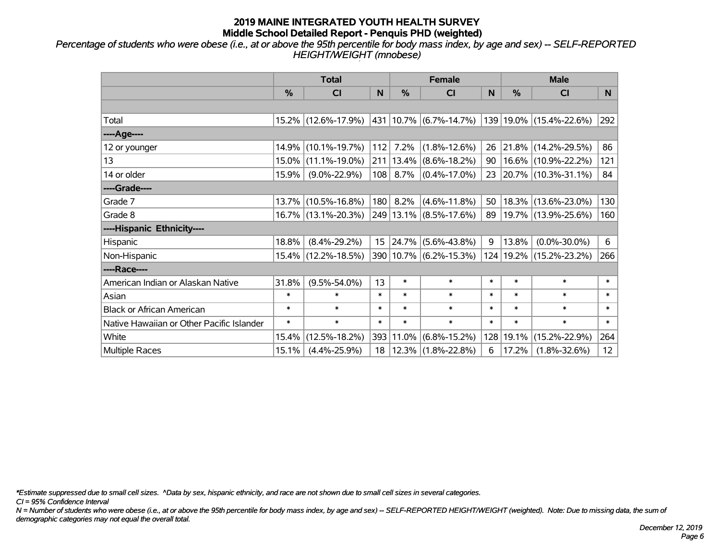*Percentage of students who were obese (i.e., at or above the 95th percentile for body mass index, by age and sex) -- SELF-REPORTED HEIGHT/WEIGHT (mnobese)*

|                                           |        | <b>Total</b>        |        |            | <b>Female</b>               |        | <b>Male</b> |                             |        |  |
|-------------------------------------------|--------|---------------------|--------|------------|-----------------------------|--------|-------------|-----------------------------|--------|--|
|                                           | %      | <b>CI</b>           | N      | %          | <b>CI</b>                   | N      | %           | <b>CI</b>                   | N.     |  |
|                                           |        |                     |        |            |                             |        |             |                             |        |  |
| Total                                     |        | 15.2% (12.6%-17.9%) |        |            | $ 431 10.7\% $ (6.7%-14.7%) |        |             | 139 19.0% (15.4%-22.6%)     | 292    |  |
| ----Age----                               |        |                     |        |            |                             |        |             |                             |        |  |
| 12 or younger                             | 14.9%  | $(10.1\% - 19.7\%)$ | 112    | 7.2%       | $(1.8\% - 12.6\%)$          | 26     | 21.8%       | $(14.2\% - 29.5\%)$         | 86     |  |
| 13                                        | 15.0%  | $(11.1\% - 19.0\%)$ |        | 211 13.4%  | $(8.6\% - 18.2\%)$          | 90     |             | 16.6% (10.9%-22.2%)         | 121    |  |
| 14 or older                               | 15.9%  | $(9.0\% - 22.9\%)$  |        | $108$ 8.7% | $(0.4\% - 17.0\%)$          | 23     |             | $ 20.7\% $ (10.3%-31.1%)    | 84     |  |
| ----Grade----                             |        |                     |        |            |                             |        |             |                             |        |  |
| Grade 7                                   | 13.7%  | $(10.5\% - 16.8\%)$ | 180    | 8.2%       | $(4.6\% - 11.8\%)$          | 50     | 18.3%       | $(13.6\% - 23.0\%)$         | 130    |  |
| Grade 8                                   |        | 16.7% (13.1%-20.3%) |        |            | 249 13.1% (8.5%-17.6%)      | 89     |             | $ 19.7\% $ (13.9%-25.6%)    | 160    |  |
| ----Hispanic Ethnicity----                |        |                     |        |            |                             |        |             |                             |        |  |
| Hispanic                                  | 18.8%  | $(8.4\% - 29.2\%)$  | 15     | 24.7%      | $(5.6\% - 43.8\%)$          | 9      | 13.8%       | $(0.0\% - 30.0\%)$          | 6      |  |
| Non-Hispanic                              | 15.4%  | $(12.2\% - 18.5\%)$ |        |            | 390 10.7% (6.2%-15.3%)      |        |             | 124   19.2%   (15.2%-23.2%) | 266    |  |
| ----Race----                              |        |                     |        |            |                             |        |             |                             |        |  |
| American Indian or Alaskan Native         | 31.8%  | $(9.5\% - 54.0\%)$  | 13     | $\ast$     | $\ast$                      | $\ast$ | $\ast$      | $\ast$                      | $\ast$ |  |
| Asian                                     | $\ast$ | $\ast$              | $\ast$ | $\ast$     | $\ast$                      | $\ast$ | $\ast$      | $\ast$                      | $\ast$ |  |
| <b>Black or African American</b>          | $\ast$ | $\ast$              | $\ast$ | $\ast$     | $\ast$                      | $\ast$ | $\ast$      | $\ast$                      | $\ast$ |  |
| Native Hawaiian or Other Pacific Islander | $\ast$ | $\ast$              | $\ast$ | $\ast$     | $\ast$                      | $\ast$ | $\ast$      | $\ast$                      | $\ast$ |  |
| White                                     | 15.4%  | $(12.5\% - 18.2\%)$ |        | 393 11.0%  | $(6.8\% - 15.2\%)$          | 128    | 19.1%       | $(15.2\% - 22.9\%)$         | 264    |  |
| <b>Multiple Races</b>                     | 15.1%  | $(4.4\% - 25.9\%)$  | 18     |            | $ 12.3\% $ (1.8%-22.8%)     | 6      | 17.2%       | $(1.8\% - 32.6\%)$          | 12     |  |

*\*Estimate suppressed due to small cell sizes. ^Data by sex, hispanic ethnicity, and race are not shown due to small cell sizes in several categories.*

*CI = 95% Confidence Interval*

*N = Number of students who were obese (i.e., at or above the 95th percentile for body mass index, by age and sex) -- SELF-REPORTED HEIGHT/WEIGHT (weighted). Note: Due to missing data, the sum of demographic categories may not equal the overall total.*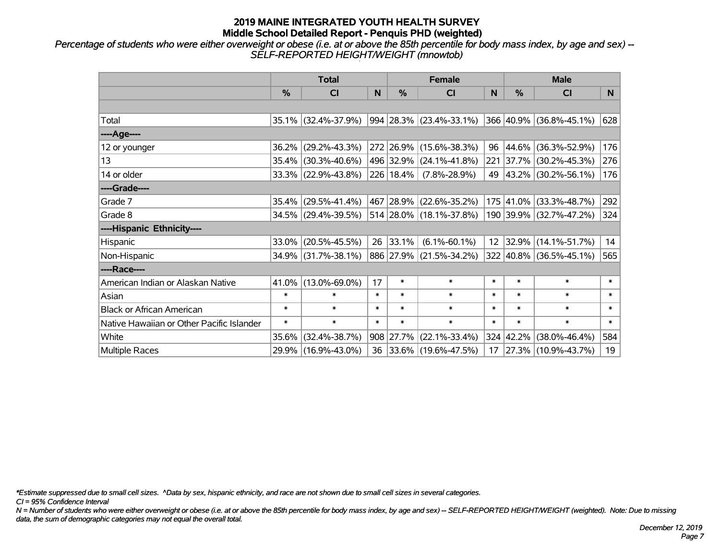*Percentage of students who were either overweight or obese (i.e. at or above the 85th percentile for body mass index, by age and sex) -- SELF-REPORTED HEIGHT/WEIGHT (mnowtob)*

|                                           |               | <b>Total</b>        |        |               | <b>Female</b>               |        | <b>Male</b>   |                         |        |  |
|-------------------------------------------|---------------|---------------------|--------|---------------|-----------------------------|--------|---------------|-------------------------|--------|--|
|                                           | $\frac{0}{0}$ | CI                  | N      | %             | <b>CI</b>                   | N      | $\frac{0}{0}$ | <b>CI</b>               | N.     |  |
|                                           |               |                     |        |               |                             |        |               |                         |        |  |
| Total                                     |               | 35.1% (32.4%-37.9%) |        |               | $994 28.3\% $ (23.4%-33.1%) |        |               | 366 40.9% (36.8%-45.1%) | 628    |  |
| ----Age----                               |               |                     |        |               |                             |        |               |                         |        |  |
| 12 or younger                             | 36.2%         | $(29.2\% - 43.3\%)$ |        |               | 272 26.9% (15.6%-38.3%)     | 96     | 44.6%         | $(36.3\% - 52.9\%)$     | 176    |  |
| 13                                        | 35.4%         | $(30.3\% - 40.6\%)$ |        |               | 496 32.9% (24.1%-41.8%)     |        | 221 37.7%     | $(30.2\% - 45.3\%)$     | 276    |  |
| 14 or older                               |               | 33.3% (22.9%-43.8%) |        | $226 18.4\% $ | $(7.8\% - 28.9\%)$          |        |               | 49 43.2% (30.2%-56.1%)  | 176    |  |
| ----Grade----                             |               |                     |        |               |                             |        |               |                         |        |  |
| Grade 7                                   | 35.4%         | $(29.5\% - 41.4\%)$ |        |               | 467 28.9% (22.6%-35.2%)     |        | 175 41.0%     | $(33.3\% - 48.7\%)$     | 292    |  |
| Grade 8                                   |               | 34.5% (29.4%-39.5%) |        |               | 514 28.0% (18.1%-37.8%)     |        |               | 190 39.9% (32.7%-47.2%) | 324    |  |
| ----Hispanic Ethnicity----                |               |                     |        |               |                             |        |               |                         |        |  |
| Hispanic                                  | 33.0%         | $(20.5\% - 45.5\%)$ | 26     | 33.1%         | $(6.1\% - 60.1\%)$          | 12     | 32.9%         | $(14.1\% - 51.7\%)$     | 14     |  |
| Non-Hispanic                              |               | 34.9% (31.7%-38.1%) |        |               | 886 27.9% (21.5%-34.2%)     |        |               | 322 40.8% (36.5%-45.1%) | 565    |  |
| ----Race----                              |               |                     |        |               |                             |        |               |                         |        |  |
| American Indian or Alaskan Native         | 41.0%         | $(13.0\% - 69.0\%)$ | 17     | $\ast$        | $\ast$                      | $\ast$ | $\ast$        | $\ast$                  | $\ast$ |  |
| Asian                                     | $\ast$        | $\ast$              | $\ast$ | $\ast$        | $\ast$                      | $\ast$ | $\ast$        | $\ast$                  | $\ast$ |  |
| <b>Black or African American</b>          | $\ast$        | $\ast$              | $\ast$ | $\ast$        | $\ast$                      | $\ast$ | $\ast$        | $\ast$                  | $\ast$ |  |
| Native Hawaiian or Other Pacific Islander | $\ast$        | $\ast$              | $\ast$ | $\ast$        | $\ast$                      | $\ast$ | $\ast$        | $\ast$                  | $\ast$ |  |
| White                                     | 35.6%         | $(32.4\% - 38.7\%)$ |        | 908 27.7%     | $(22.1\% - 33.4\%)$         |        | 324 42.2%     | $(38.0\% - 46.4\%)$     | 584    |  |
| Multiple Races                            |               | 29.9% (16.9%-43.0%) |        |               | 36 33.6% (19.6%-47.5%)      |        |               | 17 27.3% (10.9%-43.7%)  | 19     |  |

*\*Estimate suppressed due to small cell sizes. ^Data by sex, hispanic ethnicity, and race are not shown due to small cell sizes in several categories.*

*CI = 95% Confidence Interval*

*N = Number of students who were either overweight or obese (i.e. at or above the 85th percentile for body mass index, by age and sex) -- SELF-REPORTED HEIGHT/WEIGHT (weighted). Note: Due to missing data, the sum of demographic categories may not equal the overall total.*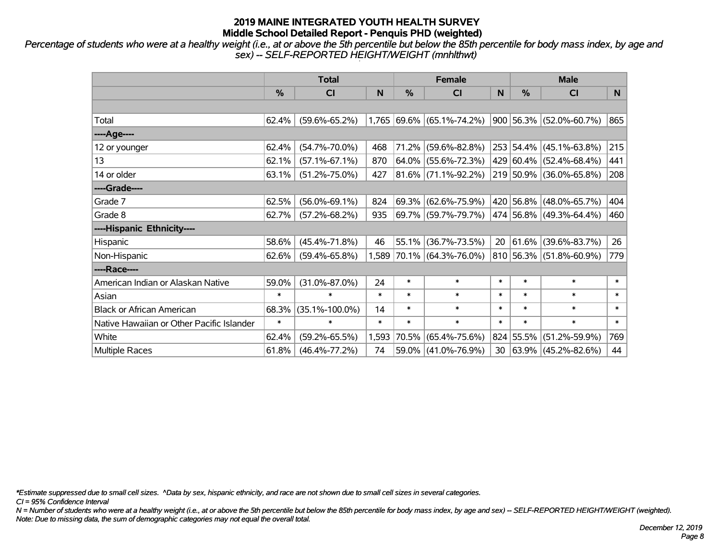*Percentage of students who were at a healthy weight (i.e., at or above the 5th percentile but below the 85th percentile for body mass index, by age and sex) -- SELF-REPORTED HEIGHT/WEIGHT (mnhlthwt)*

|                                           |        | <b>Total</b>         |        |          | Female                      |                 | <b>Male</b>   |                              |        |
|-------------------------------------------|--------|----------------------|--------|----------|-----------------------------|-----------------|---------------|------------------------------|--------|
|                                           | %      | <b>CI</b>            | N      | %        | <b>CI</b>                   | N               | $\frac{0}{0}$ | <b>CI</b>                    | N.     |
|                                           |        |                      |        |          |                             |                 |               |                              |        |
| Total                                     | 62.4%  | $(59.6\% - 65.2\%)$  |        |          | $1,765$ 69.6% (65.1%-74.2%) |                 |               | 900 56.3% (52.0%-60.7%)      | 865    |
| ----Age----                               |        |                      |        |          |                             |                 |               |                              |        |
| 12 or younger                             | 62.4%  | $(54.7\% - 70.0\%)$  | 468    | 71.2%    | $(59.6\% - 82.8\%)$         |                 |               | 253 54.4% (45.1%-63.8%)      | 215    |
| 13                                        | 62.1%  | $(57.1\% - 67.1\%)$  | 870    | $64.0\%$ | $(55.6\% - 72.3\%)$         |                 |               | 429 60.4% (52.4%-68.4%)      | 441    |
| 14 or older                               | 63.1%  | $(51.2\% - 75.0\%)$  | 427    |          | 81.6% (71.1%-92.2%)         |                 |               | 219 50.9% (36.0%-65.8%)      | 208    |
| ----Grade----                             |        |                      |        |          |                             |                 |               |                              |        |
| Grade 7                                   | 62.5%  | $(56.0\% - 69.1\%)$  | 824    | 69.3%    | $(62.6\% - 75.9\%)$         |                 |               | 420 56.8% (48.0%-65.7%)      | 404    |
| Grade 8                                   | 62.7%  | $(57.2\% - 68.2\%)$  | 935    |          | 69.7% (59.7%-79.7%)         |                 |               | $ 474 56.8\% $ (49.3%-64.4%) | 460    |
| ----Hispanic Ethnicity----                |        |                      |        |          |                             |                 |               |                              |        |
| Hispanic                                  | 58.6%  | $(45.4\% - 71.8\%)$  | 46     | 55.1%    | $(36.7\% - 73.5\%)$         | 20              |               | 61.6% (39.6%-83.7%)          | 26     |
| Non-Hispanic                              | 62.6%  | $(59.4\% - 65.8\%)$  | 1,589  |          | 70.1% (64.3%-76.0%)         |                 |               | 810 56.3% (51.8%-60.9%)      | 779    |
| ----Race----                              |        |                      |        |          |                             |                 |               |                              |        |
| American Indian or Alaskan Native         | 59.0%  | $(31.0\% - 87.0\%)$  | 24     | $\ast$   | $\ast$                      | $\ast$          | $\ast$        | $\ast$                       | $\ast$ |
| Asian                                     | $\ast$ | $\ast$               | $\ast$ | $\ast$   | $\ast$                      | $\ast$          | $\ast$        | $\ast$                       | $\ast$ |
| <b>Black or African American</b>          | 68.3%  | $(35.1\% - 100.0\%)$ | 14     | $\ast$   | $\ast$                      | $\ast$          | $\ast$        | $\ast$                       | $\ast$ |
| Native Hawaiian or Other Pacific Islander | $\ast$ | $\ast$               | $\ast$ | $\ast$   | $\ast$                      | $\ast$          | $\ast$        | $\ast$                       | $\ast$ |
| White                                     | 62.4%  | $(59.2\% - 65.5\%)$  | 1,593  | 70.5%    | $(65.4\% - 75.6\%)$         |                 | 824 55.5%     | $(51.2\% - 59.9\%)$          | 769    |
| Multiple Races                            | 61.8%  | $(46.4\% - 77.2\%)$  | 74     |          | 59.0% (41.0%-76.9%)         | 30 <sub>o</sub> |               | $ 63.9\% $ (45.2%-82.6%)     | 44     |

*\*Estimate suppressed due to small cell sizes. ^Data by sex, hispanic ethnicity, and race are not shown due to small cell sizes in several categories.*

*CI = 95% Confidence Interval*

*N = Number of students who were at a healthy weight (i.e., at or above the 5th percentile but below the 85th percentile for body mass index, by age and sex) -- SELF-REPORTED HEIGHT/WEIGHT (weighted). Note: Due to missing data, the sum of demographic categories may not equal the overall total.*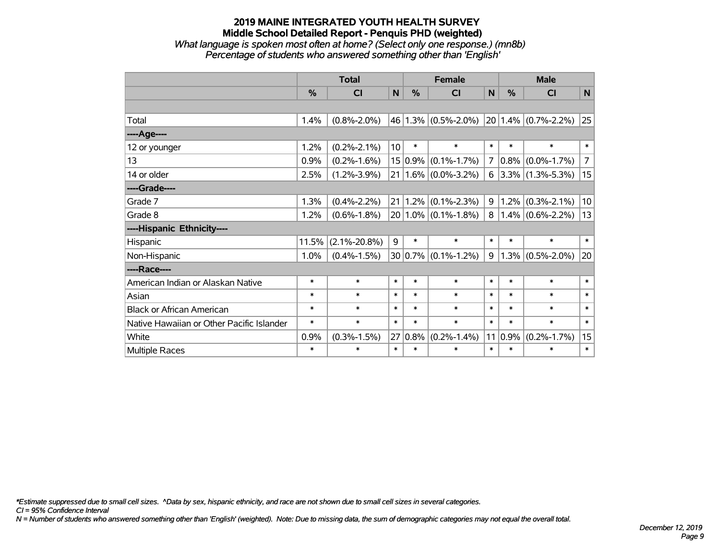# **2019 MAINE INTEGRATED YOUTH HEALTH SURVEY Middle School Detailed Report - Penquis PHD (weighted)** *What language is spoken most often at home? (Select only one response.) (mn8b)*

*Percentage of students who answered something other than 'English'*

|                                           | <b>Total</b> |                    |                 |               | <b>Female</b>           |                | <b>Male</b> |                         |                |
|-------------------------------------------|--------------|--------------------|-----------------|---------------|-------------------------|----------------|-------------|-------------------------|----------------|
|                                           | %            | <b>CI</b>          | N               | $\frac{0}{0}$ | <b>CI</b>               | $\mathsf{N}$   | %           | <b>CI</b>               | N              |
|                                           |              |                    |                 |               |                         |                |             |                         |                |
| Total                                     | 1.4%         | $(0.8\% - 2.0\%)$  |                 |               | $46 1.3\% $ (0.5%-2.0%) |                |             | $20 1.4\% $ (0.7%-2.2%) | 25             |
| ----Age----                               |              |                    |                 |               |                         |                |             |                         |                |
| 12 or younger                             | 1.2%         | $(0.2\% - 2.1\%)$  | 10 <sup>1</sup> | $\ast$        | $\ast$                  | $\ast$         | $\ast$      | $\ast$                  | $\ast$         |
| 13                                        | 0.9%         | $(0.2\% - 1.6\%)$  |                 | $15 0.9\%$    | $(0.1\% - 1.7\%)$       | $\overline{7}$ | $0.8\%$     | $(0.0\% - 1.7\%)$       | $\overline{7}$ |
| 14 or older                               | 2.5%         | $(1.2\% - 3.9\%)$  |                 |               | $21 1.6\% $ (0.0%-3.2%) | 6              |             | $3.3\%$ (1.3%-5.3%)     | 15             |
| ----Grade----                             |              |                    |                 |               |                         |                |             |                         |                |
| Grade 7                                   | 1.3%         | $(0.4\% - 2.2\%)$  | 21              |               | $1.2\%$ (0.1%-2.3%)     | 9              |             | $1.2\%$ (0.3%-2.1%)     | 10             |
| Grade 8                                   | 1.2%         | $(0.6\% - 1.8\%)$  |                 |               | $20 1.0\% $ (0.1%-1.8%) | 8              |             | $1.4\%$ (0.6%-2.2%)     | 13             |
| ----Hispanic Ethnicity----                |              |                    |                 |               |                         |                |             |                         |                |
| Hispanic                                  | 11.5%        | $(2.1\% - 20.8\%)$ | 9               | $\ast$        | $\ast$                  | $\ast$         | $\ast$      | $\ast$                  | $\ast$         |
| Non-Hispanic                              | 1.0%         | $(0.4\% - 1.5\%)$  |                 |               | $30 0.7\% $ (0.1%-1.2%) | 9              |             | $1.3\%$ (0.5%-2.0%)     | 20             |
| ----Race----                              |              |                    |                 |               |                         |                |             |                         |                |
| American Indian or Alaskan Native         | $\ast$       | $\ast$             | $\ast$          | $\ast$        | $\ast$                  | $\ast$         | $\ast$      | $\ast$                  | $\ast$         |
| Asian                                     | $\ast$       | $\ast$             | $\ast$          | $\ast$        | $\ast$                  | $\ast$         | $\ast$      | $\ast$                  | $\ast$         |
| <b>Black or African American</b>          | $\ast$       | $\ast$             | $\ast$          | $\ast$        | $\ast$                  | $\ast$         | $\ast$      | $\ast$                  | $\ast$         |
| Native Hawaiian or Other Pacific Islander | $\ast$       | $\ast$             | $\ast$          | $\ast$        | $\ast$                  | $\ast$         | $\ast$      | $\ast$                  | $\ast$         |
| White                                     | 0.9%         | $(0.3\% - 1.5\%)$  | 27              | 0.8%          | $(0.2\% - 1.4\%)$       | 11             | $0.9\%$     | $(0.2\% - 1.7\%)$       | 15             |
| Multiple Races                            | $\ast$       | $\ast$             | $\ast$          | $\ast$        | $\ast$                  | $\ast$         | $\ast$      | $\ast$                  | $\ast$         |

*\*Estimate suppressed due to small cell sizes. ^Data by sex, hispanic ethnicity, and race are not shown due to small cell sizes in several categories.*

*CI = 95% Confidence Interval*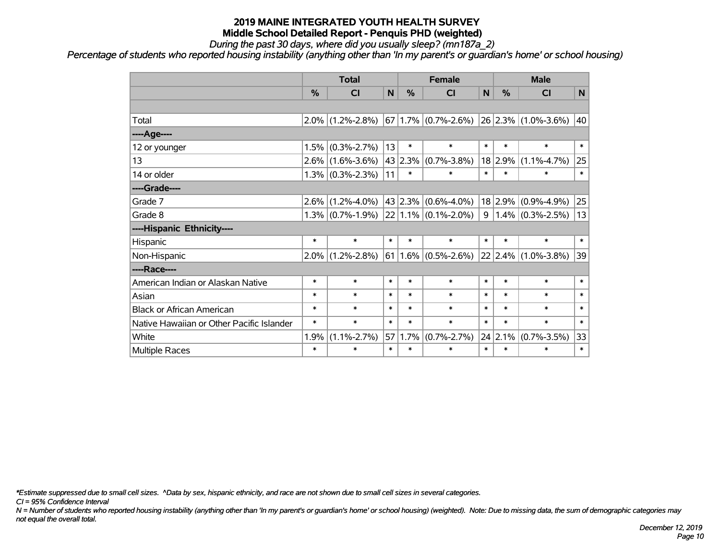*During the past 30 days, where did you usually sleep? (mn187a\_2)*

*Percentage of students who reported housing instability (anything other than 'In my parent's or guardian's home' or school housing)*

|                                           | <b>Total</b> |                     |        |         | <b>Female</b>            |                | <b>Male</b>     |                              |                |
|-------------------------------------------|--------------|---------------------|--------|---------|--------------------------|----------------|-----------------|------------------------------|----------------|
|                                           | %            | <b>CI</b>           | N      | %       | <b>CI</b>                | N              | $\frac{0}{0}$   | <b>CI</b>                    | N <sub>1</sub> |
|                                           |              |                     |        |         |                          |                |                 |                              |                |
| Total                                     |              | $2.0\%$ (1.2%-2.8%) |        |         | $67 1.7\% $ (0.7%-2.6%)  |                |                 | $ 26 2.3\% $ (1.0%-3.6%)     | 40             |
| ----Age----                               |              |                     |        |         |                          |                |                 |                              |                |
| 12 or younger                             | 1.5%         | $(0.3\% - 2.7\%)$   | 13     | $\ast$  | $\ast$                   | $\ast$         | $\ast$          | $\ast$                       | $\ast$         |
| 13                                        |              | $2.6\%$ (1.6%-3.6%) |        | 43 2.3% | $(0.7\% - 3.8\%)$        |                | 18 2.9%         | $(1.1\% - 4.7\%)$            | 25             |
| 14 or older                               |              | $1.3\%$ (0.3%-2.3%) | 11     | $\ast$  | $\ast$                   | $\ast$         | $\ast$          | $\ast$                       | $\ast$         |
| ----Grade----                             |              |                     |        |         |                          |                |                 |                              |                |
| Grade 7                                   | $2.6\%$      | $(1.2\% - 4.0\%)$   |        |         | $ 43 2.3\% $ (0.6%-4.0%) |                | 18 2.9%         | $(0.9\% - 4.9\%)$            | 25             |
| Grade 8                                   |              | $1.3\%$ (0.7%-1.9%) |        |         | $ 22 1.1\% $ (0.1%-2.0%) | 9 <sup>°</sup> |                 | $1.4\%$ (0.3%-2.5%)          | 13             |
| ----Hispanic Ethnicity----                |              |                     |        |         |                          |                |                 |                              |                |
| Hispanic                                  | $\ast$       | $\ast$              | $\ast$ | $\ast$  | $\ast$                   | $\ast$         | $\ast$          | $\ast$                       | $\ast$         |
| Non-Hispanic                              | $2.0\%$      | $(1.2\% - 2.8\%)$   | 61     |         | $1.6\%$ (0.5%-2.6%)      |                |                 | $ 22 2.4\%  (1.0\% - 3.8\%)$ | 39             |
| ----Race----                              |              |                     |        |         |                          |                |                 |                              |                |
| American Indian or Alaskan Native         | $\ast$       | $\ast$              | $\ast$ | $\ast$  | $\ast$                   | $\ast$         | $\ast$          | $\ast$                       | $\ast$         |
| Asian                                     | $\ast$       | $\ast$              | $\ast$ | $\ast$  | $\ast$                   | $\ast$         | $\ast$          | $\ast$                       | $\ast$         |
| <b>Black or African American</b>          | $\ast$       | $\ast$              | $\ast$ | $\ast$  | $\ast$                   | $\ast$         | $\ast$          | $\ast$                       | $\ast$         |
| Native Hawaiian or Other Pacific Islander | $\ast$       | $\ast$              | $\ast$ | $\ast$  | $\ast$                   | $\ast$         | $\ast$          | $\ast$                       | $\ast$         |
| White                                     | 1.9%         | $(1.1\% - 2.7\%)$   | 57     | 1.7%    | $(0.7\% - 2.7\%)$        |                | $24 \mid 2.1\%$ | $(0.7\% - 3.5\%)$            | 33             |
| <b>Multiple Races</b>                     | $\ast$       | $\ast$              | $\ast$ | $\ast$  | $\ast$                   | $\ast$         | $\ast$          | $\ast$                       | $\ast$         |

*\*Estimate suppressed due to small cell sizes. ^Data by sex, hispanic ethnicity, and race are not shown due to small cell sizes in several categories.*

*CI = 95% Confidence Interval*

*N = Number of students who reported housing instability (anything other than 'In my parent's or guardian's home' or school housing) (weighted). Note: Due to missing data, the sum of demographic categories may not equal the overall total.*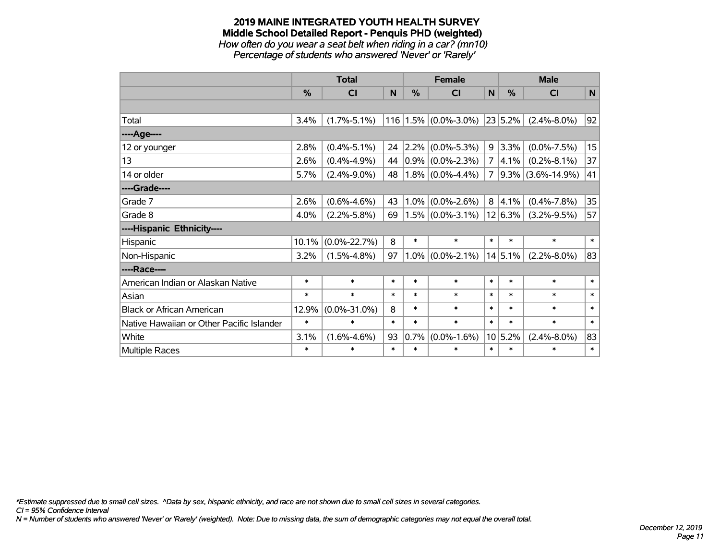#### **2019 MAINE INTEGRATED YOUTH HEALTH SURVEY Middle School Detailed Report - Penquis PHD (weighted)** *How often do you wear a seat belt when riding in a car? (mn10)*

*Percentage of students who answered 'Never' or 'Rarely'*

|                                           | <b>Total</b> |                    |        |               | <b>Female</b>                  |        | <b>Male</b>   |                    |        |
|-------------------------------------------|--------------|--------------------|--------|---------------|--------------------------------|--------|---------------|--------------------|--------|
|                                           | $\%$         | CI                 | N      | $\frac{0}{0}$ | <b>CI</b>                      | N      | $\frac{0}{0}$ | <b>CI</b>          | N      |
|                                           |              |                    |        |               |                                |        |               |                    |        |
| Total                                     | 3.4%         | $(1.7\% - 5.1\%)$  |        |               | $116$   1.5% $(0.0\% - 3.0\%)$ |        | $ 23 5.2\% $  | $(2.4\% - 8.0\%)$  | 92     |
| ---- Age----                              |              |                    |        |               |                                |        |               |                    |        |
| 12 or younger                             | 2.8%         | $(0.4\% - 5.1\%)$  | 24     | $ 2.2\% $     | $(0.0\% - 5.3\%)$              | 9      | 3.3%          | $(0.0\% - 7.5\%)$  | 15     |
| 13                                        | 2.6%         | $(0.4\% - 4.9\%)$  | 44     |               | $0.9\%$ (0.0%-2.3%)            |        | $7  4.1\% $   | $(0.2\% - 8.1\%)$  | 37     |
| 14 or older                               | 5.7%         | $(2.4\% - 9.0\%)$  | 48     |               | $1.8\%$ (0.0%-4.4%)            | 7      | $ 9.3\% $     | $(3.6\% - 14.9\%)$ | 41     |
| ----Grade----                             |              |                    |        |               |                                |        |               |                    |        |
| Grade 7                                   | 2.6%         | $(0.6\% - 4.6\%)$  | 43     | $1.0\%$       | $(0.0\% - 2.6\%)$              |        | 8 4.1%        | $(0.4\% - 7.8\%)$  | 35     |
| Grade 8                                   | 4.0%         | $(2.2\% - 5.8\%)$  | 69     |               | $1.5\%$ (0.0%-3.1%)            |        | 12 6.3%       | $(3.2\% - 9.5\%)$  | 57     |
| ----Hispanic Ethnicity----                |              |                    |        |               |                                |        |               |                    |        |
| Hispanic                                  | 10.1%        | $(0.0\% - 22.7\%)$ | 8      | $\ast$        | $\ast$                         | $\ast$ | $\ast$        | $\ast$             | $\ast$ |
| Non-Hispanic                              | 3.2%         | $(1.5\% - 4.8\%)$  | 97     |               | $1.0\%$ (0.0%-2.1%)            |        | 14 5.1%       | $(2.2\% - 8.0\%)$  | 83     |
| ----Race----                              |              |                    |        |               |                                |        |               |                    |        |
| American Indian or Alaskan Native         | $\ast$       | $\ast$             | $\ast$ | $\ast$        | $\ast$                         | $\ast$ | $\ast$        | $\ast$             | $\ast$ |
| Asian                                     | $\ast$       | $\ast$             | $\ast$ | $\ast$        | $\ast$                         | $\ast$ | $\ast$        | $\ast$             | $\ast$ |
| <b>Black or African American</b>          | 12.9%        | $(0.0\% - 31.0\%)$ | 8      | $\ast$        | $\ast$                         | $\ast$ | $\ast$        | $\ast$             | $\ast$ |
| Native Hawaiian or Other Pacific Islander | $\ast$       | $\ast$             | $\ast$ | $\ast$        | $\ast$                         | $\ast$ | $\ast$        | $\ast$             | $\ast$ |
| White                                     | 3.1%         | $(1.6\% - 4.6\%)$  | 93     | 0.7%          | $(0.0\% - 1.6\%)$              |        | 10 5.2%       | $(2.4\% - 8.0\%)$  | 83     |
| <b>Multiple Races</b>                     | $\ast$       | $\ast$             | $\ast$ | $\ast$        | $\ast$                         | $\ast$ | $\ast$        | $\ast$             | $\ast$ |

*\*Estimate suppressed due to small cell sizes. ^Data by sex, hispanic ethnicity, and race are not shown due to small cell sizes in several categories.*

*CI = 95% Confidence Interval*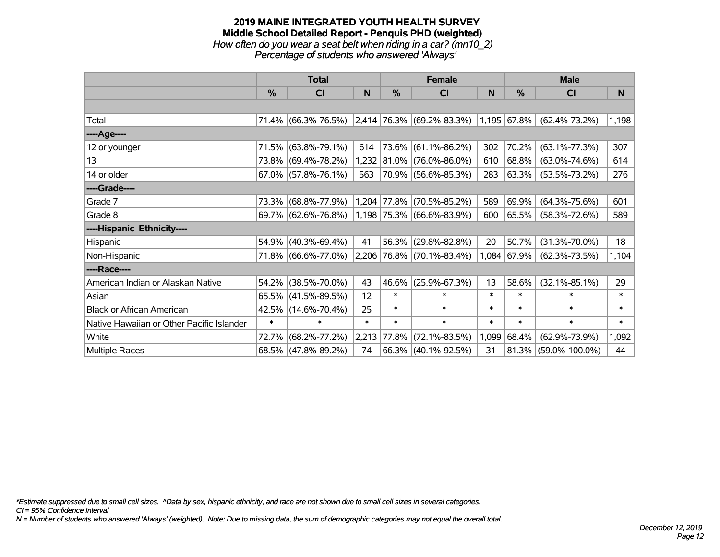#### **2019 MAINE INTEGRATED YOUTH HEALTH SURVEY Middle School Detailed Report - Penquis PHD (weighted)** *How often do you wear a seat belt when riding in a car? (mn10\_2) Percentage of students who answered 'Always'*

|                                           |               | <b>Total</b>           |        |             | <b>Female</b>                                      |        | <b>Male</b> |                         |        |  |
|-------------------------------------------|---------------|------------------------|--------|-------------|----------------------------------------------------|--------|-------------|-------------------------|--------|--|
|                                           | $\frac{0}{0}$ | CI                     | N      | %           | CI                                                 | N      | %           | <b>CI</b>               | N      |  |
|                                           |               |                        |        |             |                                                    |        |             |                         |        |  |
| Total                                     |               | 71.4% (66.3%-76.5%)    |        |             | $\vert 2,414 \vert 76.3\% \vert (69.2\% - 83.3\%)$ |        | 1,195 67.8% | $(62.4\% - 73.2\%)$     | 1,198  |  |
| ----Age----                               |               |                        |        |             |                                                    |        |             |                         |        |  |
| 12 or younger                             | 71.5%         | $(63.8\% - 79.1\%)$    | 614    | 73.6%       | $(61.1\% - 86.2\%)$                                | 302    | 70.2%       | $(63.1\% - 77.3\%)$     | 307    |  |
| 13                                        |               | 73.8% (69.4%-78.2%)    |        | 1,232 81.0% | $(76.0\% - 86.0\%)$                                | 610    | 68.8%       | $(63.0\% - 74.6\%)$     | 614    |  |
| 14 or older                               |               | $67.0\%$ (57.8%-76.1%) | 563    |             | 70.9% (56.6%-85.3%)                                | 283    | 63.3%       | $(53.5\% - 73.2\%)$     | 276    |  |
| ----Grade----                             |               |                        |        |             |                                                    |        |             |                         |        |  |
| Grade 7                                   | 73.3%         | $(68.8\% - 77.9\%)$    |        | 1,204 77.8% | $(70.5\% - 85.2\%)$                                | 589    | 69.9%       | $(64.3\% - 75.6\%)$     | 601    |  |
| Grade 8                                   |               | 69.7% (62.6%-76.8%)    |        |             | $1,198$ 75.3% (66.6%-83.9%)                        | 600    | 65.5%       | $(58.3\% - 72.6\%)$     | 589    |  |
| ----Hispanic Ethnicity----                |               |                        |        |             |                                                    |        |             |                         |        |  |
| Hispanic                                  | 54.9%         | $(40.3\% - 69.4\%)$    | 41     | 56.3%       | $(29.8\% - 82.8\%)$                                | 20     | 50.7%       | $(31.3\% - 70.0\%)$     | 18     |  |
| Non-Hispanic                              |               | 71.8% (66.6%-77.0%)    |        |             | $2,206$ 76.8% (70.1%-83.4%)                        | 1,084  | 67.9%       | $(62.3\% - 73.5\%)$     | 1,104  |  |
| ----Race----                              |               |                        |        |             |                                                    |        |             |                         |        |  |
| American Indian or Alaskan Native         | 54.2%         | $(38.5\% - 70.0\%)$    | 43     | 46.6%       | $(25.9\% - 67.3\%)$                                | 13     | 58.6%       | $(32.1\% - 85.1\%)$     | 29     |  |
| Asian                                     | 65.5%         | $(41.5\% - 89.5\%)$    | 12     | $\ast$      | $\ast$                                             | $\ast$ | $\ast$      | $\ast$                  | $\ast$ |  |
| <b>Black or African American</b>          |               | 42.5% (14.6%-70.4%)    | 25     | $\ast$      | $\ast$                                             | $\ast$ | $\ast$      | $\ast$                  | $\ast$ |  |
| Native Hawaiian or Other Pacific Islander | $\ast$        | $\ast$                 | $\ast$ | $\ast$      | $\ast$                                             | $\ast$ | $\ast$      | $\ast$                  | $\ast$ |  |
| White                                     | 72.7%         | $(68.2\% - 77.2\%)$    | 2,213  | 77.8%       | $(72.1\% - 83.5\%)$                                | 1,099  | 68.4%       | $(62.9\% - 73.9\%)$     | 1,092  |  |
| <b>Multiple Races</b>                     |               | 68.5% (47.8%-89.2%)    | 74     |             | $66.3\%$ (40.1%-92.5%)                             | 31     |             | $81.3\%$ (59.0%-100.0%) | 44     |  |

*\*Estimate suppressed due to small cell sizes. ^Data by sex, hispanic ethnicity, and race are not shown due to small cell sizes in several categories.*

*CI = 95% Confidence Interval*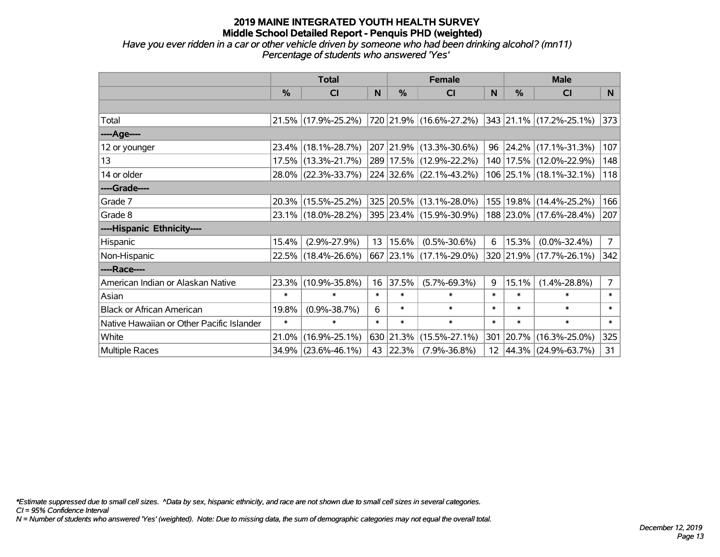*Have you ever ridden in a car or other vehicle driven by someone who had been drinking alcohol? (mn11) Percentage of students who answered 'Yes'*

|                                           |               | <b>Total</b>        |        |            | <b>Female</b>               |              | <b>Male</b> |                             |                |
|-------------------------------------------|---------------|---------------------|--------|------------|-----------------------------|--------------|-------------|-----------------------------|----------------|
|                                           | $\frac{0}{0}$ | <b>CI</b>           | N      | %          | <b>CI</b>                   | <sub>N</sub> | %           | CI                          | N.             |
|                                           |               |                     |        |            |                             |              |             |                             |                |
| Total                                     |               | 21.5% (17.9%-25.2%) |        |            | 720   21.9%   (16.6%-27.2%) |              |             | 343 21.1% (17.2%-25.1%)     | 373            |
| ----Age----                               |               |                     |        |            |                             |              |             |                             |                |
| 12 or younger                             |               | 23.4% (18.1%-28.7%) |        |            | 207 21.9% (13.3%-30.6%)     | 96           |             | $24.2\%$ (17.1%-31.3%)      | 107            |
| 13                                        |               | 17.5% (13.3%-21.7%) |        |            | 289 17.5% (12.9%-22.2%)     |              |             | 140   17.5%   (12.0%-22.9%) | 148            |
| 14 or older                               |               | 28.0% (22.3%-33.7%) |        |            | 224 32.6% (22.1%-43.2%)     |              |             | 106 25.1% (18.1%-32.1%)     | 118            |
| ----Grade----                             |               |                     |        |            |                             |              |             |                             |                |
| Grade 7                                   |               | 20.3% (15.5%-25.2%) |        |            | 325 20.5% (13.1%-28.0%)     | 155          |             | $19.8\%$ (14.4%-25.2%)      | 166            |
| Grade 8                                   |               | 23.1% (18.0%-28.2%) |        |            | 395 23.4% (15.9%-30.9%)     |              |             | 188 23.0% (17.6%-28.4%)     | 207            |
| ----Hispanic Ethnicity----                |               |                     |        |            |                             |              |             |                             |                |
| Hispanic                                  | 15.4%         | $(2.9\% - 27.9\%)$  | 13     | $ 15.6\% $ | $(0.5\% - 30.6\%)$          | 6            | 15.3%       | $(0.0\% - 32.4\%)$          | $7^{\circ}$    |
| Non-Hispanic                              |               | 22.5% (18.4%-26.6%) |        |            | 667 23.1% (17.1%-29.0%)     |              |             | 320 21.9% (17.7%-26.1%)     | 342            |
| ----Race----                              |               |                     |        |            |                             |              |             |                             |                |
| American Indian or Alaskan Native         |               | 23.3% (10.9%-35.8%) | 16     | 37.5%      | $(5.7\% - 69.3\%)$          | 9            | 15.1%       | $(1.4\% - 28.8\%)$          | $\overline{7}$ |
| Asian                                     | $\ast$        | $\ast$              | $\ast$ | $\ast$     | $\ast$                      | $\ast$       | $\ast$      | $\ast$                      | $\ast$         |
| <b>Black or African American</b>          | 19.8%         | $(0.9\% - 38.7\%)$  | 6      | $\ast$     | $\ast$                      | $\ast$       | $\ast$      | $\ast$                      | $\ast$         |
| Native Hawaiian or Other Pacific Islander | $\ast$        | $\ast$              | $\ast$ | $\ast$     | $\ast$                      | $\ast$       | $\ast$      | $\ast$                      | $\ast$         |
| White                                     | 21.0%         | $(16.9\% - 25.1\%)$ |        | 630 21.3%  | $(15.5\% - 27.1\%)$         | 301          | 20.7%       | $(16.3\% - 25.0\%)$         | 325            |
| Multiple Races                            |               | 34.9% (23.6%-46.1%) |        | 43 22.3%   | $(7.9\% - 36.8\%)$          |              |             | 12 44.3% (24.9%-63.7%)      | 31             |

*\*Estimate suppressed due to small cell sizes. ^Data by sex, hispanic ethnicity, and race are not shown due to small cell sizes in several categories.*

*CI = 95% Confidence Interval*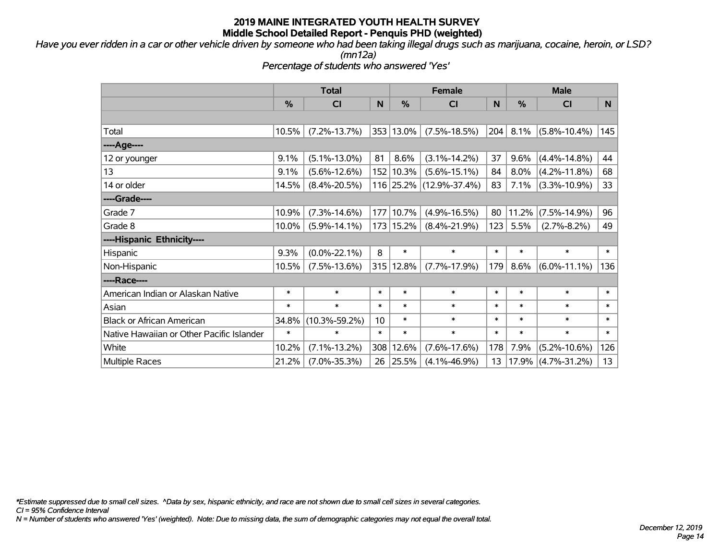*Have you ever ridden in a car or other vehicle driven by someone who had been taking illegal drugs such as marijuana, cocaine, heroin, or LSD?*

*(mn12a)*

*Percentage of students who answered 'Yes'*

|                                           | <b>Total</b> |                     |        |           | <b>Female</b>       | <b>Male</b> |               |                      |        |
|-------------------------------------------|--------------|---------------------|--------|-----------|---------------------|-------------|---------------|----------------------|--------|
|                                           | %            | <b>CI</b>           | N      | %         | <b>CI</b>           | N           | $\frac{0}{0}$ | <b>CI</b>            | N      |
|                                           |              |                     |        |           |                     |             |               |                      |        |
| Total                                     | 10.5%        | $(7.2\% - 13.7\%)$  |        | 353 13.0% | $(7.5\% - 18.5\%)$  | 204         | 8.1%          | $(5.8\% - 10.4\%)$   | 145    |
| ----Age----                               |              |                     |        |           |                     |             |               |                      |        |
| 12 or younger                             | 9.1%         | $(5.1\% - 13.0\%)$  | 81     | 8.6%      | $(3.1\% - 14.2\%)$  | 37          | 9.6%          | $(4.4\% - 14.8\%)$   | 44     |
| 13                                        | 9.1%         | $(5.6\% - 12.6\%)$  |        | 152 10.3% | $(5.6\% - 15.1\%)$  | 84          | 8.0%          | $(4.2\% - 11.8\%)$   | 68     |
| 14 or older                               | 14.5%        | $(8.4\% - 20.5\%)$  |        | 116 25.2% | $(12.9\% - 37.4\%)$ | 83          | 7.1%          | $(3.3\% - 10.9\%)$   | 33     |
| ----Grade----                             |              |                     |        |           |                     |             |               |                      |        |
| Grade 7                                   | 10.9%        | $(7.3\% - 14.6\%)$  |        | 177 10.7% | $(4.9\% - 16.5\%)$  | 80          | 11.2%         | $(7.5\% - 14.9\%)$   | 96     |
| Grade 8                                   | 10.0%        | $(5.9\% - 14.1\%)$  |        | 173 15.2% | $(8.4\% - 21.9\%)$  | 123         | 5.5%          | $(2.7\% - 8.2\%)$    | 49     |
| ----Hispanic Ethnicity----                |              |                     |        |           |                     |             |               |                      |        |
| Hispanic                                  | 9.3%         | $(0.0\% - 22.1\%)$  | 8      | $\ast$    | $\ast$              | $\ast$      | $\ast$        | $\ast$               | $\ast$ |
| Non-Hispanic                              | 10.5%        | $(7.5\% - 13.6\%)$  |        | 315 12.8% | $(7.7\% - 17.9\%)$  | 179         | 8.6%          | $(6.0\% - 11.1\%)$   | 136    |
| ----Race----                              |              |                     |        |           |                     |             |               |                      |        |
| American Indian or Alaskan Native         | $\ast$       | $\ast$              | $\ast$ | $\ast$    | $\ast$              | $\ast$      | $\ast$        | $\ast$               | $\ast$ |
| Asian                                     | $\ast$       | $\ast$              | $\ast$ | $\ast$    | $\ast$              | $\ast$      | $\ast$        | $\ast$               | $\ast$ |
| <b>Black or African American</b>          | 34.8%        | $(10.3\% - 59.2\%)$ | 10     | $\ast$    | $\ast$              | $\ast$      | $\ast$        | $\ast$               | $\ast$ |
| Native Hawaiian or Other Pacific Islander | $\ast$       | $\ast$              | $\ast$ | $\ast$    | $\ast$              | $\ast$      | $\ast$        | $\ast$               | $\ast$ |
| White                                     | 10.2%        | $(7.1\% - 13.2\%)$  | 308    | 12.6%     | $(7.6\% - 17.6\%)$  | 178         | 7.9%          | $(5.2\% - 10.6\%)$   | 126    |
| Multiple Races                            | 21.2%        | $(7.0\% - 35.3\%)$  | 26     | 25.5%     | $(4.1\% - 46.9\%)$  | 13          |               | 17.9%   (4.7%-31.2%) | 13     |

*\*Estimate suppressed due to small cell sizes. ^Data by sex, hispanic ethnicity, and race are not shown due to small cell sizes in several categories.*

*CI = 95% Confidence Interval*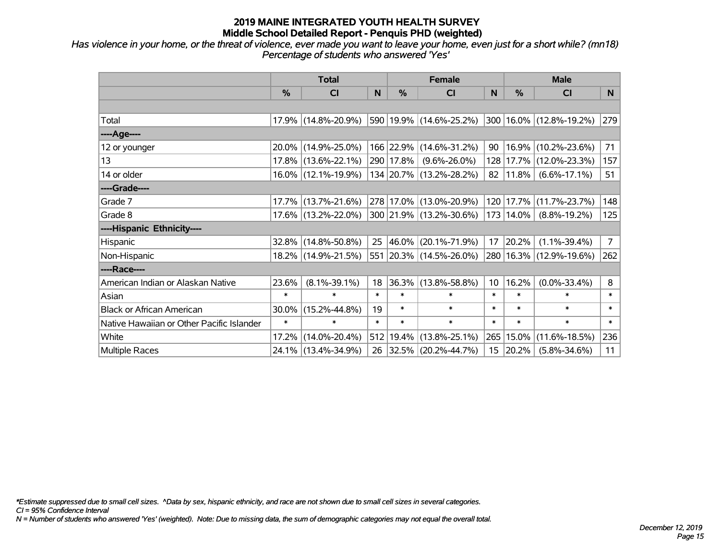*Has violence in your home, or the threat of violence, ever made you want to leave your home, even just for a short while? (mn18) Percentage of students who answered 'Yes'*

|                                           | <b>Total</b> |                     |        | <b>Female</b> | <b>Male</b>             |                 |           |                        |                |
|-------------------------------------------|--------------|---------------------|--------|---------------|-------------------------|-----------------|-----------|------------------------|----------------|
|                                           | %            | CI                  | N      | %             | C <sub>l</sub>          | N               | %         | <b>CI</b>              | N              |
|                                           |              |                     |        |               |                         |                 |           |                        |                |
| Total                                     |              | 17.9% (14.8%-20.9%) |        |               | 590 19.9% (14.6%-25.2%) | 300             |           | 16.0% (12.8%-19.2%)    | 279            |
| ----Age----                               |              |                     |        |               |                         |                 |           |                        |                |
| 12 or younger                             |              | 20.0% (14.9%-25.0%) |        |               | 166 22.9% (14.6%-31.2%) | 90              | 16.9%     | $(10.2\% - 23.6\%)$    | 71             |
| 13                                        |              | 17.8% (13.6%-22.1%) |        | 290 17.8%     | $(9.6\% - 26.0\%)$      | 128             | 17.7%     | $(12.0\% - 23.3\%)$    | 157            |
| 14 or older                               |              | 16.0% (12.1%-19.9%) |        |               | 134 20.7% (13.2%-28.2%) | 82              | $11.8\%$  | $(6.6\% - 17.1\%)$     | 51             |
| ----Grade----                             |              |                     |        |               |                         |                 |           |                        |                |
| Grade 7                                   | 17.7%        | $(13.7\% - 21.6\%)$ |        |               | 278 17.0% (13.0%-20.9%) | 120             | 17.7%     | $(11.7\% - 23.7\%)$    | 148            |
| Grade 8                                   |              | 17.6% (13.2%-22.0%) |        |               | 300 21.9% (13.2%-30.6%) |                 | 173 14.0% | $(8.8\% - 19.2\%)$     | 125            |
| ----Hispanic Ethnicity----                |              |                     |        |               |                         |                 |           |                        |                |
| Hispanic                                  | 32.8%        | $(14.8\% - 50.8\%)$ | 25     | 46.0%         | $(20.1\% - 71.9\%)$     | 17              | 20.2%     | $(1.1\% - 39.4\%)$     | 7 <sup>1</sup> |
| Non-Hispanic                              |              | 18.2% (14.9%-21.5%) |        |               | 551 20.3% (14.5%-26.0%) | 280             |           | $16.3\%$ (12.9%-19.6%) | 262            |
| ----Race----                              |              |                     |        |               |                         |                 |           |                        |                |
| American Indian or Alaskan Native         | 23.6%        | $(8.1\% - 39.1\%)$  | 18     | 36.3%         | $(13.8\% - 58.8\%)$     | 10 <sup>°</sup> | 16.2%     | $(0.0\% - 33.4\%)$     | 8              |
| Asian                                     | $\ast$       | $\ast$              | $\ast$ | $\ast$        | $\ast$                  | $\ast$          | $\ast$    | $\ast$                 | $\ast$         |
| <b>Black or African American</b>          | 30.0%        | $(15.2\% - 44.8\%)$ | 19     | $\ast$        | $\ast$                  | $\ast$          | $\ast$    | $\ast$                 | $\ast$         |
| Native Hawaiian or Other Pacific Islander | $\ast$       | $\ast$              | $\ast$ | $\ast$        | $\ast$                  | $\ast$          | $\ast$    | $\ast$                 | $\pmb{\ast}$   |
| White                                     | 17.2%        | $(14.0\% - 20.4\%)$ |        | 512 19.4%     | $(13.8\% - 25.1\%)$     | 265             | 15.0%     | $(11.6\% - 18.5\%)$    | 236            |
| Multiple Races                            |              | 24.1% (13.4%-34.9%) |        |               | 26 32.5% (20.2%-44.7%)  |                 | 15 20.2%  | $(5.8\% - 34.6\%)$     | 11             |

*\*Estimate suppressed due to small cell sizes. ^Data by sex, hispanic ethnicity, and race are not shown due to small cell sizes in several categories.*

*CI = 95% Confidence Interval*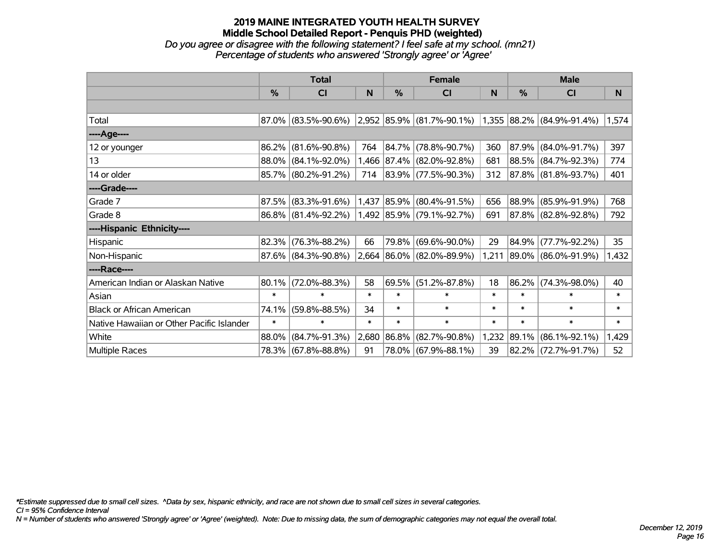#### **2019 MAINE INTEGRATED YOUTH HEALTH SURVEY Middle School Detailed Report - Penquis PHD (weighted)** *Do you agree or disagree with the following statement? I feel safe at my school. (mn21)*

*Percentage of students who answered 'Strongly agree' or 'Agree'*

|                                           | <b>Total</b>  |                     |        |            | <b>Female</b>             |        | <b>Male</b> |                             |        |  |
|-------------------------------------------|---------------|---------------------|--------|------------|---------------------------|--------|-------------|-----------------------------|--------|--|
|                                           | $\frac{0}{0}$ | CI                  | N      | %          | <b>CI</b>                 | N      | %           | <b>CI</b>                   | N      |  |
|                                           |               |                     |        |            |                           |        |             |                             |        |  |
| Total                                     | $87.0\%$      | $(83.5\% - 90.6\%)$ |        |            | 2,952 85.9% (81.7%-90.1%) |        |             | $1,355$ 88.2% (84.9%-91.4%) | 1,574  |  |
| ----Age----                               |               |                     |        |            |                           |        |             |                             |        |  |
| 12 or younger                             | 86.2%         | $(81.6\% - 90.8\%)$ | 764    |            | 84.7% (78.8%-90.7%)       | 360    | 87.9%       | $(84.0\% - 91.7\%)$         | 397    |  |
| 13                                        | 88.0%         | $(84.1\% - 92.0\%)$ |        |            | 1,466 87.4% (82.0%-92.8%) | 681    |             | 88.5% (84.7%-92.3%)         | 774    |  |
| 14 or older                               |               | 85.7% (80.2%-91.2%) | 714    |            | $ 83.9\% $ (77.5%-90.3%)  | 312    |             | $ 87.8\% $ (81.8%-93.7%)    | 401    |  |
| ----Grade----                             |               |                     |        |            |                           |        |             |                             |        |  |
| Grade 7                                   | 87.5%         | $(83.3\% - 91.6\%)$ | 1,437  | $ 85.9\% $ | $(80.4\% - 91.5\%)$       | 656    | $ 88.9\% $  | $(85.9\% - 91.9\%)$         | 768    |  |
| Grade 8                                   |               | 86.8% (81.4%-92.2%) |        |            | 1,492 85.9% (79.1%-92.7%) | 691    |             | 87.8% (82.8%-92.8%)         | 792    |  |
| ----Hispanic Ethnicity----                |               |                     |        |            |                           |        |             |                             |        |  |
| Hispanic                                  | 82.3%         | $(76.3\% - 88.2\%)$ | 66     | 79.8%      | $(69.6\% - 90.0\%)$       | 29     | $ 84.9\% $  | $(77.7\% - 92.2\%)$         | 35     |  |
| Non-Hispanic                              |               | 87.6% (84.3%-90.8%) |        |            | 2,664 86.0% (82.0%-89.9%) | 1,211  |             | 89.0% (86.0%-91.9%)         | 1,432  |  |
| ----Race----                              |               |                     |        |            |                           |        |             |                             |        |  |
| American Indian or Alaskan Native         | 80.1%         | $(72.0\% - 88.3\%)$ | 58     | 69.5%      | $(51.2\% - 87.8\%)$       | 18     | $ 86.2\% $  | $(74.3\% - 98.0\%)$         | 40     |  |
| Asian                                     | $\ast$        | $\ast$              | $\ast$ | $\ast$     | $\ast$                    | $\ast$ | $\ast$      | $\ast$                      | $\ast$ |  |
| <b>Black or African American</b>          | 74.1%         | $(59.8\% - 88.5\%)$ | 34     | $\ast$     | $\ast$                    | $\ast$ | $\ast$      | $\ast$                      | $\ast$ |  |
| Native Hawaiian or Other Pacific Islander | $\ast$        | $\ast$              | $\ast$ | $\ast$     | $\ast$                    | $\ast$ | $\ast$      | $\ast$                      | $\ast$ |  |
| White                                     | 88.0%         | $(84.7\% - 91.3\%)$ | 2,680  | $ 86.8\% $ | $(82.7\% - 90.8\%)$       | 1,232  | $ 89.1\% $  | $(86.1\% - 92.1\%)$         | 1,429  |  |
| Multiple Races                            |               | 78.3% (67.8%-88.8%) | 91     |            | 78.0% (67.9%-88.1%)       | 39     |             | 82.2% (72.7%-91.7%)         | 52     |  |

*\*Estimate suppressed due to small cell sizes. ^Data by sex, hispanic ethnicity, and race are not shown due to small cell sizes in several categories.*

*CI = 95% Confidence Interval*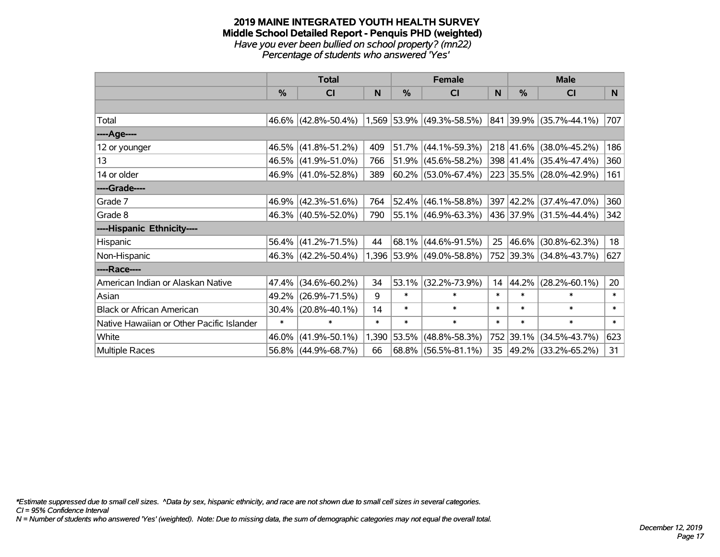#### **2019 MAINE INTEGRATED YOUTH HEALTH SURVEY Middle School Detailed Report - Penquis PHD (weighted)** *Have you ever been bullied on school property? (mn22) Percentage of students who answered 'Yes'*

|                                           | <b>Total</b>  |                     |        |        | <b>Female</b>               |        | <b>Male</b>   |                         |        |  |
|-------------------------------------------|---------------|---------------------|--------|--------|-----------------------------|--------|---------------|-------------------------|--------|--|
|                                           | $\frac{0}{0}$ | CI                  | N      | %      | <b>CI</b>                   | N      | $\frac{0}{0}$ | <b>CI</b>               | N      |  |
|                                           |               |                     |        |        |                             |        |               |                         |        |  |
| Total                                     |               | 46.6% (42.8%-50.4%) |        |        | $1,569$ 53.9% (49.3%-58.5%) |        |               | 841 39.9% (35.7%-44.1%) | 707    |  |
| ----Age----                               |               |                     |        |        |                             |        |               |                         |        |  |
| 12 or younger                             | 46.5%         | $(41.8\% - 51.2\%)$ | 409    | 51.7%  | $(44.1\% - 59.3\%)$         |        |               | 218 41.6% (38.0%-45.2%) | 186    |  |
| 13                                        |               | 46.5% (41.9%-51.0%) | 766    | 51.9%  | $(45.6\% - 58.2\%)$         |        |               | 398 41.4% (35.4%-47.4%) | 360    |  |
| 14 or older                               |               | 46.9% (41.0%-52.8%) | 389    |        | $60.2\%$ (53.0%-67.4%)      |        |               | 223 35.5% (28.0%-42.9%) | 161    |  |
| ----Grade----                             |               |                     |        |        |                             |        |               |                         |        |  |
| Grade 7                                   |               | 46.9% (42.3%-51.6%) | 764    | 52.4%  | $(46.1\% - 58.8\%)$         |        |               | 397 42.2% (37.4%-47.0%) | 360    |  |
| Grade 8                                   |               | 46.3% (40.5%-52.0%) | 790    |        | 55.1% (46.9%-63.3%)         |        |               | 436 37.9% (31.5%-44.4%) | 342    |  |
| ----Hispanic Ethnicity----                |               |                     |        |        |                             |        |               |                         |        |  |
| Hispanic                                  |               | 56.4% (41.2%-71.5%) | 44     | 68.1%  | $(44.6\% - 91.5\%)$         | 25     | 46.6%         | $(30.8\% - 62.3\%)$     | 18     |  |
| Non-Hispanic                              |               | 46.3% (42.2%-50.4%) |        |        | 1,396 53.9% (49.0%-58.8%)   |        |               | 752 39.3% (34.8%-43.7%) | 627    |  |
| ----Race----                              |               |                     |        |        |                             |        |               |                         |        |  |
| American Indian or Alaskan Native         | 47.4%         | $(34.6\% - 60.2\%)$ | 34     | 53.1%  | $(32.2\% - 73.9\%)$         | 14     | 44.2%         | $(28.2\% - 60.1\%)$     | 20     |  |
| Asian                                     | 49.2%         | $(26.9\% - 71.5\%)$ | 9      | $\ast$ | $\ast$                      | $\ast$ | $\ast$        | $\ast$                  | $\ast$ |  |
| <b>Black or African American</b>          | 30.4%         | $(20.8\% - 40.1\%)$ | 14     | $\ast$ | $\ast$                      | $\ast$ | $\ast$        | $\ast$                  | $\ast$ |  |
| Native Hawaiian or Other Pacific Islander | $\ast$        | $\ast$              | $\ast$ | $\ast$ | $\ast$                      | $\ast$ | $\ast$        | $\ast$                  | $\ast$ |  |
| White                                     | 46.0%         | $(41.9\% - 50.1\%)$ | 1,390  | 53.5%  | $(48.8\% - 58.3\%)$         | 752    | 39.1%         | $(34.5\% - 43.7\%)$     | 623    |  |
| Multiple Races                            |               | 56.8% (44.9%-68.7%) | 66     | 68.8%  | $(56.5\% - 81.1\%)$         | 35     |               | 49.2% (33.2%-65.2%)     | 31     |  |

*\*Estimate suppressed due to small cell sizes. ^Data by sex, hispanic ethnicity, and race are not shown due to small cell sizes in several categories.*

*CI = 95% Confidence Interval*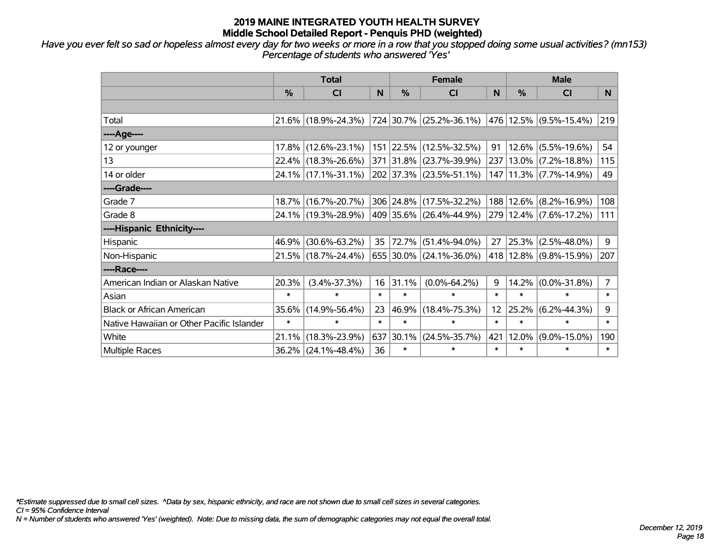*Have you ever felt so sad or hopeless almost every day for two weeks or more in a row that you stopped doing some usual activities? (mn153) Percentage of students who answered 'Yes'*

|                                           | <b>Total</b>  |                     |        | <b>Female</b> | <b>Male</b>                  |        |        |                        |                |
|-------------------------------------------|---------------|---------------------|--------|---------------|------------------------------|--------|--------|------------------------|----------------|
|                                           | $\frac{0}{0}$ | <b>CI</b>           | N      | %             | <b>CI</b>                    | N.     | %      | <b>CI</b>              | N.             |
|                                           |               |                     |        |               |                              |        |        |                        |                |
| Total                                     |               | 21.6% (18.9%-24.3%) |        |               | $ 724 30.7\% $ (25.2%-36.1%) |        |        | 476 12.5% (9.5%-15.4%) | 219            |
| ----Age----                               |               |                     |        |               |                              |        |        |                        |                |
| 12 or younger                             | 17.8%         | $(12.6\% - 23.1\%)$ | 151    | 22.5%         | $(12.5\% - 32.5\%)$          | 91     |        | $12.6\%$ (5.5%-19.6%)  | 54             |
| 13                                        |               | 22.4% (18.3%-26.6%) |        |               | 371 31.8% (23.7%-39.9%)      |        |        | 237 13.0% (7.2%-18.8%) | 115            |
| 14 or older                               |               | 24.1% (17.1%-31.1%) |        |               | 202 37.3% (23.5%-51.1%)      |        |        | 147 11.3% (7.7%-14.9%) | 49             |
| ----Grade----                             |               |                     |        |               |                              |        |        |                        |                |
| Grade 7                                   | 18.7%         | $(16.7\% - 20.7\%)$ |        |               | 306 24.8% (17.5%-32.2%)      |        |        | 188 12.6% (8.2%-16.9%) | 108            |
| Grade 8                                   |               | 24.1% (19.3%-28.9%) |        |               | 409 35.6% (26.4%-44.9%)      |        |        | 279 12.4% (7.6%-17.2%) | 111            |
| ----Hispanic Ethnicity----                |               |                     |        |               |                              |        |        |                        |                |
| Hispanic                                  | 46.9%         | $(30.6\% - 63.2\%)$ | 35     | 72.7%         | $(51.4\% - 94.0\%)$          | 27     | 25.3%  | $(2.5\% - 48.0\%)$     | 9              |
| Non-Hispanic                              |               | 21.5% (18.7%-24.4%) |        |               | 655 30.0% (24.1%-36.0%)      |        |        | 418 12.8% (9.8%-15.9%) | 207            |
| ----Race----                              |               |                     |        |               |                              |        |        |                        |                |
| American Indian or Alaskan Native         | 20.3%         | $(3.4\% - 37.3\%)$  | 16     | 31.1%         | $(0.0\% - 64.2\%)$           | 9      |        | $14.2\%$ (0.0%-31.8%)  | $\overline{7}$ |
| Asian                                     | $\ast$        | $\ast$              | $\ast$ | $\ast$        | $\ast$                       | $\ast$ | $\ast$ | $\ast$                 | $\ast$         |
| <b>Black or African American</b>          | 35.6%         | $(14.9\% - 56.4\%)$ | 23     | 46.9%         | $(18.4\% - 75.3\%)$          | 12     | 25.2%  | $(6.2\% - 44.3\%)$     | 9              |
| Native Hawaiian or Other Pacific Islander | $\ast$        | $\ast$              | $\ast$ | $\ast$        | $\ast$                       | $\ast$ | $\ast$ | $\ast$                 | $\ast$         |
| White                                     | 21.1%         | $(18.3\% - 23.9\%)$ | 637    | 30.1%         | $(24.5\% - 35.7\%)$          | 421    | 12.0%  | $(9.0\% - 15.0\%)$     | 190            |
| <b>Multiple Races</b>                     |               | 36.2% (24.1%-48.4%) | 36     | $\ast$        | $\ast$                       | $\ast$ | $\ast$ | $\ast$                 | $\ast$         |

*\*Estimate suppressed due to small cell sizes. ^Data by sex, hispanic ethnicity, and race are not shown due to small cell sizes in several categories.*

*CI = 95% Confidence Interval*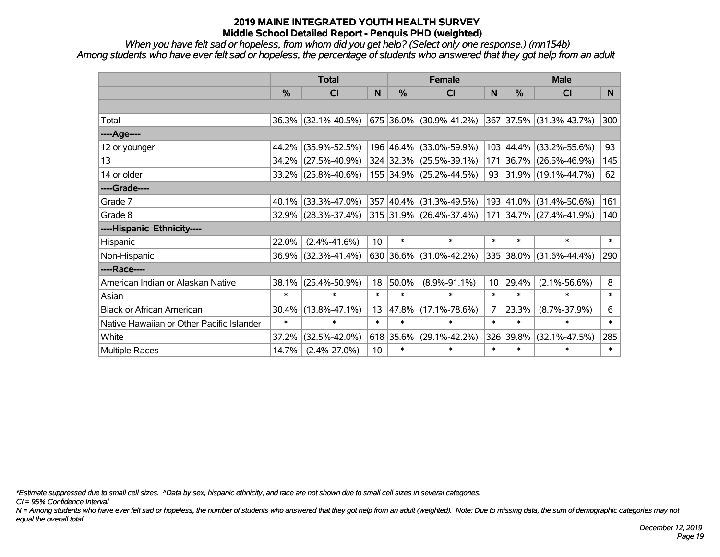*When you have felt sad or hopeless, from whom did you get help? (Select only one response.) (mn154b) Among students who have ever felt sad or hopeless, the percentage of students who answered that they got help from an adult*

|                                           | <b>Total</b> |                        |        | <b>Female</b> | <b>Male</b>                 |          |           |                         |                |
|-------------------------------------------|--------------|------------------------|--------|---------------|-----------------------------|----------|-----------|-------------------------|----------------|
|                                           | %            | <b>CI</b>              | N      | $\%$          | <b>CI</b>                   | <b>N</b> | %         | <b>CI</b>               | N <sub>1</sub> |
|                                           |              |                        |        |               |                             |          |           |                         |                |
| Total                                     |              | $36.3\%$ (32.1%-40.5%) |        |               | 675   36.0%   (30.9%-41.2%) |          |           | 367 37.5% (31.3%-43.7%) | 300            |
| ----Age----                               |              |                        |        |               |                             |          |           |                         |                |
| 12 or younger                             | 44.2%        | $(35.9\% - 52.5\%)$    |        | 196 46.4%     | $(33.0\% - 59.9\%)$         | 103      | 44.4%     | $(33.2\% - 55.6\%)$     | 93             |
| 13                                        | 34.2%        | $(27.5\% - 40.9\%)$    |        |               | 324 32.3% (25.5%-39.1%)     |          | 171 36.7% | $(26.5\% - 46.9\%)$     | 145            |
| 14 or older                               |              | $33.2\%$ (25.8%-40.6%) |        |               | 155 34.9% (25.2%-44.5%)     |          |           | 93 31.9% (19.1%-44.7%)  | 62             |
| ----Grade----                             |              |                        |        |               |                             |          |           |                         |                |
| Grade 7                                   | 40.1%        | $(33.3\% - 47.0\%)$    |        | 357 40.4%     | $(31.3\% - 49.5\%)$         |          | 193 41.0% | $(31.4\% - 50.6\%)$     | 161            |
| Grade 8                                   |              | $32.9\%$ (28.3%-37.4%) |        |               | 315 31.9% (26.4%-37.4%)     |          |           | 171 34.7% (27.4%-41.9%) | 140            |
| ----Hispanic Ethnicity----                |              |                        |        |               |                             |          |           |                         |                |
| Hispanic                                  | 22.0%        | $(2.4\% - 41.6\%)$     | 10     | $\ast$        | $\ast$                      | $\ast$   | $\ast$    | $\ast$                  | $\ast$         |
| Non-Hispanic                              | 36.9%        | $(32.3\% - 41.4\%)$    |        | 630 36.6%     | $(31.0\% - 42.2\%)$         |          | 335 38.0% | $(31.6\% - 44.4\%)$     | 290            |
| ----Race----                              |              |                        |        |               |                             |          |           |                         |                |
| American Indian or Alaskan Native         | 38.1%        | $(25.4\% - 50.9\%)$    | 18     | 50.0%         | $(8.9\% - 91.1\%)$          | 10       | 29.4%     | $(2.1\% - 56.6\%)$      | 8              |
| Asian                                     | $\ast$       | $\ast$                 | $\ast$ | $\ast$        | $\ast$                      | $\ast$   | $\ast$    | $\ast$                  | $\ast$         |
| <b>Black or African American</b>          | 30.4%        | $(13.8\% - 47.1\%)$    | 13     | 47.8%         | $(17.1\% - 78.6\%)$         | 7        | 23.3%     | $(8.7\% - 37.9\%)$      | 6              |
| Native Hawaiian or Other Pacific Islander | $\ast$       | $\ast$                 | $\ast$ | $\ast$        | $\ast$                      | $\ast$   | $\ast$    | $\ast$                  | $\ast$         |
| White                                     | 37.2%        | $(32.5\% - 42.0\%)$    |        | 618 35.6%     | $(29.1\% - 42.2\%)$         | 326      | 39.8%     | $(32.1\% - 47.5\%)$     | 285            |
| <b>Multiple Races</b>                     | 14.7%        | $(2.4\% - 27.0\%)$     | 10     | $\ast$        | $\ast$                      | $\ast$   | $\ast$    | $\ast$                  | $\ast$         |

*\*Estimate suppressed due to small cell sizes. ^Data by sex, hispanic ethnicity, and race are not shown due to small cell sizes in several categories.*

*CI = 95% Confidence Interval*

*N = Among students who have ever felt sad or hopeless, the number of students who answered that they got help from an adult (weighted). Note: Due to missing data, the sum of demographic categories may not equal the overall total.*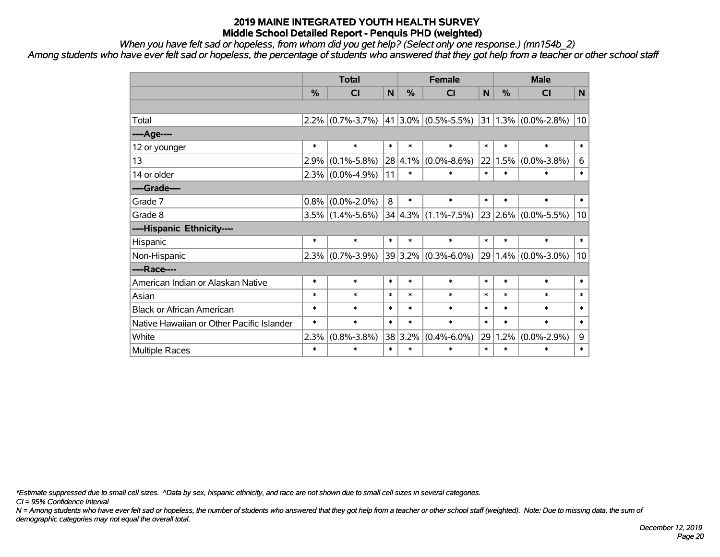*When you have felt sad or hopeless, from whom did you get help? (Select only one response.) (mn154b\_2)*

*Among students who have ever felt sad or hopeless, the percentage of students who answered that they got help from a teacher or other school staff*

|                                           | <b>Total</b>  |                   |        | <b>Female</b> |                              |        | <b>Male</b>   |                          |              |
|-------------------------------------------|---------------|-------------------|--------|---------------|------------------------------|--------|---------------|--------------------------|--------------|
|                                           | $\frac{0}{2}$ | CI                | N      | %             | CI                           | N      | $\frac{0}{2}$ | <b>CI</b>                | N            |
|                                           |               |                   |        |               |                              |        |               |                          |              |
| Total                                     | $2.2\%$       | $(0.7\% - 3.7\%)$ |        |               | $ 41 3.0\%  (0.5\% - 5.5\%)$ |        |               | $ 31 1.3\% $ (0.0%-2.8%) | 10           |
| ----Age----                               |               |                   |        |               |                              |        |               |                          |              |
| 12 or younger                             | $\ast$        | $\ast$            | $\ast$ | $\ast$        | $\ast$                       | $\ast$ | $\ast$        | $\ast$                   | $\ast$       |
| 13                                        | 2.9%          | $(0.1\% - 5.8\%)$ |        | 28 4.1%       | $(0.0\% - 8.6\%)$            |        | 22 1.5%       | $(0.0\% - 3.8\%)$        | 6            |
| 14 or older                               | 2.3%          | $(0.0\% - 4.9\%)$ | 11     | $\ast$        | $\ast$                       | $\ast$ | $\ast$        | $\ast$                   | $\ast$       |
| ----Grade----                             |               |                   |        |               |                              |        |               |                          |              |
| Grade 7                                   | 0.8%          | $(0.0\% - 2.0\%)$ | 8      | $\ast$        | $\ast$                       | $\ast$ | $\ast$        | $\ast$                   | $\pmb{\ast}$ |
| Grade 8                                   | 3.5%          | $(1.4\% - 5.6\%)$ |        |               | $34 4.3\%  (1.1\% - 7.5\%)$  |        | 23 2.6%       | $(0.0\% - 5.5\%)$        | 10           |
| ----Hispanic Ethnicity----                |               |                   |        |               |                              |        |               |                          |              |
| Hispanic                                  | $\ast$        | $\ast$            | $\ast$ | $\ast$        | $\ast$                       | $\ast$ | $\ast$        | $\ast$                   | $\ast$       |
| Non-Hispanic                              | 2.3%          | $(0.7\% - 3.9\%)$ |        |               | $39 3.2\% $ (0.3%-6.0%)      |        | 29 1.4%       | $(0.0\% - 3.0\%)$        | 10           |
| ----Race----                              |               |                   |        |               |                              |        |               |                          |              |
| American Indian or Alaskan Native         | $\ast$        | $\ast$            | $\ast$ | $\ast$        | $\ast$                       | $\ast$ | $\ast$        | $\ast$                   | $\ast$       |
| Asian                                     | $\ast$        | $\ast$            | $\ast$ | $\ast$        | $\ast$                       | $\ast$ | $\ast$        | $\ast$                   | $\ast$       |
| <b>Black or African American</b>          | $\ast$        | $\ast$            | $\ast$ | $\ast$        | $\ast$                       | $\ast$ | $\ast$        | $\ast$                   | $\ast$       |
| Native Hawaiian or Other Pacific Islander | $\ast$        | $\ast$            | $\ast$ | $\ast$        | $\ast$                       | $\ast$ | $\ast$        | $\ast$                   | $\ast$       |
| White                                     | 2.3%          | $(0.8\% - 3.8\%)$ |        | 38 3.2%       | $(0.4\% - 6.0\%)$            | 29     | 1.2%          | $(0.0\% - 2.9\%)$        | 9            |
| Multiple Races                            | $\ast$        | $\ast$            | $\ast$ | $\ast$        | $\ast$                       | $\ast$ | $\ast$        | $\ast$                   | $\ast$       |

*\*Estimate suppressed due to small cell sizes. ^Data by sex, hispanic ethnicity, and race are not shown due to small cell sizes in several categories.*

*CI = 95% Confidence Interval*

*N = Among students who have ever felt sad or hopeless, the number of students who answered that they got help from a teacher or other school staff (weighted). Note: Due to missing data, the sum of demographic categories may not equal the overall total.*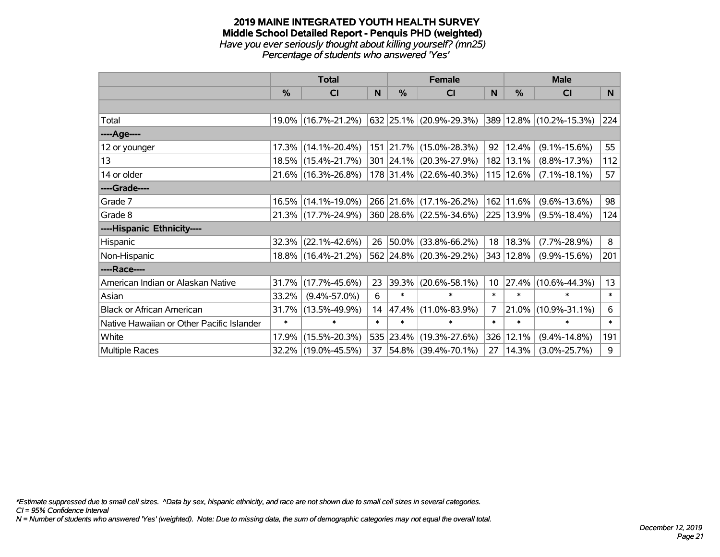#### **2019 MAINE INTEGRATED YOUTH HEALTH SURVEY Middle School Detailed Report - Penquis PHD (weighted)** *Have you ever seriously thought about killing yourself? (mn25) Percentage of students who answered 'Yes'*

|                                           | <b>Total</b> |                     |        |               | <b>Female</b>               | <b>Male</b>     |           |                         |        |
|-------------------------------------------|--------------|---------------------|--------|---------------|-----------------------------|-----------------|-----------|-------------------------|--------|
|                                           | %            | CI                  | N      | $\frac{0}{0}$ | <b>CI</b>                   | N               | %         | <b>CI</b>               | N      |
|                                           |              |                     |        |               |                             |                 |           |                         |        |
| Total                                     |              | 19.0% (16.7%-21.2%) |        |               | 632   25.1%   (20.9%-29.3%) |                 |           | 389 12.8% (10.2%-15.3%) | 224    |
| ----Age----                               |              |                     |        |               |                             |                 |           |                         |        |
| 12 or younger                             | 17.3%        | $(14.1\% - 20.4\%)$ |        |               | 151 21.7% (15.0%-28.3%)     | 92              | 12.4%     | $(9.1\% - 15.6\%)$      | 55     |
| 13                                        |              | 18.5% (15.4%-21.7%) |        |               | 301 24.1% (20.3%-27.9%)     |                 | 182 13.1% | $(8.8\% - 17.3\%)$      | 112    |
| 14 or older                               |              | 21.6% (16.3%-26.8%) |        |               | 178 31.4% (22.6%-40.3%)     |                 | 115 12.6% | $(7.1\% - 18.1\%)$      | 57     |
| ----Grade----                             |              |                     |        |               |                             |                 |           |                         |        |
| Grade 7                                   | 16.5%        | $(14.1\% - 19.0\%)$ |        |               | 266 21.6% (17.1%-26.2%)     | 162             | 11.6%     | $(9.6\% - 13.6\%)$      | 98     |
| Grade 8                                   |              | 21.3% (17.7%-24.9%) |        |               | 360 28.6% (22.5%-34.6%)     |                 | 225 13.9% | $(9.5\% - 18.4\%)$      | 124    |
| ----Hispanic Ethnicity----                |              |                     |        |               |                             |                 |           |                         |        |
| Hispanic                                  | 32.3%        | $(22.1\% - 42.6\%)$ | 26     | $ 50.0\% $    | $(33.8\% - 66.2\%)$         | 18              | 18.3%     | $(7.7\% - 28.9\%)$      | 8      |
| Non-Hispanic                              |              | 18.8% (16.4%-21.2%) |        | 562 24.8%     | $(20.3\% - 29.2\%)$         | 343             | 12.8%     | $(9.9\% - 15.6\%)$      | 201    |
| ----Race----                              |              |                     |        |               |                             |                 |           |                         |        |
| American Indian or Alaskan Native         | 31.7%        | $(17.7\% - 45.6\%)$ | 23     | 39.3%         | $(20.6\% - 58.1\%)$         | 10 <sup>°</sup> |           | 27.4% (10.6%-44.3%)     | 13     |
| Asian                                     | 33.2%        | $(9.4\% - 57.0\%)$  | 6      | $\ast$        | $\ast$                      | $\ast$          | $\ast$    | $\ast$                  | $\ast$ |
| <b>Black or African American</b>          | 31.7%        | $(13.5\% - 49.9\%)$ | 14     | 47.4%         | $(11.0\% - 83.9\%)$         | $\overline{7}$  | 21.0%     | $(10.9\% - 31.1\%)$     | 6      |
| Native Hawaiian or Other Pacific Islander | $\ast$       | $\ast$              | $\ast$ | $\ast$        | $\ast$                      | $\ast$          | $\ast$    | $\ast$                  | $\ast$ |
| White                                     | 17.9%        | $(15.5\% - 20.3\%)$ |        | 535 23.4%     | $(19.3\% - 27.6\%)$         | 326             | 12.1%     | $(9.4\% - 14.8\%)$      | 191    |
| <b>Multiple Races</b>                     |              | 32.2% (19.0%-45.5%) |        |               | 37 54.8% (39.4%-70.1%)      | 27              | 14.3%     | $(3.0\% - 25.7\%)$      | 9      |

*\*Estimate suppressed due to small cell sizes. ^Data by sex, hispanic ethnicity, and race are not shown due to small cell sizes in several categories.*

*CI = 95% Confidence Interval*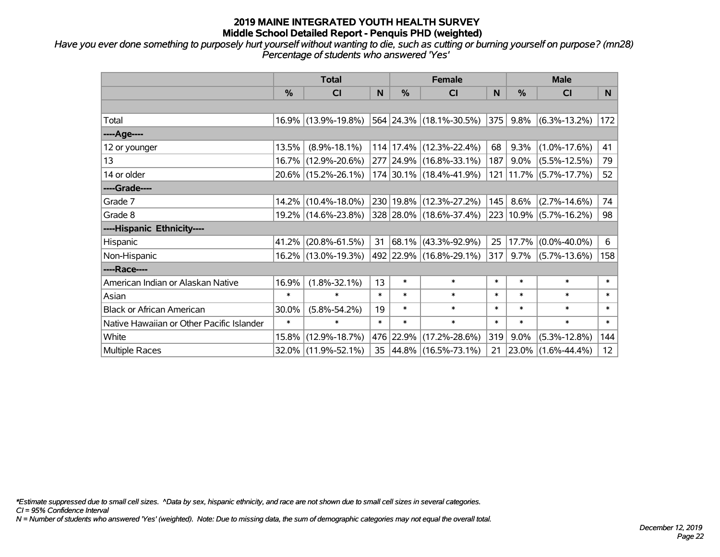*Have you ever done something to purposely hurt yourself without wanting to die, such as cutting or burning yourself on purpose? (mn28) Percentage of students who answered 'Yes'*

|                                           | <b>Total</b> |                     |        |               | <b>Female</b>                   | <b>Male</b> |         |                                   |                 |
|-------------------------------------------|--------------|---------------------|--------|---------------|---------------------------------|-------------|---------|-----------------------------------|-----------------|
|                                           | %            | <b>CI</b>           | N      | $\frac{0}{0}$ | <b>CI</b>                       | N           | $\%$    | <b>CI</b>                         | <b>N</b>        |
|                                           |              |                     |        |               |                                 |             |         |                                   |                 |
| Total                                     |              | 16.9% (13.9%-19.8%) |        |               | $ 564 24.3\% (18.1\% - 30.5\%)$ | 375         |         | $9.8\%$ (6.3%-13.2%)              | 172             |
| ----Age----                               |              |                     |        |               |                                 |             |         |                                   |                 |
| 12 or younger                             | 13.5%        | $(8.9\% - 18.1\%)$  |        | 114 17.4%     | $(12.3\% - 22.4\%)$             | 68          | 9.3%    | $(1.0\% - 17.6\%)$                | 41              |
| 13                                        | 16.7%        | $(12.9\% - 20.6\%)$ |        |               | 277 24.9% (16.8%-33.1%)         | 187         | $9.0\%$ | $(5.5\% - 12.5\%)$                | 79              |
| 14 or older                               |              | 20.6% (15.2%-26.1%) |        |               | 174 30.1% (18.4%-41.9%)         |             |         | 121   11.7%   (5.7%-17.7%)        | 52              |
| ----Grade----                             |              |                     |        |               |                                 |             |         |                                   |                 |
| Grade 7                                   | 14.2%        | $(10.4\% - 18.0\%)$ |        | 230 19.8%     | $(12.3\% - 27.2\%)$             | 145         | 8.6%    | $(2.7\% - 14.6\%)$                | 74              |
| Grade 8                                   |              | 19.2% (14.6%-23.8%) |        |               | 328 28.0% (18.6%-37.4%)         |             |         | $223   10.9\%   (5.7\% - 16.2\%)$ | 98              |
| ----Hispanic Ethnicity----                |              |                     |        |               |                                 |             |         |                                   |                 |
| Hispanic                                  | 41.2%        | $(20.8\% - 61.5\%)$ | 31     | 68.1%         | $(43.3\% - 92.9\%)$             | 25          | 17.7%   | $(0.0\% - 40.0\%)$                | 6               |
| Non-Hispanic                              |              | 16.2% (13.0%-19.3%) |        |               | 492 22.9% (16.8%-29.1%)         | 317         | $9.7\%$ | $(5.7\% - 13.6\%)$                | 158             |
| ----Race----                              |              |                     |        |               |                                 |             |         |                                   |                 |
| American Indian or Alaskan Native         | 16.9%        | $(1.8\% - 32.1\%)$  | 13     | $\ast$        | $\ast$                          | $\ast$      | $\ast$  | $\ast$                            | $\ast$          |
| Asian                                     | $\ast$       | $\ast$              | $\ast$ | $\ast$        | $\ast$                          | $\ast$      | $\ast$  | $\ast$                            | $\ast$          |
| <b>Black or African American</b>          | 30.0%        | $(5.8\% - 54.2\%)$  | 19     | $\ast$        | $\ast$                          | $\ast$      | $\ast$  | $\ast$                            | $\ast$          |
| Native Hawaiian or Other Pacific Islander | $\ast$       | $\ast$              | $\ast$ | $\ast$        | $\ast$                          | $\ast$      | $\ast$  | $\ast$                            | $\ast$          |
| White                                     | 15.8%        | $(12.9\% - 18.7\%)$ |        | 476 22.9%     | $(17.2\% - 28.6\%)$             | 319         | 9.0%    | $(5.3\% - 12.8\%)$                | 144             |
| <b>Multiple Races</b>                     |              | 32.0% (11.9%-52.1%) | 35     |               | $ 44.8\% $ (16.5%-73.1%)        | 21          |         | 23.0% (1.6%-44.4%)                | 12 <sup>2</sup> |

*\*Estimate suppressed due to small cell sizes. ^Data by sex, hispanic ethnicity, and race are not shown due to small cell sizes in several categories.*

*CI = 95% Confidence Interval*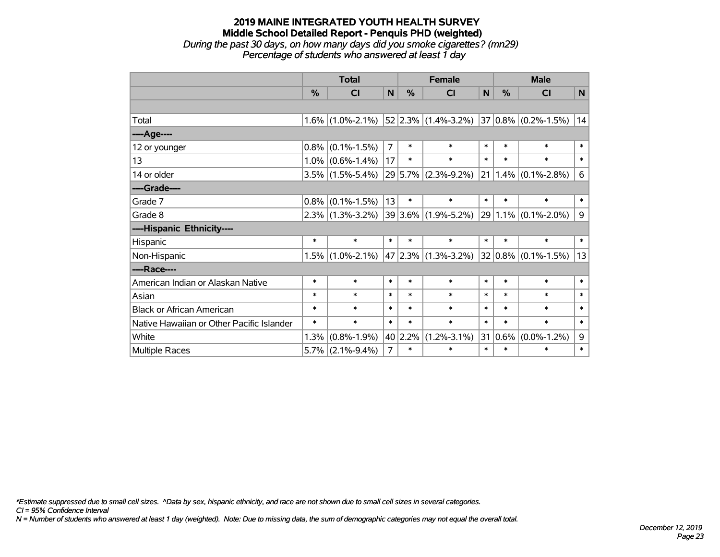#### **2019 MAINE INTEGRATED YOUTH HEALTH SURVEY Middle School Detailed Report - Penquis PHD (weighted)** *During the past 30 days, on how many days did you smoke cigarettes? (mn29) Percentage of students who answered at least 1 day*

|                                           | <b>Total</b> |                     |                |        | <b>Female</b>            | <b>Male</b> |               |                          |        |
|-------------------------------------------|--------------|---------------------|----------------|--------|--------------------------|-------------|---------------|--------------------------|--------|
|                                           | %            | <b>CI</b>           | $\mathbf N$    | %      | <b>CI</b>                | N           | $\frac{9}{6}$ | <b>CI</b>                | N      |
|                                           |              |                     |                |        |                          |             |               |                          |        |
| Total                                     |              | $1.6\%$ (1.0%-2.1%) |                |        | $ 52 2.3\% $ (1.4%-3.2%) |             |               | $ 37 0.8\% $ (0.2%-1.5%) | 14     |
| ----Age----                               |              |                     |                |        |                          |             |               |                          |        |
| 12 or younger                             | 0.8%         | $(0.1\% - 1.5\%)$   | $\overline{7}$ | $\ast$ | $\ast$                   | $\ast$      | $\ast$        | $\ast$                   | $\ast$ |
| 13                                        |              | $1.0\%$ (0.6%-1.4%) | 17             | $\ast$ | $\ast$                   | $\ast$      | $\ast$        | $\ast$                   | $\ast$ |
| 14 or older                               |              | $3.5\%$ (1.5%-5.4%) |                |        | 29 5.7% (2.3%-9.2%)      | 21          |               | $1.4\%$ (0.1%-2.8%)      | 6      |
| ----Grade----                             |              |                     |                |        |                          |             |               |                          |        |
| Grade 7                                   | 0.8%         | $(0.1\% - 1.5\%)$   | 13             | $\ast$ | $\ast$                   | $\ast$      | $\ast$        | $\ast$                   | $\ast$ |
| Grade 8                                   |              | $2.3\%$ (1.3%-3.2%) |                |        | 39 3.6% (1.9%-5.2%)      |             | 29 1.1%       | $(0.1\% - 2.0\%)$        | 9      |
| ----Hispanic Ethnicity----                |              |                     |                |        |                          |             |               |                          |        |
| Hispanic                                  | $\ast$       | $\ast$              | $\ast$         | $\ast$ | $\ast$                   | $\ast$      | $\ast$        | $\ast$                   | $\ast$ |
| Non-Hispanic                              | 1.5%         | $(1.0\% - 2.1\%)$   |                |        | $47 2.3\% $ (1.3%-3.2%)  |             |               | $32 0.8\% $ (0.1%-1.5%)  | 13     |
| ----Race----                              |              |                     |                |        |                          |             |               |                          |        |
| American Indian or Alaskan Native         | $\ast$       | $\ast$              | $\ast$         | $\ast$ | $\ast$                   | $\ast$      | $\ast$        | $\ast$                   | $\ast$ |
| Asian                                     | $\ast$       | $\ast$              | $\ast$         | $\ast$ | $\ast$                   | $\ast$      | $\ast$        | $\ast$                   | $\ast$ |
| <b>Black or African American</b>          | $\ast$       | $\ast$              | $\ast$         | $\ast$ | $\ast$                   | $\ast$      | $\ast$        | $\ast$                   | $\ast$ |
| Native Hawaiian or Other Pacific Islander | $\ast$       | $\ast$              | $\ast$         | $\ast$ | $\ast$                   | $\ast$      | $\ast$        | $\ast$                   | $\ast$ |
| White                                     | 1.3%         | $(0.8\% - 1.9\%)$   | 40             | 2.2%   | $(1.2\% - 3.1\%)$        | 31          | 0.6%          | $(0.0\% - 1.2\%)$        | 9      |
| Multiple Races                            | 5.7%         | $(2.1\% - 9.4\%)$   | $\overline{7}$ | $\ast$ | $\ast$                   | $\ast$      | $\ast$        | $\ast$                   | $\ast$ |

*\*Estimate suppressed due to small cell sizes. ^Data by sex, hispanic ethnicity, and race are not shown due to small cell sizes in several categories.*

*CI = 95% Confidence Interval*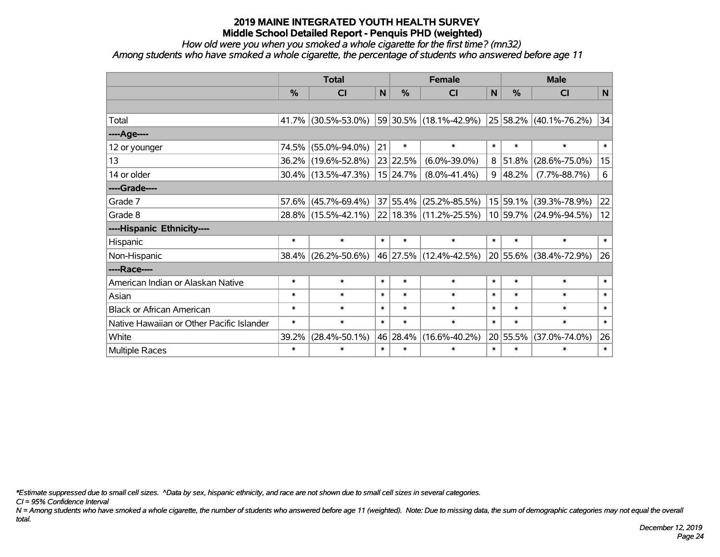*How old were you when you smoked a whole cigarette for the first time? (mn32)*

*Among students who have smoked a whole cigarette, the percentage of students who answered before age 11*

|                                           | <b>Total</b>  |                        |        |          | <b>Female</b>              | <b>Male</b> |          |                            |        |
|-------------------------------------------|---------------|------------------------|--------|----------|----------------------------|-------------|----------|----------------------------|--------|
|                                           | $\frac{0}{0}$ | <b>CI</b>              | N      | %        | <b>CI</b>                  | N           | $\%$     | <b>CI</b>                  | N      |
|                                           |               |                        |        |          |                            |             |          |                            |        |
| Total                                     |               | 41.7% (30.5%-53.0%)    |        |          | 59 30.5% (18.1%-42.9%)     |             |          | $25 58.2\% $ (40.1%-76.2%) | 34     |
| ----Age----                               |               |                        |        |          |                            |             |          |                            |        |
| 12 or younger                             |               | 74.5% (55.0%-94.0%)    | 21     | $\ast$   | $\ast$                     | $\ast$      | $\ast$   | $\ast$                     | $\ast$ |
| 13                                        |               | 36.2% (19.6%-52.8%)    |        | 23 22.5% | $(6.0\% - 39.0\%)$         | 8           | 51.8%    | $(28.6\% - 75.0\%)$        | 15     |
| 14 or older                               |               | $30.4\%$ (13.5%-47.3%) |        | 15 24.7% | $(8.0\% - 41.4\%)$         | 9           | 48.2%    | $(7.7\% - 88.7\%)$         | 6      |
| ----Grade----                             |               |                        |        |          |                            |             |          |                            |        |
| Grade 7                                   | 57.6%         | $(45.7\% - 69.4\%)$    |        | 37 55.4% | $(25.2\% - 85.5\%)$        |             | 15 59.1% | $(39.3\% - 78.9\%)$        | 22     |
| Grade 8                                   |               | 28.8% (15.5%-42.1%)    |        |          | $22 18.3\% $ (11.2%-25.5%) |             |          | 10 59.7% (24.9%-94.5%)     | 12     |
| ----Hispanic Ethnicity----                |               |                        |        |          |                            |             |          |                            |        |
| Hispanic                                  | $\ast$        | $\ast$                 | $\ast$ | $\ast$   | $\ast$                     | $\ast$      | $\ast$   | $\ast$                     | $\ast$ |
| Non-Hispanic                              |               | 38.4% (26.2%-50.6%)    |        |          | 46 27.5% (12.4%-42.5%)     |             |          | 20 55.6% (38.4%-72.9%)     | 26     |
| ----Race----                              |               |                        |        |          |                            |             |          |                            |        |
| American Indian or Alaskan Native         | $\ast$        | $\ast$                 | $\ast$ | $\ast$   | $\ast$                     | $\ast$      | $\ast$   | $\ast$                     | $\ast$ |
| Asian                                     | $\ast$        | $\ast$                 | $\ast$ | $\ast$   | $\ast$                     | $\ast$      | $\ast$   | $\ast$                     | $\ast$ |
| <b>Black or African American</b>          | $\ast$        | $\ast$                 | $\ast$ | $\ast$   | $\ast$                     | $\ast$      | $\ast$   | $\ast$                     | $\ast$ |
| Native Hawaiian or Other Pacific Islander | $\ast$        | $\ast$                 | $\ast$ | $\ast$   | $\ast$                     | $\ast$      | $\ast$   | $\ast$                     | $\ast$ |
| White                                     | 39.2%         | $(28.4\% - 50.1\%)$    |        | 46 28.4% | $(16.6\% - 40.2\%)$        |             | 20 55.5% | $(37.0\% - 74.0\%)$        | 26     |
| Multiple Races                            | $\ast$        | $\ast$                 | $\ast$ | $\ast$   | $\ast$                     | $\ast$      | $\ast$   | $\ast$                     | $\ast$ |

*\*Estimate suppressed due to small cell sizes. ^Data by sex, hispanic ethnicity, and race are not shown due to small cell sizes in several categories.*

*CI = 95% Confidence Interval*

*N = Among students who have smoked a whole cigarette, the number of students who answered before age 11 (weighted). Note: Due to missing data, the sum of demographic categories may not equal the overall total.*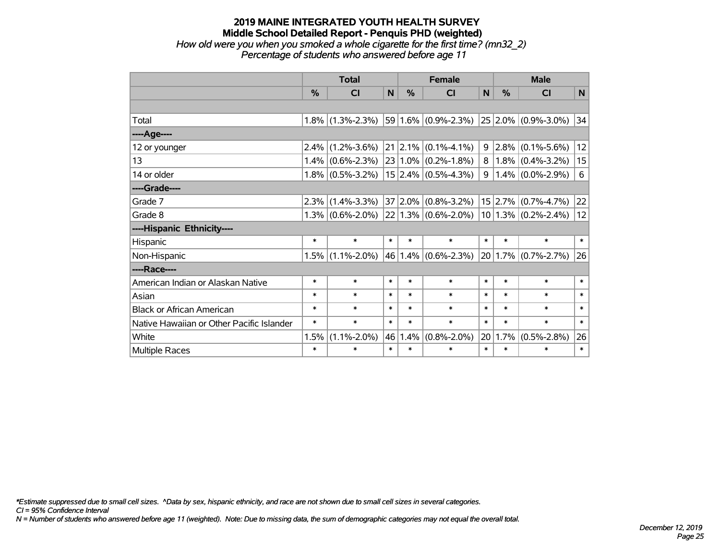# **2019 MAINE INTEGRATED YOUTH HEALTH SURVEY Middle School Detailed Report - Penquis PHD (weighted)** *How old were you when you smoked a whole cigarette for the first time? (mn32\_2)*

|                                           |        | <b>Total</b>        |              |           | <b>Female</b>            |        | <b>Male</b>     |                         |              |  |
|-------------------------------------------|--------|---------------------|--------------|-----------|--------------------------|--------|-----------------|-------------------------|--------------|--|
|                                           | $\%$   | <b>CI</b>           | $\mathsf{N}$ | %         | <b>CI</b>                | N      | $\%$            | <b>CI</b>               | $\mathsf{N}$ |  |
|                                           |        |                     |              |           |                          |        |                 |                         |              |  |
| Total                                     |        | $1.8\%$ (1.3%-2.3%) |              |           | $59 1.6\% $ (0.9%-2.3%)  |        |                 | $25 2.0\% $ (0.9%-3.0%) | 34           |  |
| ----Age----                               |        |                     |              |           |                          |        |                 |                         |              |  |
| 12 or younger                             |        | $2.4\%$ (1.2%-3.6%) | 21           |           | $ 2.1\% $ (0.1%-4.1%)    | 9      | 2.8%            | $(0.1\% - 5.6\%)$       | 12           |  |
| 13                                        |        | $1.4\%$ (0.6%-2.3%) |              |           | $23 1.0\% $ (0.2%-1.8%)  | 8      |                 | $1.8\%$ (0.4%-3.2%)     | 15           |  |
| 14 or older                               |        | $1.8\%$ (0.5%-3.2%) |              |           | $15$ 2.4% (0.5%-4.3%)    | 9      |                 | $1.4\%$ (0.0%-2.9%)     | 6            |  |
| ----Grade----                             |        |                     |              |           |                          |        |                 |                         |              |  |
| Grade 7                                   | 2.3%   | $(1.4\% - 3.3\%)$   | 37           | $ 2.0\% $ | $(0.8\% - 3.2\%)$        |        | $15 \mid 2.7\%$ | $(0.7\% - 4.7\%)$       | 22           |  |
| Grade 8                                   |        | $1.3\%$ (0.6%-2.0%) |              |           | $22 1.3\% $ (0.6%-2.0%)  |        |                 | $10 1.3\% $ (0.2%-2.4%) | 12           |  |
| ----Hispanic Ethnicity----                |        |                     |              |           |                          |        |                 |                         |              |  |
| Hispanic                                  | $\ast$ | $\ast$              | $\ast$       | $\ast$    | $\ast$                   | $\ast$ | $\ast$          | $\ast$                  | $\ast$       |  |
| Non-Hispanic                              |        | $1.5\%$ (1.1%-2.0%) |              | 46 1.4%   | $(0.6\textdegree-2.3\%)$ |        | 20 1.7%         | $(0.7\% - 2.7\%)$       | 26           |  |
| ----Race----                              |        |                     |              |           |                          |        |                 |                         |              |  |
| American Indian or Alaskan Native         | $\ast$ | $\ast$              | $\ast$       | $\ast$    | $\ast$                   | $\ast$ | $\ast$          | $\ast$                  | $\ast$       |  |
| Asian                                     | $\ast$ | $\ast$              | $\ast$       | $\ast$    | $\ast$                   | $\ast$ | $\ast$          | $\ast$                  | $\ast$       |  |
| <b>Black or African American</b>          | $\ast$ | $\ast$              | $\ast$       | $\ast$    | $\ast$                   | $\ast$ | $\ast$          | $\ast$                  | $\ast$       |  |
| Native Hawaiian or Other Pacific Islander | $\ast$ | $\ast$              | $\ast$       | $\ast$    | $\ast$                   | $\ast$ | $\ast$          | $\ast$                  | $\ast$       |  |
| White                                     | 1.5%   | $(1.1\% - 2.0\%)$   |              | 46 1.4%   | $(0.8\% - 2.0\%)$        |        | 20 1.7%         | $(0.5\% - 2.8\%)$       | 26           |  |

Multiple Races \* \* \* \* \* \* \* \* \*

*Percentage of students who answered before age 11*

*\*Estimate suppressed due to small cell sizes. ^Data by sex, hispanic ethnicity, and race are not shown due to small cell sizes in several categories.*

*CI = 95% Confidence Interval*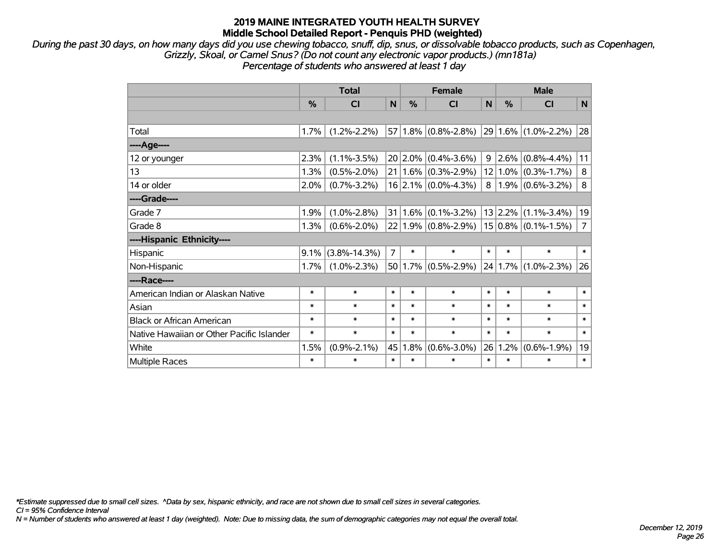*During the past 30 days, on how many days did you use chewing tobacco, snuff, dip, snus, or dissolvable tobacco products, such as Copenhagen, Grizzly, Skoal, or Camel Snus? (Do not count any electronic vapor products.) (mn181a) Percentage of students who answered at least 1 day*

|                                           |        | <b>Total</b>       |                | <b>Female</b> |                         |                | <b>Male</b> |                                     |                |  |
|-------------------------------------------|--------|--------------------|----------------|---------------|-------------------------|----------------|-------------|-------------------------------------|----------------|--|
|                                           | %      | CI                 | N              | %             | <b>CI</b>               | N              | %           | CI                                  | N              |  |
|                                           |        |                    |                |               |                         |                |             |                                     |                |  |
| Total                                     | 1.7%   | $(1.2\% - 2.2\%)$  |                |               | $57 1.8\% $ (0.8%-2.8%) |                |             | $ 29 1.6\% $ (1.0%-2.2%)            | 28             |  |
| ----Age----                               |        |                    |                |               |                         |                |             |                                     |                |  |
| 12 or younger                             | 2.3%   | $(1.1\% - 3.5\%)$  |                |               | $20 2.0\% $ (0.4%-3.6%) | 9              |             | $\vert 2.6\% \vert (0.8\% - 4.4\%)$ | 11             |  |
| 13                                        | 1.3%   | $(0.5\% - 2.0\%)$  |                |               | $21 1.6\% $ (0.3%-2.9%) |                |             | $12 1.0\% $ (0.3%-1.7%)             | 8              |  |
| 14 or older                               | 2.0%   | $(0.7\% - 3.2\%)$  |                |               | $16$ 2.1% (0.0%-4.3%)   | 8 <sup>1</sup> |             | $1.9\%$ (0.6%-3.2%)                 | 8              |  |
| ----Grade----                             |        |                    |                |               |                         |                |             |                                     |                |  |
| Grade 7                                   | 1.9%   | $(1.0\% - 2.8\%)$  | 31             |               | $1.6\%$ (0.1%-3.2%)     |                | 13 2.2%     | $(1.1\% - 3.4\%)$                   | 19             |  |
| Grade 8                                   | 1.3%   | $(0.6\% - 2.0\%)$  |                |               | $22 1.9\% $ (0.8%-2.9%) |                |             | $ 15 0.8\% $ (0.1%-1.5%)            | $\overline{7}$ |  |
| ----Hispanic Ethnicity----                |        |                    |                |               |                         |                |             |                                     |                |  |
| Hispanic                                  | 9.1%   | $(3.8\% - 14.3\%)$ | $\overline{7}$ | $\ast$        | $\ast$                  | $\ast$         | *           | *                                   | $\ast$         |  |
| Non-Hispanic                              | 1.7%   | $(1.0\% - 2.3\%)$  |                |               | $50 1.7\% $ (0.5%-2.9%) |                | 24 1.7%     | $(1.0\% - 2.3\%)$                   | 26             |  |
| ----Race----                              |        |                    |                |               |                         |                |             |                                     |                |  |
| American Indian or Alaskan Native         | $\ast$ | $\ast$             | $\ast$         | *             | $\ast$                  | $\ast$         | $\ast$      | *                                   | $\ast$         |  |
| Asian                                     | $\ast$ | $\ast$             | $\ast$         | $\ast$        | $\ast$                  | $\ast$         | $\ast$      | $\ast$                              | $\ast$         |  |
| <b>Black or African American</b>          | $\ast$ | $\ast$             | $\ast$         | $\ast$        | $\ast$                  | $\ast$         | $\ast$      | $\ast$                              | $\ast$         |  |
| Native Hawaiian or Other Pacific Islander | $\ast$ | $\ast$             | $\ast$         | $\ast$        | $\ast$                  | $\ast$         | $\ast$      | $\ast$                              | $\ast$         |  |
| White                                     | 1.5%   | $(0.9\% - 2.1\%)$  | 45             | 1.8%          | $(0.6\% - 3.0\%)$       | 26             | 1.2%        | $(0.6\% - 1.9\%)$                   | 19             |  |
| Multiple Races                            | $\ast$ | $\ast$             | $\ast$         | $\ast$        | $\ast$                  | $\ast$         | *           | $\ast$                              | $\ast$         |  |

*\*Estimate suppressed due to small cell sizes. ^Data by sex, hispanic ethnicity, and race are not shown due to small cell sizes in several categories.*

*CI = 95% Confidence Interval*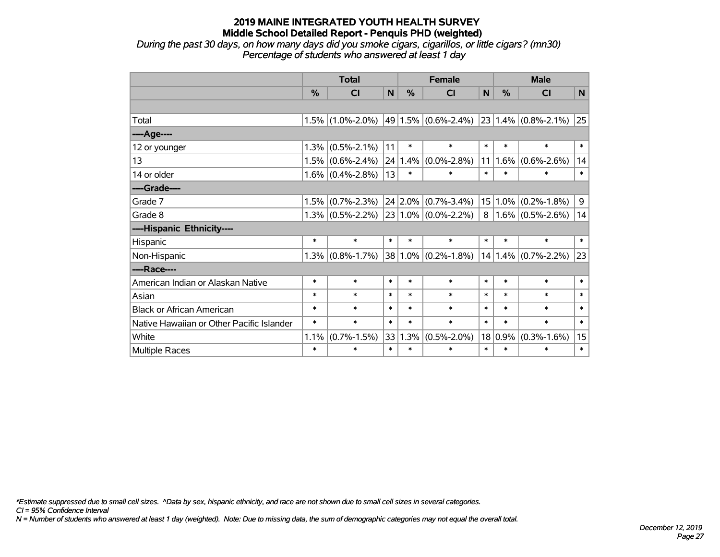*During the past 30 days, on how many days did you smoke cigars, cigarillos, or little cigars? (mn30) Percentage of students who answered at least 1 day*

|                                           |        | <b>Total</b>            | <b>Female</b> |        |                         | <b>Male</b>    |             |                                             |        |
|-------------------------------------------|--------|-------------------------|---------------|--------|-------------------------|----------------|-------------|---------------------------------------------|--------|
|                                           | $\%$   | $\overline{\mathsf{C}}$ | N             | %      | CI                      | N              | $\%$        | CI                                          | N      |
|                                           |        |                         |               |        |                         |                |             |                                             |        |
| Total                                     | 1.5%   | $(1.0\% - 2.0\%)$       |               |        | $49 1.5\% $ (0.6%-2.4%) |                |             | $\vert$ 23 $\vert$ 1.4% $\vert$ (0.8%-2.1%) | 25     |
| ----Age----                               |        |                         |               |        |                         |                |             |                                             |        |
| 12 or younger                             | 1.3%   | $(0.5\% - 2.1\%)$       | 11            | $\ast$ | $\ast$                  | $\ast$         | $\ast$      | $\ast$                                      | $\ast$ |
| 13                                        | 1.5%   | $(0.6\% - 2.4\%)$       | 24            | 1.4%   | $(0.0\% - 2.8\%)$       | 11             | $1.6\%$     | $(0.6\% - 2.6\%)$                           | 14     |
| 14 or older                               |        | $1.6\%$ (0.4%-2.8%)     | 13            | $\ast$ | $\ast$                  | $\ast$         | $\ast$      | $\ast$                                      | $\ast$ |
| ----Grade----                             |        |                         |               |        |                         |                |             |                                             |        |
| Grade 7                                   | 1.5%   | $(0.7\% - 2.3\%)$       |               |        | $24 2.0\% $ (0.7%-3.4%) |                | $15 1.0\% $ | $(0.2\% - 1.8\%)$                           | 9      |
| Grade 8                                   |        | $1.3\%$ (0.5%-2.2%)     |               |        | $23 1.0\% $ (0.0%-2.2%) | 8 <sup>1</sup> |             | $1.6\%$ (0.5%-2.6%)                         | 14     |
| ----Hispanic Ethnicity----                |        |                         |               |        |                         |                |             |                                             |        |
| Hispanic                                  | $\ast$ | $\ast$                  | $\ast$        | $\ast$ | $\ast$                  | $\ast$         | $\ast$      | $\ast$                                      | $\ast$ |
| Non-Hispanic                              | 1.3%   | $(0.8\% - 1.7\%)$       |               |        | 38 1.0% (0.2%-1.8%)     |                |             | $14 1.4\% $ (0.7%-2.2%)                     | 23     |
| ----Race----                              |        |                         |               |        |                         |                |             |                                             |        |
| American Indian or Alaskan Native         | $\ast$ | $\ast$                  | $\ast$        | $\ast$ | $\ast$                  | $\ast$         | $\ast$      | $\ast$                                      | $\ast$ |
| Asian                                     | $\ast$ | $\ast$                  | $\ast$        | $\ast$ | $\ast$                  | $\ast$         | $\ast$      | $\ast$                                      | $\ast$ |
| <b>Black or African American</b>          | $\ast$ | $\ast$                  | $\ast$        | $\ast$ | $\ast$                  | $\ast$         | $\ast$      | $\ast$                                      | $\ast$ |
| Native Hawaiian or Other Pacific Islander | $\ast$ | $\ast$                  | $\ast$        | $\ast$ | $\ast$                  | $\ast$         | $\ast$      | $\ast$                                      | $\ast$ |
| White                                     | 1.1%   | $(0.7\% - 1.5\%)$       | 33            | 1.3%   | $(0.5\% - 2.0\%)$       |                | $18 0.9\%$  | $(0.3\% - 1.6\%)$                           | 15     |
| Multiple Races                            | $\ast$ | $\ast$                  | $\ast$        | $\ast$ | $\ast$                  | $\ast$         | $\ast$      | $\ast$                                      | $\ast$ |

*\*Estimate suppressed due to small cell sizes. ^Data by sex, hispanic ethnicity, and race are not shown due to small cell sizes in several categories.*

*CI = 95% Confidence Interval*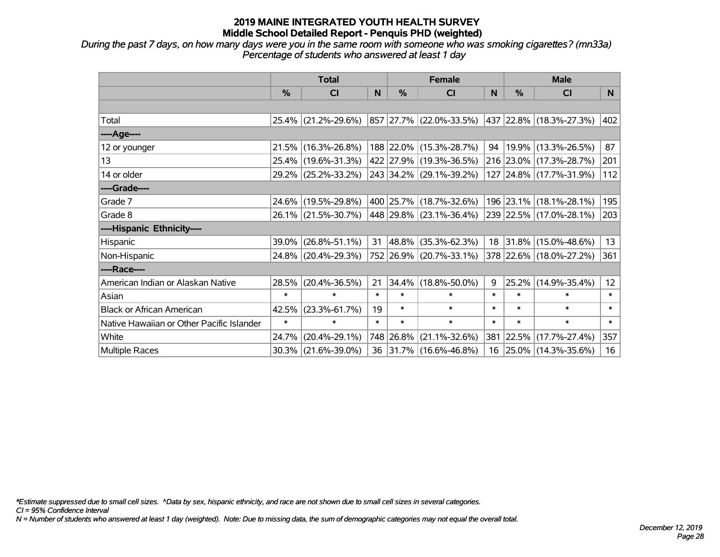*During the past 7 days, on how many days were you in the same room with someone who was smoking cigarettes? (mn33a) Percentage of students who answered at least 1 day*

|                                           | <b>Total</b> |                     |        |            | <b>Female</b>                                        |        | <b>Male</b> |                         |        |
|-------------------------------------------|--------------|---------------------|--------|------------|------------------------------------------------------|--------|-------------|-------------------------|--------|
|                                           | $\%$         | <b>CI</b>           | N      | $\%$       | <b>CI</b>                                            | N      | $\%$        | <b>CI</b>               | N      |
|                                           |              |                     |        |            |                                                      |        |             |                         |        |
| Total                                     |              | 25.4% (21.2%-29.6%) |        |            | $ 857 27.7\% $ (22.0%-33.5%) 437 22.8% (18.3%-27.3%) |        |             |                         | 402    |
| ----Age----                               |              |                     |        |            |                                                      |        |             |                         |        |
| 12 or younger                             | 21.5%        | $(16.3\% - 26.8\%)$ |        |            | 188 22.0% (15.3%-28.7%)                              | 94     |             | 19.9% (13.3%-26.5%)     | 87     |
| 13                                        |              | 25.4% (19.6%-31.3%) |        |            | 422 27.9% (19.3%-36.5%)                              |        |             | 216 23.0% (17.3%-28.7%) | 201    |
| 14 or older                               |              | 29.2% (25.2%-33.2%) |        |            | 243 34.2% (29.1%-39.2%)                              |        |             | 127 24.8% (17.7%-31.9%) | 112    |
| ----Grade----                             |              |                     |        |            |                                                      |        |             |                         |        |
| Grade 7                                   | 24.6%        | $(19.5\% - 29.8\%)$ |        |            | 400 25.7% (18.7%-32.6%)                              |        |             | 196 23.1% (18.1%-28.1%) | 195    |
| Grade 8                                   |              | 26.1% (21.5%-30.7%) |        |            | 448 29.8% (23.1%-36.4%)                              |        |             | 239 22.5% (17.0%-28.1%) | 203    |
| ----Hispanic Ethnicity----                |              |                     |        |            |                                                      |        |             |                         |        |
| Hispanic                                  | 39.0%        | $(26.8\% - 51.1\%)$ | 31     | $ 48.8\% $ | $(35.3\% - 62.3\%)$                                  |        |             | 18 31.8% (15.0%-48.6%)  | 13     |
| Non-Hispanic                              |              | 24.8% (20.4%-29.3%) |        |            | 752 26.9% (20.7%-33.1%)                              |        |             | 378 22.6% (18.0%-27.2%) | 361    |
| ----Race----                              |              |                     |        |            |                                                      |        |             |                         |        |
| American Indian or Alaskan Native         | 28.5%        | $(20.4\% - 36.5\%)$ | 21     | 34.4%      | $(18.8\% - 50.0\%)$                                  | 9      | 25.2%       | $(14.9\% - 35.4\%)$     | 12     |
| Asian                                     | $\ast$       | $\ast$              | $\ast$ | $\ast$     | $\ast$                                               | $\ast$ | $\ast$      | $\ast$                  | $\ast$ |
| <b>Black or African American</b>          | 42.5%        | $(23.3\% - 61.7\%)$ | 19     | $\ast$     | $\ast$                                               | $\ast$ | $\ast$      | $\ast$                  | $\ast$ |
| Native Hawaiian or Other Pacific Islander | $\ast$       | $\ast$              | $\ast$ | $\ast$     | $\ast$                                               | $\ast$ | $\ast$      | $\ast$                  | $\ast$ |
| White                                     | 24.7%        | $(20.4\% - 29.1\%)$ |        | 748 26.8%  | $(21.1\% - 32.6\%)$                                  | 381    |             | $22.5\%$ (17.7%-27.4%)  | 357    |
| <b>Multiple Races</b>                     |              | 30.3% (21.6%-39.0%) |        |            | 36 31.7% (16.6%-46.8%)                               | 16     |             | 25.0% (14.3%-35.6%)     | 16     |

*\*Estimate suppressed due to small cell sizes. ^Data by sex, hispanic ethnicity, and race are not shown due to small cell sizes in several categories.*

*CI = 95% Confidence Interval*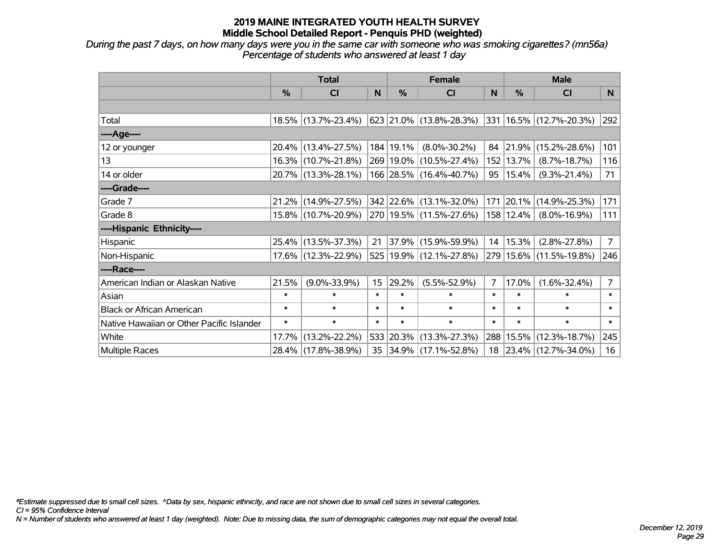*During the past 7 days, on how many days were you in the same car with someone who was smoking cigarettes? (mn56a) Percentage of students who answered at least 1 day*

|                                           | <b>Total</b>  |                     |        | <b>Female</b> |                             |        | <b>Male</b> |                                  |                 |
|-------------------------------------------|---------------|---------------------|--------|---------------|-----------------------------|--------|-------------|----------------------------------|-----------------|
|                                           | $\frac{0}{0}$ | CI                  | N      | $\frac{0}{0}$ | <b>CI</b>                   | N      | %           | <b>CI</b>                        | N               |
|                                           |               |                     |        |               |                             |        |             |                                  |                 |
| Total                                     |               | 18.5% (13.7%-23.4%) |        |               | 623  21.0%  (13.8%-28.3%)   |        |             | $ 331 16.5\%  (12.7\% - 20.3\%)$ | 292             |
| ----Age----                               |               |                     |        |               |                             |        |             |                                  |                 |
| 12 or younger                             | 20.4%         | $(13.4\% - 27.5\%)$ |        | 184   19.1%   | $(8.0\% - 30.2\%)$          | 84     | 21.9%       | $(15.2\% - 28.6\%)$              | 101             |
| 13                                        |               | 16.3% (10.7%-21.8%) |        |               | 269 19.0% (10.5%-27.4%)     | 152    | 13.7%       | $(8.7\% - 18.7\%)$               | 116             |
| 14 or older                               |               | 20.7% (13.3%-28.1%) |        |               | 166 28.5% (16.4%-40.7%)     | 95     | 15.4%       | $(9.3\% - 21.4\%)$               | 71              |
| ----Grade----                             |               |                     |        |               |                             |        |             |                                  |                 |
| Grade 7                                   | 21.2%         | $(14.9\% - 27.5\%)$ |        |               | 342 22.6% (13.1%-32.0%)     |        |             | 171 20.1% (14.9%-25.3%)          | 171             |
| Grade 8                                   |               | 15.8% (10.7%-20.9%) |        |               | 270   19.5%   (11.5%-27.6%) |        | 158 12.4%   | $(8.0\% - 16.9\%)$               | 111             |
| ----Hispanic Ethnicity----                |               |                     |        |               |                             |        |             |                                  |                 |
| Hispanic                                  | 25.4%         | $(13.5\% - 37.3\%)$ | 21     | 37.9%         | $(15.9\% - 59.9\%)$         | 14     | 15.3%       | $(2.8\% - 27.8\%)$               | $7\overline{ }$ |
| Non-Hispanic                              |               | 17.6% (12.3%-22.9%) |        |               | 525 19.9% (12.1%-27.8%)     |        |             | 279 15.6% (11.5%-19.8%)          | 246             |
| ----Race----                              |               |                     |        |               |                             |        |             |                                  |                 |
| American Indian or Alaskan Native         | 21.5%         | $(9.0\% - 33.9\%)$  | 15     | 29.2%         | $(5.5\% - 52.9\%)$          | 7      | 17.0%       | $(1.6\% - 32.4\%)$               | $\overline{7}$  |
| Asian                                     | $\ast$        | $\ast$              | $\ast$ | $\ast$        | $\ast$                      | $\ast$ | $\ast$      | $\ast$                           | $\ast$          |
| <b>Black or African American</b>          | $\ast$        | $\ast$              | $\ast$ | $\ast$        | $\ast$                      | $\ast$ | $\ast$      | $\ast$                           | $\ast$          |
| Native Hawaiian or Other Pacific Islander | $\ast$        | $\ast$              | $\ast$ | $\ast$        | $\ast$                      | $\ast$ | $\ast$      | $\ast$                           | $\ast$          |
| White                                     | 17.7%         | $(13.2\% - 22.2\%)$ |        |               | 533 20.3% (13.3%-27.3%)     | 288    | 15.5%       | $(12.3\% - 18.7\%)$              | 245             |
| <b>Multiple Races</b>                     |               | 28.4% (17.8%-38.9%) |        |               | 35 34.9% (17.1%-52.8%)      | 18     |             | 23.4% (12.7%-34.0%)              | 16              |

*\*Estimate suppressed due to small cell sizes. ^Data by sex, hispanic ethnicity, and race are not shown due to small cell sizes in several categories.*

*CI = 95% Confidence Interval*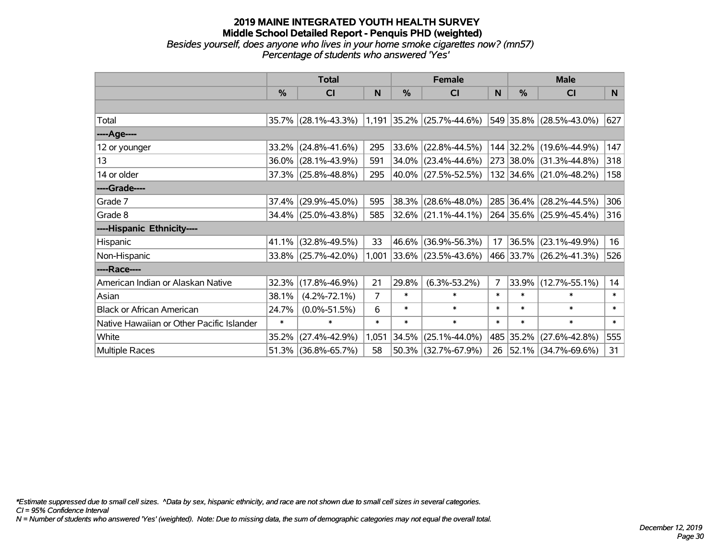#### **2019 MAINE INTEGRATED YOUTH HEALTH SURVEY Middle School Detailed Report - Penquis PHD (weighted)** *Besides yourself, does anyone who lives in your home smoke cigarettes now? (mn57) Percentage of students who answered 'Yes'*

|                                           | <b>Total</b>  |                                               |                |        | <b>Female</b>               |                |               | <b>Male</b>              |        |  |
|-------------------------------------------|---------------|-----------------------------------------------|----------------|--------|-----------------------------|----------------|---------------|--------------------------|--------|--|
|                                           | $\frac{0}{0}$ | CI                                            | N              | %      | CI                          | N              | $\frac{0}{0}$ | <b>CI</b>                | N.     |  |
|                                           |               |                                               |                |        |                             |                |               |                          |        |  |
| Total                                     |               | 35.7% (28.1%-43.3%) 1,191 35.2% (25.7%-44.6%) |                |        |                             |                |               | 549 35.8% (28.5%-43.0%)  | 627    |  |
| ----Age----                               |               |                                               |                |        |                             |                |               |                          |        |  |
| 12 or younger                             | 33.2%         | $(24.8\% - 41.6\%)$                           | 295            | 33.6%  | $(22.8\% - 44.5\%)$         |                |               | 144 32.2% (19.6%-44.9%)  | 147    |  |
| 13                                        |               | 36.0% (28.1%-43.9%)                           | 591            |        | 34.0% (23.4%-44.6%)         |                |               | 273 38.0% (31.3%-44.8%)  | 318    |  |
| 14 or older                               |               | 37.3% (25.8%-48.8%)                           | 295            |        | 40.0% (27.5%-52.5%)         |                |               | 132 34.6% (21.0%-48.2%)  | 158    |  |
| ----Grade----                             |               |                                               |                |        |                             |                |               |                          |        |  |
| Grade 7                                   | 37.4%         | $(29.9\% - 45.0\%)$                           | 595            | 38.3%  | $(28.6\% - 48.0\%)$         |                | 285 36.4%     | $(28.2\% - 44.5\%)$      | 306    |  |
| Grade 8                                   |               | 34.4% (25.0%-43.8%)                           | 585            |        | $ 32.6\% $ (21.1%-44.1%)    |                |               | 264 35.6% (25.9%-45.4%)  | 316    |  |
| ----Hispanic Ethnicity----                |               |                                               |                |        |                             |                |               |                          |        |  |
| Hispanic                                  | 41.1%         | $(32.8\% - 49.5\%)$                           | 33             | 46.6%  | $(36.9\% - 56.3\%)$         | 17             | $ 36.5\% $    | $(23.1\% - 49.9\%)$      | 16     |  |
| Non-Hispanic                              |               | 33.8% (25.7%-42.0%)                           |                |        | $1,001$ 33.6% (23.5%-43.6%) |                |               | 466 33.7% (26.2%-41.3%)  | 526    |  |
| ----Race----                              |               |                                               |                |        |                             |                |               |                          |        |  |
| American Indian or Alaskan Native         | 32.3%         | $(17.8\% - 46.9\%)$                           | 21             | 29.8%  | $(6.3\% - 53.2\%)$          | $\overline{7}$ | 33.9%         | $(12.7\% - 55.1\%)$      | 14     |  |
| Asian                                     | 38.1%         | $(4.2\% - 72.1\%)$                            | $\overline{7}$ | $\ast$ | $\ast$                      | $\ast$         | $\ast$        | $\ast$                   | $\ast$ |  |
| <b>Black or African American</b>          | 24.7%         | $(0.0\% - 51.5\%)$                            | 6              | $\ast$ | $\ast$                      | $\ast$         | $\ast$        | $\ast$                   | $\ast$ |  |
| Native Hawaiian or Other Pacific Islander | $\ast$        | $\ast$                                        | $\ast$         | $\ast$ | $\ast$                      | $\ast$         | $\ast$        | $\ast$                   | $\ast$ |  |
| White                                     | 35.2%         | $(27.4\% - 42.9\%)$                           | 1,051          | 34.5%  | $(25.1\% - 44.0\%)$         |                | 485 35.2%     | $(27.6\% - 42.8\%)$      | 555    |  |
| Multiple Races                            |               | 51.3% (36.8%-65.7%)                           | 58             |        | 50.3% (32.7%-67.9%)         | 26             |               | $ 52.1\% $ (34.7%-69.6%) | 31     |  |

*\*Estimate suppressed due to small cell sizes. ^Data by sex, hispanic ethnicity, and race are not shown due to small cell sizes in several categories.*

*CI = 95% Confidence Interval*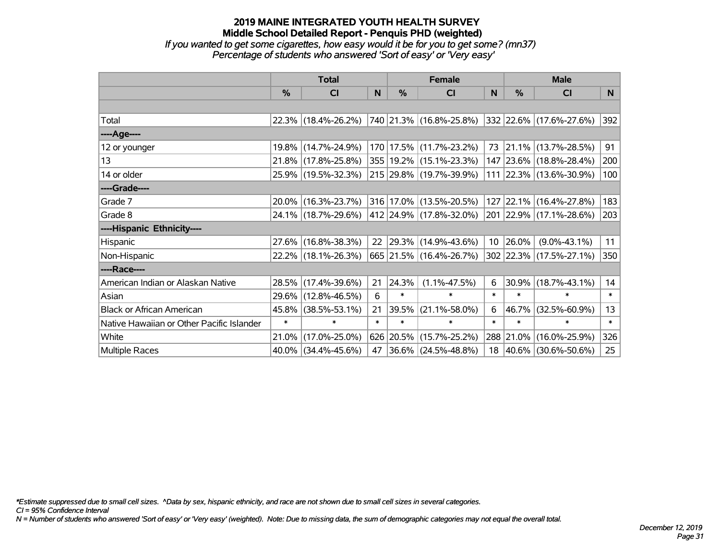#### **2019 MAINE INTEGRATED YOUTH HEALTH SURVEY Middle School Detailed Report - Penquis PHD (weighted)** *If you wanted to get some cigarettes, how easy would it be for you to get some? (mn37)*

*Percentage of students who answered 'Sort of easy' or 'Very easy'*

|                                           | <b>Total</b>  |                     |        |        | <b>Female</b>               |                 | <b>Male</b> |                         |        |  |
|-------------------------------------------|---------------|---------------------|--------|--------|-----------------------------|-----------------|-------------|-------------------------|--------|--|
|                                           | $\frac{0}{0}$ | CI                  | N      | %      | <b>CI</b>                   | N               | %           | <b>CI</b>               | N.     |  |
|                                           |               |                     |        |        |                             |                 |             |                         |        |  |
| Total                                     |               | 22.3% (18.4%-26.2%) |        |        | 740 21.3% (16.8%-25.8%)     |                 |             | 332 22.6% (17.6%-27.6%) | 392    |  |
| ----Age----                               |               |                     |        |        |                             |                 |             |                         |        |  |
| 12 or younger                             |               | 19.8% (14.7%-24.9%) |        |        | 170 17.5% (11.7%-23.2%)     | 73              |             | 21.1% (13.7%-28.5%)     | 91     |  |
| 13                                        |               | 21.8% (17.8%-25.8%) |        |        | 355   19.2%   (15.1%-23.3%) |                 |             | 147 23.6% (18.8%-28.4%) | 200    |  |
| 14 or older                               |               | 25.9% (19.5%-32.3%) |        |        | 215 29.8% (19.7%-39.9%)     |                 |             | 111 22.3% (13.6%-30.9%) | 100    |  |
| ----Grade----                             |               |                     |        |        |                             |                 |             |                         |        |  |
| Grade 7                                   |               | 20.0% (16.3%-23.7%) |        |        | 316 17.0% (13.5%-20.5%)     |                 |             | 127 22.1% (16.4%-27.8%) | 183    |  |
| Grade 8                                   |               | 24.1% (18.7%-29.6%) |        |        | 412 24.9% (17.8%-32.0%)     |                 |             | 201 22.9% (17.1%-28.6%) | 203    |  |
| ----Hispanic Ethnicity----                |               |                     |        |        |                             |                 |             |                         |        |  |
| Hispanic                                  |               | 27.6% (16.8%-38.3%) | 22     |        | 29.3% (14.9%-43.6%)         | 10 <sup>1</sup> | 26.0%       | $(9.0\% - 43.1\%)$      | 11     |  |
| Non-Hispanic                              |               | 22.2% (18.1%-26.3%) |        |        | 665 21.5% (16.4%-26.7%)     |                 |             | 302 22.3% (17.5%-27.1%) | 350    |  |
| ----Race----                              |               |                     |        |        |                             |                 |             |                         |        |  |
| American Indian or Alaskan Native         |               | 28.5% (17.4%-39.6%) | 21     | 24.3%  | $(1.1\% - 47.5\%)$          | 6               | 30.9%       | $(18.7\% - 43.1\%)$     | 14     |  |
| Asian                                     |               | 29.6% (12.8%-46.5%) | 6      | $\ast$ | $\ast$                      | $\ast$          | $\ast$      | $\ast$                  | $\ast$ |  |
| <b>Black or African American</b>          |               | 45.8% (38.5%-53.1%) | 21     | 39.5%  | $(21.1\% - 58.0\%)$         | 6               | 46.7%       | $(32.5\% - 60.9\%)$     | 13     |  |
| Native Hawaiian or Other Pacific Islander | $\ast$        | $\ast$              | $\ast$ | $\ast$ | $\ast$                      | $\ast$          | $\ast$      | $\ast$                  | $\ast$ |  |
| White                                     | 21.0%         | $(17.0\% - 25.0\%)$ |        |        | 626 20.5% (15.7%-25.2%)     | 288             | 21.0%       | $(16.0\% - 25.9\%)$     | 326    |  |
| Multiple Races                            |               | 40.0% (34.4%-45.6%) | 47     |        | $ 36.6\% $ (24.5%-48.8%)    |                 |             | 18 40.6% (30.6%-50.6%)  | 25     |  |

*\*Estimate suppressed due to small cell sizes. ^Data by sex, hispanic ethnicity, and race are not shown due to small cell sizes in several categories.*

*CI = 95% Confidence Interval*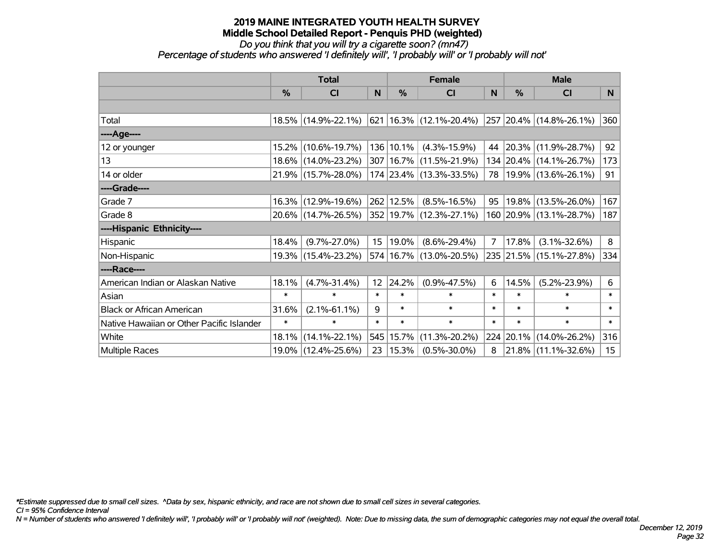# *Do you think that you will try a cigarette soon? (mn47)*

*Percentage of students who answered 'I definitely will', 'I probably will' or 'I probably will not'*

|                                           | <b>Total</b>  |                     |                 |           | <b>Female</b>                   |        | <b>Male</b> |                            |                  |  |
|-------------------------------------------|---------------|---------------------|-----------------|-----------|---------------------------------|--------|-------------|----------------------------|------------------|--|
|                                           | $\frac{0}{0}$ | CI                  | N               | $\%$      | CI                              | N      | $\%$        | <b>CI</b>                  | N                |  |
|                                           |               |                     |                 |           |                                 |        |             |                            |                  |  |
| Total                                     |               | 18.5% (14.9%-22.1%) |                 |           | $ 621 16.3\% (12.1\% - 20.4\%)$ |        |             | 257 20.4% (14.8%-26.1%)    | 360              |  |
| ----Age----                               |               |                     |                 |           |                                 |        |             |                            |                  |  |
| 12 or younger                             |               | 15.2% (10.6%-19.7%) |                 | 136 10.1% | $(4.3\% - 15.9\%)$              |        |             | 44 20.3% (11.9%-28.7%)     | 92               |  |
| 13                                        |               | 18.6% (14.0%-23.2%) |                 |           | 307   16.7%   (11.5%-21.9%)     |        |             | 134 20.4% (14.1%-26.7%)    | 173              |  |
| 14 or older                               |               | 21.9% (15.7%-28.0%) |                 |           | 174 23.4% (13.3%-33.5%)         |        |             | 78   19.9%   (13.6%-26.1%) | 91               |  |
| ----Grade----                             |               |                     |                 |           |                                 |        |             |                            |                  |  |
| Grade 7                                   |               | 16.3% (12.9%-19.6%) |                 | 262 12.5% | $(8.5\% - 16.5\%)$              | 95     |             | 19.8% (13.5%-26.0%)        | 167              |  |
| Grade 8                                   |               | 20.6% (14.7%-26.5%) |                 |           | 352 19.7% (12.3%-27.1%)         |        |             | 160 20.9% (13.1%-28.7%)    | 187              |  |
| ----Hispanic Ethnicity----                |               |                     |                 |           |                                 |        |             |                            |                  |  |
| Hispanic                                  | 18.4%         | $(9.7\% - 27.0\%)$  | 15 <sub>1</sub> | 19.0%     | $(8.6\% - 29.4\%)$              | 7      | 17.8%       | $(3.1\% - 32.6\%)$         | 8                |  |
| Non-Hispanic                              |               | 19.3% (15.4%-23.2%) |                 |           | 574 16.7% (13.0%-20.5%)         |        |             | 235 21.5% (15.1%-27.8%)    | 334              |  |
| ----Race----                              |               |                     |                 |           |                                 |        |             |                            |                  |  |
| American Indian or Alaskan Native         | 18.1%         | $(4.7\% - 31.4\%)$  | 12              | 24.2%     | $(0.9\% - 47.5\%)$              | 6      | 14.5%       | $(5.2\% - 23.9\%)$         | 6                |  |
| Asian                                     | $\ast$        | $\ast$              | $\ast$          | $\ast$    | $\ast$                          | $\ast$ | $\ast$      | *                          | $\ast$           |  |
| <b>Black or African American</b>          | 31.6%         | $(2.1\% - 61.1\%)$  | 9               | $\ast$    | $\ast$                          | $\ast$ | $\ast$      | $\ast$                     | $\ast$           |  |
| Native Hawaiian or Other Pacific Islander | $\ast$        | $\ast$              | $\ast$          | $\ast$    | $\ast$                          | $\ast$ | $\ast$      | $\ast$                     | $\pmb{\ast}$     |  |
| White                                     | 18.1%         | $(14.1\% - 22.1\%)$ | 545             | 15.7%     | $(11.3\% - 20.2\%)$             |        | 224 20.1%   | $(14.0\% - 26.2\%)$        | 316              |  |
| <b>Multiple Races</b>                     |               | 19.0% (12.4%-25.6%) | 23              | 15.3%     | $(0.5\% - 30.0\%)$              | 8      |             | 21.8% (11.1%-32.6%)        | 15 <sub>15</sub> |  |

*\*Estimate suppressed due to small cell sizes. ^Data by sex, hispanic ethnicity, and race are not shown due to small cell sizes in several categories.*

*CI = 95% Confidence Interval*

*N = Number of students who answered 'I definitely will', 'I probably will' or 'I probably will not' (weighted). Note: Due to missing data, the sum of demographic categories may not equal the overall total.*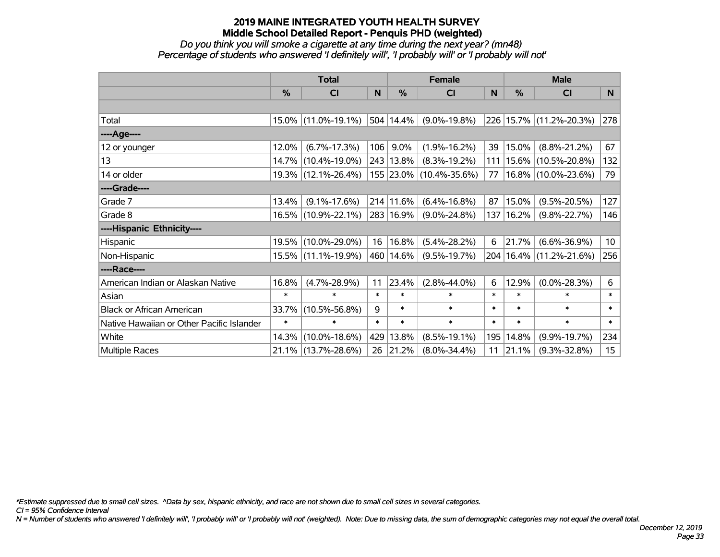#### *Do you think you will smoke a cigarette at any time during the next year? (mn48) Percentage of students who answered 'I definitely will', 'I probably will' or 'I probably will not'*

|                                           | <b>Total</b>  |                     |        |           | <b>Female</b>           |        | <b>Male</b>   |                         |                  |  |
|-------------------------------------------|---------------|---------------------|--------|-----------|-------------------------|--------|---------------|-------------------------|------------------|--|
|                                           | $\frac{0}{0}$ | <b>CI</b>           | N      | %         | <b>CI</b>               | N      | $\frac{0}{0}$ | <b>CI</b>               | N <sub>1</sub>   |  |
|                                           |               |                     |        |           |                         |        |               |                         |                  |  |
| Total                                     |               | 15.0% (11.0%-19.1%) |        | 504 14.4% | $(9.0\% - 19.8\%)$      |        |               | 226 15.7% (11.2%-20.3%) | 278              |  |
| ----Age----                               |               |                     |        |           |                         |        |               |                         |                  |  |
| 12 or younger                             | 12.0%         | $(6.7\% - 17.3\%)$  | 106    | 9.0%      | $(1.9\% - 16.2\%)$      | 39     | 15.0%         | $(8.8\% - 21.2\%)$      | 67               |  |
| 13                                        |               | 14.7% (10.4%-19.0%) |        | 243 13.8% | $(8.3\% - 19.2\%)$      | 111    | $15.6\%$      | $(10.5\% - 20.8\%)$     | 132              |  |
| 14 or older                               |               | 19.3% (12.1%-26.4%) |        |           | 155 23.0% (10.4%-35.6%) | 77     |               | 16.8% (10.0%-23.6%)     | 79               |  |
| ----Grade----                             |               |                     |        |           |                         |        |               |                         |                  |  |
| Grade 7                                   | 13.4%         | $(9.1\% - 17.6\%)$  |        | 214 11.6% | $(6.4\% - 16.8\%)$      | 87     | 15.0%         | $(9.5\% - 20.5\%)$      | 127              |  |
| Grade 8                                   |               | 16.5% (10.9%-22.1%) |        | 283 16.9% | $(9.0\% - 24.8\%)$      | 137    | $16.2\%$      | $(9.8\% - 22.7\%)$      | 146              |  |
| ----Hispanic Ethnicity----                |               |                     |        |           |                         |        |               |                         |                  |  |
| Hispanic                                  | 19.5%         | $(10.0\% - 29.0\%)$ | 16     | 16.8%     | $(5.4\% - 28.2\%)$      | 6      | 21.7%         | $(6.6\% - 36.9\%)$      | 10 <sub>1</sub>  |  |
| Non-Hispanic                              |               | 15.5% (11.1%-19.9%) |        | 460 14.6% | $(9.5\% - 19.7\%)$      | 204    |               | 16.4% (11.2%-21.6%)     | 256              |  |
| ----Race----                              |               |                     |        |           |                         |        |               |                         |                  |  |
| American Indian or Alaskan Native         | 16.8%         | $(4.7\% - 28.9\%)$  | 11     | 23.4%     | $(2.8\% - 44.0\%)$      | 6      | 12.9%         | $(0.0\% - 28.3\%)$      | 6                |  |
| Asian                                     | $\ast$        | $\ast$              | $\ast$ | $\ast$    | $\ast$                  | $\ast$ | $\ast$        | $\ast$                  | $\ast$           |  |
| <b>Black or African American</b>          | 33.7%         | $(10.5\% - 56.8\%)$ | 9      | $\ast$    | $\ast$                  | $\ast$ | $\ast$        | $\ast$                  | $\ast$           |  |
| Native Hawaiian or Other Pacific Islander | $\ast$        | $\ast$              | $\ast$ | $\ast$    | $\ast$                  | $\ast$ | $\ast$        | $\ast$                  | $\ast$           |  |
| White                                     | 14.3%         | $(10.0\% - 18.6\%)$ | 429    | 13.8%     | $(8.5\% - 19.1\%)$      | 195    | 14.8%         | $(9.9\% - 19.7\%)$      | 234              |  |
| <b>Multiple Races</b>                     |               | 21.1% (13.7%-28.6%) | 26     | 21.2%     | $(8.0\% - 34.4\%)$      | 11     | 21.1%         | $(9.3\% - 32.8\%)$      | 15 <sub>15</sub> |  |

*\*Estimate suppressed due to small cell sizes. ^Data by sex, hispanic ethnicity, and race are not shown due to small cell sizes in several categories.*

*CI = 95% Confidence Interval*

*N = Number of students who answered 'I definitely will', 'I probably will' or 'I probably will not' (weighted). Note: Due to missing data, the sum of demographic categories may not equal the overall total.*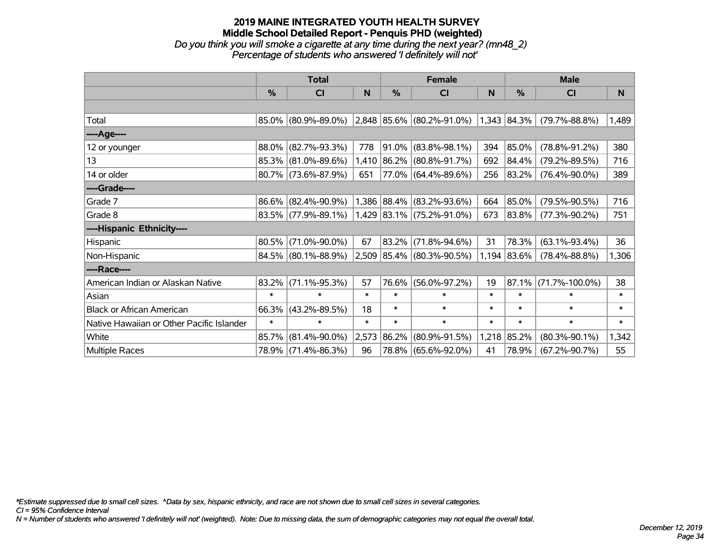# **2019 MAINE INTEGRATED YOUTH HEALTH SURVEY Middle School Detailed Report - Penquis PHD (weighted)** *Do you think you will smoke a cigarette at any time during the next year? (mn48\_2) Percentage of students who answered 'I definitely will not'*

|                                           | <b>Total</b>  |                        |        |               | <b>Female</b>                      |        | <b>Male</b> |                      |        |  |
|-------------------------------------------|---------------|------------------------|--------|---------------|------------------------------------|--------|-------------|----------------------|--------|--|
|                                           | $\frac{9}{6}$ | CI                     | N      | $\frac{0}{0}$ | <b>CI</b>                          | N      | %           | <b>CI</b>            | N.     |  |
|                                           |               |                        |        |               |                                    |        |             |                      |        |  |
| Total                                     |               | 85.0% (80.9%-89.0%)    |        |               | $ 2,848 85.6\%  (80.2\% - 91.0\%)$ |        | 1,343 84.3% | $(79.7\% - 88.8\%)$  | 1,489  |  |
| ----Age----                               |               |                        |        |               |                                    |        |             |                      |        |  |
| 12 or younger                             | 88.0%         | $(82.7\% - 93.3\%)$    | 778    | 91.0%         | $(83.8\% - 98.1\%)$                | 394    | 85.0%       | $(78.8\% - 91.2\%)$  | 380    |  |
| 13                                        |               | 85.3% (81.0%-89.6%)    | 1,410  | 86.2%         | $(80.8\% - 91.7\%)$                | 692    | 84.4%       | $(79.2\% - 89.5\%)$  | 716    |  |
| 14 or older                               |               | 80.7% (73.6%-87.9%)    | 651    |               | $77.0\%$ (64.4%-89.6%)             | 256    | 83.2%       | $(76.4\% - 90.0\%)$  | 389    |  |
| ----Grade----                             |               |                        |        |               |                                    |        |             |                      |        |  |
| Grade 7                                   |               | 86.6% (82.4%-90.9%)    |        | 1,386 88.4%   | $(83.2\% - 93.6\%)$                | 664    | 85.0%       | $(79.5\% - 90.5\%)$  | 716    |  |
| Grade 8                                   |               | $83.5\%$ (77.9%-89.1%) |        |               | $1,429$ $ 83.1\% $ (75.2%-91.0%)   | 673    | 83.8%       | $(77.3\% - 90.2\%)$  | 751    |  |
| ----Hispanic Ethnicity----                |               |                        |        |               |                                    |        |             |                      |        |  |
| Hispanic                                  | 80.5%         | $(71.0\% - 90.0\%)$    | 67     | 83.2%         | $(71.8\% - 94.6\%)$                | 31     | 78.3%       | $(63.1\% - 93.4\%)$  | 36     |  |
| Non-Hispanic                              |               | 84.5% (80.1%-88.9%)    |        |               | $2,509$ 85.4% (80.3%-90.5%)        | 1,194  | 83.6%       | $(78.4\% - 88.8\%)$  | 1,306  |  |
| ----Race----                              |               |                        |        |               |                                    |        |             |                      |        |  |
| American Indian or Alaskan Native         | 83.2%         | $(71.1\% - 95.3\%)$    | 57     | 76.6%         | $(56.0\% - 97.2\%)$                | 19     | 87.1%       | $(71.7\% - 100.0\%)$ | 38     |  |
| Asian                                     | $\ast$        | $\ast$                 | $\ast$ | $\ast$        | $\ast$                             | $\ast$ | $\ast$      | $\ast$               | $\ast$ |  |
| <b>Black or African American</b>          | 66.3%         | $(43.2\% - 89.5\%)$    | 18     | $\ast$        | $\ast$                             | $\ast$ | $\ast$      | $\ast$               | $\ast$ |  |
| Native Hawaiian or Other Pacific Islander | $\ast$        | $\ast$                 | $\ast$ | $\ast$        | $\ast$                             | $\ast$ | $\ast$      | $\ast$               | $\ast$ |  |
| White                                     | 85.7%         | $(81.4\% - 90.0\%)$    | 2,573  | 86.2%         | $(80.9\% - 91.5\%)$                | 1,218  | 85.2%       | $(80.3\% - 90.1\%)$  | 1,342  |  |
| <b>Multiple Races</b>                     |               | 78.9% (71.4%-86.3%)    | 96     |               | 78.8% (65.6%-92.0%)                | 41     | 78.9%       | $(67.2\% - 90.7\%)$  | 55     |  |

*\*Estimate suppressed due to small cell sizes. ^Data by sex, hispanic ethnicity, and race are not shown due to small cell sizes in several categories.*

*CI = 95% Confidence Interval*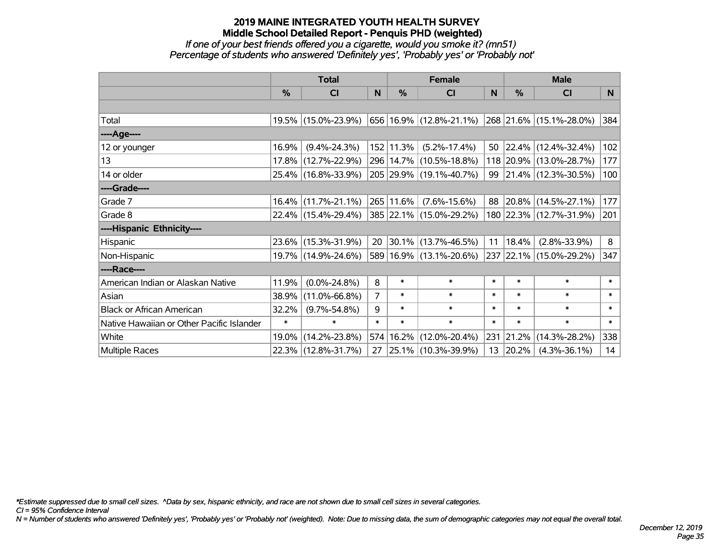#### **2019 MAINE INTEGRATED YOUTH HEALTH SURVEY Middle School Detailed Report - Penquis PHD (weighted)** *If one of your best friends offered you a cigarette, would you smoke it? (mn51)*

# *Percentage of students who answered 'Definitely yes', 'Probably yes' or 'Probably not'*

|                                           | <b>Total</b>  |                        |                |           | <b>Female</b>               |        | <b>Male</b>   |                         |        |  |
|-------------------------------------------|---------------|------------------------|----------------|-----------|-----------------------------|--------|---------------|-------------------------|--------|--|
|                                           | $\frac{0}{0}$ | CI                     | N              | %         | CI                          | N      | $\frac{0}{0}$ | <b>CI</b>               | N.     |  |
|                                           |               |                        |                |           |                             |        |               |                         |        |  |
| Total                                     |               | 19.5% (15.0%-23.9%)    |                |           | 656 16.9% (12.8%-21.1%)     |        |               | 268 21.6% (15.1%-28.0%) | 384    |  |
| ----Age----                               |               |                        |                |           |                             |        |               |                         |        |  |
| 12 or younger                             | 16.9%         | $(9.4\% - 24.3\%)$     |                | 152 11.3% | $(5.2\% - 17.4\%)$          |        | 50 22.4%      | $(12.4\% - 32.4\%)$     | 102    |  |
| 13                                        |               | 17.8% (12.7%-22.9%)    |                |           | 296   14.7%   (10.5%-18.8%) |        |               | 118 20.9% (13.0%-28.7%) | 177    |  |
| 14 or older                               |               | 25.4% (16.8%-33.9%)    |                |           | 205 29.9% (19.1%-40.7%)     |        |               | 99 21.4% (12.3%-30.5%)  | 100    |  |
| ----Grade----                             |               |                        |                |           |                             |        |               |                         |        |  |
| Grade 7                                   |               | $16.4\%$ (11.7%-21.1%) |                | 265 11.6% | $(7.6\% - 15.6\%)$          |        |               | 88 20.8% (14.5%-27.1%)  | 177    |  |
| Grade 8                                   |               | 22.4% (15.4%-29.4%)    |                |           | 385 22.1% (15.0%-29.2%)     |        |               | 180 22.3% (12.7%-31.9%) | 201    |  |
| ----Hispanic Ethnicity----                |               |                        |                |           |                             |        |               |                         |        |  |
| Hispanic                                  |               | 23.6% (15.3%-31.9%)    | 20             |           | $ 30.1\% $ (13.7%-46.5%)    | 11     | 18.4%         | $(2.8\% - 33.9\%)$      | 8      |  |
| Non-Hispanic                              |               | 19.7% (14.9%-24.6%)    |                |           | 589 16.9% (13.1%-20.6%)     |        |               | 237 22.1% (15.0%-29.2%) | 347    |  |
| ----Race----                              |               |                        |                |           |                             |        |               |                         |        |  |
| American Indian or Alaskan Native         | 11.9%         | $(0.0\% - 24.8\%)$     | 8              | $\ast$    | $\ast$                      | $\ast$ | $\ast$        | $\ast$                  | $\ast$ |  |
| Asian                                     | 38.9%         | $(11.0\% - 66.8\%)$    | $\overline{7}$ | $\ast$    | $\ast$                      | $\ast$ | $\ast$        | $\ast$                  | $\ast$ |  |
| <b>Black or African American</b>          | 32.2%         | $(9.7\% - 54.8\%)$     | 9              | $\ast$    | $\ast$                      | $\ast$ | $\ast$        | $\ast$                  | $\ast$ |  |
| Native Hawaiian or Other Pacific Islander | $\ast$        | $\ast$                 | $\ast$         | $\ast$    | $\ast$                      | $\ast$ | $\ast$        | $\ast$                  | $\ast$ |  |
| White                                     | 19.0%         | $(14.2\% - 23.8\%)$    | 574            |           | 16.2% (12.0%-20.4%)         |        | 231 21.2%     | $(14.3\% - 28.2\%)$     | 338    |  |
| <b>Multiple Races</b>                     |               | 22.3% (12.8%-31.7%)    | 27             |           | 25.1% (10.3%-39.9%)         |        | 13 20.2%      | $(4.3\% - 36.1\%)$      | 14     |  |

*\*Estimate suppressed due to small cell sizes. ^Data by sex, hispanic ethnicity, and race are not shown due to small cell sizes in several categories.*

*CI = 95% Confidence Interval*

*N = Number of students who answered 'Definitely yes', 'Probably yes' or 'Probably not' (weighted). Note: Due to missing data, the sum of demographic categories may not equal the overall total.*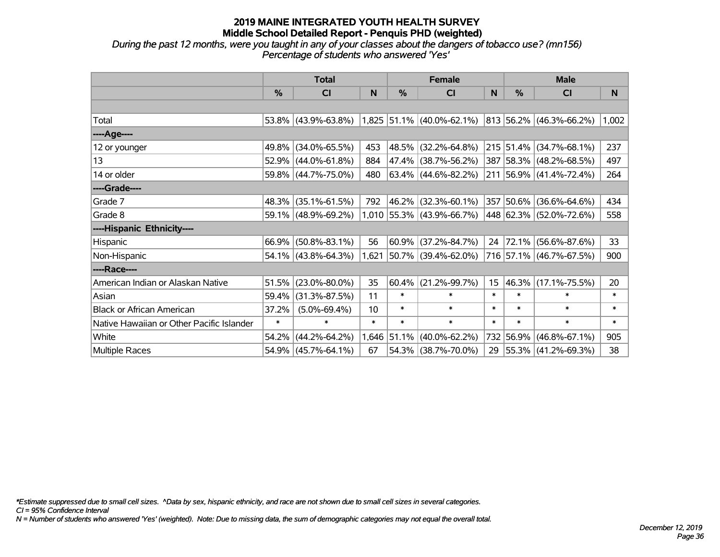*During the past 12 months, were you taught in any of your classes about the dangers of tobacco use? (mn156) Percentage of students who answered 'Yes'*

|                                           | <b>Total</b> |                        |        |          | <b>Female</b>               |        | <b>Male</b>   |                              |        |  |
|-------------------------------------------|--------------|------------------------|--------|----------|-----------------------------|--------|---------------|------------------------------|--------|--|
|                                           | %            | <b>CI</b>              | N      | %        | <b>CI</b>                   | N      | $\frac{0}{0}$ | C <sub>l</sub>               | N      |  |
|                                           |              |                        |        |          |                             |        |               |                              |        |  |
| Total                                     | $53.8\%$     | $(43.9\% - 63.8\%)$    |        |          | $1,825$ 51.1% (40.0%-62.1%) |        |               | $ 813 56.2\% $ (46.3%-66.2%) | 1,002  |  |
| ----Age----                               |              |                        |        |          |                             |        |               |                              |        |  |
| 12 or younger                             | 49.8%        | $(34.0\% - 65.5\%)$    | 453    | 48.5%    | $(32.2\% - 64.8\%)$         |        |               | 215 51.4% (34.7%-68.1%)      | 237    |  |
| 13                                        | 52.9%        | $(44.0\% - 61.8\%)$    | 884    |          | 47.4% (38.7%-56.2%)         |        |               | 387 58.3% (48.2%-68.5%)      | 497    |  |
| 14 or older                               | 59.8%        | $(44.7\% - 75.0\%)$    | 480    |          | $63.4\%$ (44.6%-82.2%)      |        |               | 211 56.9% (41.4%-72.4%)      | 264    |  |
| ----Grade----                             |              |                        |        |          |                             |        |               |                              |        |  |
| Grade 7                                   | 48.3%        | $(35.1\% - 61.5\%)$    | 792    | $46.2\%$ | $(32.3\% - 60.1\%)$         |        | 357 50.6%     | $(36.6\% - 64.6\%)$          | 434    |  |
| Grade 8                                   |              | 59.1% (48.9%-69.2%)    |        |          | $1,010$ 55.3% (43.9%-66.7%) |        |               | 448 62.3% (52.0%-72.6%)      | 558    |  |
| ----Hispanic Ethnicity----                |              |                        |        |          |                             |        |               |                              |        |  |
| Hispanic                                  | 66.9%        | $(50.8\% - 83.1\%)$    | 56     | 60.9%    | $(37.2\% - 84.7\%)$         | 24     | 72.1%         | $(56.6\% - 87.6\%)$          | 33     |  |
| Non-Hispanic                              |              | $54.1\%$ (43.8%-64.3%) | 1,621  |          | 50.7% (39.4%-62.0%)         |        |               | 716 57.1% (46.7%-67.5%)      | 900    |  |
| ----Race----                              |              |                        |        |          |                             |        |               |                              |        |  |
| American Indian or Alaskan Native         | 51.5%        | $(23.0\% - 80.0\%)$    | 35     | 60.4%    | $(21.2\% - 99.7\%)$         | 15     |               | 46.3% (17.1%-75.5%)          | 20     |  |
| Asian                                     | 59.4%        | $(31.3\% - 87.5\%)$    | 11     | $\ast$   | $\ast$                      | $\ast$ | $\ast$        | $\ast$                       | $\ast$ |  |
| <b>Black or African American</b>          | 37.2%        | $(5.0\% - 69.4\%)$     | 10     | $\ast$   | $\ast$                      | $\ast$ | $\ast$        | $\ast$                       | *      |  |
| Native Hawaiian or Other Pacific Islander | $\ast$       | $\ast$                 | $\ast$ | $\ast$   | $\ast$                      | $\ast$ | $\ast$        | $\ast$                       | $\ast$ |  |
| White                                     | 54.2%        | $(44.2\% - 64.2\%)$    | 1,646  | 51.1%    | $(40.0\% - 62.2\%)$         | 732    | 56.9%         | $(46.8\% - 67.1\%)$          | 905    |  |
| Multiple Races                            | 54.9%        | $(45.7\% - 64.1\%)$    | 67     |          | 54.3% (38.7%-70.0%)         |        |               | 29 55.3% (41.2%-69.3%)       | 38     |  |

*\*Estimate suppressed due to small cell sizes. ^Data by sex, hispanic ethnicity, and race are not shown due to small cell sizes in several categories.*

*CI = 95% Confidence Interval*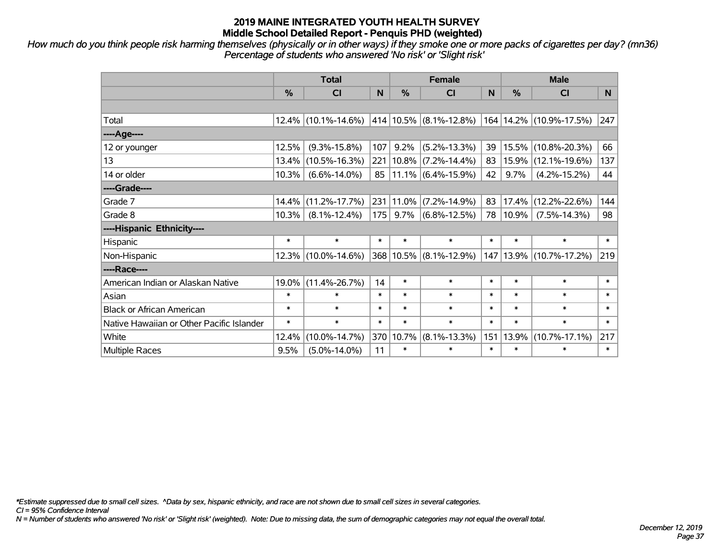*How much do you think people risk harming themselves (physically or in other ways) if they smoke one or more packs of cigarettes per day? (mn36) Percentage of students who answered 'No risk' or 'Slight risk'*

|                                           | <b>Total</b> |                     |        |            | <b>Female</b>         |        | <b>Male</b>   |                                                     |        |  |
|-------------------------------------------|--------------|---------------------|--------|------------|-----------------------|--------|---------------|-----------------------------------------------------|--------|--|
|                                           | %            | <b>CI</b>           | N      | %          | <b>CI</b>             | N      | $\frac{0}{0}$ | <b>CI</b>                                           | N.     |  |
|                                           |              |                     |        |            |                       |        |               |                                                     |        |  |
| Total                                     |              | 12.4% (10.1%-14.6%) |        |            |                       |        |               | $ 414 10.5\% $ (8.1%-12.8%) 164 14.2% (10.9%-17.5%) | 247    |  |
| ----Age----                               |              |                     |        |            |                       |        |               |                                                     |        |  |
| 12 or younger                             | 12.5%        | $(9.3\% - 15.8\%)$  | 107    | 9.2%       | $(5.2\% - 13.3\%)$    | 39     | 15.5%         | $(10.8\% - 20.3\%)$                                 | 66     |  |
| 13                                        | 13.4%        | $(10.5\% - 16.3\%)$ | 221    | $ 10.8\% $ | $(7.2\% - 14.4\%)$    | 83     | 15.9%         | $(12.1\% - 19.6\%)$                                 | 137    |  |
| 14 or older                               | 10.3%        | $(6.6\% - 14.0\%)$  | 85     |            | $11.1\%$ (6.4%-15.9%) | 42     | 9.7%          | $(4.2\% - 15.2\%)$                                  | 44     |  |
| ----Grade----                             |              |                     |        |            |                       |        |               |                                                     |        |  |
| Grade 7                                   | 14.4%        | $(11.2\% - 17.7\%)$ | 231    | 11.0%      | $(7.2\% - 14.9\%)$    | 83     | 17.4%         | $(12.2\% - 22.6\%)$                                 | 144    |  |
| Grade 8                                   | 10.3%        | $(8.1\% - 12.4\%)$  | 175    | $9.7\%$    | $(6.8\% - 12.5\%)$    | 78     | 10.9%         | $(7.5\% - 14.3\%)$                                  | 98     |  |
| ----Hispanic Ethnicity----                |              |                     |        |            |                       |        |               |                                                     |        |  |
| Hispanic                                  | $\ast$       | $\ast$              | $\ast$ | $\ast$     | $\ast$                | $\ast$ | $\ast$        | $\ast$                                              | $\ast$ |  |
| Non-Hispanic                              | 12.3%        | $(10.0\% - 14.6\%)$ |        | 368 10.5%  | $(8.1\% - 12.9\%)$    | 147    | 13.9%         | $(10.7\% - 17.2\%)$                                 | 219    |  |
| ----Race----                              |              |                     |        |            |                       |        |               |                                                     |        |  |
| American Indian or Alaskan Native         | 19.0%        | $(11.4\% - 26.7\%)$ | 14     | $\ast$     | $\ast$                | $\ast$ | $\ast$        | $\ast$                                              | $\ast$ |  |
| Asian                                     | $\ast$       | $\ast$              | $\ast$ | $\ast$     | $\ast$                | $\ast$ | $\ast$        | $\ast$                                              | $\ast$ |  |
| <b>Black or African American</b>          | $\ast$       | $\ast$              | $\ast$ | $\ast$     | $\ast$                | $\ast$ | $\ast$        | $\ast$                                              | $\ast$ |  |
| Native Hawaiian or Other Pacific Islander | $\ast$       | $\ast$              | $\ast$ | $\ast$     | $\ast$                | $\ast$ | $\ast$        | $\ast$                                              | $\ast$ |  |
| White                                     | 12.4%        | $(10.0\% - 14.7\%)$ | 370    | 10.7%      | $(8.1\% - 13.3\%)$    | 151    | 13.9%         | $(10.7\% - 17.1\%)$                                 | 217    |  |
| <b>Multiple Races</b>                     | 9.5%         | $(5.0\% - 14.0\%)$  | 11     | $\ast$     | $\ast$                | $\ast$ | $\ast$        | $\ast$                                              | $\ast$ |  |

*\*Estimate suppressed due to small cell sizes. ^Data by sex, hispanic ethnicity, and race are not shown due to small cell sizes in several categories.*

*CI = 95% Confidence Interval*

*N = Number of students who answered 'No risk' or 'Slight risk' (weighted). Note: Due to missing data, the sum of demographic categories may not equal the overall total.*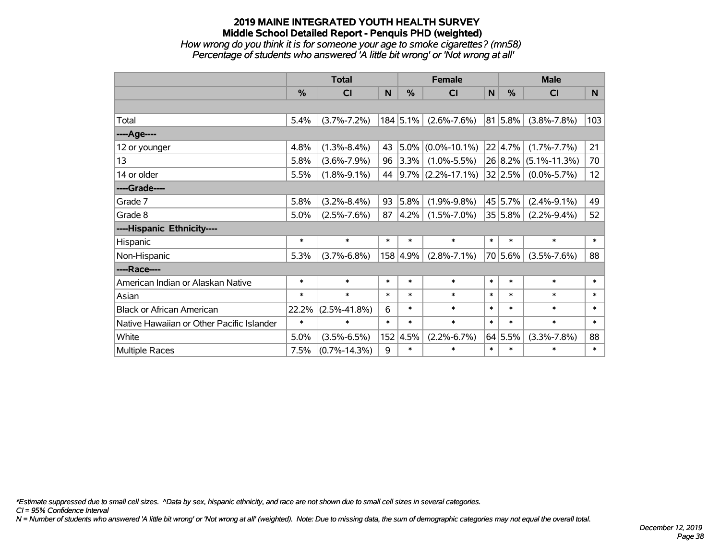### **2019 MAINE INTEGRATED YOUTH HEALTH SURVEY Middle School Detailed Report - Penquis PHD (weighted)** *How wrong do you think it is for someone your age to smoke cigarettes? (mn58) Percentage of students who answered 'A little bit wrong' or 'Not wrong at all'*

|                                           | <b>Total</b> |                    |        |          | <b>Female</b>          |        | <b>Male</b>   |                    |                 |  |
|-------------------------------------------|--------------|--------------------|--------|----------|------------------------|--------|---------------|--------------------|-----------------|--|
|                                           | %            | <b>CI</b>          | N      | %        | <b>CI</b>              | N      | $\frac{0}{0}$ | <b>CI</b>          | N               |  |
|                                           |              |                    |        |          |                        |        |               |                    |                 |  |
| Total                                     | 5.4%         | $(3.7\% - 7.2\%)$  |        | 184 5.1% | $(2.6\% - 7.6\%)$      |        | 81 5.8%       | $(3.8\% - 7.8\%)$  | 103             |  |
| ----Age----                               |              |                    |        |          |                        |        |               |                    |                 |  |
| 12 or younger                             | 4.8%         | $(1.3\% - 8.4\%)$  | 43     | 5.0%     | $(0.0\% - 10.1\%)$     |        | 22 4.7%       | $(1.7\% - 7.7\%)$  | 21              |  |
| 13                                        | 5.8%         | $(3.6\% - 7.9\%)$  | 96     | 3.3%     | $(1.0\% - 5.5\%)$      |        | 26 8.2%       | $(5.1\% - 11.3\%)$ | 70              |  |
| 14 or older                               | 5.5%         | $(1.8\% - 9.1\%)$  | 44     |          | $ 9.7\% $ (2.2%-17.1%) |        | 32 2.5%       | $(0.0\% - 5.7\%)$  | 12 <sub>2</sub> |  |
| ----Grade----                             |              |                    |        |          |                        |        |               |                    |                 |  |
| Grade 7                                   | 5.8%         | $(3.2\% - 8.4\%)$  | 93     | 5.8%     | $(1.9\% - 9.8\%)$      |        | 45 5.7%       | $(2.4\% - 9.1\%)$  | 49              |  |
| Grade 8                                   | 5.0%         | $(2.5\% - 7.6\%)$  | 87     | 4.2%     | $(1.5\% - 7.0\%)$      |        | 35 5.8%       | $(2.2\% - 9.4\%)$  | 52              |  |
| ----Hispanic Ethnicity----                |              |                    |        |          |                        |        |               |                    |                 |  |
| Hispanic                                  | $\ast$       | $\ast$             | $\ast$ | $\ast$   | $\ast$                 | $\ast$ | $\ast$        | $\ast$             | $\ast$          |  |
| Non-Hispanic                              | 5.3%         | $(3.7\% - 6.8\%)$  |        | 158 4.9% | $(2.8\% - 7.1\%)$      |        | 70 5.6%       | $(3.5\% - 7.6\%)$  | 88              |  |
| ----Race----                              |              |                    |        |          |                        |        |               |                    |                 |  |
| American Indian or Alaskan Native         | $\ast$       | $\ast$             | $\ast$ | $\ast$   | $\ast$                 | $\ast$ | $\ast$        | $\ast$             | $\ast$          |  |
| Asian                                     | $\ast$       | $\ast$             | $\ast$ | $\ast$   | $\ast$                 | $\ast$ | $\ast$        | $\ast$             | $\ast$          |  |
| <b>Black or African American</b>          | 22.2%        | $(2.5\% - 41.8\%)$ | 6      | $\ast$   | $\ast$                 | $\ast$ | $\ast$        | $\ast$             | $\ast$          |  |
| Native Hawaiian or Other Pacific Islander | $\ast$       | $\ast$             | $\ast$ | $\ast$   | $\ast$                 | $\ast$ | $\ast$        | $\ast$             | $\ast$          |  |
| White                                     | 5.0%         | $(3.5\% - 6.5\%)$  |        | 152 4.5% | $(2.2\% - 6.7\%)$      | 64     | 5.5%          | $(3.3\% - 7.8\%)$  | 88              |  |
| Multiple Races                            | 7.5%         | $(0.7\% - 14.3\%)$ | 9      | $\ast$   | $\ast$                 | $\ast$ | $\ast$        | $\ast$             | $\ast$          |  |

*\*Estimate suppressed due to small cell sizes. ^Data by sex, hispanic ethnicity, and race are not shown due to small cell sizes in several categories.*

*CI = 95% Confidence Interval*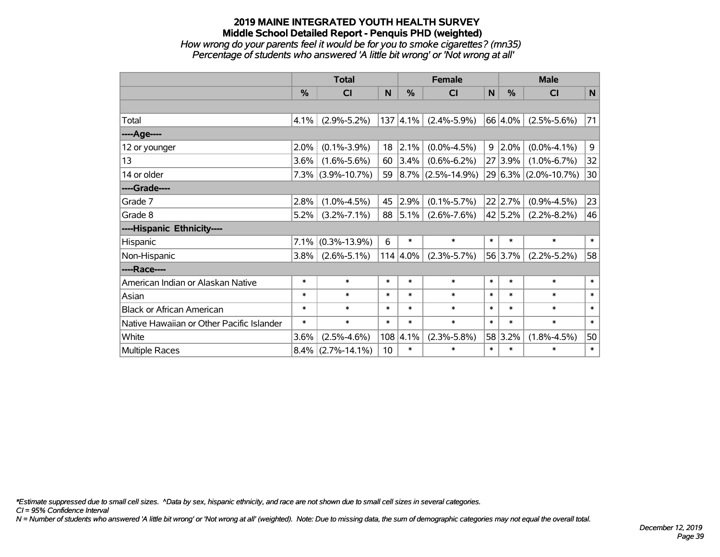### **2019 MAINE INTEGRATED YOUTH HEALTH SURVEY Middle School Detailed Report - Penquis PHD (weighted)** *How wrong do your parents feel it would be for you to smoke cigarettes? (mn35) Percentage of students who answered 'A little bit wrong' or 'Not wrong at all'*

|                                           | <b>Total</b>  |                      |        |                  | <b>Female</b>          |        | <b>Male</b>    |                      |        |  |
|-------------------------------------------|---------------|----------------------|--------|------------------|------------------------|--------|----------------|----------------------|--------|--|
|                                           | $\frac{0}{0}$ | CI                   | N      | %                | <b>CI</b>              | N      | %              | <b>CI</b>            | N      |  |
|                                           |               |                      |        |                  |                        |        |                |                      |        |  |
| Total                                     | 4.1%          | $(2.9\% - 5.2\%)$    |        | $137 \,   4.1\%$ | $(2.4\% - 5.9\%)$      |        | 66 4.0%        | $(2.5\% - 5.6\%)$    | 71     |  |
| ----Age----                               |               |                      |        |                  |                        |        |                |                      |        |  |
| 12 or younger                             | 2.0%          | $(0.1\% - 3.9\%)$    | 18     | 2.1%             | $(0.0\% - 4.5\%)$      |        | $9 \mid 2.0\%$ | $(0.0\% - 4.1\%)$    | 9      |  |
| 13                                        | $3.6\%$       | $(1.6\% - 5.6\%)$    | 60     | 3.4%             | $(0.6\% - 6.2\%)$      |        | 27 3.9%        | $(1.0\% - 6.7\%)$    | 32     |  |
| 14 or older                               |               | $7.3\%$ (3.9%-10.7%) | 59     |                  | $ 8.7\% $ (2.5%-14.9%) |        |                | 29 6.3% (2.0%-10.7%) | 30     |  |
| ----Grade----                             |               |                      |        |                  |                        |        |                |                      |        |  |
| Grade 7                                   | 2.8%          | $(1.0\% - 4.5\%)$    | 45     | 2.9%             | $(0.1\% - 5.7\%)$      |        | 22 2.7%        | $(0.9\% - 4.5\%)$    | 23     |  |
| Grade 8                                   | 5.2%          | $(3.2\% - 7.1\%)$    | 88     | $ 5.1\% $        | $(2.6\% - 7.6\%)$      |        | 42 5.2%        | $(2.2\% - 8.2\%)$    | 46     |  |
| ----Hispanic Ethnicity----                |               |                      |        |                  |                        |        |                |                      |        |  |
| Hispanic                                  | 7.1%          | $(0.3\% - 13.9\%)$   | 6      | $\ast$           | $\ast$                 | $\ast$ | $\ast$         | $\ast$               | $\ast$ |  |
| Non-Hispanic                              | $3.8\%$       | $(2.6\% - 5.1\%)$    |        | $114   4.0\%$    | $(2.3\% - 5.7\%)$      |        | 56 3.7%        | $(2.2\% - 5.2\%)$    | 58     |  |
| ----Race----                              |               |                      |        |                  |                        |        |                |                      |        |  |
| American Indian or Alaskan Native         | $\ast$        | $\ast$               | $\ast$ | $\ast$           | $\ast$                 | $\ast$ | $\ast$         | $\ast$               | $\ast$ |  |
| Asian                                     | $\ast$        | $\ast$               | $\ast$ | $\ast$           | $\ast$                 | $\ast$ | $\ast$         | $\ast$               | $\ast$ |  |
| <b>Black or African American</b>          | $\ast$        | $\ast$               | $\ast$ | $\ast$           | $\ast$                 | $\ast$ | $\ast$         | $\ast$               | $\ast$ |  |
| Native Hawaiian or Other Pacific Islander | *             | $\ast$               | $\ast$ | $\ast$           | $\ast$                 | $\ast$ | $\ast$         | $\ast$               | $\ast$ |  |
| White                                     | 3.6%          | $(2.5\% - 4.6\%)$    | 108    | 4.1%             | $(2.3\% - 5.8\%)$      |        | 58 3.2%        | $(1.8\% - 4.5\%)$    | 50     |  |
| Multiple Races                            | $8.4\%$       | $(2.7\% - 14.1\%)$   | 10     | $\ast$           | $\ast$                 | $\ast$ | $\ast$         | $\ast$               | $\ast$ |  |

*\*Estimate suppressed due to small cell sizes. ^Data by sex, hispanic ethnicity, and race are not shown due to small cell sizes in several categories.*

*CI = 95% Confidence Interval*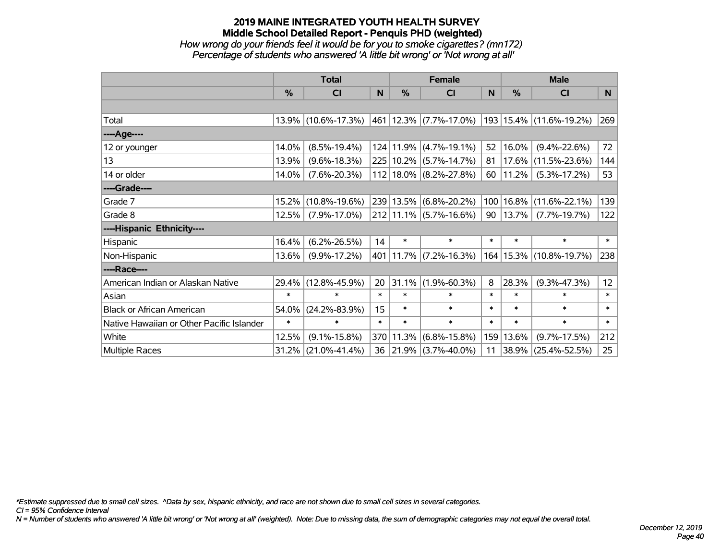### **2019 MAINE INTEGRATED YOUTH HEALTH SURVEY Middle School Detailed Report - Penquis PHD (weighted)** *How wrong do your friends feel it would be for you to smoke cigarettes? (mn172) Percentage of students who answered 'A little bit wrong' or 'Not wrong at all'*

|                                           | <b>Total</b> |                     |        |           | <b>Female</b>                   |        | <b>Male</b> |                             |        |  |
|-------------------------------------------|--------------|---------------------|--------|-----------|---------------------------------|--------|-------------|-----------------------------|--------|--|
|                                           | %            | <b>CI</b>           | N      | %         | <b>CI</b>                       | N      | %           | <b>CI</b>                   | N      |  |
|                                           |              |                     |        |           |                                 |        |             |                             |        |  |
| Total                                     |              | 13.9% (10.6%-17.3%) |        |           | $ 461 $ 12.3% $ (7.7\%$ -17.0%) |        |             | 193   15.4%   (11.6%-19.2%) | 269    |  |
| ----Age----                               |              |                     |        |           |                                 |        |             |                             |        |  |
| 12 or younger                             | 14.0%        | $(8.5\% - 19.4\%)$  |        | 124 11.9% | $(4.7\% - 19.1\%)$              | 52     | 16.0%       | $(9.4\% - 22.6\%)$          | 72     |  |
| 13                                        | 13.9%        | $(9.6\% - 18.3\%)$  |        | 225 10.2% | $(5.7\% - 14.7\%)$              | 81     | 17.6%       | $(11.5\% - 23.6\%)$         | 144    |  |
| 14 or older                               | 14.0%        | $(7.6\% - 20.3\%)$  |        |           | $112 18.0\% $ (8.2%-27.8%)      | 60     | 11.2%       | $(5.3\% - 17.2\%)$          | 53     |  |
| ----Grade----                             |              |                     |        |           |                                 |        |             |                             |        |  |
| Grade 7                                   | 15.2%        | $(10.8\% - 19.6\%)$ |        | 239 13.5% | $(6.8\% - 20.2\%)$              | 100    | 16.8%       | $(11.6\% - 22.1\%)$         | 139    |  |
| Grade 8                                   | 12.5%        | $(7.9\% - 17.0\%)$  |        |           | $212$   11.1%   (5.7%-16.6%)    | 90     | $ 13.7\% $  | $(7.7\% - 19.7\%)$          | 122    |  |
| ----Hispanic Ethnicity----                |              |                     |        |           |                                 |        |             |                             |        |  |
| Hispanic                                  | 16.4%        | $(6.2\% - 26.5\%)$  | 14     | $\ast$    | $\ast$                          | $\ast$ | $\ast$      | $\ast$                      | $\ast$ |  |
| Non-Hispanic                              | 13.6%        | $(9.9\% - 17.2\%)$  |        |           | 401 11.7% (7.2%-16.3%)          |        | 164   15.3% | $(10.8\% - 19.7\%)$         | 238    |  |
| ----Race----                              |              |                     |        |           |                                 |        |             |                             |        |  |
| American Indian or Alaskan Native         | 29.4%        | $(12.8\% - 45.9\%)$ | 20     | 31.1%     | $(1.9\% - 60.3\%)$              | 8      | 28.3%       | $(9.3\% - 47.3\%)$          | 12     |  |
| Asian                                     | $\ast$       | $\ast$              | $\ast$ | $\ast$    | $\ast$                          | $\ast$ | $\ast$      | $\ast$                      | $\ast$ |  |
| <b>Black or African American</b>          | 54.0%        | $(24.2\% - 83.9\%)$ | 15     | $\ast$    | $\ast$                          | $\ast$ | $\ast$      | $\ast$                      | $\ast$ |  |
| Native Hawaiian or Other Pacific Islander | $\ast$       | $\ast$              | $\ast$ | $\ast$    | $\ast$                          | $\ast$ | $\ast$      | $\ast$                      | $\ast$ |  |
| White                                     | 12.5%        | $(9.1\% - 15.8\%)$  |        | 370 11.3% | $(6.8\% - 15.8\%)$              | 159    | 13.6%       | $(9.7\% - 17.5\%)$          | 212    |  |
| Multiple Races                            | 31.2%        | $(21.0\% - 41.4\%)$ | 36     | 21.9%     | $(3.7\% - 40.0\%)$              | 11     | $ 38.9\% $  | $(25.4\% - 52.5\%)$         | 25     |  |

*\*Estimate suppressed due to small cell sizes. ^Data by sex, hispanic ethnicity, and race are not shown due to small cell sizes in several categories.*

*CI = 95% Confidence Interval*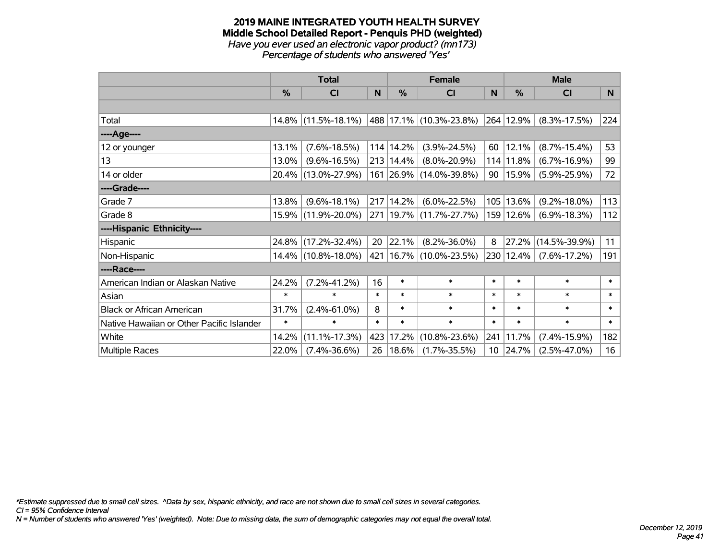#### **2019 MAINE INTEGRATED YOUTH HEALTH SURVEY Middle School Detailed Report - Penquis PHD (weighted)** *Have you ever used an electronic vapor product? (mn173) Percentage of students who answered 'Yes'*

|                                           | <b>Total</b>  |                        |        |            | <b>Female</b>                |        | <b>Male</b> |                     |        |  |
|-------------------------------------------|---------------|------------------------|--------|------------|------------------------------|--------|-------------|---------------------|--------|--|
|                                           | $\frac{0}{0}$ | <b>CI</b>              | N      | $\%$       | <b>CI</b>                    | N      | %           | <b>CI</b>           | N      |  |
|                                           |               |                        |        |            |                              |        |             |                     |        |  |
| Total                                     |               | $14.8\%$ (11.5%-18.1%) |        |            | $ 488 17.1\% $ (10.3%-23.8%) | 264    | 12.9%       | $(8.3\% - 17.5\%)$  | 224    |  |
| ----Age----                               |               |                        |        |            |                              |        |             |                     |        |  |
| 12 or younger                             | 13.1%         | $(7.6\% - 18.5\%)$     |        | 114 14.2%  | $(3.9\% - 24.5\%)$           | 60     | 12.1%       | $(8.7\% - 15.4\%)$  | 53     |  |
| 13                                        | 13.0%         | $(9.6\% - 16.5\%)$     |        | 213 14.4%  | $(8.0\% - 20.9\%)$           | 114    | 11.8%       | $(6.7\% - 16.9\%)$  | 99     |  |
| 14 or older                               |               | 20.4% (13.0%-27.9%)    |        |            | 161 26.9% (14.0%-39.8%)      | 90     | 15.9%       | $(5.9\% - 25.9\%)$  | 72     |  |
| ----Grade----                             |               |                        |        |            |                              |        |             |                     |        |  |
| Grade 7                                   | 13.8%         | $(9.6\% - 18.1\%)$     |        | 217 14.2%  | $(6.0\% - 22.5\%)$           | 105    | 13.6%       | $(9.2\% - 18.0\%)$  | 113    |  |
| Grade 8                                   |               | 15.9% (11.9%-20.0%)    |        |            | 271   19.7%   (11.7%-27.7%)  |        | 159 12.6%   | $(6.9\% - 18.3\%)$  | 112    |  |
| ----Hispanic Ethnicity----                |               |                        |        |            |                              |        |             |                     |        |  |
| Hispanic                                  | 24.8%         | $(17.2\% - 32.4\%)$    | 20     | 22.1%      | $(8.2\% - 36.0\%)$           | 8      | 27.2%       | $(14.5\% - 39.9\%)$ | 11     |  |
| Non-Hispanic                              |               | 14.4% (10.8%-18.0%)    |        |            | 421   16.7%   (10.0%-23.5%)  | 230    | 12.4%       | $(7.6\% - 17.2\%)$  | 191    |  |
| ----Race----                              |               |                        |        |            |                              |        |             |                     |        |  |
| American Indian or Alaskan Native         | 24.2%         | $(7.2\% - 41.2\%)$     | 16     | $\ast$     | $\ast$                       | $\ast$ | $\ast$      | $\ast$              | $\ast$ |  |
| Asian                                     | $\ast$        | $\ast$                 | $\ast$ | $\ast$     | $\ast$                       | $\ast$ | $\ast$      | $\ast$              | $\ast$ |  |
| <b>Black or African American</b>          | 31.7%         | $(2.4\% - 61.0\%)$     | 8      | $\ast$     | $\ast$                       | $\ast$ | $\ast$      | $\ast$              | $\ast$ |  |
| Native Hawaiian or Other Pacific Islander | $\ast$        | $\ast$                 | $\ast$ | $\ast$     | $\ast$                       | $\ast$ | $\ast$      | $\ast$              | $\ast$ |  |
| White                                     | 14.2%         | $(11.1\% - 17.3\%)$    | 423    | 17.2%      | $(10.8\% - 23.6\%)$          | 241    | 11.7%       | $(7.4\% - 15.9\%)$  | 182    |  |
| Multiple Races                            | 22.0%         | $(7.4\% - 36.6\%)$     | 26     | $ 18.6\% $ | $(1.7\% - 35.5\%)$           | 10     | 24.7%       | $(2.5\% - 47.0\%)$  | 16     |  |

*\*Estimate suppressed due to small cell sizes. ^Data by sex, hispanic ethnicity, and race are not shown due to small cell sizes in several categories.*

*CI = 95% Confidence Interval*

*N = Number of students who answered 'Yes' (weighted). Note: Due to missing data, the sum of demographic categories may not equal the overall total.*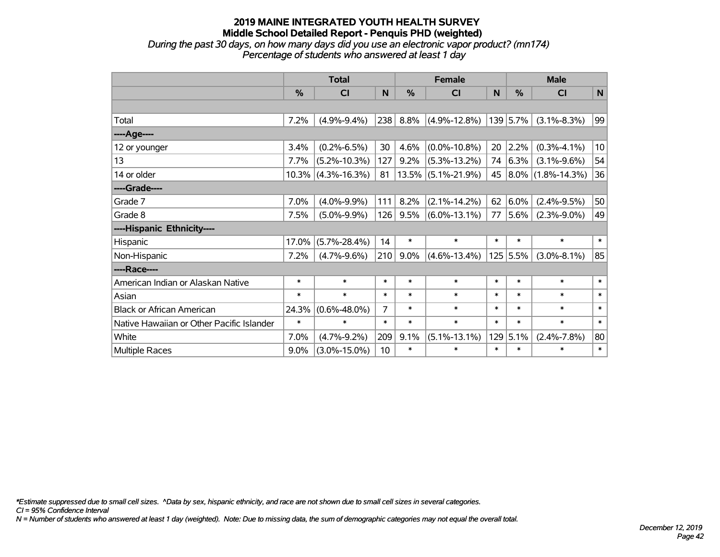*During the past 30 days, on how many days did you use an electronic vapor product? (mn174) Percentage of students who answered at least 1 day*

|                                           | <b>Total</b> |                    |        | <b>Female</b> | <b>Male</b>        |        |            |                        |              |
|-------------------------------------------|--------------|--------------------|--------|---------------|--------------------|--------|------------|------------------------|--------------|
|                                           | $\%$         | CI                 | N      | $\%$          | <b>CI</b>          | N      | $\%$       | <b>CI</b>              | $\mathsf{N}$ |
|                                           |              |                    |        |               |                    |        |            |                        |              |
| Total                                     | 7.2%         | $(4.9\% - 9.4\%)$  | 238    | 8.8%          | $(4.9\% - 12.8\%)$ |        | 139 5.7%   | $(3.1\% - 8.3\%)$      | 99           |
| ----Age----                               |              |                    |        |               |                    |        |            |                        |              |
| 12 or younger                             | 3.4%         | $(0.2\% - 6.5\%)$  | 30     | 4.6%          | $(0.0\% - 10.8\%)$ | 20     | 2.2%       | $(0.3\% - 4.1\%)$      | 10           |
| 13                                        | 7.7%         | $(5.2\% - 10.3\%)$ | 127    | 9.2%          | $(5.3\% - 13.2\%)$ | 74     | 6.3%       | $(3.1\% - 9.6\%)$      | 54           |
| 14 or older                               | 10.3%        | $(4.3\% - 16.3\%)$ | 81     | 13.5%         | $(5.1\% - 21.9\%)$ | 45     |            | $ 8.0\% $ (1.8%-14.3%) | 36           |
| ----Grade----                             |              |                    |        |               |                    |        |            |                        |              |
| Grade 7                                   | 7.0%         | $(4.0\% - 9.9\%)$  | 111    | 8.2%          | $(2.1\% - 14.2\%)$ | 62     | 6.0%       | $(2.4\% - 9.5\%)$      | 50           |
| Grade 8                                   | 7.5%         | $(5.0\% - 9.9\%)$  | 126    | 9.5%          | $(6.0\% - 13.1\%)$ | 77     | 5.6%       | $(2.3\% - 9.0\%)$      | 49           |
| ----Hispanic Ethnicity----                |              |                    |        |               |                    |        |            |                        |              |
| Hispanic                                  | 17.0%        | $(5.7\% - 28.4\%)$ | 14     | $\ast$        | $\ast$             | $\ast$ | $\ast$     | $\ast$                 | $\ast$       |
| Non-Hispanic                              | 7.2%         | $(4.7\% - 9.6\%)$  | 210    | 9.0%          | $(4.6\% - 13.4\%)$ |        | $125$ 5.5% | $(3.0\% - 8.1\%)$      | 85           |
| ----Race----                              |              |                    |        |               |                    |        |            |                        |              |
| American Indian or Alaskan Native         | $\ast$       | $\ast$             | $\ast$ | $\ast$        | $\ast$             | $\ast$ | $\ast$     | $\ast$                 | $\ast$       |
| Asian                                     | $\ast$       | $\ast$             | $\ast$ | $\ast$        | $\ast$             | $\ast$ | $\ast$     | $\ast$                 | $\ast$       |
| <b>Black or African American</b>          | 24.3%        | $(0.6\% - 48.0\%)$ | 7      | $\ast$        | $\ast$             | $\ast$ | $\ast$     | $\ast$                 | $\ast$       |
| Native Hawaiian or Other Pacific Islander | $\ast$       | $\ast$             | $\ast$ | $\ast$        | $\ast$             | $\ast$ | $\ast$     | $\ast$                 | $\ast$       |
| White                                     | 7.0%         | $(4.7\% - 9.2\%)$  | 209    | 9.1%          | $(5.1\% - 13.1\%)$ | 129    | 5.1%       | $(2.4\% - 7.8\%)$      | 80           |
| Multiple Races                            | 9.0%         | $(3.0\% - 15.0\%)$ | 10     | $\ast$        | $\ast$             | $\ast$ | $\ast$     | $\ast$                 | $\ast$       |

*\*Estimate suppressed due to small cell sizes. ^Data by sex, hispanic ethnicity, and race are not shown due to small cell sizes in several categories.*

*CI = 95% Confidence Interval*

*N = Number of students who answered at least 1 day (weighted). Note: Due to missing data, the sum of demographic categories may not equal the overall total.*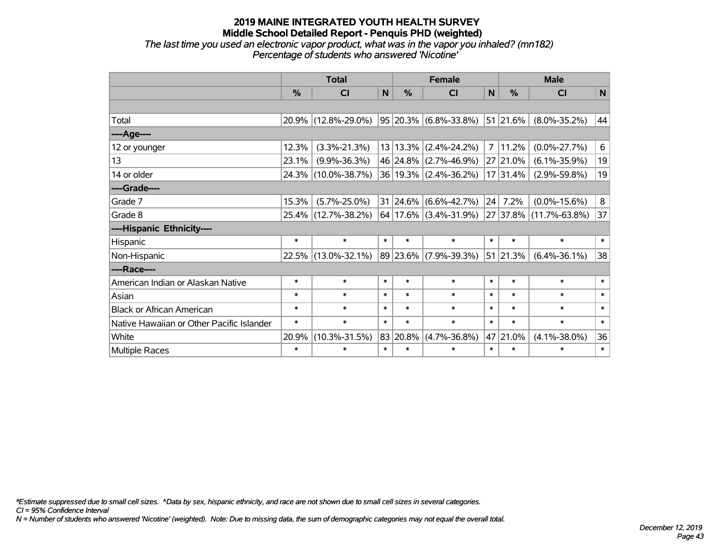*The last time you used an electronic vapor product, what was in the vapor you inhaled? (mn182) Percentage of students who answered 'Nicotine'*

|                                           | <b>Total</b> |                     |              |               | <b>Female</b>                  |              | <b>Male</b> |                                                  |              |  |
|-------------------------------------------|--------------|---------------------|--------------|---------------|--------------------------------|--------------|-------------|--------------------------------------------------|--------------|--|
|                                           | %            | <b>CI</b>           | $\mathsf{N}$ | $\frac{0}{0}$ | <b>CI</b>                      | $\mathsf{N}$ | %           | <b>CI</b>                                        | $\mathsf{N}$ |  |
|                                           |              |                     |              |               |                                |              |             |                                                  |              |  |
| Total                                     |              | 20.9% (12.8%-29.0%) |              |               | 95 20.3% (6.8%-33.8%) 51 21.6% |              |             | $(8.0\% - 35.2\%)$                               | 44           |  |
| ----Age----                               |              |                     |              |               |                                |              |             |                                                  |              |  |
| 12 or younger                             | 12.3%        | $(3.3\% - 21.3\%)$  |              | 13 13.3%      | $(2.4\% - 24.2\%)$             | 7            | 11.2%       | $(0.0\% - 27.7\%)$                               | 6            |  |
| 13                                        | 23.1%        | $(9.9\% - 36.3\%)$  |              |               | 46 24.8% (2.7%-46.9%)          |              | 27 21.0%    | $(6.1\% - 35.9\%)$                               | 19           |  |
| 14 or older                               |              | 24.3% (10.0%-38.7%) |              |               | 36 19.3% (2.4%-36.2%)          |              | 17 31.4%    | $(2.9\% - 59.8\%)$                               | 19           |  |
| ----Grade----                             |              |                     |              |               |                                |              |             |                                                  |              |  |
| Grade 7                                   | 15.3%        | $(5.7\% - 25.0\%)$  |              | $31 24.6\% $  | $(6.6\% - 42.7\%)$             | 24           | 7.2%        | $(0.0\% - 15.6\%)$                               | 8            |  |
| Grade 8                                   |              | 25.4% (12.7%-38.2%) |              |               |                                |              |             | $64 17.6\% $ (3.4%-31.9%) 27 37.8% (11.7%-63.8%) | 37           |  |
| ----Hispanic Ethnicity----                |              |                     |              |               |                                |              |             |                                                  |              |  |
| Hispanic                                  | $\ast$       | $\ast$              | $\ast$       | $\ast$        | $\ast$                         | $\ast$       | $\ast$      | $\ast$                                           | $\ast$       |  |
| Non-Hispanic                              |              | 22.5% (13.0%-32.1%) |              |               | 89 23.6% (7.9%-39.3%)          |              | 51 21.3%    | $(6.4\% - 36.1\%)$                               | 38           |  |
| ----Race----                              |              |                     |              |               |                                |              |             |                                                  |              |  |
| American Indian or Alaskan Native         | $\ast$       | $\ast$              | $\ast$       | $\ast$        | $\ast$                         | $\ast$       | $\ast$      | $\ast$                                           | $\ast$       |  |
| Asian                                     | $\ast$       | $\ast$              | $\ast$       | $\ast$        | $\ast$                         | $\ast$       | $\ast$      | $\ast$                                           | $\ast$       |  |
| <b>Black or African American</b>          | $\ast$       | $\ast$              | $\ast$       | $\ast$        | $\ast$                         | $\ast$       | $\ast$      | $\ast$                                           | $\ast$       |  |
| Native Hawaiian or Other Pacific Islander | $\ast$       | $\ast$              | $\ast$       | $\ast$        | $\ast$                         | $\ast$       | $\ast$      | $\ast$                                           | $\ast$       |  |
| White                                     | 20.9%        | $(10.3\% - 31.5\%)$ |              | 83 20.8%      | $(4.7\% - 36.8\%)$             |              | 47 21.0%    | $(4.1\% - 38.0\%)$                               | 36           |  |
| Multiple Races                            | $\ast$       | $\ast$              | $\ast$       | $\ast$        | $\ast$                         | $\ast$       | $\ast$      | $\ast$                                           | $\ast$       |  |

*\*Estimate suppressed due to small cell sizes. ^Data by sex, hispanic ethnicity, and race are not shown due to small cell sizes in several categories.*

*CI = 95% Confidence Interval*

*N = Number of students who answered 'Nicotine' (weighted). Note: Due to missing data, the sum of demographic categories may not equal the overall total.*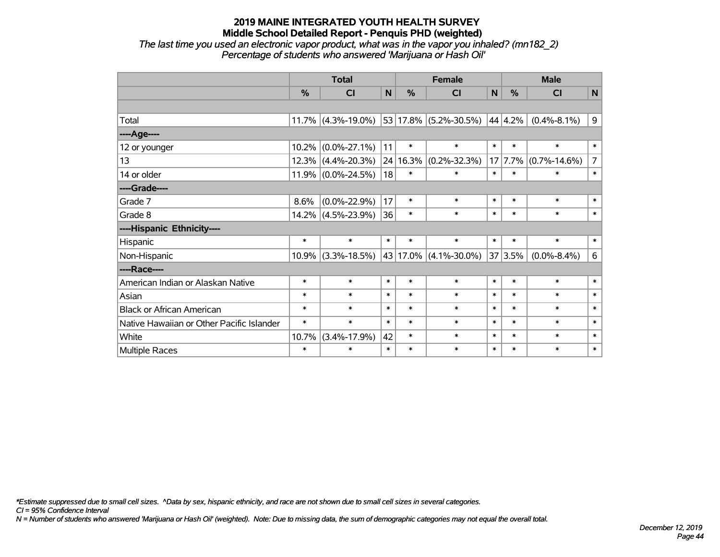*The last time you used an electronic vapor product, what was in the vapor you inhaled? (mn182\_2) Percentage of students who answered 'Marijuana or Hash Oil'*

|                                           | <b>Total</b>  |                          |        |        | <b>Female</b>         |        | <b>Male</b> |                    |                |  |
|-------------------------------------------|---------------|--------------------------|--------|--------|-----------------------|--------|-------------|--------------------|----------------|--|
|                                           | $\frac{0}{2}$ | CI                       | N      | $\%$   | CI                    | N      | $\%$        | <b>CI</b>          | $\mathsf{N}$   |  |
|                                           |               |                          |        |        |                       |        |             |                    |                |  |
| Total                                     |               | 11.7% $(4.3\% - 19.0\%)$ |        |        | 53 17.8% (5.2%-30.5%) |        | 44 4.2%     | $(0.4\% - 8.1\%)$  | 9              |  |
| ----Age----                               |               |                          |        |        |                       |        |             |                    |                |  |
| 12 or younger                             | 10.2%         | $(0.0\% - 27.1\%)$       | 11     | $\ast$ | $\ast$                | $\ast$ | $\ast$      | $\ast$             | $\ast$         |  |
| 13                                        |               | $12.3\%$ (4.4%-20.3%)    | 24     | 16.3%  | $(0.2\% - 32.3\%)$    | 17     | 7.7%        | $(0.7\% - 14.6\%)$ | $\overline{7}$ |  |
| 14 or older                               |               | $11.9\%$ (0.0%-24.5%)    | 18     | $\ast$ | $\ast$                | $\ast$ | $\ast$      | $\ast$             | $\ast$         |  |
| ----Grade----                             |               |                          |        |        |                       |        |             |                    |                |  |
| Grade 7                                   | 8.6%          | $(0.0\% - 22.9\%)$       | 17     | $\ast$ | $\ast$                | $\ast$ | $\ast$      | $\ast$             | $\ast$         |  |
| Grade 8                                   |               | $14.2\%$ (4.5%-23.9%)    | 36     | $\ast$ | $\ast$                | $\ast$ | $\ast$      | $\ast$             | $\ast$         |  |
| ----Hispanic Ethnicity----                |               |                          |        |        |                       |        |             |                    |                |  |
| Hispanic                                  | $\ast$        | $\ast$                   | $\ast$ | $\ast$ | $\ast$                | $\ast$ | $\ast$      | $\ast$             | $\ast$         |  |
| Non-Hispanic                              |               | $10.9\%$ (3.3%-18.5%)    | 43     |        | $17.0\%$ (4.1%-30.0%) | 37     | 3.5%        | $(0.0\% - 8.4\%)$  | $\,6\,$        |  |
| ----Race----                              |               |                          |        |        |                       |        |             |                    |                |  |
| American Indian or Alaskan Native         | $\ast$        | $\ast$                   | $\ast$ | $\ast$ | $\ast$                | $\ast$ | $\ast$      | $\ast$             | $\ast$         |  |
| Asian                                     | $\ast$        | $\ast$                   | $\ast$ | $\ast$ | $\ast$                | $\ast$ | $\ast$      | $\ast$             | $\ast$         |  |
| <b>Black or African American</b>          | $\ast$        | $\ast$                   | $\ast$ | $\ast$ | $\ast$                | $\ast$ | $\ast$      | $\ast$             | $\ast$         |  |
| Native Hawaiian or Other Pacific Islander | $\ast$        | $\ast$                   | $\ast$ | $\ast$ | $\ast$                | $\ast$ | $\ast$      | $\ast$             | $\ast$         |  |
| White                                     | 10.7%         | $(3.4\% - 17.9\%)$       | 42     | $\ast$ | $\ast$                | $\ast$ | $\ast$      | $\ast$             | $\ast$         |  |
| Multiple Races                            | $\ast$        | $\ast$                   | $\ast$ | $\ast$ | $\ast$                | $\ast$ | $\ast$      | $\ast$             | $\ast$         |  |

*\*Estimate suppressed due to small cell sizes. ^Data by sex, hispanic ethnicity, and race are not shown due to small cell sizes in several categories.*

*CI = 95% Confidence Interval*

*N = Number of students who answered 'Marijuana or Hash Oil' (weighted). Note: Due to missing data, the sum of demographic categories may not equal the overall total.*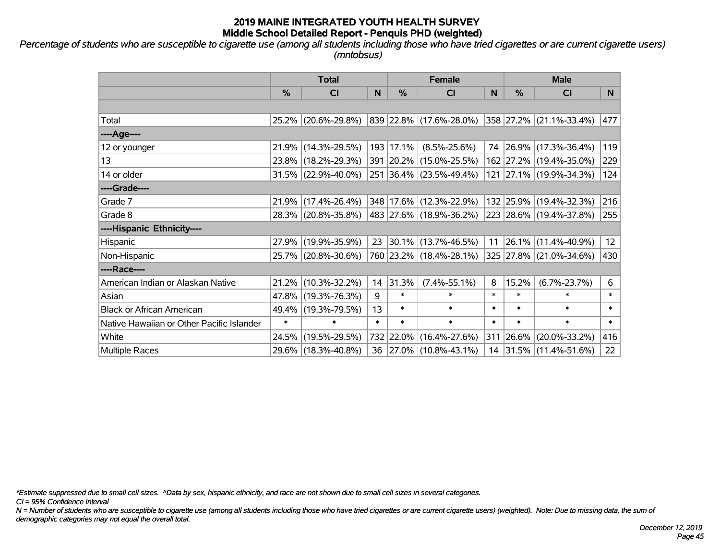*Percentage of students who are susceptible to cigarette use (among all students including those who have tried cigarettes or are current cigarette users) (mntobsus)*

|                                           | <b>Total</b>  |                        |        | <b>Female</b> | <b>Male</b>              |        |           |                          |                 |
|-------------------------------------------|---------------|------------------------|--------|---------------|--------------------------|--------|-----------|--------------------------|-----------------|
|                                           | $\frac{0}{0}$ | CI                     | N      | %             | <b>CI</b>                | N      | %         | <b>CI</b>                | N.              |
|                                           |               |                        |        |               |                          |        |           |                          |                 |
| Total                                     |               | 25.2% (20.6%-29.8%)    |        |               | 839 22.8% (17.6%-28.0%)  |        |           | 358 27.2% (21.1%-33.4%)  | 477             |
| ----Age----                               |               |                        |        |               |                          |        |           |                          |                 |
| 12 or younger                             |               | 21.9% (14.3%-29.5%)    |        | 193 17.1%     | $(8.5\% - 25.6\%)$       | 74     |           | $ 26.9\% $ (17.3%-36.4%) | 119             |
| 13                                        |               | 23.8% (18.2%-29.3%)    |        |               | 391 20.2% (15.0%-25.5%)  |        |           | 162 27.2% (19.4%-35.0%)  | 229             |
| 14 or older                               |               | $31.5\%$ (22.9%-40.0%) |        |               | 251 36.4% (23.5%-49.4%)  |        |           | 121 27.1% (19.9%-34.3%)  | 124             |
| ----Grade----                             |               |                        |        |               |                          |        |           |                          |                 |
| Grade 7                                   |               | $21.9\%$ (17.4%-26.4%) |        |               | 348 17.6% (12.3%-22.9%)  |        |           | 132 25.9% (19.4%-32.3%)  | 216             |
| Grade 8                                   |               | 28.3% (20.8%-35.8%)    |        |               | 483 27.6% (18.9%-36.2%)  |        |           | 223 28.6% (19.4%-37.8%)  | 255             |
| ----Hispanic Ethnicity----                |               |                        |        |               |                          |        |           |                          |                 |
| Hispanic                                  |               | 27.9% (19.9%-35.9%)    | 23     | 30.1%         | $(13.7\% - 46.5\%)$      | 11     | 26.1%     | $(11.4\% - 40.9\%)$      | 12 <sup>2</sup> |
| Non-Hispanic                              |               | 25.7% (20.8%-30.6%)    |        |               | 760 23.2% (18.4%-28.1%)  |        |           | 325 27.8% (21.0%-34.6%)  | 430             |
| ----Race----                              |               |                        |        |               |                          |        |           |                          |                 |
| American Indian or Alaskan Native         |               | 21.2% (10.3%-32.2%)    | 14     | 31.3%         | $(7.4\% - 55.1\%)$       | 8      | 15.2%     | $(6.7\% - 23.7\%)$       | 6               |
| Asian                                     |               | 47.8% (19.3%-76.3%)    | 9      | $\ast$        | $\ast$                   | $\ast$ | $\ast$    | $\ast$                   | $\ast$          |
| <b>Black or African American</b>          |               | 49.4% (19.3%-79.5%)    | 13     | $\ast$        | $\ast$                   | $\ast$ | $\ast$    | $\ast$                   | $\ast$          |
| Native Hawaiian or Other Pacific Islander | $\ast$        | $\ast$                 | $\ast$ | $\ast$        | $\ast$                   | $\ast$ | $\ast$    | $\ast$                   | $\ast$          |
| White                                     |               | 24.5% (19.5%-29.5%)    |        |               | 732 22.0% (16.4%-27.6%)  |        | 311 26.6% | $(20.0\% - 33.2\%)$      | 416             |
| <b>Multiple Races</b>                     |               | 29.6% (18.3%-40.8%)    | 36     |               | $ 27.0\% $ (10.8%-43.1%) |        |           | 14 31.5% (11.4%-51.6%)   | 22              |

*\*Estimate suppressed due to small cell sizes. ^Data by sex, hispanic ethnicity, and race are not shown due to small cell sizes in several categories.*

*CI = 95% Confidence Interval*

*N = Number of students who are susceptible to cigarette use (among all students including those who have tried cigarettes or are current cigarette users) (weighted). Note: Due to missing data, the sum of demographic categories may not equal the overall total.*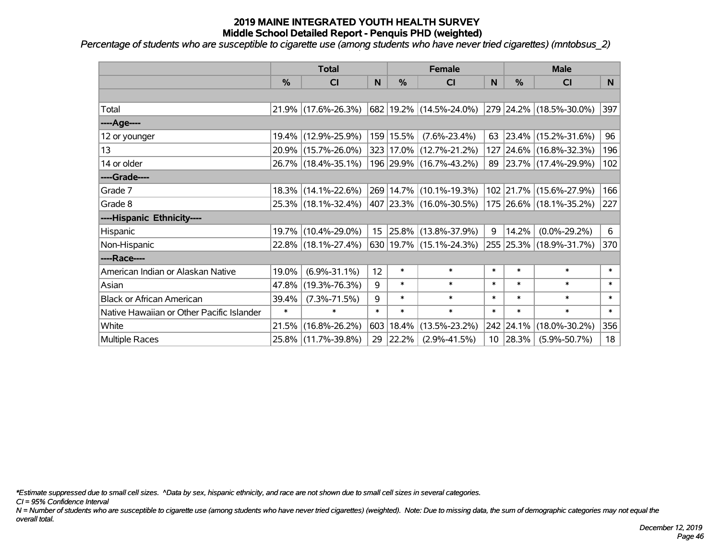*Percentage of students who are susceptible to cigarette use (among students who have never tried cigarettes) (mntobsus\_2)*

|                                           | <b>Total</b> |                     |                 | <b>Female</b> |                          | <b>Male</b> |           |                         |        |
|-------------------------------------------|--------------|---------------------|-----------------|---------------|--------------------------|-------------|-----------|-------------------------|--------|
|                                           | %            | C <sub>l</sub>      | N               | %             | <b>CI</b>                | N           | %         | <b>CI</b>               | N      |
|                                           |              |                     |                 |               |                          |             |           |                         |        |
| Total                                     |              | 21.9% (17.6%-26.3%) |                 |               | 682 19.2% (14.5%-24.0%)  |             |           | 279 24.2% (18.5%-30.0%) | 397    |
| ---- Age----                              |              |                     |                 |               |                          |             |           |                         |        |
| 12 or younger                             |              | 19.4% (12.9%-25.9%) |                 | 159 15.5%     | $(7.6\% - 23.4\%)$       | 63          | 23.4%     | $(15.2\% - 31.6\%)$     | 96     |
| 13                                        |              | 20.9% (15.7%-26.0%) |                 |               | 323 17.0% (12.7%-21.2%)  |             |           | 127 24.6% (16.8%-32.3%) | 196    |
| 14 or older                               |              | 26.7% (18.4%-35.1%) |                 |               | 196 29.9% (16.7%-43.2%)  |             |           | 89 23.7% (17.4%-29.9%)  | 102    |
| ----Grade----                             |              |                     |                 |               |                          |             |           |                         |        |
| Grade 7                                   |              | 18.3% (14.1%-22.6%) |                 |               | 269 14.7% (10.1%-19.3%)  |             | 102 21.7% | $(15.6\% - 27.9\%)$     | 166    |
| Grade 8                                   |              | 25.3% (18.1%-32.4%) |                 |               | 407 23.3% (16.0%-30.5%)  |             |           | 175 26.6% (18.1%-35.2%) | 227    |
| ----Hispanic Ethnicity----                |              |                     |                 |               |                          |             |           |                         |        |
| Hispanic                                  |              | 19.7% (10.4%-29.0%) | 15 <sub>1</sub> |               | $ 25.8\% $ (13.8%-37.9%) | 9           | 14.2%     | $(0.0\% - 29.2\%)$      | 6      |
| Non-Hispanic                              |              | 22.8% (18.1%-27.4%) |                 |               | 630 19.7% (15.1%-24.3%)  |             |           | 255 25.3% (18.9%-31.7%) | 370    |
| ----Race----                              |              |                     |                 |               |                          |             |           |                         |        |
| American Indian or Alaskan Native         | 19.0%        | $(6.9\% - 31.1\%)$  | 12              | $\ast$        | $\ast$                   | $\ast$      | $\ast$    | $\ast$                  | $\ast$ |
| Asian                                     | 47.8%        | $(19.3\% - 76.3\%)$ | 9               | $\ast$        | $\ast$                   | $\ast$      | $\ast$    | $\ast$                  | $\ast$ |
| <b>Black or African American</b>          | 39.4%        | $(7.3\% - 71.5\%)$  | 9               | $\ast$        | $\ast$                   | $\ast$      | $\ast$    | $\ast$                  | $\ast$ |
| Native Hawaiian or Other Pacific Islander | $\ast$       | $\ast$              | $\ast$          | $\ast$        | $\ast$                   | $\ast$      | $\ast$    | $\ast$                  | $\ast$ |
| White                                     | 21.5%        | $(16.8\% - 26.2\%)$ | 603             | 18.4%         | $(13.5\% - 23.2\%)$      | 242         | 24.1%     | $(18.0\% - 30.2\%)$     | 356    |
| <b>Multiple Races</b>                     |              | 25.8% (11.7%-39.8%) |                 | 29 22.2%      | $(2.9\% - 41.5\%)$       |             | 10 28.3%  | $(5.9\% - 50.7\%)$      | 18     |

*\*Estimate suppressed due to small cell sizes. ^Data by sex, hispanic ethnicity, and race are not shown due to small cell sizes in several categories.*

*CI = 95% Confidence Interval*

*N = Number of students who are susceptible to cigarette use (among students who have never tried cigarettes) (weighted). Note: Due to missing data, the sum of demographic categories may not equal the overall total.*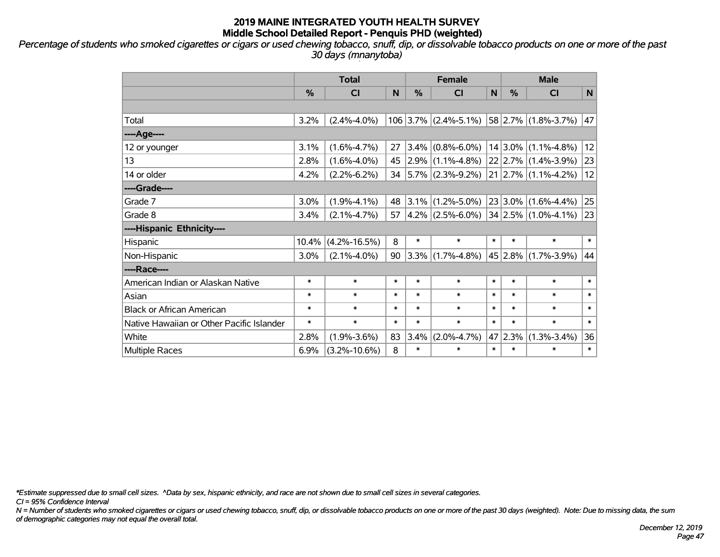*Percentage of students who smoked cigarettes or cigars or used chewing tobacco, snuff, dip, or dissolvable tobacco products on one or more of the past 30 days (mnanytoba)*

|                                           | <b>Total</b> |                    |        |        | <b>Female</b>                                                                  |              | <b>Male</b> |                            |              |  |
|-------------------------------------------|--------------|--------------------|--------|--------|--------------------------------------------------------------------------------|--------------|-------------|----------------------------|--------------|--|
|                                           | %            | CI                 | N      | %      | <b>CI</b>                                                                      | $\mathsf{N}$ | %           | <b>CI</b>                  | N            |  |
|                                           |              |                    |        |        |                                                                                |              |             |                            |              |  |
| Total                                     | 3.2%         | $(2.4\% - 4.0\%)$  |        |        | $106$ 3.7% (2.4%-5.1%)                                                         |              |             | $58$ 2.7% (1.8%-3.7%)      | 47           |  |
| ----Age----                               |              |                    |        |        |                                                                                |              |             |                            |              |  |
| 12 or younger                             | 3.1%         | $(1.6\% - 4.7\%)$  | 27     |        | $3.4\%$ (0.8%-6.0%)                                                            |              |             | $14 3.0\% $ (1.1%-4.8%)    | 12           |  |
| 13                                        | 2.8%         | $(1.6\% - 4.0\%)$  | 45     |        | $2.9\%$ (1.1%-4.8%)                                                            |              |             | $22$ 2.7% (1.4%-3.9%)      | 23           |  |
| 14 or older                               | 4.2%         | $(2.2\% - 6.2\%)$  | 34     |        | $5.7\%$ (2.3%-9.2%)                                                            |              |             | $21$   2.7%   (1.1%-4.2%)  | 12           |  |
| ----Grade----                             |              |                    |        |        |                                                                                |              |             |                            |              |  |
| Grade 7                                   | 3.0%         | $(1.9\% - 4.1\%)$  | 48     |        | $3.1\%$ (1.2%-5.0%)                                                            |              |             | $23 3.0\% (1.6\% - 4.4\%)$ | 25           |  |
| Grade 8                                   | 3.4%         | $(2.1\% - 4.7\%)$  | 57     |        | $\vert 4.2\% \vert (2.5\% - 6.0\%) \vert 34 \vert 2.5\% \vert (1.0\% - 4.1\%)$ |              |             |                            | 23           |  |
| ----Hispanic Ethnicity----                |              |                    |        |        |                                                                                |              |             |                            |              |  |
| Hispanic                                  | 10.4%        | $(4.2\% - 16.5\%)$ | 8      | $\ast$ | $\ast$                                                                         | $\ast$       | $\ast$      | $\ast$                     | $\ast$       |  |
| Non-Hispanic                              | 3.0%         | $(2.1\% - 4.0\%)$  | 90     |        | $3.3\%$ (1.7%-4.8%)                                                            |              |             | 45 2.8% (1.7%-3.9%)        | 44           |  |
| ----Race----                              |              |                    |        |        |                                                                                |              |             |                            |              |  |
| American Indian or Alaskan Native         | $\ast$       | $\ast$             | $\ast$ | $\ast$ | $\ast$                                                                         | $\ast$       | $\ast$      | $\ast$                     | $\ast$       |  |
| Asian                                     | $\ast$       | $\ast$             | $\ast$ | $\ast$ | $\ast$                                                                         | $\ast$       | $\ast$      | $\ast$                     | $\ast$       |  |
| <b>Black or African American</b>          | $\ast$       | $\ast$             | $\ast$ | $\ast$ | $\ast$                                                                         | $\ast$       | $\ast$      | $\ast$                     | $\ast$       |  |
| Native Hawaiian or Other Pacific Islander | $\ast$       | $\ast$             | $\ast$ | $\ast$ | $\ast$                                                                         | $\ast$       | $\ast$      | $\ast$                     | $\ast$       |  |
| White                                     | 2.8%         | $(1.9\% - 3.6\%)$  | 83     | 3.4%   | $(2.0\% - 4.7\%)$                                                              |              | 47 2.3%     | $(1.3\% - 3.4\%)$          | 36           |  |
| Multiple Races                            | 6.9%         | $(3.2\% - 10.6\%)$ | 8      | $\ast$ | $\ast$                                                                         | $\ast$       | $\ast$      | $\ast$                     | $\pmb{\ast}$ |  |

*\*Estimate suppressed due to small cell sizes. ^Data by sex, hispanic ethnicity, and race are not shown due to small cell sizes in several categories.*

*CI = 95% Confidence Interval*

*N = Number of students who smoked cigarettes or cigars or used chewing tobacco, snuff, dip, or dissolvable tobacco products on one or more of the past 30 days (weighted). Note: Due to missing data, the sum of demographic categories may not equal the overall total.*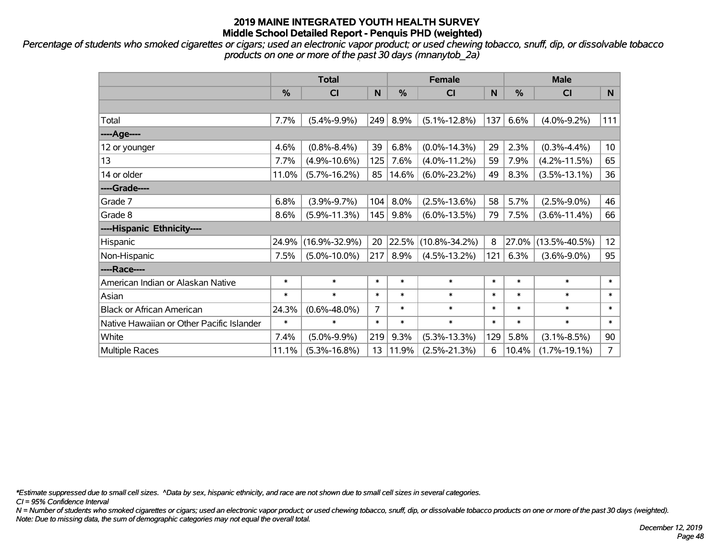*Percentage of students who smoked cigarettes or cigars; used an electronic vapor product; or used chewing tobacco, snuff, dip, or dissolvable tobacco products on one or more of the past 30 days (mnanytob\_2a)*

|                                           | <b>Total</b>  |                     |                |        | <b>Female</b>       |        | <b>Male</b> |                     |                 |  |
|-------------------------------------------|---------------|---------------------|----------------|--------|---------------------|--------|-------------|---------------------|-----------------|--|
|                                           | $\frac{0}{0}$ | <b>CI</b>           | N              | %      | CI                  | N      | %           | <b>CI</b>           | N               |  |
|                                           |               |                     |                |        |                     |        |             |                     |                 |  |
| Total                                     | 7.7%          | $(5.4\% - 9.9\%)$   | 249            | 8.9%   | $(5.1\% - 12.8\%)$  | 137    | 6.6%        | $(4.0\% - 9.2\%)$   | 111             |  |
| ----Age----                               |               |                     |                |        |                     |        |             |                     |                 |  |
| 12 or younger                             | 4.6%          | $(0.8\% - 8.4\%)$   | 39             | 6.8%   | $(0.0\% - 14.3\%)$  | 29     | 2.3%        | $(0.3\% - 4.4\%)$   | 10 <sub>1</sub> |  |
| 13                                        | 7.7%          | $(4.9\% - 10.6\%)$  | 125            | 7.6%   | $(4.0\% - 11.2\%)$  | 59     | 7.9%        | $(4.2\% - 11.5\%)$  | 65              |  |
| 14 or older                               | 11.0%         | $(5.7\% - 16.2\%)$  | 85             | 14.6%  | $(6.0\% - 23.2\%)$  | 49     | 8.3%        | $(3.5\% - 13.1\%)$  | 36              |  |
| ----Grade----                             |               |                     |                |        |                     |        |             |                     |                 |  |
| Grade 7                                   | 6.8%          | $(3.9\% - 9.7\%)$   | 104            | 8.0%   | $(2.5\% - 13.6\%)$  | 58     | 5.7%        | $(2.5\% - 9.0\%)$   | 46              |  |
| Grade 8                                   | 8.6%          | $(5.9\% - 11.3\%)$  | 145            | 9.8%   | $(6.0\% - 13.5\%)$  | 79     | 7.5%        | $(3.6\% - 11.4\%)$  | 66              |  |
| ----Hispanic Ethnicity----                |               |                     |                |        |                     |        |             |                     |                 |  |
| Hispanic                                  | 24.9%         | $(16.9\% - 32.9\%)$ | 20             | 22.5%  | $(10.8\% - 34.2\%)$ | 8      | 27.0%       | $(13.5\% - 40.5\%)$ | 12 <sup>2</sup> |  |
| Non-Hispanic                              | 7.5%          | $(5.0\% - 10.0\%)$  | 217            | 8.9%   | $(4.5\% - 13.2\%)$  | 121    | 6.3%        | $(3.6\% - 9.0\%)$   | 95              |  |
| ----Race----                              |               |                     |                |        |                     |        |             |                     |                 |  |
| American Indian or Alaskan Native         | $\ast$        | $\ast$              | $\ast$         | $\ast$ | $\ast$              | $\ast$ | $\ast$      | $\ast$              | $\ast$          |  |
| Asian                                     | $\ast$        | $\ast$              | $\ast$         | $\ast$ | $\ast$              | $\ast$ | $\ast$      | $\ast$              | $\ast$          |  |
| <b>Black or African American</b>          | 24.3%         | $(0.6\% - 48.0\%)$  | $\overline{7}$ | $\ast$ | $\ast$              | $\ast$ | $\ast$      | $\ast$              | $\ast$          |  |
| Native Hawaiian or Other Pacific Islander | $\ast$        | $\ast$              | $\ast$         | $\ast$ | $\ast$              | $\ast$ | $\ast$      | $\ast$              | $\ast$          |  |
| White                                     | 7.4%          | $(5.0\% - 9.9\%)$   | 219            | 9.3%   | $(5.3\% - 13.3\%)$  | 129    | 5.8%        | $(3.1\% - 8.5\%)$   | 90              |  |
| <b>Multiple Races</b>                     | 11.1%         | $(5.3\% - 16.8\%)$  | 13             | 11.9%  | $(2.5\% - 21.3\%)$  | 6      | 10.4%       | $(1.7\% - 19.1\%)$  | $7^{\circ}$     |  |

*\*Estimate suppressed due to small cell sizes. ^Data by sex, hispanic ethnicity, and race are not shown due to small cell sizes in several categories.*

*CI = 95% Confidence Interval*

*N = Number of students who smoked cigarettes or cigars; used an electronic vapor product; or used chewing tobacco, snuff, dip, or dissolvable tobacco products on one or more of the past 30 days (weighted). Note: Due to missing data, the sum of demographic categories may not equal the overall total.*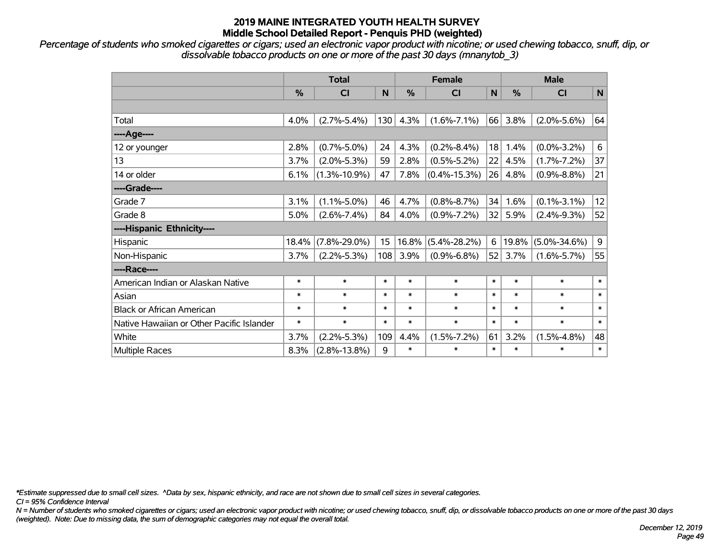*Percentage of students who smoked cigarettes or cigars; used an electronic vapor product with nicotine; or used chewing tobacco, snuff, dip, or dissolvable tobacco products on one or more of the past 30 days (mnanytob\_3)*

|                                           | <b>Total</b> |                    |        | <b>Female</b> |                    | <b>Male</b> |               |                    |              |
|-------------------------------------------|--------------|--------------------|--------|---------------|--------------------|-------------|---------------|--------------------|--------------|
|                                           | %            | <b>CI</b>          | N      | %             | <b>CI</b>          | N           | $\frac{0}{0}$ | C <sub>l</sub>     | $\mathsf{N}$ |
|                                           |              |                    |        |               |                    |             |               |                    |              |
| Total                                     | 4.0%         | $(2.7\% - 5.4\%)$  | 130    | 4.3%          | $(1.6\% - 7.1\%)$  | 66          | 3.8%          | $(2.0\% - 5.6\%)$  | 64           |
| ----Age----                               |              |                    |        |               |                    |             |               |                    |              |
| 12 or younger                             | 2.8%         | $(0.7\% - 5.0\%)$  | 24     | 4.3%          | $(0.2\% - 8.4\%)$  | 18          | 1.4%          | $(0.0\% - 3.2\%)$  | 6            |
| 13                                        | 3.7%         | $(2.0\% - 5.3\%)$  | 59     | 2.8%          | $(0.5\% - 5.2\%)$  | 22          | 4.5%          | $(1.7\% - 7.2\%)$  | 37           |
| 14 or older                               | 6.1%         | $(1.3\% - 10.9\%)$ | 47     | 7.8%          | $(0.4\% - 15.3\%)$ | 26          | 4.8%          | $(0.9\% - 8.8\%)$  | 21           |
| ----Grade----                             |              |                    |        |               |                    |             |               |                    |              |
| Grade 7                                   | 3.1%         | $(1.1\% - 5.0\%)$  | 46     | 4.7%          | $(0.8\% - 8.7\%)$  | 34          | 1.6%          | $(0.1\% - 3.1\%)$  | 12           |
| Grade 8                                   | 5.0%         | $(2.6\% - 7.4\%)$  | 84     | 4.0%          | $(0.9\% - 7.2\%)$  | 32          | 5.9%          | $(2.4\% - 9.3\%)$  | 52           |
| ----Hispanic Ethnicity----                |              |                    |        |               |                    |             |               |                    |              |
| Hispanic                                  | 18.4%        | $(7.8\% - 29.0\%)$ | 15     | 16.8%         | $(5.4\% - 28.2\%)$ | 6           | 19.8%         | $(5.0\% - 34.6\%)$ | 9            |
| Non-Hispanic                              | 3.7%         | $(2.2\% - 5.3\%)$  | 108    | 3.9%          | $(0.9\% - 6.8\%)$  | 52          | 3.7%          | $(1.6\% - 5.7\%)$  | 55           |
| ----Race----                              |              |                    |        |               |                    |             |               |                    |              |
| American Indian or Alaskan Native         | $\ast$       | $\ast$             | $\ast$ | $\ast$        | $\ast$             | $\ast$      | $\ast$        | $\ast$             | $\ast$       |
| Asian                                     | $\ast$       | $\ast$             | $\ast$ | $\ast$        | $\ast$             | $\ast$      | $\ast$        | $\ast$             | $\ast$       |
| <b>Black or African American</b>          | $\ast$       | $\ast$             | $\ast$ | $\ast$        | $\ast$             | $\ast$      | $\ast$        | $\ast$             | $\ast$       |
| Native Hawaiian or Other Pacific Islander | $\ast$       | $\ast$             | $\ast$ | $\ast$        | $\ast$             | $\ast$      | $\ast$        | $\ast$             | $\ast$       |
| White                                     | 3.7%         | $(2.2\% - 5.3\%)$  | 109    | 4.4%          | $(1.5\% - 7.2\%)$  | 61          | 3.2%          | $(1.5\% - 4.8\%)$  | 48           |
| Multiple Races                            | 8.3%         | $(2.8\% - 13.8\%)$ | 9      | $\ast$        | $\ast$             | $\ast$      | $\ast$        | $\ast$             | $\ast$       |

*\*Estimate suppressed due to small cell sizes. ^Data by sex, hispanic ethnicity, and race are not shown due to small cell sizes in several categories.*

*CI = 95% Confidence Interval*

*N = Number of students who smoked cigarettes or cigars; used an electronic vapor product with nicotine; or used chewing tobacco, snuff, dip, or dissolvable tobacco products on one or more of the past 30 days (weighted). Note: Due to missing data, the sum of demographic categories may not equal the overall total.*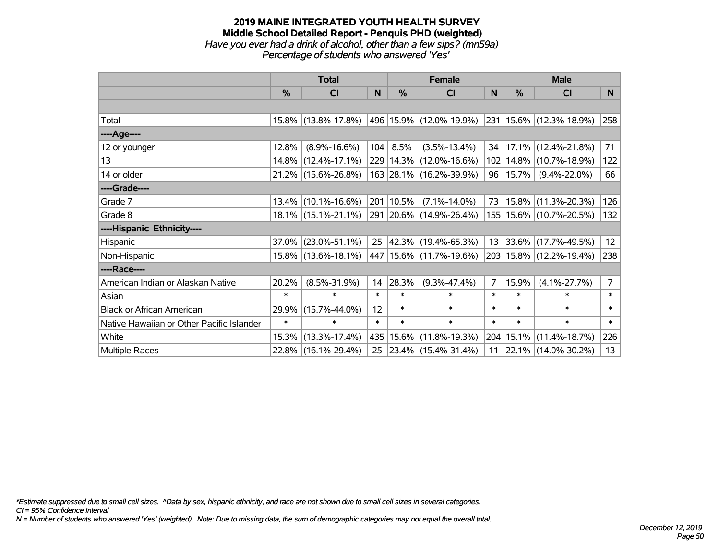### **2019 MAINE INTEGRATED YOUTH HEALTH SURVEY Middle School Detailed Report - Penquis PHD (weighted)** *Have you ever had a drink of alcohol, other than a few sips? (mn59a) Percentage of students who answered 'Yes'*

|                                           | <b>Total</b>  |                        |        | <b>Female</b> | <b>Male</b>                 |        |        |                                 |                |
|-------------------------------------------|---------------|------------------------|--------|---------------|-----------------------------|--------|--------|---------------------------------|----------------|
|                                           | $\frac{0}{0}$ | CI                     | N      | %             | CI                          | N      | %      | <b>CI</b>                       | N              |
|                                           |               |                        |        |               |                             |        |        |                                 |                |
| Total                                     |               | 15.8% (13.8%-17.8%)    |        |               | 496   15.9%   (12.0%-19.9%) |        |        | $ 231 15.6\% (12.3\% - 18.9\%)$ | 258            |
| ----Age----                               |               |                        |        |               |                             |        |        |                                 |                |
| 12 or younger                             | 12.8%         | $(8.9\% - 16.6\%)$     | 104    | 8.5%          | $(3.5\% - 13.4\%)$          | 34     |        | $17.1\%$ (12.4%-21.8%)          | 71             |
| 13                                        | 14.8%         | $(12.4\% - 17.1\%)$    |        |               | 229 14.3% (12.0%-16.6%)     | 102    |        | $14.8\%$ (10.7%-18.9%)          | 122            |
| 14 or older                               |               | 21.2% (15.6%-26.8%)    |        |               | 163 28.1% (16.2%-39.9%)     | 96     | 15.7%  | $(9.4\% - 22.0\%)$              | 66             |
| ----Grade----                             |               |                        |        |               |                             |        |        |                                 |                |
| Grade 7                                   |               | $13.4\%$ (10.1%-16.6%) |        | 201   10.5%   | $(7.1\% - 14.0\%)$          | 73     | 15.8%  | $(11.3\% - 20.3\%)$             | 126            |
| Grade 8                                   |               | $18.1\%$ (15.1%-21.1%) |        |               | 291 20.6% (14.9%-26.4%)     |        |        | 155   15.6%   (10.7%-20.5%)     | 132            |
| ----Hispanic Ethnicity----                |               |                        |        |               |                             |        |        |                                 |                |
| Hispanic                                  | $37.0\%$      | $(23.0\% - 51.1\%)$    | 25     |               | $ 42.3\% $ (19.4%-65.3%)    |        |        | 13 33.6% (17.7%-49.5%)          | 12             |
| Non-Hispanic                              |               | 15.8% (13.6%-18.1%)    |        |               | 447 15.6% (11.7%-19.6%)     |        |        | 203   15.8%   (12.2%-19.4%)     | 238            |
| ----Race----                              |               |                        |        |               |                             |        |        |                                 |                |
| American Indian or Alaskan Native         | 20.2%         | $(8.5\% - 31.9\%)$     | 14     | 28.3%         | $(9.3\% - 47.4\%)$          | 7      | 15.9%  | $(4.1\% - 27.7\%)$              | $\overline{7}$ |
| Asian                                     | $\ast$        | $\ast$                 | $\ast$ | $\ast$        | $\ast$                      | $\ast$ | $\ast$ | $\ast$                          | $\ast$         |
| <b>Black or African American</b>          | 29.9%         | $(15.7\% - 44.0\%)$    | 12     | $\ast$        | $\ast$                      | $\ast$ | $\ast$ | $\ast$                          | $\ast$         |
| Native Hawaiian or Other Pacific Islander | $\ast$        | $\ast$                 | $\ast$ | $\ast$        | $\ast$                      | $\ast$ | $\ast$ | $\ast$                          | $\ast$         |
| White                                     | 15.3%         | $(13.3\% - 17.4\%)$    |        | 435 15.6%     | $(11.8\% - 19.3\%)$         |        |        | 204   15.1%   (11.4%-18.7%)     | 226            |
| Multiple Races                            |               | 22.8% (16.1%-29.4%)    | 25     |               | $ 23.4\% $ (15.4%-31.4%)    | 11     |        | $22.1\%$ (14.0%-30.2%)          | 13             |

*\*Estimate suppressed due to small cell sizes. ^Data by sex, hispanic ethnicity, and race are not shown due to small cell sizes in several categories.*

*CI = 95% Confidence Interval*

*N = Number of students who answered 'Yes' (weighted). Note: Due to missing data, the sum of demographic categories may not equal the overall total.*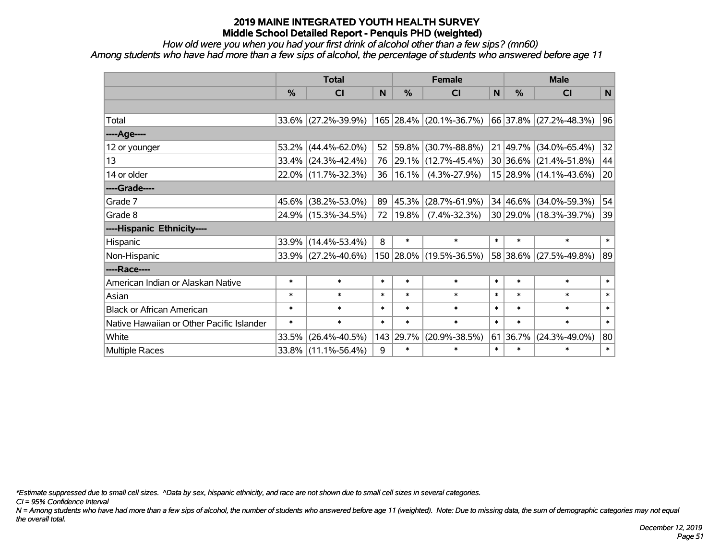*How old were you when you had your first drink of alcohol other than a few sips? (mn60)*

*Among students who have had more than a few sips of alcohol, the percentage of students who answered before age 11*

|                                           | <b>Total</b>  |                        |        | <b>Female</b> | <b>Male</b>             |              |              |                        |              |
|-------------------------------------------|---------------|------------------------|--------|---------------|-------------------------|--------------|--------------|------------------------|--------------|
|                                           | $\frac{0}{0}$ | <b>CI</b>              | N      | %             | <b>CI</b>               | $\mathsf{N}$ | %            | <b>CI</b>              | $\mathsf{N}$ |
|                                           |               |                        |        |               |                         |              |              |                        |              |
| Total                                     |               | $33.6\%$ (27.2%-39.9%) |        |               | 165 28.4% (20.1%-36.7%) |              |              | 66 37.8% (27.2%-48.3%) | 96           |
| ----Age----                               |               |                        |        |               |                         |              |              |                        |              |
| 12 or younger                             | 53.2%         | $(44.4\% - 62.0\%)$    | 52     | 59.8%         | $(30.7\% - 88.8\%)$     |              | 21 49.7%     | $(34.0\% - 65.4\%)$    | 32           |
| 13                                        |               | 33.4% (24.3%-42.4%)    | 76     | 29.1%         | $(12.7\% - 45.4\%)$     |              |              | 30 36.6% (21.4%-51.8%) | 44           |
| 14 or older                               |               | 22.0% (11.7%-32.3%)    | 36     | 16.1%         | $(4.3\% - 27.9\%)$      |              |              | 15 28.9% (14.1%-43.6%) | 20           |
| ----Grade----                             |               |                        |        |               |                         |              |              |                        |              |
| Grade 7                                   | 45.6%         | $(38.2\% - 53.0\%)$    | 89     | 45.3%         | $(28.7\% - 61.9\%)$     |              | $34 46.6\% $ | $(34.0\% - 59.3\%)$    | 54           |
| Grade 8                                   |               | 24.9% (15.3%-34.5%)    | 72     | 19.8%         | $(7.4\% - 32.3\%)$      |              |              | 30 29.0% (18.3%-39.7%) | 39           |
| ----Hispanic Ethnicity----                |               |                        |        |               |                         |              |              |                        |              |
| Hispanic                                  | 33.9%         | $(14.4\% - 53.4\%)$    | 8      | $\ast$        | $\ast$                  | $\ast$       | $\ast$       | $\ast$                 | $\ast$       |
| Non-Hispanic                              |               | 33.9% (27.2%-40.6%)    |        |               | 150 28.0% (19.5%-36.5%) |              | 58 38.6%     | $(27.5\% - 49.8\%)$    | 89           |
| ----Race----                              |               |                        |        |               |                         |              |              |                        |              |
| American Indian or Alaskan Native         | $\ast$        | $\ast$                 | $\ast$ | $\ast$        | $\ast$                  | $\ast$       | $\ast$       | $\ast$                 | $\ast$       |
| Asian                                     | $\ast$        | $\ast$                 | $\ast$ | $\ast$        | $\ast$                  | $\ast$       | $\ast$       | $\ast$                 | $\ast$       |
| <b>Black or African American</b>          | $\ast$        | $\ast$                 | $\ast$ | $\ast$        | $\ast$                  | $\ast$       | $\ast$       | $\ast$                 | $\ast$       |
| Native Hawaiian or Other Pacific Islander | $\ast$        | $\ast$                 | $\ast$ | $\ast$        | $\ast$                  | $\ast$       | $\ast$       | $\ast$                 | $\ast$       |
| White                                     | 33.5%         | $(26.4\% - 40.5\%)$    |        | 143 29.7%     | $(20.9\% - 38.5\%)$     | 61           | 36.7%        | $(24.3\% - 49.0\%)$    | 80           |
| Multiple Races                            |               | 33.8% (11.1%-56.4%)    | 9      | $\ast$        | $\ast$                  | $\ast$       | $\ast$       | $\ast$                 | $\ast$       |

*\*Estimate suppressed due to small cell sizes. ^Data by sex, hispanic ethnicity, and race are not shown due to small cell sizes in several categories.*

*CI = 95% Confidence Interval*

*N = Among students who have had more than a few sips of alcohol, the number of students who answered before age 11 (weighted). Note: Due to missing data, the sum of demographic categories may not equal the overall total.*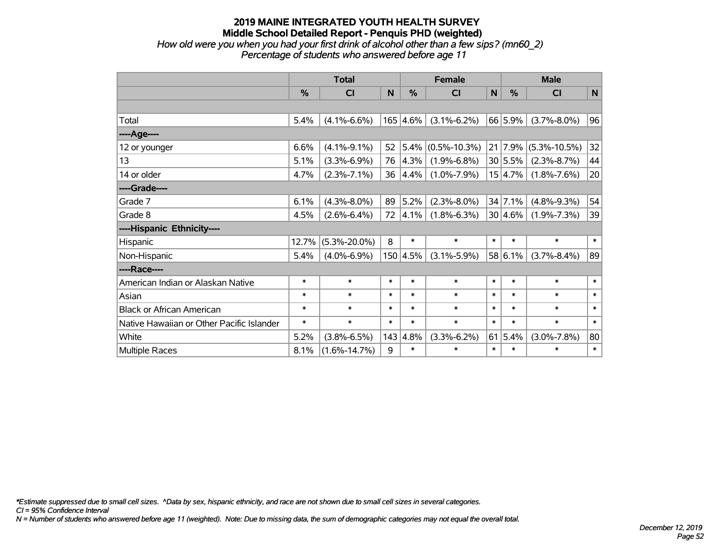### **2019 MAINE INTEGRATED YOUTH HEALTH SURVEY Middle School Detailed Report - Penquis PHD (weighted)** *How old were you when you had your first drink of alcohol other than a few sips? (mn60\_2)*

*Percentage of students who answered before age 11*

|                                           | <b>Total</b> |                    |        |                  | <b>Female</b>      | <b>Male</b> |            |                    |        |
|-------------------------------------------|--------------|--------------------|--------|------------------|--------------------|-------------|------------|--------------------|--------|
|                                           | %            | CI                 | N      | %                | <b>CI</b>          | N           | %          | <b>CI</b>          | N      |
|                                           |              |                    |        |                  |                    |             |            |                    |        |
| Total                                     | 5.4%         | $(4.1\% - 6.6\%)$  |        | $165 \,   4.6\%$ | $(3.1\% - 6.2\%)$  |             | 66 5.9%    | $(3.7\% - 8.0\%)$  | 96     |
| ----Age----                               |              |                    |        |                  |                    |             |            |                    |        |
| 12 or younger                             | 6.6%         | $(4.1\% - 9.1\%)$  | 52     | 5.4%             | $(0.5\% - 10.3\%)$ |             | 21 7.9%    | $(5.3\% - 10.5\%)$ | 32     |
| 13                                        | 5.1%         | $(3.3\% - 6.9\%)$  | 76     | 4.3%             | $(1.9\% - 6.8\%)$  |             | 30 5.5%    | $(2.3\% - 8.7\%)$  | 44     |
| 14 or older                               | 4.7%         | $(2.3\% - 7.1\%)$  | 36     | 4.4%             | $(1.0\% - 7.9\%)$  |             | 15 4.7%    | $(1.8\% - 7.6\%)$  | 20     |
| ----Grade----                             |              |                    |        |                  |                    |             |            |                    |        |
| Grade 7                                   | 6.1%         | $(4.3\% - 8.0\%)$  | 89     | 5.2%             | $(2.3\% - 8.0\%)$  |             | 34 7.1%    | $(4.8\% - 9.3\%)$  | 54     |
| Grade 8                                   | 4.5%         | $(2.6\% - 6.4\%)$  | 72     | $ 4.1\%$         | $(1.8\% - 6.3\%)$  |             | $30 4.6\%$ | $(1.9\% - 7.3\%)$  | 39     |
| ----Hispanic Ethnicity----                |              |                    |        |                  |                    |             |            |                    |        |
| Hispanic                                  | 12.7%        | $(5.3\% - 20.0\%)$ | 8      | $\ast$           | $\ast$             | $\ast$      | $\ast$     | $\ast$             | $\ast$ |
| Non-Hispanic                              | 5.4%         | $(4.0\% - 6.9\%)$  |        | 150 4.5%         | $(3.1\% - 5.9\%)$  |             | 58 6.1%    | $(3.7\% - 8.4\%)$  | 89     |
| ----Race----                              |              |                    |        |                  |                    |             |            |                    |        |
| American Indian or Alaskan Native         | $\ast$       | $\ast$             | $\ast$ | $\ast$           | $\ast$             | $\ast$      | $\ast$     | $\ast$             | $\ast$ |
| Asian                                     | $\ast$       | $\ast$             | $\ast$ | $\ast$           | $\ast$             | $\ast$      | $\ast$     | $\ast$             | $\ast$ |
| <b>Black or African American</b>          | $\ast$       | $\ast$             | $\ast$ | $\ast$           | $\ast$             | $\ast$      | $\ast$     | $\ast$             | $\ast$ |
| Native Hawaiian or Other Pacific Islander | $\ast$       | $\ast$             | $\ast$ | $\ast$           | $\ast$             | $\ast$      | $\ast$     | $\ast$             | $\ast$ |
| White                                     | 5.2%         | $(3.8\% - 6.5\%)$  | 143    | 4.8%             | $(3.3\% - 6.2\%)$  |             | 61 5.4%    | $(3.0\% - 7.8\%)$  | 80     |
| Multiple Races                            | 8.1%         | $(1.6\% - 14.7\%)$ | 9      | $\ast$           | $\ast$             | $\ast$      | $\ast$     | $\ast$             | $\ast$ |

*\*Estimate suppressed due to small cell sizes. ^Data by sex, hispanic ethnicity, and race are not shown due to small cell sizes in several categories.*

*CI = 95% Confidence Interval*

*N = Number of students who answered before age 11 (weighted). Note: Due to missing data, the sum of demographic categories may not equal the overall total.*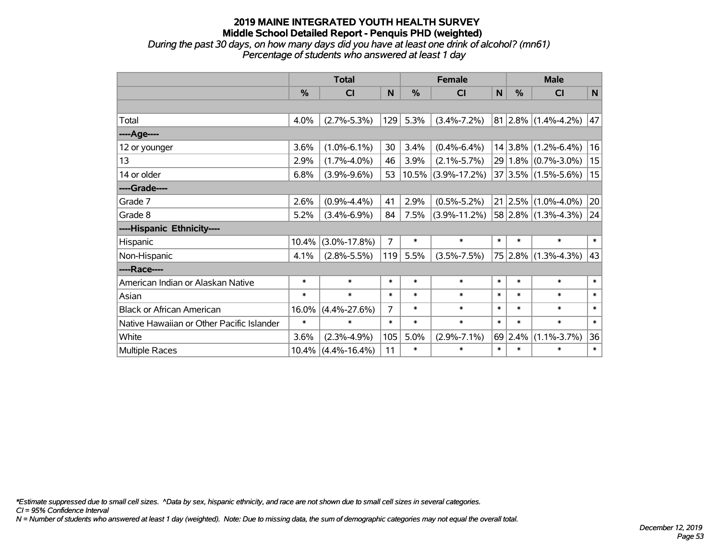*During the past 30 days, on how many days did you have at least one drink of alcohol? (mn61) Percentage of students who answered at least 1 day*

|                                           | <b>Total</b>  |                    |        |               | <b>Female</b>      | <b>Male</b> |         |                                |           |
|-------------------------------------------|---------------|--------------------|--------|---------------|--------------------|-------------|---------|--------------------------------|-----------|
|                                           | $\frac{0}{0}$ | C <sub>1</sub>     | N      | $\frac{0}{0}$ | <b>CI</b>          | N           | %       | <b>CI</b>                      | ${\sf N}$ |
|                                           |               |                    |        |               |                    |             |         |                                |           |
| Total                                     | 4.0%          | $(2.7\% - 5.3\%)$  | 129    | 5.3%          | $(3.4\% - 7.2\%)$  |             |         | 81 2.8% (1.4%-4.2%)            | 47        |
| ----Age----                               |               |                    |        |               |                    |             |         |                                |           |
| 12 or younger                             | 3.6%          | $(1.0\% - 6.1\%)$  | 30     | 3.4%          | $(0.4\% - 6.4\%)$  |             |         | $14 3.8\% $ (1.2%-6.4%)        | 16        |
| 13                                        | 2.9%          | $(1.7\% - 4.0\%)$  | 46     | 3.9%          | $(2.1\% - 5.7\%)$  |             |         | 29   1.8%   (0.7%-3.0%)        | 15        |
| 14 or older                               | 6.8%          | $(3.9\% - 9.6\%)$  | 53     | 10.5%         | $(3.9\% - 17.2\%)$ |             |         | 37 3.5% (1.5%-5.6%)            | 15        |
| ----Grade----                             |               |                    |        |               |                    |             |         |                                |           |
| Grade 7                                   | 2.6%          | $(0.9\% - 4.4\%)$  | 41     | 2.9%          | $(0.5\% - 5.2\%)$  |             |         | $21   2.5\%   (1.0\% - 4.0\%)$ | 20        |
| Grade 8                                   | 5.2%          | $(3.4\% - 6.9\%)$  | 84     | 7.5%          | $(3.9\% - 11.2\%)$ |             |         | $ 58 2.8\% $ (1.3%-4.3%)       | 24        |
| ----Hispanic Ethnicity----                |               |                    |        |               |                    |             |         |                                |           |
| Hispanic                                  | 10.4%         | $(3.0\% - 17.8\%)$ | 7      | $\ast$        | $\ast$             | $\ast$      | $\ast$  | $\ast$                         | $\ast$    |
| Non-Hispanic                              | 4.1%          | $(2.8\% - 5.5\%)$  | 119    | 5.5%          | $(3.5\% - 7.5\%)$  |             |         | 75 2.8% (1.3%-4.3%)            | 43        |
| ----Race----                              |               |                    |        |               |                    |             |         |                                |           |
| American Indian or Alaskan Native         | $\ast$        | $\ast$             | $\ast$ | $\ast$        | $\ast$             | $\ast$      | $\ast$  | $\ast$                         | $\ast$    |
| Asian                                     | $\ast$        | $\ast$             | $\ast$ | $\ast$        | $\ast$             | $\ast$      | $\ast$  | $\ast$                         | $\ast$    |
| <b>Black or African American</b>          | 16.0%         | $(4.4\% - 27.6\%)$ | 7      | $\ast$        | $\ast$             | $\ast$      | $\ast$  | $\ast$                         | $\ast$    |
| Native Hawaiian or Other Pacific Islander | $\ast$        | $\ast$             | $\ast$ | $\ast$        | $\ast$             | $\ast$      | $\ast$  | $\ast$                         | $\ast$    |
| White                                     | 3.6%          | $(2.3\% - 4.9\%)$  | 105    | 5.0%          | $(2.9\% - 7.1\%)$  |             | 69 2.4% | $(1.1\% - 3.7\%)$              | 36        |
| Multiple Races                            | 10.4%         | $(4.4\% - 16.4\%)$ | 11     | $\ast$        | $\ast$             | $\ast$      | $\ast$  | $\ast$                         | $\ast$    |

*\*Estimate suppressed due to small cell sizes. ^Data by sex, hispanic ethnicity, and race are not shown due to small cell sizes in several categories.*

*CI = 95% Confidence Interval*

*N = Number of students who answered at least 1 day (weighted). Note: Due to missing data, the sum of demographic categories may not equal the overall total.*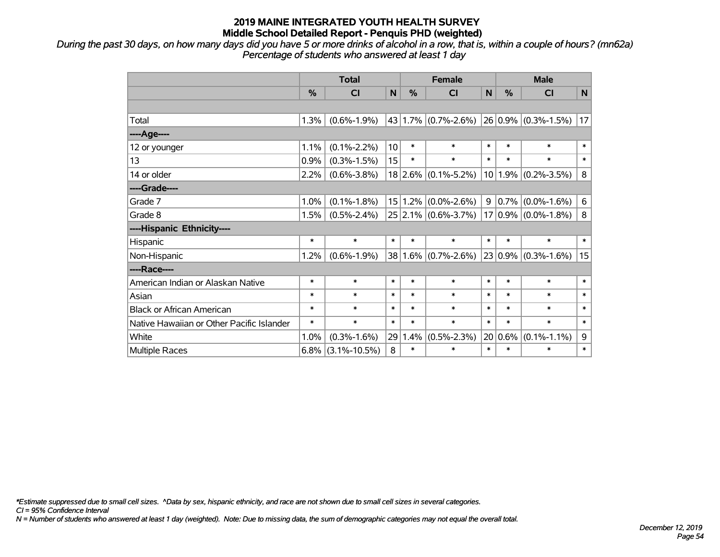*During the past 30 days, on how many days did you have 5 or more drinks of alcohol in a row, that is, within a couple of hours? (mn62a) Percentage of students who answered at least 1 day*

|                                           | <b>Total</b>  |                    |                 |        | <b>Female</b>           | <b>Male</b>     |               |                          |        |
|-------------------------------------------|---------------|--------------------|-----------------|--------|-------------------------|-----------------|---------------|--------------------------|--------|
|                                           | $\frac{0}{0}$ | CI                 | N               | %      | СI                      | N               | $\frac{0}{0}$ | <b>CI</b>                | N      |
|                                           |               |                    |                 |        |                         |                 |               |                          |        |
| Total                                     | 1.3%          | $(0.6\% - 1.9\%)$  |                 |        | $43 1.7\% $ (0.7%-2.6%) |                 |               | $ 26 0.9\% $ (0.3%-1.5%) | 17     |
| ----Age----                               |               |                    |                 |        |                         |                 |               |                          |        |
| 12 or younger                             | 1.1%          | $(0.1\% - 2.2\%)$  | 10              | $\ast$ | $\ast$                  | $\ast$          | $\ast$        | $\ast$                   | $\ast$ |
| 13                                        | 0.9%          | $(0.3\% - 1.5\%)$  | 15              | $\ast$ | $\ast$                  | $\ast$          | $\ast$        | $\ast$                   | $\ast$ |
| 14 or older                               | 2.2%          | $(0.6\% - 3.8\%)$  |                 |        | $18$ 2.6% (0.1%-5.2%)   |                 |               | $10 1.9\% $ (0.2%-3.5%)  | 8      |
| ----Grade----                             |               |                    |                 |        |                         |                 |               |                          |        |
| Grade 7                                   | 1.0%          | $(0.1\% - 1.8\%)$  | 15 <sub>1</sub> |        | $1.2\%$ (0.0%-2.6%)     | 9               | 0.7%          | $(0.0\% - 1.6\%)$        | 6      |
| Grade 8                                   | 1.5%          | $(0.5\% - 2.4\%)$  |                 |        | 25 2.1% (0.6%-3.7%)     | 17 <sup>2</sup> |               | $ 0.9\% $ (0.0%-1.8%)    | 8      |
| ----Hispanic Ethnicity----                |               |                    |                 |        |                         |                 |               |                          |        |
| Hispanic                                  | $\ast$        | $\ast$             | $\ast$          | $\ast$ | $\ast$                  | $\ast$          | $\ast$        | $\ast$                   | $\ast$ |
| Non-Hispanic                              | 1.2%          | $(0.6\% - 1.9\%)$  | 38              |        | $1.6\%$ (0.7%-2.6%)     |                 |               | $23 0.9\% $ (0.3%-1.6%)  | 15     |
| ----Race----                              |               |                    |                 |        |                         |                 |               |                          |        |
| American Indian or Alaskan Native         | $\ast$        | $\ast$             | $\ast$          | $\ast$ | $\ast$                  | $\ast$          | $\ast$        | $\ast$                   | $\ast$ |
| Asian                                     | $\ast$        | $\ast$             | $\ast$          | $\ast$ | $\ast$                  | $\ast$          | $\ast$        | $\ast$                   | $\ast$ |
| <b>Black or African American</b>          | $\ast$        | $\ast$             | $\ast$          | $\ast$ | $\ast$                  | $\ast$          | $\ast$        | $\ast$                   | $\ast$ |
| Native Hawaiian or Other Pacific Islander | $\ast$        | $\ast$             | $\ast$          | $\ast$ | $\ast$                  | $\ast$          | $\ast$        | $\ast$                   | $\ast$ |
| White                                     | 1.0%          | $(0.3\% - 1.6\%)$  | 29              | 1.4%   | $(0.5\% - 2.3\%)$       |                 | 20 0.6%       | $(0.1\% - 1.1\%)$        | 9      |
| Multiple Races                            | $6.8\%$       | $(3.1\% - 10.5\%)$ | 8               | $\ast$ | $\ast$                  | $\ast$          | $\ast$        | $\ast$                   | $\ast$ |

*\*Estimate suppressed due to small cell sizes. ^Data by sex, hispanic ethnicity, and race are not shown due to small cell sizes in several categories.*

*CI = 95% Confidence Interval*

*N = Number of students who answered at least 1 day (weighted). Note: Due to missing data, the sum of demographic categories may not equal the overall total.*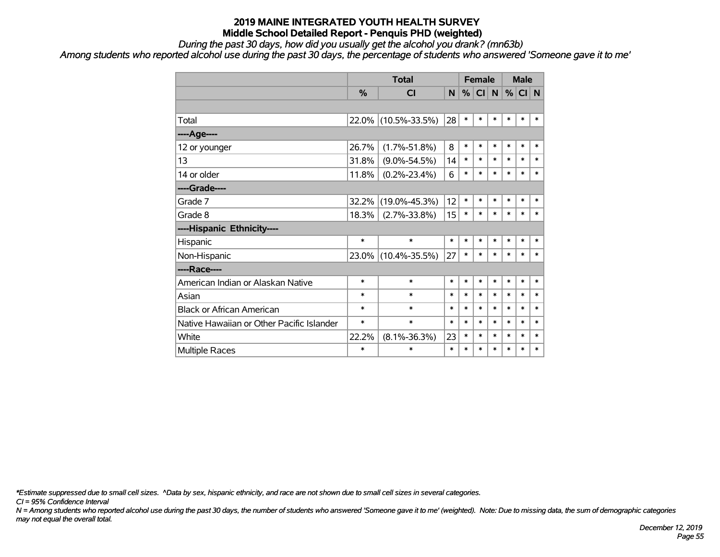### *During the past 30 days, how did you usually get the alcohol you drank? (mn63b)*

*Among students who reported alcohol use during the past 30 days, the percentage of students who answered 'Someone gave it to me'*

|                                           |               | <b>Total</b>        |        | <b>Female</b> |        |        | <b>Male</b> |        |        |
|-------------------------------------------|---------------|---------------------|--------|---------------|--------|--------|-------------|--------|--------|
|                                           | $\frac{9}{6}$ | <b>CI</b>           | N      | %             | CI     | N      | %           | CI N   |        |
|                                           |               |                     |        |               |        |        |             |        |        |
| Total                                     | $22.0\%$      | $(10.5\% - 33.5\%)$ | 28     | $\ast$        | $\ast$ | $\ast$ | $\ast$      | $\ast$ | $\ast$ |
| ----Age----                               |               |                     |        |               |        |        |             |        |        |
| 12 or younger                             | 26.7%         | $(1.7\% - 51.8\%)$  | 8      | $\ast$        | $\ast$ | $\ast$ | $\ast$      | $\ast$ | $\ast$ |
| 13                                        | 31.8%         | $(9.0\% - 54.5\%)$  | 14     | $\ast$        | $\ast$ | $\ast$ | $\ast$      | $\ast$ | $\ast$ |
| 14 or older                               | 11.8%         | $(0.2\% - 23.4\%)$  | 6      | $\ast$        | $\ast$ | $\ast$ | $\ast$      | $\ast$ | $\ast$ |
| ----Grade----                             |               |                     |        |               |        |        |             |        |        |
| Grade 7                                   | $32.2\%$      | $(19.0\% - 45.3\%)$ | 12     | $\ast$        | $\ast$ | $\ast$ | $\ast$      | $\ast$ | $\ast$ |
| Grade 8                                   | 18.3%         | $(2.7\% - 33.8\%)$  | 15     | $\ast$        | $\ast$ | $\ast$ | $\ast$      | $\ast$ | $\ast$ |
| ----Hispanic Ethnicity----                |               |                     |        |               |        |        |             |        |        |
| Hispanic                                  | $\ast$        | $\ast$              | $\ast$ | $\ast$        | $\ast$ | $\ast$ | $\ast$      | $\ast$ | $\ast$ |
| Non-Hispanic                              | $23.0\%$      | $(10.4\% - 35.5\%)$ | 27     | $\ast$        | $\ast$ | $\ast$ | $\ast$      | $\ast$ | $\ast$ |
| ----Race----                              |               |                     |        |               |        |        |             |        |        |
| American Indian or Alaskan Native         | $\ast$        | $\ast$              | *      | $\ast$        | $\ast$ | $\ast$ | $\ast$      | $\ast$ | $\ast$ |
| Asian                                     | $\ast$        | $\ast$              | $\ast$ | $\ast$        | $\ast$ | $\ast$ | $\ast$      | $\ast$ | $\ast$ |
| <b>Black or African American</b>          | ∗             | $\ast$              | $\ast$ | $\ast$        | $\ast$ | $\ast$ | $\ast$      | $\ast$ | $\ast$ |
| Native Hawaiian or Other Pacific Islander | $\ast$        | $\ast$              | $\ast$ | $\ast$        | $\ast$ | $\ast$ | $\ast$      | $\ast$ | $\ast$ |
| White                                     | 22.2%         | $(8.1\% - 36.3\%)$  | 23     | $\ast$        | $\ast$ | $\ast$ | $\ast$      | $\ast$ | $\ast$ |
| <b>Multiple Races</b>                     | $\ast$        | $\ast$              | $\ast$ | $\ast$        | $\ast$ | $\ast$ | $\ast$      | $\ast$ | $\ast$ |

*\*Estimate suppressed due to small cell sizes. ^Data by sex, hispanic ethnicity, and race are not shown due to small cell sizes in several categories.*

*CI = 95% Confidence Interval*

*N = Among students who reported alcohol use during the past 30 days, the number of students who answered 'Someone gave it to me' (weighted). Note: Due to missing data, the sum of demographic categories may not equal the overall total.*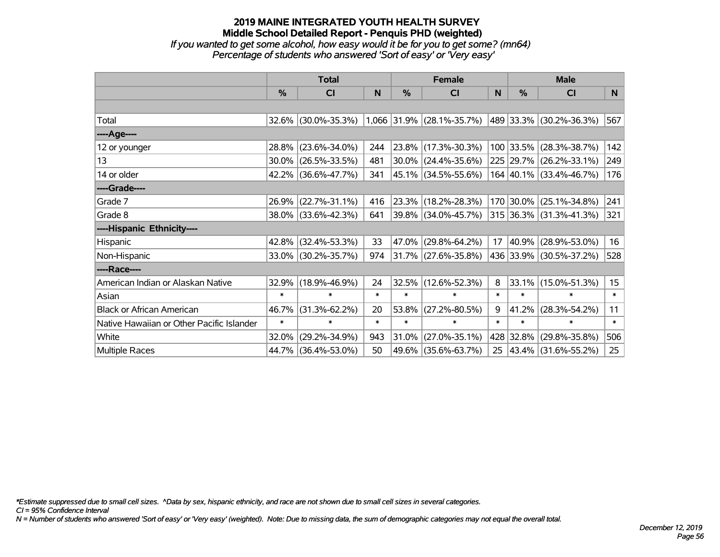# **2019 MAINE INTEGRATED YOUTH HEALTH SURVEY Middle School Detailed Report - Penquis PHD (weighted)** *If you wanted to get some alcohol, how easy would it be for you to get some? (mn64)*

*Percentage of students who answered 'Sort of easy' or 'Very easy'*

|                                           | <b>Total</b>  |                     |        | <b>Female</b> | <b>Male</b>               |        |           |                              |        |
|-------------------------------------------|---------------|---------------------|--------|---------------|---------------------------|--------|-----------|------------------------------|--------|
|                                           | $\frac{0}{0}$ | <b>CI</b>           | N      | %             | <b>CI</b>                 | N      | %         | <b>CI</b>                    | N      |
|                                           |               |                     |        |               |                           |        |           |                              |        |
| Total                                     |               | 32.6% (30.0%-35.3%) |        |               | 1,066 31.9% (28.1%-35.7%) |        |           | $ 489 33.3\% $ (30.2%-36.3%) | 567    |
| ----Age----                               |               |                     |        |               |                           |        |           |                              |        |
| 12 or younger                             | 28.8%         | $(23.6\% - 34.0\%)$ | 244    | 23.8%         | $(17.3\% - 30.3\%)$       |        |           | 100 33.5% (28.3%-38.7%)      | 142    |
| 13                                        |               | 30.0% (26.5%-33.5%) | 481    | 30.0%         | $(24.4\% - 35.6\%)$       |        |           | 225 29.7% (26.2%-33.1%)      | 249    |
| 14 or older                               |               | 42.2% (36.6%-47.7%) | 341    |               | $ 45.1\% $ (34.5%-55.6%)  |        |           | 164 40.1% (33.4%-46.7%)      | 176    |
| ----Grade----                             |               |                     |        |               |                           |        |           |                              |        |
| Grade 7                                   |               | 26.9% (22.7%-31.1%) | 416    |               | $ 23.3\% $ (18.2%-28.3%)  |        |           | 170 30.0% (25.1%-34.8%)      | 241    |
| Grade 8                                   |               | 38.0% (33.6%-42.3%) | 641    |               | 39.8% (34.0%-45.7%)       |        |           | 315 36.3% (31.3%-41.3%)      | 321    |
| ----Hispanic Ethnicity----                |               |                     |        |               |                           |        |           |                              |        |
| Hispanic                                  | 42.8%         | $(32.4\% - 53.3\%)$ | 33     | 47.0%         | $(29.8\% - 64.2\%)$       | 17     | 40.9%     | $(28.9\% - 53.0\%)$          | 16     |
| Non-Hispanic                              |               | 33.0% (30.2%-35.7%) | 974    |               | $ 31.7\% $ (27.6%-35.8%)  |        |           | 436 33.9% (30.5%-37.2%)      | 528    |
| ----Race----                              |               |                     |        |               |                           |        |           |                              |        |
| American Indian or Alaskan Native         | 32.9%         | $(18.9\% - 46.9\%)$ | 24     | 32.5%         | $(12.6\% - 52.3\%)$       | 8      |           | 33.1% (15.0%-51.3%)          | 15     |
| Asian                                     | $\ast$        | $\ast$              | $\ast$ | $\ast$        | $\ast$                    | $\ast$ | $\ast$    | $\ast$                       | $\ast$ |
| <b>Black or African American</b>          | 46.7%         | $(31.3\% - 62.2\%)$ | 20     | 53.8%         | $(27.2\% - 80.5\%)$       | 9      | 41.2%     | $(28.3\% - 54.2\%)$          | 11     |
| Native Hawaiian or Other Pacific Islander | $\ast$        | $\ast$              | $\ast$ | $\ast$        | $\ast$                    | $\ast$ | $\ast$    | $\ast$                       | $\ast$ |
| White                                     | 32.0%         | $(29.2\% - 34.9\%)$ | 943    | 31.0%         | $(27.0\% - 35.1\%)$       |        | 428 32.8% | $(29.8\% - 35.8\%)$          | 506    |
| Multiple Races                            |               | 44.7% (36.4%-53.0%) | 50     | 49.6%         | $(35.6\% - 63.7\%)$       | 25     |           | $ 43.4\% $ (31.6%-55.2%)     | 25     |

*\*Estimate suppressed due to small cell sizes. ^Data by sex, hispanic ethnicity, and race are not shown due to small cell sizes in several categories.*

*CI = 95% Confidence Interval*

*N = Number of students who answered 'Sort of easy' or 'Very easy' (weighted). Note: Due to missing data, the sum of demographic categories may not equal the overall total.*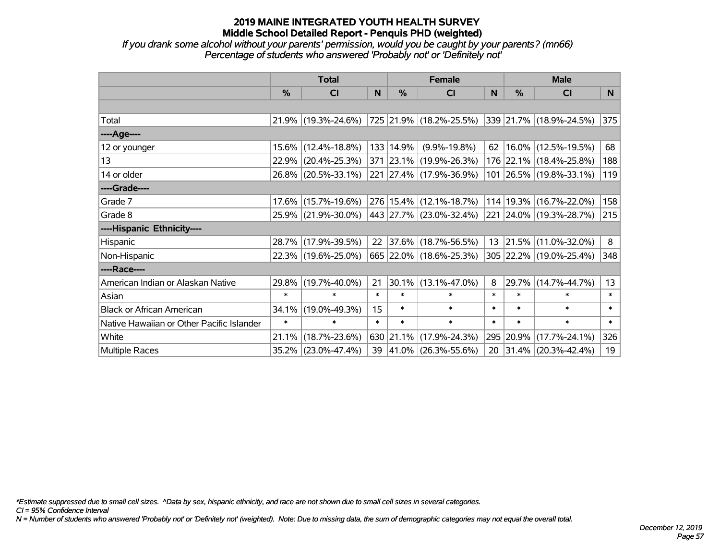*If you drank some alcohol without your parents' permission, would you be caught by your parents? (mn66) Percentage of students who answered 'Probably not' or 'Definitely not'*

|                                           | <b>Total</b>  |                                             |        | <b>Female</b> | <b>Male</b>                  |        |          |                                 |          |
|-------------------------------------------|---------------|---------------------------------------------|--------|---------------|------------------------------|--------|----------|---------------------------------|----------|
|                                           | $\frac{0}{0}$ | <b>CI</b>                                   | N      | $\%$          | <b>CI</b>                    | N      | $\%$     | <b>CI</b>                       | <b>N</b> |
|                                           |               |                                             |        |               |                              |        |          |                                 |          |
| Total                                     |               | 21.9% (19.3%-24.6%) 725 21.9% (18.2%-25.5%) |        |               |                              |        |          | $ 339 21.7\% (18.9\% - 24.5\%)$ | 375      |
| ----Age----                               |               |                                             |        |               |                              |        |          |                                 |          |
| 12 or younger                             |               | 15.6% (12.4%-18.8%)                         |        | 133 14.9%     | $(9.9\% - 19.8\%)$           | 62     |          | 16.0% (12.5%-19.5%)             | 68       |
| 13                                        |               | 22.9% (20.4%-25.3%)                         |        |               | 371 23.1% (19.9%-26.3%)      |        |          | 176 22.1% (18.4%-25.8%)         | 188      |
| 14 or older                               |               | 26.8% (20.5%-33.1%)                         |        |               | 221 27.4% (17.9%-36.9%)      |        |          | 101 26.5% (19.8%-33.1%)         | 119      |
| ----Grade----                             |               |                                             |        |               |                              |        |          |                                 |          |
| Grade 7                                   |               | 17.6% (15.7%-19.6%)                         |        |               | 276 15.4% (12.1%-18.7%)      | 114    | 19.3%    | $(16.7\% - 22.0\%)$             | 158      |
| Grade 8                                   |               | 25.9% (21.9%-30.0%)                         |        |               | $ 443 27.7\% $ (23.0%-32.4%) |        |          | 221 24.0% (19.3%-28.7%)         | 215      |
| ----Hispanic Ethnicity----                |               |                                             |        |               |                              |        |          |                                 |          |
| Hispanic                                  |               | 28.7% (17.9%-39.5%)                         | 22     |               | $ 37.6\% $ (18.7%-56.5%)     |        | 13 21.5% | $(11.0\% - 32.0\%)$             | 8        |
| Non-Hispanic                              |               | 22.3% (19.6%-25.0%)                         |        |               | 665 22.0% (18.6%-25.3%)      |        |          | 305 22.2% (19.0%-25.4%)         | 348      |
| ----Race----                              |               |                                             |        |               |                              |        |          |                                 |          |
| American Indian or Alaskan Native         |               | 29.8% (19.7%-40.0%)                         | 21     | 30.1%         | $(13.1\% - 47.0\%)$          | 8      | 29.7%    | $(14.7\% - 44.7\%)$             | 13       |
| Asian                                     | $\ast$        | $\ast$                                      | $\ast$ | $\ast$        | $\ast$                       | $\ast$ | $\ast$   | $\ast$                          | $\ast$   |
| <b>Black or African American</b>          | 34.1%         | $(19.0\% - 49.3\%)$                         | 15     | $\ast$        | $\ast$                       | $\ast$ | $\ast$   | $\ast$                          | $\ast$   |
| Native Hawaiian or Other Pacific Islander | $\ast$        | $\ast$                                      | $\ast$ | $\ast$        | $\ast$                       | $\ast$ | $\ast$   | $\ast$                          | $\ast$   |
| White                                     | 21.1%         | $(18.7\% - 23.6\%)$                         |        |               | 630 21.1% (17.9%-24.3%)      | 295    | 20.9%    | $(17.7\% - 24.1\%)$             | 326      |
| Multiple Races                            |               | 35.2% (23.0%-47.4%)                         |        |               | 39 41.0% (26.3%-55.6%)       |        |          | 20 31.4% (20.3%-42.4%)          | 19       |

*\*Estimate suppressed due to small cell sizes. ^Data by sex, hispanic ethnicity, and race are not shown due to small cell sizes in several categories.*

*CI = 95% Confidence Interval*

*N = Number of students who answered 'Probably not' or 'Definitely not' (weighted). Note: Due to missing data, the sum of demographic categories may not equal the overall total.*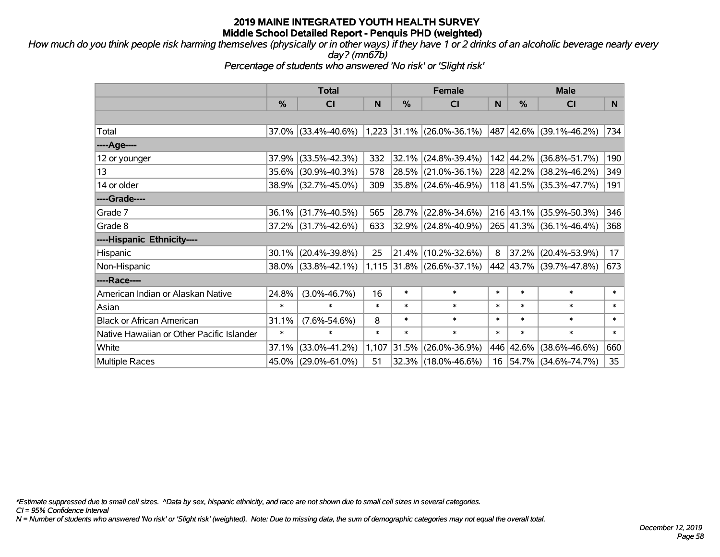*How much do you think people risk harming themselves (physically or in other ways) if they have 1 or 2 drinks of an alcoholic beverage nearly every day? (mn67b)*

*Percentage of students who answered 'No risk' or 'Slight risk'*

|                                           |        | <b>Total</b>        |        |        | <b>Female</b>               |        | <b>Male</b>   |                          |        |  |
|-------------------------------------------|--------|---------------------|--------|--------|-----------------------------|--------|---------------|--------------------------|--------|--|
|                                           | %      | CI                  | N      | %      | C <sub>l</sub>              | N      | $\frac{0}{0}$ | <b>CI</b>                | N      |  |
|                                           |        |                     |        |        |                             |        |               |                          |        |  |
| Total                                     |        | 37.0% (33.4%-40.6%) |        |        | $1,223$ 31.1% (26.0%-36.1%) |        |               | 487 42.6% (39.1%-46.2%)  | 734    |  |
| ----Age----                               |        |                     |        |        |                             |        |               |                          |        |  |
| 12 or younger                             | 37.9%  | $(33.5\% - 42.3\%)$ | 332    | 32.1%  | $(24.8\% - 39.4\%)$         |        |               | 142 44.2% (36.8%-51.7%)  | 190    |  |
| 13                                        | 35.6%  | $(30.9\% - 40.3\%)$ | 578    | 28.5%  | $(21.0\% - 36.1\%)$         |        |               | 228 42.2% (38.2%-46.2%)  | 349    |  |
| 14 or older                               |        | 38.9% (32.7%-45.0%) | 309    |        | $35.8\%$ (24.6%-46.9%)      |        |               | 118 41.5% (35.3%-47.7%)  | 191    |  |
| ----Grade----                             |        |                     |        |        |                             |        |               |                          |        |  |
| Grade 7                                   | 36.1%  | $(31.7\% - 40.5\%)$ | 565    | 28.7%  | $(22.8\% - 34.6\%)$         |        |               | 216 43.1% (35.9%-50.3%)  | 346    |  |
| Grade 8                                   |        | 37.2% (31.7%-42.6%) | 633    |        | 32.9% (24.8%-40.9%)         |        |               | 265 41.3% (36.1%-46.4%)  | 368    |  |
| ----Hispanic Ethnicity----                |        |                     |        |        |                             |        |               |                          |        |  |
| Hispanic                                  | 30.1%  | $(20.4\% - 39.8\%)$ | 25     | 21.4%  | $(10.2\% - 32.6\%)$         | 8      | 37.2%         | $(20.4\% - 53.9\%)$      | 17     |  |
| Non-Hispanic                              |        | 38.0% (33.8%-42.1%) |        |        | $1,115$ 31.8% (26.6%-37.1%) |        |               | 442 43.7% (39.7%-47.8%)  | 673    |  |
| ----Race----                              |        |                     |        |        |                             |        |               |                          |        |  |
| American Indian or Alaskan Native         | 24.8%  | $(3.0\% - 46.7\%)$  | 16     | $\ast$ | $\ast$                      | $\ast$ | $\ast$        | $\ast$                   | $\ast$ |  |
| Asian                                     | $\ast$ | $\ast$              | $\ast$ | $\ast$ | $\ast$                      | $\ast$ | $\ast$        | $\ast$                   | $\ast$ |  |
| <b>Black or African American</b>          | 31.1%  | $(7.6\% - 54.6\%)$  | 8      | $\ast$ | $\ast$                      | $\ast$ | $\ast$        | $\ast$                   | $\ast$ |  |
| Native Hawaiian or Other Pacific Islander | $\ast$ | $\ast$              | $\ast$ | $\ast$ | $\ast$                      | $\ast$ | $\ast$        | $\ast$                   | $\ast$ |  |
| White                                     | 37.1%  | $(33.0\% - 41.2\%)$ | 1,107  | 31.5%  | $(26.0\% - 36.9\%)$         |        | 446 42.6%     | $(38.6\% - 46.6\%)$      | 660    |  |
| <b>Multiple Races</b>                     | 45.0%  | $(29.0\% - 61.0\%)$ | 51     | 32.3%  | $(18.0\% - 46.6\%)$         | 16     |               | $ 54.7\% $ (34.6%-74.7%) | 35     |  |

*\*Estimate suppressed due to small cell sizes. ^Data by sex, hispanic ethnicity, and race are not shown due to small cell sizes in several categories.*

*CI = 95% Confidence Interval*

*N = Number of students who answered 'No risk' or 'Slight risk' (weighted). Note: Due to missing data, the sum of demographic categories may not equal the overall total.*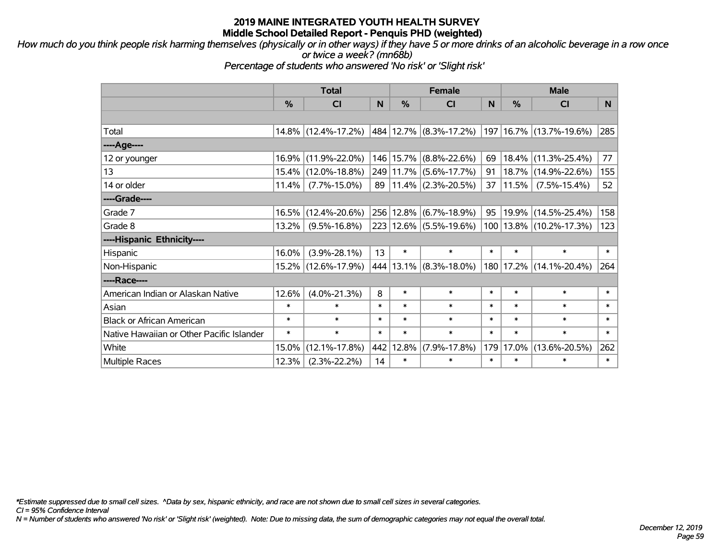*How much do you think people risk harming themselves (physically or in other ways) if they have 5 or more drinks of an alcoholic beverage in a row once or twice a week? (mn68b)*

*Percentage of students who answered 'No risk' or 'Slight risk'*

|                                           | <b>Total</b> |                     |        | <b>Female</b> |                            | <b>Male</b> |        |                             |        |
|-------------------------------------------|--------------|---------------------|--------|---------------|----------------------------|-------------|--------|-----------------------------|--------|
|                                           | %            | <b>CI</b>           | N      | $\frac{0}{0}$ | <b>CI</b>                  | N           | %      | <b>CI</b>                   | N.     |
|                                           |              |                     |        |               |                            |             |        |                             |        |
| Total                                     |              | 14.8% (12.4%-17.2%) |        |               | 484   12.7%   (8.3%-17.2%) |             |        | 197   16.7%   (13.7%-19.6%) | 285    |
| ----Age----                               |              |                     |        |               |                            |             |        |                             |        |
| 12 or younger                             | 16.9%        | $(11.9\% - 22.0\%)$ |        | 146 15.7%     | $(8.8\% - 22.6\%)$         | 69          | 18.4%  | $(11.3\% - 25.4\%)$         | 77     |
| 13                                        | 15.4%        | $(12.0\% - 18.8\%)$ |        |               | 249 11.7% (5.6%-17.7%)     | 91          | 18.7%  | $(14.9\% - 22.6\%)$         | 155    |
| 14 or older                               | 11.4%        | $(7.7\% - 15.0\%)$  | 89     |               | $11.4\%$ (2.3%-20.5%)      | 37          | 11.5%  | $(7.5\% - 15.4\%)$          | 52     |
| ----Grade----                             |              |                     |        |               |                            |             |        |                             |        |
| Grade 7                                   | 16.5%        | $(12.4\% - 20.6\%)$ |        | 256 12.8%     | $(6.7\% - 18.9\%)$         | 95          | 19.9%  | $(14.5\% - 25.4\%)$         | 158    |
| Grade 8                                   | $13.2\%$     | $(9.5\% - 16.8\%)$  |        |               | 223 12.6% (5.5%-19.6%)     |             |        | 100   13.8%   (10.2%-17.3%) | 123    |
| ----Hispanic Ethnicity----                |              |                     |        |               |                            |             |        |                             |        |
| Hispanic                                  | 16.0%        | $(3.9\% - 28.1\%)$  | 13     | $\ast$        | $\ast$                     | $\ast$      | $\ast$ | $\ast$                      | $\ast$ |
| Non-Hispanic                              |              | 15.2% (12.6%-17.9%) |        | 444 13.1%     | $(8.3\% - 18.0\%)$         |             |        | 180   17.2%   (14.1%-20.4%) | 264    |
| ----Race----                              |              |                     |        |               |                            |             |        |                             |        |
| American Indian or Alaskan Native         | 12.6%        | $(4.0\% - 21.3\%)$  | 8      | $\ast$        | $\ast$                     | $\ast$      | $\ast$ | $\ast$                      | $\ast$ |
| Asian                                     | $\ast$       | $\ast$              | $\ast$ | $\ast$        | $\ast$                     | $\ast$      | $\ast$ | $\ast$                      | $\ast$ |
| <b>Black or African American</b>          | $\ast$       | $\ast$              | $\ast$ | $\ast$        | $\ast$                     | $\ast$      | $\ast$ | $\ast$                      | $\ast$ |
| Native Hawaiian or Other Pacific Islander | $\ast$       | $\ast$              | $\ast$ | $\ast$        | $\ast$                     | $\ast$      | $\ast$ | $\ast$                      | $\ast$ |
| White                                     | 15.0%        | $(12.1\% - 17.8\%)$ | 442    | 12.8%         | $(7.9\% - 17.8\%)$         | 179         | 17.0%  | $(13.6\% - 20.5\%)$         | 262    |
| <b>Multiple Races</b>                     | 12.3%        | $(2.3\% - 22.2\%)$  | 14     | $\ast$        | $\ast$                     | $\ast$      | $\ast$ | $\ast$                      | $\ast$ |

*\*Estimate suppressed due to small cell sizes. ^Data by sex, hispanic ethnicity, and race are not shown due to small cell sizes in several categories.*

*CI = 95% Confidence Interval*

*N = Number of students who answered 'No risk' or 'Slight risk' (weighted). Note: Due to missing data, the sum of demographic categories may not equal the overall total.*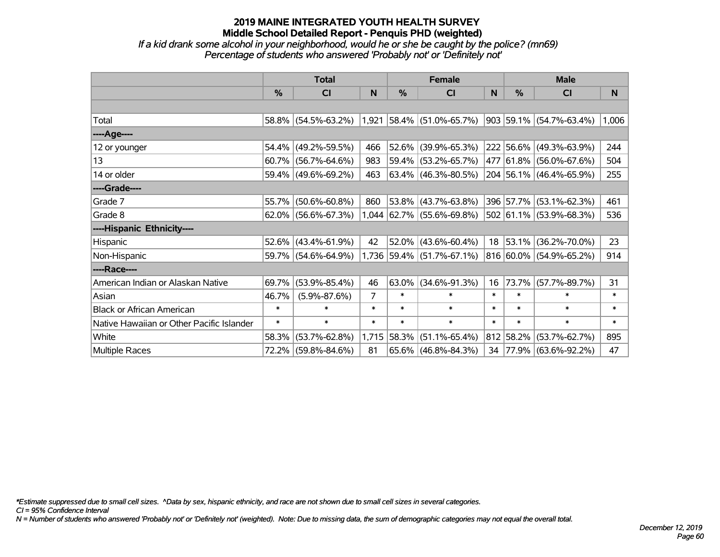*If a kid drank some alcohol in your neighborhood, would he or she be caught by the police? (mn69) Percentage of students who answered 'Probably not' or 'Definitely not'*

|                                           | <b>Total</b> |                     |        | <b>Female</b> |                             | <b>Male</b> |               |                                  |        |
|-------------------------------------------|--------------|---------------------|--------|---------------|-----------------------------|-------------|---------------|----------------------------------|--------|
|                                           | %            | <b>CI</b>           | N      | %             | <b>CI</b>                   | N           | $\frac{0}{0}$ | <b>CI</b>                        | N      |
|                                           |              |                     |        |               |                             |             |               |                                  |        |
| Total                                     | $58.8\%$     | $(54.5\% - 63.2\%)$ |        |               | $1,921$ 58.4% (51.0%-65.7%) |             |               | $ 903 59.1\%  (54.7\% - 63.4\%)$ | 1,006  |
| ----Age----                               |              |                     |        |               |                             |             |               |                                  |        |
| 12 or younger                             | 54.4%        | $(49.2\% - 59.5\%)$ | 466    | $52.6\%$      | $(39.9\% - 65.3\%)$         |             |               | 222 56.6% (49.3%-63.9%)          | 244    |
| 13                                        | 60.7%        | $(56.7\% - 64.6\%)$ | 983    |               | 59.4% (53.2%-65.7%)         |             |               | 477 61.8% (56.0%-67.6%)          | 504    |
| 14 or older                               | 59.4%        | $(49.6\% - 69.2\%)$ | 463    |               | $63.4\%$ (46.3%-80.5%)      |             |               | 204 56.1% (46.4%-65.9%)          | 255    |
| ----Grade----                             |              |                     |        |               |                             |             |               |                                  |        |
| Grade 7                                   | 55.7%        | $(50.6\% - 60.8\%)$ | 860    | $53.8\%$      | $(43.7\% - 63.8\%)$         |             |               | 396 57.7% (53.1%-62.3%)          | 461    |
| Grade 8                                   | $62.0\%$     | $(56.6\% - 67.3\%)$ |        |               | $1,044$ 62.7% (55.6%-69.8%) |             |               | 502 61.1% (53.9%-68.3%)          | 536    |
| ----Hispanic Ethnicity----                |              |                     |        |               |                             |             |               |                                  |        |
| Hispanic                                  | 52.6%        | $(43.4\% - 61.9\%)$ | 42     |               | $52.0\%$ (43.6%-60.4%)      |             | $18$ 53.1%    | $(36.2\% - 70.0\%)$              | 23     |
| Non-Hispanic                              | 59.7%        | $(54.6\% - 64.9\%)$ | 1,736  |               | 59.4% (51.7%-67.1%)         |             |               | 816 60.0% (54.9%-65.2%)          | 914    |
| ----Race----                              |              |                     |        |               |                             |             |               |                                  |        |
| American Indian or Alaskan Native         | 69.7%        | $(53.9\% - 85.4\%)$ | 46     | 63.0%         | $(34.6\% - 91.3\%)$         | 16          | 73.7%         | $(57.7\% - 89.7\%)$              | 31     |
| Asian                                     | 46.7%        | $(5.9\% - 87.6\%)$  | 7      | $\ast$        | $\ast$                      | $\ast$      | $\ast$        | $\ast$                           | $\ast$ |
| <b>Black or African American</b>          | $\ast$       | $\ast$              | $\ast$ | $\ast$        | $\ast$                      | $\ast$      | $\ast$        | $\ast$                           | *      |
| Native Hawaiian or Other Pacific Islander | $\ast$       | $\ast$              | $\ast$ | $\ast$        | $\ast$                      | $\ast$      | $\ast$        | $\ast$                           | $\ast$ |
| White                                     | 58.3%        | $(53.7\% - 62.8\%)$ | 1,715  | 58.3%         | $(51.1\% - 65.4\%)$         | 812         | 58.2%         | $(53.7\% - 62.7\%)$              | 895    |
| Multiple Races                            | 72.2%        | $(59.8\% - 84.6\%)$ | 81     |               | 65.6% (46.8%-84.3%)         |             |               | 34 77.9% (63.6%-92.2%)           | 47     |

*\*Estimate suppressed due to small cell sizes. ^Data by sex, hispanic ethnicity, and race are not shown due to small cell sizes in several categories.*

*CI = 95% Confidence Interval*

*N = Number of students who answered 'Probably not' or 'Definitely not' (weighted). Note: Due to missing data, the sum of demographic categories may not equal the overall total.*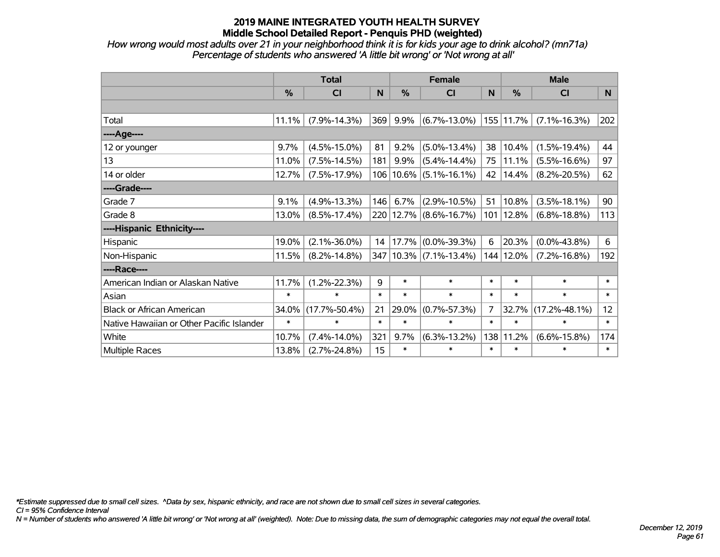*How wrong would most adults over 21 in your neighborhood think it is for kids your age to drink alcohol? (mn71a) Percentage of students who answered 'A little bit wrong' or 'Not wrong at all'*

|                                           | <b>Total</b> |                     |        |           | <b>Female</b>          |                | <b>Male</b> |                     |                |  |
|-------------------------------------------|--------------|---------------------|--------|-----------|------------------------|----------------|-------------|---------------------|----------------|--|
|                                           | %            | <b>CI</b>           | N      | %         | <b>CI</b>              | N              | %           | CI                  | N <sub>1</sub> |  |
|                                           |              |                     |        |           |                        |                |             |                     |                |  |
| Total                                     | 11.1%        | $(7.9\% - 14.3\%)$  | 369    | 9.9%      | $(6.7\% - 13.0\%)$     |                | 155 11.7%   | $(7.1\% - 16.3\%)$  | 202            |  |
| ----Age----                               |              |                     |        |           |                        |                |             |                     |                |  |
| 12 or younger                             | 9.7%         | $(4.5\% - 15.0\%)$  | 81     | 9.2%      | $(5.0\% - 13.4\%)$     | 38             | 10.4%       | $(1.5\% - 19.4\%)$  | 44             |  |
| 13                                        | 11.0%        | $(7.5\% - 14.5\%)$  | 181    | 9.9%      | $(5.4\% - 14.4\%)$     | 75             | 11.1%       | $(5.5\% - 16.6\%)$  | 97             |  |
| 14 or older                               | 12.7%        | $(7.5\% - 17.9\%)$  |        | 106 10.6% | $(5.1\% - 16.1\%)$     | 42             | 14.4%       | $(8.2\% - 20.5\%)$  | 62             |  |
| ----Grade----                             |              |                     |        |           |                        |                |             |                     |                |  |
| Grade 7                                   | 9.1%         | $(4.9\% - 13.3\%)$  | 146    | 6.7%      | $(2.9\% - 10.5\%)$     | 51             | 10.8%       | $(3.5\% - 18.1\%)$  | 90             |  |
| Grade 8                                   | 13.0%        | $(8.5\% - 17.4\%)$  |        |           | 220 12.7% (8.6%-16.7%) | 101            | 12.8%       | $(6.8\% - 18.8\%)$  | 113            |  |
| ----Hispanic Ethnicity----                |              |                     |        |           |                        |                |             |                     |                |  |
| Hispanic                                  | 19.0%        | $(2.1\% - 36.0\%)$  | 14     | 17.7%     | $(0.0\% - 39.3\%)$     | 6              | 20.3%       | $(0.0\% - 43.8\%)$  | 6              |  |
| Non-Hispanic                              | 11.5%        | $(8.2\% - 14.8\%)$  |        |           | 347 10.3% (7.1%-13.4%) | 144            | 12.0%       | $(7.2\% - 16.8\%)$  | 192            |  |
| ----Race----                              |              |                     |        |           |                        |                |             |                     |                |  |
| American Indian or Alaskan Native         | 11.7%        | $(1.2\% - 22.3\%)$  | 9      | $\ast$    | $\ast$                 | $\ast$         | $\ast$      | $\ast$              | $\ast$         |  |
| Asian                                     | $\ast$       | $\ast$              | $\ast$ | $\ast$    | $\ast$                 | $\ast$         | $\ast$      | $\ast$              | $\ast$         |  |
| <b>Black or African American</b>          | 34.0%        | $(17.7\% - 50.4\%)$ | 21     | 29.0%     | $(0.7\% - 57.3\%)$     | $\overline{7}$ | 32.7%       | $(17.2\% - 48.1\%)$ | 12             |  |
| Native Hawaiian or Other Pacific Islander | $\ast$       | $\ast$              | $\ast$ | $\ast$    | $\ast$                 | $\ast$         | $\ast$      | $\ast$              | $\ast$         |  |
| White                                     | 10.7%        | $(7.4\% - 14.0\%)$  | 321    | 9.7%      | $(6.3\% - 13.2\%)$     | 138            | 11.2%       | $(6.6\% - 15.8\%)$  | 174            |  |
| <b>Multiple Races</b>                     | 13.8%        | $(2.7\% - 24.8\%)$  | 15     | $\ast$    | $\ast$                 | $\ast$         | $\ast$      | $\ast$              | $\ast$         |  |

*\*Estimate suppressed due to small cell sizes. ^Data by sex, hispanic ethnicity, and race are not shown due to small cell sizes in several categories.*

*CI = 95% Confidence Interval*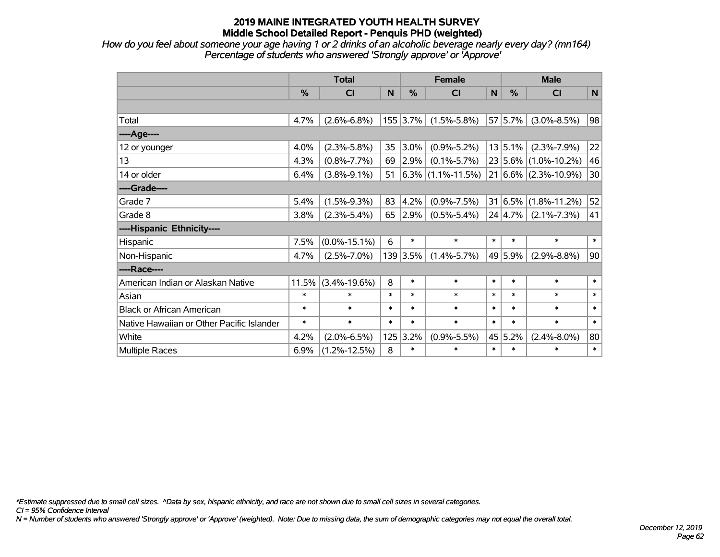*How do you feel about someone your age having 1 or 2 drinks of an alcoholic beverage nearly every day? (mn164) Percentage of students who answered 'Strongly approve' or 'Approve'*

|                                           | <b>Total</b> |                    |        |            | <b>Female</b>          | <b>Male</b>  |             |                          |              |
|-------------------------------------------|--------------|--------------------|--------|------------|------------------------|--------------|-------------|--------------------------|--------------|
|                                           | %            | CI                 | N      | %          | <b>CI</b>              | $\mathsf{N}$ | %           | <b>CI</b>                | $\mathsf{N}$ |
|                                           |              |                    |        |            |                        |              |             |                          |              |
| Total                                     | 4.7%         | $(2.6\% - 6.8\%)$  |        | $155$ 3.7% | $(1.5\% - 5.8\%)$      |              | 57 5.7%     | $(3.0\% - 8.5\%)$        | 98           |
| ---- Age----                              |              |                    |        |            |                        |              |             |                          |              |
| 12 or younger                             | 4.0%         | $(2.3\% - 5.8\%)$  | 35     | 3.0%       | $(0.9\% - 5.2\%)$      |              | 13 5.1%     | $(2.3\% - 7.9\%)$        | 22           |
| 13                                        | 4.3%         | $(0.8\% - 7.7\%)$  | 69     | 2.9%       | $(0.1\% - 5.7\%)$      |              |             | 23 5.6% (1.0%-10.2%)     | 46           |
| 14 or older                               | 6.4%         | $(3.8\% - 9.1\%)$  | 51     |            | $ 6.3\% $ (1.1%-11.5%) |              |             | $21 6.6\% $ (2.3%-10.9%) | 30           |
| ----Grade----                             |              |                    |        |            |                        |              |             |                          |              |
| Grade 7                                   | 5.4%         | $(1.5\% - 9.3\%)$  | 83     | 4.2%       | $(0.9\% - 7.5\%)$      |              | $31 6.5\% $ | $(1.8\% - 11.2\%)$       | 52           |
| Grade 8                                   | 3.8%         | $(2.3\% - 5.4\%)$  | 65     | 2.9%       | $(0.5\% - 5.4\%)$      |              | 24 4.7%     | $(2.1\% - 7.3\%)$        | 41           |
| ----Hispanic Ethnicity----                |              |                    |        |            |                        |              |             |                          |              |
| Hispanic                                  | 7.5%         | $(0.0\% - 15.1\%)$ | 6      | $\ast$     | $\ast$                 | $\ast$       | $\ast$      | $\ast$                   | $\ast$       |
| Non-Hispanic                              | 4.7%         | $(2.5\% - 7.0\%)$  |        | 139 3.5%   | $(1.4\% - 5.7\%)$      |              | 49 5.9%     | $(2.9\% - 8.8\%)$        | 90           |
| ----Race----                              |              |                    |        |            |                        |              |             |                          |              |
| American Indian or Alaskan Native         | 11.5%        | $(3.4\% - 19.6\%)$ | 8      | $\ast$     | $\ast$                 | $\ast$       | $\ast$      | $\ast$                   | $\ast$       |
| Asian                                     | $\ast$       | $\ast$             | $\ast$ | $\ast$     | $\ast$                 | $\ast$       | $\ast$      | $\ast$                   | $\ast$       |
| <b>Black or African American</b>          | $\ast$       | $\ast$             | $\ast$ | $\ast$     | $\ast$                 | $\ast$       | $\ast$      | $\ast$                   | $\ast$       |
| Native Hawaiian or Other Pacific Islander | $\ast$       | $\ast$             | $\ast$ | $\ast$     | $\ast$                 | $\ast$       | $\ast$      | $\ast$                   | $\ast$       |
| White                                     | 4.2%         | $(2.0\% - 6.5\%)$  | 125    | 3.2%       | $(0.9\% - 5.5\%)$      |              | 45 5.2%     | $(2.4\% - 8.0\%)$        | 80           |
| Multiple Races                            | 6.9%         | $(1.2\% - 12.5\%)$ | 8      | $\ast$     | $\ast$                 | $\ast$       | $\ast$      | $\ast$                   | $\ast$       |

*\*Estimate suppressed due to small cell sizes. ^Data by sex, hispanic ethnicity, and race are not shown due to small cell sizes in several categories.*

*CI = 95% Confidence Interval*

*N = Number of students who answered 'Strongly approve' or 'Approve' (weighted). Note: Due to missing data, the sum of demographic categories may not equal the overall total.*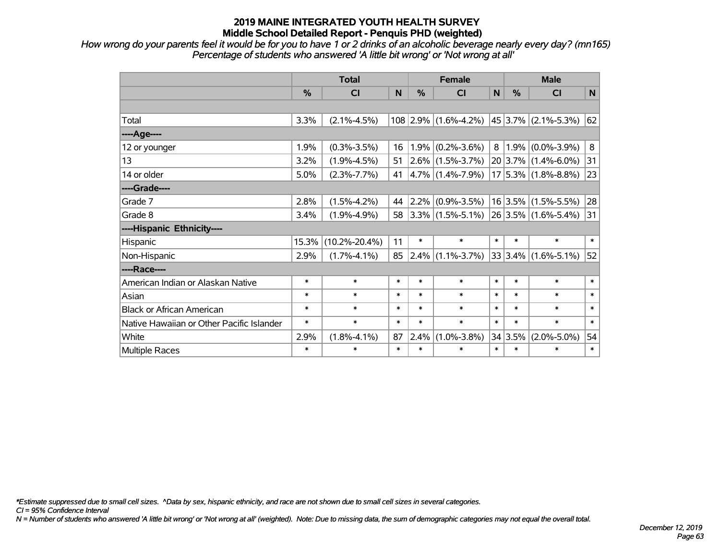*How wrong do your parents feel it would be for you to have 1 or 2 drinks of an alcoholic beverage nearly every day? (mn165) Percentage of students who answered 'A little bit wrong' or 'Not wrong at all'*

|                                           |        | <b>Total</b>        |        | <b>Female</b> | <b>Male</b>                                    |        |         |                          |        |
|-------------------------------------------|--------|---------------------|--------|---------------|------------------------------------------------|--------|---------|--------------------------|--------|
|                                           | %      | CI                  | N      | %             | CI                                             | N      | %       | <b>CI</b>                | N      |
|                                           |        |                     |        |               |                                                |        |         |                          |        |
| Total                                     | 3.3%   | $(2.1\% - 4.5\%)$   |        |               | 108 2.9% (1.6%-4.2%)                           |        |         | $ 45 3.7\% $ (2.1%-5.3%) | 62     |
| ----Age----                               |        |                     |        |               |                                                |        |         |                          |        |
| 12 or younger                             | 1.9%   | $(0.3\% - 3.5\%)$   | 16     |               | $1.9\%$ (0.2%-3.6%)                            | 8      |         | $1.9\%$ (0.0%-3.9%)      | 8      |
| 13                                        | 3.2%   | $(1.9\% - 4.5\%)$   | 51     |               | $ 2.6\% $ (1.5%-3.7%)                          |        |         | 20 3.7% (1.4%-6.0%)      | 31     |
| 14 or older                               | 5.0%   | $(2.3\% - 7.7\%)$   | 41     |               | $ 4.7\% $ (1.4%-7.9%)                          |        |         | $17 5.3\% $ (1.8%-8.8%)  | 23     |
| ----Grade----                             |        |                     |        |               |                                                |        |         |                          |        |
| Grade 7                                   | 2.8%   | $(1.5\% - 4.2\%)$   | 44     |               | $ 2.2\% $ (0.9%-3.5%)                          |        |         | $16 3.5\% $ (1.5%-5.5%)  | 28     |
| Grade 8                                   | 3.4%   | $(1.9\% - 4.9\%)$   | 58     |               | $ 3.3\% $ (1.5%-5.1%) $ 26 3.5\% $ (1.6%-5.4%) |        |         |                          | 31     |
| ----Hispanic Ethnicity----                |        |                     |        |               |                                                |        |         |                          |        |
| Hispanic                                  | 15.3%  | $(10.2\% - 20.4\%)$ | 11     | $\ast$        | $\ast$                                         | $\ast$ | $\ast$  | $\ast$                   | $\ast$ |
| Non-Hispanic                              | 2.9%   | $(1.7\% - 4.1\%)$   | 85     |               | $ 2.4\% $ (1.1%-3.7%)                          |        | 33 3.4% | $(1.6\% - 5.1\%)$        | 52     |
| ----Race----                              |        |                     |        |               |                                                |        |         |                          |        |
| American Indian or Alaskan Native         | $\ast$ | $\ast$              | $\ast$ | $\ast$        | $\ast$                                         | $\ast$ | $\ast$  | $\ast$                   | $\ast$ |
| Asian                                     | $\ast$ | $\ast$              | $\ast$ | $\ast$        | $\ast$                                         | $\ast$ | $\ast$  | $\ast$                   | $\ast$ |
| <b>Black or African American</b>          | $\ast$ | $\ast$              | $\ast$ | *             | $\ast$                                         | $\ast$ | $\ast$  | $\ast$                   | $\ast$ |
| Native Hawaiian or Other Pacific Islander | $\ast$ | $\ast$              | $\ast$ | $\ast$        | $\ast$                                         | $\ast$ | $\ast$  | $\ast$                   | $\ast$ |
| White                                     | 2.9%   | $(1.8\% - 4.1\%)$   | 87     | $2.4\%$       | $(1.0\% - 3.8\%)$                              |        | 34 3.5% | $(2.0\% - 5.0\%)$        | 54     |
| Multiple Races                            | $\ast$ | $\ast$              | $\ast$ | $\ast$        | $\ast$                                         | $\ast$ | $\ast$  | $\ast$                   | $\ast$ |

*\*Estimate suppressed due to small cell sizes. ^Data by sex, hispanic ethnicity, and race are not shown due to small cell sizes in several categories.*

*CI = 95% Confidence Interval*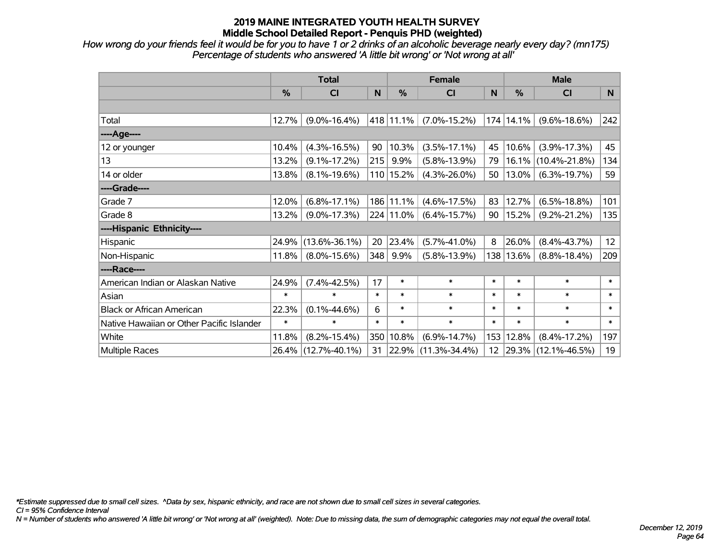*How wrong do your friends feel it would be for you to have 1 or 2 drinks of an alcoholic beverage nearly every day? (mn175) Percentage of students who answered 'A little bit wrong' or 'Not wrong at all'*

|                                           | <b>Total</b> |                     |        | <b>Female</b> | <b>Male</b>         |        |        |                     |        |
|-------------------------------------------|--------------|---------------------|--------|---------------|---------------------|--------|--------|---------------------|--------|
|                                           | %            | CI                  | N      | $\%$          | <b>CI</b>           | N      | %      | <b>CI</b>           | N      |
|                                           |              |                     |        |               |                     |        |        |                     |        |
| Total                                     | 12.7%        | $(9.0\% - 16.4\%)$  |        | 418 11.1%     | $(7.0\% - 15.2\%)$  | 174    | 14.1%  | $(9.6\% - 18.6\%)$  | 242    |
| ----Age----                               |              |                     |        |               |                     |        |        |                     |        |
| 12 or younger                             | 10.4%        | $(4.3\% - 16.5\%)$  | 90     | 10.3%         | $(3.5\% - 17.1\%)$  | 45     | 10.6%  | $(3.9\% - 17.3\%)$  | 45     |
| 13                                        | 13.2%        | $(9.1\% - 17.2\%)$  | 215    | 9.9%          | $(5.8\% - 13.9\%)$  | 79     | 16.1%  | $(10.4\% - 21.8\%)$ | 134    |
| 14 or older                               | 13.8%        | $(8.1\% - 19.6\%)$  |        | 110 15.2%     | $(4.3\% - 26.0\%)$  | 50     | 13.0%  | $(6.3\% - 19.7\%)$  | 59     |
| ----Grade----                             |              |                     |        |               |                     |        |        |                     |        |
| Grade 7                                   | 12.0%        | $(6.8\% - 17.1\%)$  |        | 186 11.1%     | $(4.6\% - 17.5\%)$  | 83     | 12.7%  | $(6.5\% - 18.8\%)$  | 101    |
| Grade 8                                   | 13.2%        | $(9.0\% - 17.3\%)$  |        | 224 11.0%     | $(6.4\% - 15.7\%)$  | 90     | 15.2%  | $(9.2\% - 21.2\%)$  | 135    |
| ----Hispanic Ethnicity----                |              |                     |        |               |                     |        |        |                     |        |
| Hispanic                                  | 24.9%        | $(13.6\% - 36.1\%)$ | 20     | 23.4%         | $(5.7\% - 41.0\%)$  | 8      | 26.0%  | $(8.4\% - 43.7\%)$  | 12     |
| Non-Hispanic                              | 11.8%        | $(8.0\% - 15.6\%)$  | 348    | 9.9%          | $(5.8\% - 13.9\%)$  | 138    | 13.6%  | $(8.8\% - 18.4\%)$  | 209    |
| ----Race----                              |              |                     |        |               |                     |        |        |                     |        |
| American Indian or Alaskan Native         | 24.9%        | $(7.4\% - 42.5\%)$  | 17     | $\ast$        | $\ast$              | $\ast$ | $\ast$ | $\ast$              | $\ast$ |
| Asian                                     | $\ast$       | $\ast$              | $\ast$ | $\ast$        | $\ast$              | $\ast$ | $\ast$ | $\ast$              | $\ast$ |
| <b>Black or African American</b>          | 22.3%        | $(0.1\% - 44.6\%)$  | 6      | $\ast$        | $\ast$              | $\ast$ | $\ast$ | $\ast$              | $\ast$ |
| Native Hawaiian or Other Pacific Islander | $\ast$       | $\ast$              | $\ast$ | $\ast$        | $\ast$              | $\ast$ | $\ast$ | $\ast$              | $\ast$ |
| White                                     | 11.8%        | $(8.2\% - 15.4\%)$  |        | 350 10.8%     | $(6.9\% - 14.7\%)$  | 153    | 12.8%  | $(8.4\% - 17.2\%)$  | 197    |
| Multiple Races                            |              | 26.4% (12.7%-40.1%) | 31     |               | 22.9% (11.3%-34.4%) | 12     | 29.3%  | $(12.1\% - 46.5\%)$ | 19     |

*\*Estimate suppressed due to small cell sizes. ^Data by sex, hispanic ethnicity, and race are not shown due to small cell sizes in several categories.*

*CI = 95% Confidence Interval*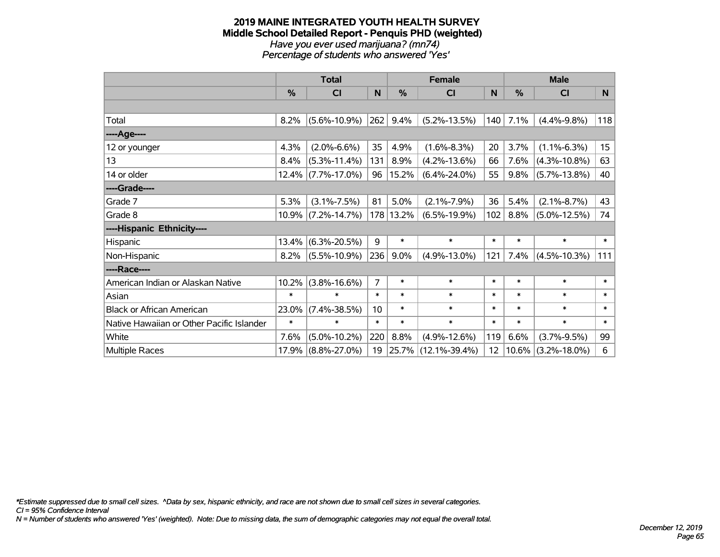#### **2019 MAINE INTEGRATED YOUTH HEALTH SURVEY Middle School Detailed Report - Penquis PHD (weighted)** *Have you ever used marijuana? (mn74) Percentage of students who answered 'Yes'*

|                                           | <b>Total</b>  |                       |                 |           | <b>Female</b>       |        | <b>Male</b> |                       |                  |  |
|-------------------------------------------|---------------|-----------------------|-----------------|-----------|---------------------|--------|-------------|-----------------------|------------------|--|
|                                           | $\frac{0}{0}$ | <b>CI</b>             | N               | %         | <b>CI</b>           | N      | %           | <b>CI</b>             | N                |  |
|                                           |               |                       |                 |           |                     |        |             |                       |                  |  |
| Total                                     | 8.2%          | $(5.6\% - 10.9\%)$    | 262             | 9.4%      | $(5.2\% - 13.5\%)$  | 140    | 7.1%        | $(4.4\% - 9.8\%)$     | 118              |  |
| ----Age----                               |               |                       |                 |           |                     |        |             |                       |                  |  |
| 12 or younger                             | 4.3%          | $(2.0\% - 6.6\%)$     | 35              | 4.9%      | $(1.6\% - 8.3\%)$   | 20     | 3.7%        | $(1.1\% - 6.3\%)$     | 15 <sub>15</sub> |  |
| 13                                        | 8.4%          | $(5.3\% - 11.4\%)$    | 131             | 8.9%      | $(4.2\% - 13.6\%)$  | 66     | 7.6%        | $(4.3\% - 10.8\%)$    | 63               |  |
| 14 or older                               |               | $12.4\%$ (7.7%-17.0%) | 96              | 15.2%     | $(6.4\% - 24.0\%)$  | 55     | 9.8%        | $(5.7\% - 13.8\%)$    | 40               |  |
| ----Grade----                             |               |                       |                 |           |                     |        |             |                       |                  |  |
| Grade 7                                   | 5.3%          | $(3.1\% - 7.5\%)$     | 81              | 5.0%      | $(2.1\% - 7.9\%)$   | 36     | 5.4%        | $(2.1\% - 8.7\%)$     | 43               |  |
| Grade 8                                   |               | $10.9\%$ (7.2%-14.7%) |                 | 178 13.2% | $(6.5\% - 19.9\%)$  | 102    | $8.8\%$     | $(5.0\% - 12.5\%)$    | 74               |  |
| ----Hispanic Ethnicity----                |               |                       |                 |           |                     |        |             |                       |                  |  |
| Hispanic                                  | 13.4%         | $(6.3\% - 20.5\%)$    | 9               | $\ast$    | $\ast$              | $\ast$ | $\ast$      | $\ast$                | $\ast$           |  |
| Non-Hispanic                              | 8.2%          | $(5.5\% - 10.9\%)$    | 236             | 9.0%      | $(4.9\% - 13.0\%)$  | 121    | 7.4%        | $(4.5\% - 10.3\%)$    | 111              |  |
| ----Race----                              |               |                       |                 |           |                     |        |             |                       |                  |  |
| American Indian or Alaskan Native         | 10.2%         | $(3.8\% - 16.6\%)$    | $\overline{7}$  | $\ast$    | $\ast$              | $\ast$ | $\ast$      | $\ast$                | $\ast$           |  |
| Asian                                     | $\ast$        | $\ast$                | $\ast$          | $\ast$    | $\ast$              | $\ast$ | $\ast$      | $\ast$                | $\ast$           |  |
| <b>Black or African American</b>          | 23.0%         | $(7.4\% - 38.5\%)$    | 10 <sup>1</sup> | $\ast$    | $\ast$              | $\ast$ | $\ast$      | $\ast$                | $\ast$           |  |
| Native Hawaiian or Other Pacific Islander | $\ast$        | $\ast$                | $\ast$          | $\ast$    | $\ast$              | $\ast$ | $\ast$      | $\ast$                | $\ast$           |  |
| White                                     | 7.6%          | $(5.0\% - 10.2\%)$    | 220             | 8.8%      | $(4.9\% - 12.6\%)$  | 119    | 6.6%        | $(3.7\% - 9.5\%)$     | 99               |  |
| Multiple Races                            |               | $17.9\%$ (8.8%-27.0%) | 19              |           | 25.7% (12.1%-39.4%) | 12     |             | $10.6\%$ (3.2%-18.0%) | 6                |  |

*\*Estimate suppressed due to small cell sizes. ^Data by sex, hispanic ethnicity, and race are not shown due to small cell sizes in several categories.*

*CI = 95% Confidence Interval*

*N = Number of students who answered 'Yes' (weighted). Note: Due to missing data, the sum of demographic categories may not equal the overall total.*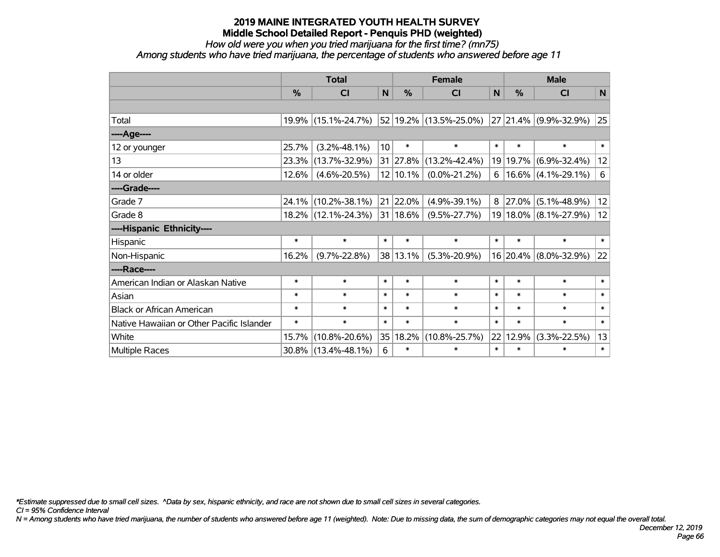*How old were you when you tried marijuana for the first time? (mn75)*

*Among students who have tried marijuana, the percentage of students who answered before age 11*

|                                           | <b>Total</b> |                     |                 |               | <b>Female</b>          |        |            | <b>Male</b>           |        |  |  |
|-------------------------------------------|--------------|---------------------|-----------------|---------------|------------------------|--------|------------|-----------------------|--------|--|--|
|                                           | %            | <b>CI</b>           | $\mathsf{N}$    | %             | <b>CI</b>              | N      | %          | <b>CI</b>             | N      |  |  |
|                                           |              |                     |                 |               |                        |        |            |                       |        |  |  |
| Total                                     | 19.9%        | $(15.1\% - 24.7\%)$ |                 |               | 52 19.2% (13.5%-25.0%) |        |            | 27 21.4% (9.9%-32.9%) | 25     |  |  |
| ----Age----                               |              |                     |                 |               |                        |        |            |                       |        |  |  |
| 12 or younger                             | 25.7%        | $(3.2\% - 48.1\%)$  | 10 <sup>1</sup> | $\ast$        | $\ast$                 | $\ast$ | $\ast$     | $\ast$                | $\ast$ |  |  |
| 13                                        | 23.3%        | $(13.7\% - 32.9\%)$ |                 | 31   27.8%    | $(13.2\% - 42.4\%)$    |        | 19 19.7%   | $(6.9\% - 32.4\%)$    | 12     |  |  |
| 14 or older                               | 12.6%        | $(4.6\% - 20.5\%)$  |                 | 12 10.1%      | $(0.0\% - 21.2\%)$     | 6      |            | $16.6\%$ (4.1%-29.1%) | 6      |  |  |
| ----Grade----                             |              |                     |                 |               |                        |        |            |                       |        |  |  |
| Grade 7                                   | 24.1%        | $(10.2\% - 38.1\%)$ |                 | 21 22.0%      | $(4.9\% - 39.1\%)$     | 8      | $ 27.0\% $ | $(5.1\% - 48.9\%)$    | 12     |  |  |
| Grade 8                                   |              | 18.2% (12.1%-24.3%) |                 | $ 31 18.6\% $ | $(9.5\% - 27.7\%)$     |        |            | 19 18.0% (8.1%-27.9%) | 12     |  |  |
| ----Hispanic Ethnicity----                |              |                     |                 |               |                        |        |            |                       |        |  |  |
| Hispanic                                  | $\ast$       | $\ast$              | $\ast$          | $\ast$        | $\ast$                 | $\ast$ | $\ast$     | $\ast$                | $\ast$ |  |  |
| Non-Hispanic                              | 16.2%        | $(9.7\% - 22.8\%)$  |                 | 38 13.1%      | $(5.3\% - 20.9\%)$     |        |            | 16 20.4% (8.0%-32.9%) | 22     |  |  |
| ----Race----                              |              |                     |                 |               |                        |        |            |                       |        |  |  |
| American Indian or Alaskan Native         | $\ast$       | $\ast$              | $\ast$          | $\ast$        | $\ast$                 | $\ast$ | $\ast$     | $\ast$                | $\ast$ |  |  |
| Asian                                     | $\ast$       | $\ast$              | $\ast$          | $\ast$        | $\ast$                 | $\ast$ | $\ast$     | $\ast$                | $\ast$ |  |  |
| <b>Black or African American</b>          | $\ast$       | $\ast$              | $\ast$          | $\ast$        | $\ast$                 | $\ast$ | $\ast$     | $\ast$                | $\ast$ |  |  |
| Native Hawaiian or Other Pacific Islander | $\ast$       | $\ast$              | $\ast$          | $\ast$        | $\ast$                 | $\ast$ | $\ast$     | $\ast$                | $\ast$ |  |  |
| White                                     | 15.7%        | $(10.8\% - 20.6\%)$ | 35              | 18.2%         | $(10.8\% - 25.7\%)$    | 22     | 12.9%      | $(3.3\% - 22.5\%)$    | 13     |  |  |
| Multiple Races                            | 30.8%        | $(13.4\% - 48.1\%)$ | 6               | $\ast$        | $\ast$                 | $\ast$ | $\ast$     | $\ast$                | $\ast$ |  |  |

*\*Estimate suppressed due to small cell sizes. ^Data by sex, hispanic ethnicity, and race are not shown due to small cell sizes in several categories.*

*CI = 95% Confidence Interval*

*N = Among students who have tried marijuana, the number of students who answered before age 11 (weighted). Note: Due to missing data, the sum of demographic categories may not equal the overall total.*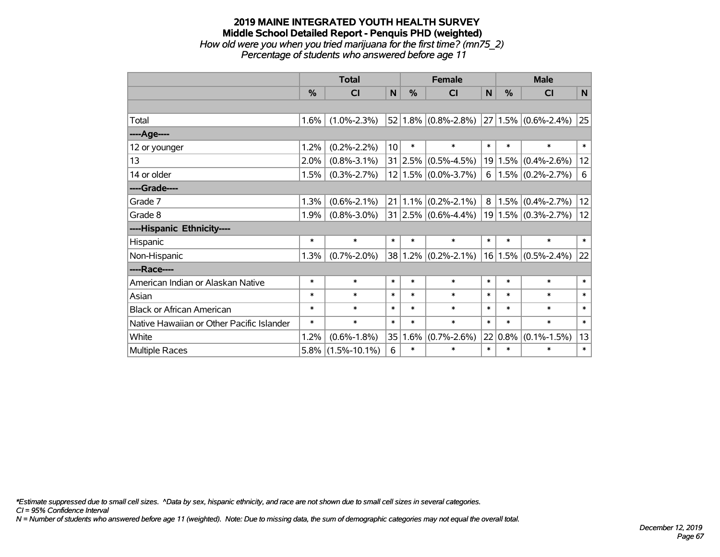### **2019 MAINE INTEGRATED YOUTH HEALTH SURVEY Middle School Detailed Report - Penquis PHD (weighted)** *How old were you when you tried marijuana for the first time? (mn75\_2)*

*Percentage of students who answered before age 11*

|                                           | <b>Total</b>  |                    |                 |        | <b>Female</b>                        | <b>Male</b> |               |                              |        |
|-------------------------------------------|---------------|--------------------|-----------------|--------|--------------------------------------|-------------|---------------|------------------------------|--------|
|                                           | $\frac{0}{0}$ | CI                 | N               | $\%$   | <b>CI</b>                            | N           | $\frac{0}{0}$ | <b>CI</b>                    | N      |
|                                           |               |                    |                 |        |                                      |             |               |                              |        |
| Total                                     | $1.6\%$       | $(1.0\% - 2.3\%)$  |                 |        | $52 1.8\% $ (0.8%-2.8%)              |             |               | $ 27 1.5\%  (0.6\% - 2.4\%)$ | 25     |
| ----Age----                               |               |                    |                 |        |                                      |             |               |                              |        |
| 12 or younger                             | 1.2%          | $(0.2\% - 2.2\%)$  | 10 <sup>1</sup> | $\ast$ | $\ast$                               | $\ast$      | $\ast$        | $\ast$                       | $\ast$ |
| 13                                        | 2.0%          | $(0.8\% - 3.1\%)$  |                 |        | $31 2.5\% $ (0.5%-4.5%)              |             | 19 1.5%       | $(0.4\% - 2.6\%)$            | 12     |
| 14 or older                               | 1.5%          | $(0.3\% - 2.7\%)$  |                 |        | $12 1.5\% $ (0.0%-3.7%)              | 6           |               | $1.5\%$ (0.2%-2.7%)          | 6      |
| ----Grade----                             |               |                    |                 |        |                                      |             |               |                              |        |
| Grade 7                                   | 1.3%          | $(0.6\% - 2.1\%)$  |                 |        | $21 \mid 1.1\% \mid (0.2\% - 2.1\%)$ | 8           | 1.5%          | $(0.4\% - 2.7\%)$            | 12     |
| Grade 8                                   | 1.9%          | $(0.8\% - 3.0\%)$  |                 |        | $31 2.5\% $ (0.6%-4.4%)              |             | 19 1.5%       | $(0.3\% - 2.7\%)$            | 12     |
| ----Hispanic Ethnicity----                |               |                    |                 |        |                                      |             |               |                              |        |
| Hispanic                                  | $\ast$        | $\ast$             | $\ast$          | $\ast$ | $\ast$                               | $\ast$      | $\ast$        | $\ast$                       | $\ast$ |
| Non-Hispanic                              | 1.3%          | $(0.7\% - 2.0\%)$  |                 |        | $38 1.2\% $ (0.2%-2.1%)              |             | 16 1.5%       | $(0.5\% - 2.4\%)$            | 22     |
| ----Race----                              |               |                    |                 |        |                                      |             |               |                              |        |
| American Indian or Alaskan Native         | $\ast$        | $\ast$             | $\ast$          | $\ast$ | $\ast$                               | $\ast$      | $\ast$        | $\ast$                       | $\ast$ |
| Asian                                     | $\ast$        | $\ast$             | $\ast$          | $\ast$ | $\ast$                               | $\ast$      | $\ast$        | $\ast$                       | $\ast$ |
| <b>Black or African American</b>          | $\ast$        | $\ast$             | $\ast$          | $\ast$ | $\ast$                               | $\ast$      | $\ast$        | $\ast$                       | $\ast$ |
| Native Hawaiian or Other Pacific Islander | $\ast$        | $\ast$             | $\ast$          | $\ast$ | $\ast$                               | $\ast$      | $\ast$        | $\ast$                       | $\ast$ |
| White                                     | 1.2%          | $(0.6\% - 1.8\%)$  | 35              | 1.6%   | $(0.7\% - 2.6\%)$                    |             | 22 0.8%       | $(0.1\% - 1.5\%)$            | 13     |
| <b>Multiple Races</b>                     | 5.8%          | $(1.5\% - 10.1\%)$ | 6               | $\ast$ | $\ast$                               | $\ast$      | $\ast$        | $\ast$                       | $\ast$ |

*\*Estimate suppressed due to small cell sizes. ^Data by sex, hispanic ethnicity, and race are not shown due to small cell sizes in several categories.*

*CI = 95% Confidence Interval*

*N = Number of students who answered before age 11 (weighted). Note: Due to missing data, the sum of demographic categories may not equal the overall total.*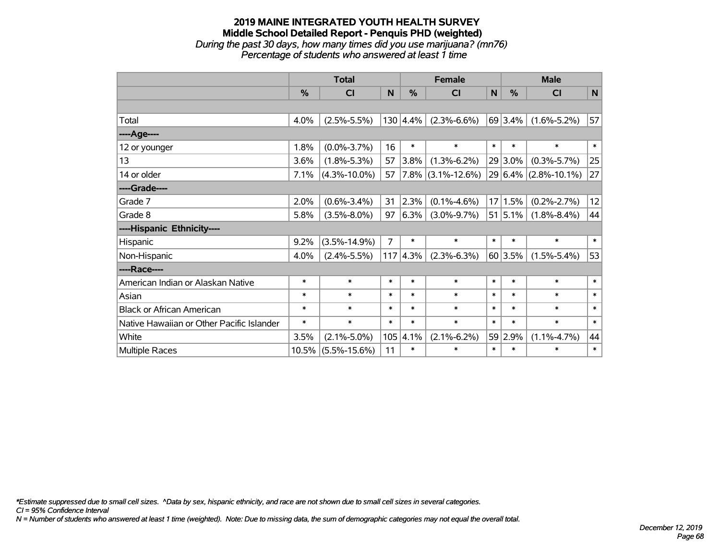# **2019 MAINE INTEGRATED YOUTH HEALTH SURVEY Middle School Detailed Report - Penquis PHD (weighted)** *During the past 30 days, how many times did you use marijuana? (mn76)*

*Percentage of students who answered at least 1 time*

|                                           | <b>Total</b> |                    |                |               | <b>Female</b>      | <b>Male</b> |         |                          |              |
|-------------------------------------------|--------------|--------------------|----------------|---------------|--------------------|-------------|---------|--------------------------|--------------|
|                                           | %            | <b>CI</b>          | N              | %             | <b>CI</b>          | N           | %       | <b>CI</b>                | $\mathsf{N}$ |
|                                           |              |                    |                |               |                    |             |         |                          |              |
| Total                                     | 4.0%         | $(2.5\% - 5.5\%)$  |                | $130   4.4\%$ | $(2.3\% - 6.6\%)$  |             | 69 3.4% | $(1.6\% - 5.2\%)$        | 57           |
| ---- Age----                              |              |                    |                |               |                    |             |         |                          |              |
| 12 or younger                             | 1.8%         | $(0.0\% - 3.7\%)$  | 16             | $\ast$        | $\ast$             | $\ast$      | $\ast$  | $\ast$                   | $\ast$       |
| 13                                        | 3.6%         | $(1.8\% - 5.3\%)$  | 57             | 3.8%          | $(1.3\% - 6.2\%)$  |             | 29 3.0% | $(0.3\% - 5.7\%)$        | 25           |
| 14 or older                               | 7.1%         | $(4.3\% - 10.0\%)$ | 57             | $ 7.8\% $     | $(3.1\% - 12.6\%)$ |             |         | $29 6.4\% $ (2.8%-10.1%) | 27           |
| ----Grade----                             |              |                    |                |               |                    |             |         |                          |              |
| Grade 7                                   | 2.0%         | $(0.6\% - 3.4\%)$  | 31             | 2.3%          | $(0.1\% - 4.6\%)$  |             | 17 1.5% | $(0.2\% - 2.7\%)$        | 12           |
| Grade 8                                   | 5.8%         | $(3.5\% - 8.0\%)$  | 97             | 6.3%          | $(3.0\% - 9.7\%)$  |             | 51 5.1% | $(1.8\% - 8.4\%)$        | 44           |
| ----Hispanic Ethnicity----                |              |                    |                |               |                    |             |         |                          |              |
| Hispanic                                  | 9.2%         | $(3.5\% - 14.9\%)$ | $\overline{7}$ | $\ast$        | $\ast$             | $\ast$      | $\ast$  | $\ast$                   | $\ast$       |
| Non-Hispanic                              | 4.0%         | $(2.4\% - 5.5\%)$  | 117            | 4.3%          | $(2.3\% - 6.3\%)$  |             | 60 3.5% | $(1.5\% - 5.4\%)$        | 53           |
| ----Race----                              |              |                    |                |               |                    |             |         |                          |              |
| American Indian or Alaskan Native         | $\ast$       | $\ast$             | $\ast$         | $\ast$        | $\ast$             | $\ast$      | $\ast$  | $\ast$                   | $\ast$       |
| Asian                                     | $\ast$       | $\ast$             | $\ast$         | $\ast$        | $\ast$             | $\ast$      | $\ast$  | $\ast$                   | $\ast$       |
| <b>Black or African American</b>          | $\ast$       | $\ast$             | $\ast$         | $\ast$        | $\ast$             | $\ast$      | $\ast$  | $\ast$                   | $\ast$       |
| Native Hawaiian or Other Pacific Islander | $\ast$       | $\ast$             | $\ast$         | $\ast$        | $\ast$             | $\ast$      | $\ast$  | $\ast$                   | $\ast$       |
| White                                     | 3.5%         | $(2.1\% - 5.0\%)$  | 105            | 4.1%          | $(2.1\% - 6.2\%)$  | 59          | 2.9%    | $(1.1\% - 4.7\%)$        | 44           |
| Multiple Races                            | 10.5%        | $(5.5\% - 15.6\%)$ | 11             | $\ast$        | $\ast$             | $\ast$      | $\ast$  | $\ast$                   | $\ast$       |

*\*Estimate suppressed due to small cell sizes. ^Data by sex, hispanic ethnicity, and race are not shown due to small cell sizes in several categories.*

*CI = 95% Confidence Interval*

*N = Number of students who answered at least 1 time (weighted). Note: Due to missing data, the sum of demographic categories may not equal the overall total.*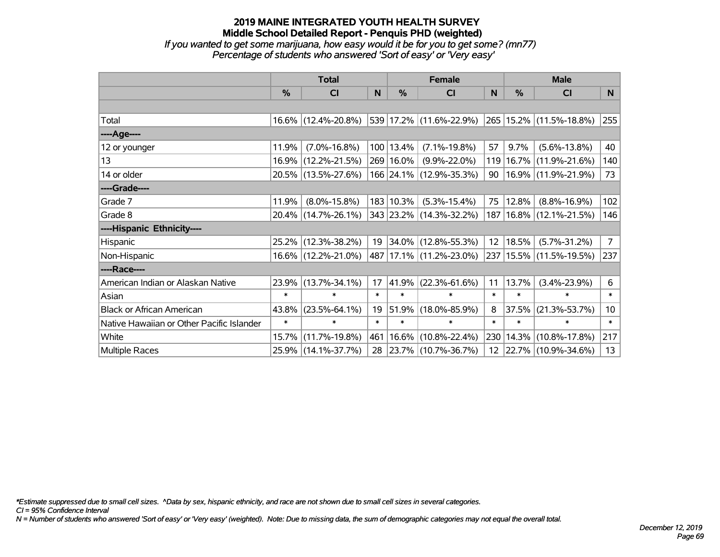*If you wanted to get some marijuana, how easy would it be for you to get some? (mn77) Percentage of students who answered 'Sort of easy' or 'Very easy'*

|                                           | <b>Total</b> |                     |        | <b>Female</b> | <b>Male</b>             |                 |         |                             |                 |
|-------------------------------------------|--------------|---------------------|--------|---------------|-------------------------|-----------------|---------|-----------------------------|-----------------|
|                                           | %            | CI                  | N      | $\frac{0}{0}$ | CI                      | N               | %       | CI                          | N               |
|                                           |              |                     |        |               |                         |                 |         |                             |                 |
| Total                                     |              | 16.6% (12.4%-20.8%) |        |               | 539 17.2% (11.6%-22.9%) |                 |         | 265 15.2% (11.5%-18.8%)     | 255             |
| ----Age----                               |              |                     |        |               |                         |                 |         |                             |                 |
| 12 or younger                             | 11.9%        | $(7.0\% - 16.8\%)$  |        | 100 13.4%     | $(7.1\% - 19.8\%)$      | 57              | $9.7\%$ | $(5.6\% - 13.8\%)$          | 40              |
| 13                                        |              | 16.9% (12.2%-21.5%) |        | 269 16.0%     | $(9.9\% - 22.0\%)$      | 119             | 16.7%   | $(11.9\% - 21.6\%)$         | 140             |
| 14 or older                               |              | 20.5% (13.5%-27.6%) |        |               | 166 24.1% (12.9%-35.3%) | 90              |         | $16.9\%$ (11.9%-21.9%)      | 73              |
| ----Grade----                             |              |                     |        |               |                         |                 |         |                             |                 |
| Grade 7                                   | 11.9%        | $(8.0\% - 15.8\%)$  |        | 183 10.3%     | $(5.3\% - 15.4\%)$      | 75              | 12.8%   | $(8.8\% - 16.9\%)$          | 102             |
| Grade 8                                   |              | 20.4% (14.7%-26.1%) |        |               | 343 23.2% (14.3%-32.2%) |                 |         | 187   16.8%   (12.1%-21.5%) | 146             |
| ----Hispanic Ethnicity----                |              |                     |        |               |                         |                 |         |                             |                 |
| Hispanic                                  | 25.2%        | $(12.3\% - 38.2\%)$ | 19     |               | $34.0\%$ (12.8%-55.3%)  | 12 <sup>2</sup> | 18.5%   | $(5.7\% - 31.2\%)$          | 7 <sup>1</sup>  |
| Non-Hispanic                              |              | 16.6% (12.2%-21.0%) |        |               | 487 17.1% (11.2%-23.0%) |                 |         | 237   15.5%   (11.5%-19.5%) | 237             |
| ----Race----                              |              |                     |        |               |                         |                 |         |                             |                 |
| American Indian or Alaskan Native         |              | 23.9% (13.7%-34.1%) | 17     | $ 41.9\% $    | $(22.3\% - 61.6\%)$     | 11              | 13.7%   | $(3.4\% - 23.9\%)$          | 6               |
| Asian                                     | $\ast$       | $\ast$              | $\ast$ | $\ast$        | $\ast$                  | $\ast$          | $\ast$  | $\ast$                      | $\ast$          |
| <b>Black or African American</b>          | 43.8%        | $(23.5\% - 64.1\%)$ | 19     | 51.9%         | $(18.0\% - 85.9\%)$     | 8               | 37.5%   | $(21.3\% - 53.7\%)$         | 10 <sub>1</sub> |
| Native Hawaiian or Other Pacific Islander | $\ast$       | $\ast$              | $\ast$ | $\ast$        | $\ast$                  | $\ast$          | $\ast$  | $\ast$                      | $\ast$          |
| White                                     | 15.7%        | $(11.7\% - 19.8\%)$ | 461    |               | $16.6\%$ (10.8%-22.4%)  | 230             | 14.3%   | $(10.8\% - 17.8\%)$         | 217             |
| Multiple Races                            |              | 25.9% (14.1%-37.7%) |        |               | 28 23.7% (10.7%-36.7%)  | 12              |         | 22.7% (10.9%-34.6%)         | 13              |

*\*Estimate suppressed due to small cell sizes. ^Data by sex, hispanic ethnicity, and race are not shown due to small cell sizes in several categories.*

*CI = 95% Confidence Interval*

*N = Number of students who answered 'Sort of easy' or 'Very easy' (weighted). Note: Due to missing data, the sum of demographic categories may not equal the overall total.*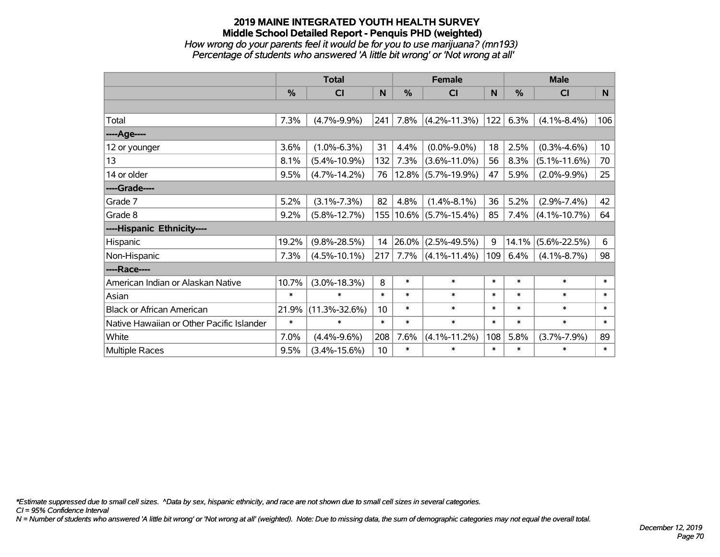### **2019 MAINE INTEGRATED YOUTH HEALTH SURVEY Middle School Detailed Report - Penquis PHD (weighted)** *How wrong do your parents feel it would be for you to use marijuana? (mn193)*

*Percentage of students who answered 'A little bit wrong' or 'Not wrong at all'*

|                                           | <b>Total</b> |                     |        | <b>Female</b> |                            |        | <b>Male</b> |                    |                 |
|-------------------------------------------|--------------|---------------------|--------|---------------|----------------------------|--------|-------------|--------------------|-----------------|
|                                           | %            | <b>CI</b>           | N      | %             | <b>CI</b>                  | N      | %           | <b>CI</b>          | N               |
|                                           |              |                     |        |               |                            |        |             |                    |                 |
| Total                                     | 7.3%         | $(4.7\% - 9.9\%)$   | 241    | 7.8%          | $(4.2\% - 11.3\%)$         | 122    | 6.3%        | $(4.1\% - 8.4\%)$  | 106             |
| ---- Age----                              |              |                     |        |               |                            |        |             |                    |                 |
| 12 or younger                             | 3.6%         | $(1.0\% - 6.3\%)$   | 31     | 4.4%          | $(0.0\% - 9.0\%)$          | 18     | 2.5%        | $(0.3\% - 4.6\%)$  | 10 <sub>1</sub> |
| 13                                        | 8.1%         | $(5.4\% - 10.9\%)$  | 132    | 7.3%          | $(3.6\% - 11.0\%)$         | 56     | 8.3%        | $(5.1\% - 11.6\%)$ | 70              |
| 14 or older                               | 9.5%         | $(4.7\% - 14.2\%)$  | 76     |               | 12.8% (5.7%-19.9%)         | 47     | 5.9%        | $(2.0\% - 9.9\%)$  | 25              |
| ----Grade----                             |              |                     |        |               |                            |        |             |                    |                 |
| Grade 7                                   | 5.2%         | $(3.1\% - 7.3\%)$   | 82     | 4.8%          | $(1.4\% - 8.1\%)$          | 36     | 5.2%        | $(2.9\% - 7.4\%)$  | 42              |
| Grade 8                                   | 9.2%         | $(5.8\% - 12.7\%)$  |        |               | 155   10.6%   (5.7%-15.4%) | 85     | 7.4%        | $(4.1\% - 10.7\%)$ | 64              |
| ----Hispanic Ethnicity----                |              |                     |        |               |                            |        |             |                    |                 |
| Hispanic                                  | 19.2%        | $(9.8\% - 28.5\%)$  | 14     | 26.0%         | $(2.5\% - 49.5\%)$         | 9      | 14.1%       | $(5.6\% - 22.5\%)$ | 6               |
| Non-Hispanic                              | 7.3%         | $(4.5\% - 10.1\%)$  | 217    | 7.7%          | $(4.1\% - 11.4\%)$         | 109    | 6.4%        | $(4.1\% - 8.7\%)$  | 98              |
| ----Race----                              |              |                     |        |               |                            |        |             |                    |                 |
| American Indian or Alaskan Native         | 10.7%        | $(3.0\% - 18.3\%)$  | 8      | $\ast$        | $\ast$                     | $\ast$ | $\ast$      | $\ast$             | $\ast$          |
| Asian                                     | $\ast$       | $\ast$              | $\ast$ | $\ast$        | $\ast$                     | $\ast$ | $\ast$      | $\ast$             | $\ast$          |
| <b>Black or African American</b>          | 21.9%        | $(11.3\% - 32.6\%)$ | 10     | $\ast$        | $\ast$                     | $\ast$ | $\ast$      | $\ast$             | $\ast$          |
| Native Hawaiian or Other Pacific Islander | $\ast$       | $\ast$              | $\ast$ | $\ast$        | $\ast$                     | $\ast$ | $\ast$      | $\ast$             | $\ast$          |
| White                                     | 7.0%         | $(4.4\% - 9.6\%)$   | 208    | 7.6%          | $(4.1\% - 11.2\%)$         | 108    | 5.8%        | $(3.7\% - 7.9\%)$  | 89              |
| Multiple Races                            | 9.5%         | $(3.4\% - 15.6\%)$  | 10     | $\ast$        | $\ast$                     | $\ast$ | $\ast$      | $\ast$             | $\ast$          |

*\*Estimate suppressed due to small cell sizes. ^Data by sex, hispanic ethnicity, and race are not shown due to small cell sizes in several categories.*

*CI = 95% Confidence Interval*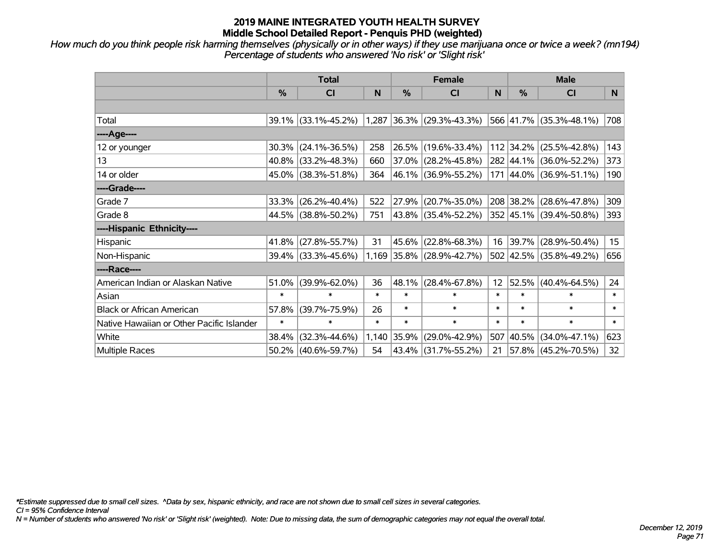*How much do you think people risk harming themselves (physically or in other ways) if they use marijuana once or twice a week? (mn194) Percentage of students who answered 'No risk' or 'Slight risk'*

|                                           | <b>Total</b>  |                     |        | <b>Female</b> |                             | <b>Male</b> |           |                         |        |
|-------------------------------------------|---------------|---------------------|--------|---------------|-----------------------------|-------------|-----------|-------------------------|--------|
|                                           | $\frac{0}{0}$ | <b>CI</b>           | N      | %             | <b>CI</b>                   | N           | %         | <b>CI</b>               | N.     |
|                                           |               |                     |        |               |                             |             |           |                         |        |
| Total                                     |               | 39.1% (33.1%-45.2%) |        |               | $1,287$ 36.3% (29.3%-43.3%) |             |           | 566 41.7% (35.3%-48.1%) | 708    |
| ----Age----                               |               |                     |        |               |                             |             |           |                         |        |
| 12 or younger                             | 30.3%         | $(24.1\% - 36.5\%)$ | 258    | 26.5%         | $(19.6\% - 33.4\%)$         |             | 112 34.2% | $(25.5\% - 42.8\%)$     | 143    |
| 13                                        |               | 40.8% (33.2%-48.3%) | 660    |               | 37.0% (28.2%-45.8%)         |             |           | 282 44.1% (36.0%-52.2%) | 373    |
| 14 or older                               |               | 45.0% (38.3%-51.8%) | 364    |               | 46.1% (36.9%-55.2%)         |             |           | 171 44.0% (36.9%-51.1%) | 190    |
| ----Grade----                             |               |                     |        |               |                             |             |           |                         |        |
| Grade 7                                   | 33.3%         | $(26.2\% - 40.4\%)$ | 522    | 27.9%         | $(20.7\% - 35.0\%)$         |             | 208 38.2% | $(28.6\% - 47.8\%)$     | 309    |
| Grade 8                                   |               | 44.5% (38.8%-50.2%) | 751    |               | 43.8% (35.4%-52.2%)         |             |           | 352 45.1% (39.4%-50.8%) | 393    |
| ----Hispanic Ethnicity----                |               |                     |        |               |                             |             |           |                         |        |
| Hispanic                                  | 41.8%         | $(27.8\% - 55.7\%)$ | 31     | 45.6%         | $(22.8\% - 68.3\%)$         | 16          | 39.7%     | $(28.9\% - 50.4\%)$     | 15     |
| Non-Hispanic                              |               | 39.4% (33.3%-45.6%) |        |               | 1,169 35.8% (28.9%-42.7%)   |             |           | 502 42.5% (35.8%-49.2%) | 656    |
| ----Race----                              |               |                     |        |               |                             |             |           |                         |        |
| American Indian or Alaskan Native         | 51.0%         | $(39.9\% - 62.0\%)$ | 36     | 48.1%         | $(28.4\% - 67.8\%)$         | 12          | 52.5%     | $(40.4\% - 64.5\%)$     | 24     |
| Asian                                     | $\ast$        | $\ast$              | $\ast$ | $\ast$        | $\ast$                      | $\ast$      | $\ast$    | $\ast$                  | $\ast$ |
| <b>Black or African American</b>          | 57.8%         | $(39.7\% - 75.9\%)$ | 26     | $\ast$        | $\ast$                      | $\ast$      | $\ast$    | $\ast$                  | $\ast$ |
| Native Hawaiian or Other Pacific Islander | $\ast$        | $\ast$              | $\ast$ | $\ast$        | $\ast$                      | $\ast$      | $\ast$    | $\ast$                  | $\ast$ |
| White                                     | 38.4%         | $(32.3\% - 44.6\%)$ | 1,140  | 35.9%         | $(29.0\% - 42.9\%)$         | 507         | 40.5%     | $(34.0\% - 47.1\%)$     | 623    |
| Multiple Races                            |               | 50.2% (40.6%-59.7%) | 54     | 43.4%         | $(31.7\% - 55.2\%)$         | 21          |           | 57.8% (45.2%-70.5%)     | 32     |

*\*Estimate suppressed due to small cell sizes. ^Data by sex, hispanic ethnicity, and race are not shown due to small cell sizes in several categories.*

*CI = 95% Confidence Interval*

*N = Number of students who answered 'No risk' or 'Slight risk' (weighted). Note: Due to missing data, the sum of demographic categories may not equal the overall total.*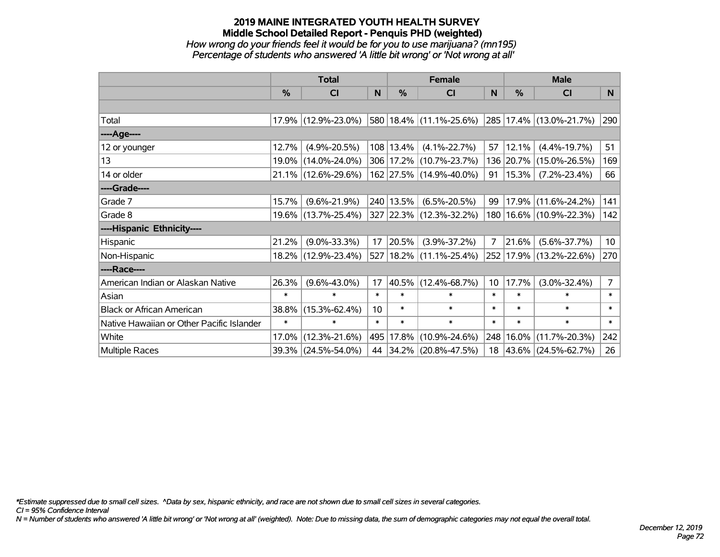### **2019 MAINE INTEGRATED YOUTH HEALTH SURVEY Middle School Detailed Report - Penquis PHD (weighted)** *How wrong do your friends feel it would be for you to use marijuana? (mn195) Percentage of students who answered 'A little bit wrong' or 'Not wrong at all'*

|                                           | <b>Total</b>  |                     |        | <b>Female</b> | <b>Male</b>                        |                 |           |                             |                 |
|-------------------------------------------|---------------|---------------------|--------|---------------|------------------------------------|-----------------|-----------|-----------------------------|-----------------|
|                                           | $\frac{0}{0}$ | <b>CI</b>           | N      | $\frac{0}{0}$ | <b>CI</b>                          | <sub>N</sub>    | %         | <b>CI</b>                   | N               |
|                                           |               |                     |        |               |                                    |                 |           |                             |                 |
| Total                                     |               | 17.9% (12.9%-23.0%) |        |               | 580 18.4% (11.1%-25.6%)            |                 |           | 285 17.4% (13.0%-21.7%)     | 290             |
| ----Age----                               |               |                     |        |               |                                    |                 |           |                             |                 |
| 12 or younger                             | 12.7%         | $(4.9\% - 20.5\%)$  |        | $108$ 13.4%   | $(4.1\% - 22.7\%)$                 | 57              | 12.1%     | $(4.4\% - 19.7\%)$          | 51              |
| 13                                        | $19.0\%$      | $(14.0\% - 24.0\%)$ |        |               | 306 17.2% (10.7%-23.7%)            |                 | 136 20.7% | $(15.0\% - 26.5\%)$         | 169             |
| 14 or older                               |               | 21.1% (12.6%-29.6%) |        |               | 162 27.5% (14.9%-40.0%)            | 91              | 15.3%     | $(7.2\% - 23.4\%)$          | 66              |
| ----Grade----                             |               |                     |        |               |                                    |                 |           |                             |                 |
| Grade 7                                   | 15.7%         | $(9.6\% - 21.9\%)$  |        | 240 13.5%     | $(6.5\% - 20.5\%)$                 | 99              | 17.9%     | $(11.6\% - 24.2\%)$         | 141             |
| Grade 8                                   |               | 19.6% (13.7%-25.4%) |        |               | 327 22.3% (12.3%-32.2%)            |                 |           | 180   16.6%   (10.9%-22.3%) | 142             |
| ----Hispanic Ethnicity----                |               |                     |        |               |                                    |                 |           |                             |                 |
| Hispanic                                  | 21.2%         | $(9.0\% - 33.3\%)$  | 17     | 20.5%         | $(3.9\% - 37.2\%)$                 | $\overline{7}$  | 21.6%     | $(5.6\% - 37.7\%)$          | 10 <sup>°</sup> |
| Non-Hispanic                              |               | 18.2% (12.9%-23.4%) |        |               | $527   18.2\%   (11.1\% - 25.4\%)$ | 252             |           | 17.9%  (13.2%-22.6%)        | 270             |
| ----Race----                              |               |                     |        |               |                                    |                 |           |                             |                 |
| American Indian or Alaskan Native         | 26.3%         | $(9.6\% - 43.0\%)$  | 17     | 40.5%         | $(12.4\% - 68.7\%)$                | 10 <sup>1</sup> | 17.7%     | $(3.0\% - 32.4\%)$          | $\overline{7}$  |
| Asian                                     | $\ast$        | $\ast$              | $\ast$ | $\ast$        | $\ast$                             | $\ast$          | $\ast$    | $\ast$                      | $\ast$          |
| <b>Black or African American</b>          | 38.8%         | $(15.3\% - 62.4\%)$ | 10     | $\ast$        | $\ast$                             | $\ast$          | $\ast$    | $\ast$                      | $\ast$          |
| Native Hawaiian or Other Pacific Islander | $\ast$        | $\ast$              | $\ast$ | $\ast$        | $\ast$                             | $\ast$          | $\ast$    | $\ast$                      | $\ast$          |
| White                                     | 17.0%         | $(12.3\% - 21.6\%)$ |        | 495 17.8%     | $(10.9\% - 24.6\%)$                | 248             | 16.0%     | $(11.7\% - 20.3\%)$         | 242             |
| Multiple Races                            |               | 39.3% (24.5%-54.0%) |        |               | 44 34.2% (20.8%-47.5%)             |                 |           | 18 43.6% (24.5%-62.7%)      | 26              |

*\*Estimate suppressed due to small cell sizes. ^Data by sex, hispanic ethnicity, and race are not shown due to small cell sizes in several categories.*

*CI = 95% Confidence Interval*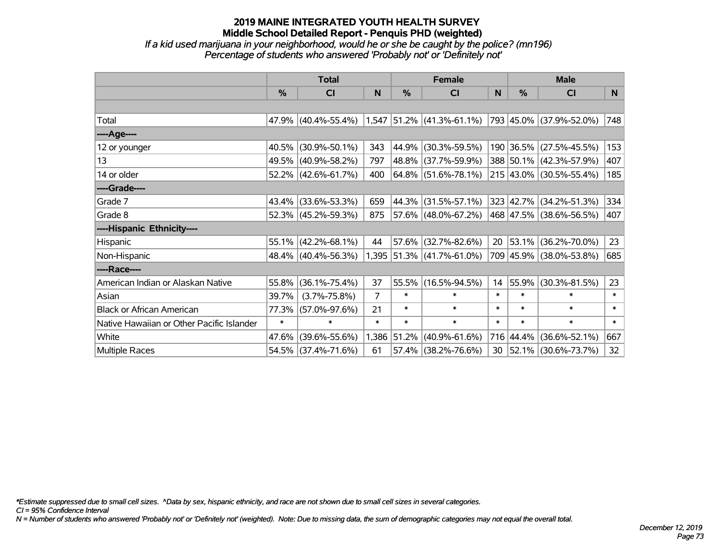### **2019 MAINE INTEGRATED YOUTH HEALTH SURVEY Middle School Detailed Report - Penquis PHD (weighted)** *If a kid used marijuana in your neighborhood, would he or she be caught by the police? (mn196)*

*Percentage of students who answered 'Probably not' or 'Definitely not'*

|                                           | <b>Total</b> |                        |        | <b>Female</b> | <b>Male</b>                 |        |               |                            |        |
|-------------------------------------------|--------------|------------------------|--------|---------------|-----------------------------|--------|---------------|----------------------------|--------|
|                                           | %            | CI                     | N      | %             | <b>CI</b>                   | N      | $\frac{0}{0}$ | <b>CI</b>                  | N.     |
|                                           |              |                        |        |               |                             |        |               |                            |        |
| Total                                     |              | $47.9\%$ (40.4%-55.4%) |        |               | $1,547$ 51.2% (41.3%-61.1%) |        |               | 793 45.0% (37.9%-52.0%)    | 748    |
| ----Age----                               |              |                        |        |               |                             |        |               |                            |        |
| 12 or younger                             | 40.5%        | $(30.9\% - 50.1\%)$    | 343    | 44.9%         | $(30.3\% - 59.5\%)$         |        |               | 190 36.5% (27.5%-45.5%)    | 153    |
| 13                                        |              | 49.5% (40.9%-58.2%)    | 797    |               | 48.8% (37.7%-59.9%)         |        |               | 388 50.1% (42.3%-57.9%)    | 407    |
| 14 or older                               |              | 52.2% (42.6%-61.7%)    | 400    |               | $ 64.8\% $ (51.6%-78.1%)    |        |               | 215 43.0% (30.5%-55.4%)    | 185    |
| ----Grade----                             |              |                        |        |               |                             |        |               |                            |        |
| Grade 7                                   |              | 43.4% (33.6%-53.3%)    | 659    | 44.3%         | $(31.5\% - 57.1\%)$         |        |               | 323 42.7% (34.2%-51.3%)    | 334    |
| Grade 8                                   |              | 52.3% (45.2%-59.3%)    | 875    |               | 57.6% (48.0%-67.2%)         |        |               | 468  47.5%   (38.6%-56.5%) | 407    |
| ----Hispanic Ethnicity----                |              |                        |        |               |                             |        |               |                            |        |
| Hispanic                                  | 55.1%        | $(42.2\% - 68.1\%)$    | 44     | 57.6%         | $(32.7\% - 82.6\%)$         | 20     | 53.1%         | $(36.2\% - 70.0\%)$        | 23     |
| Non-Hispanic                              |              | 48.4% (40.4%-56.3%)    |        |               | 1,395 51.3% (41.7%-61.0%)   |        |               | 709 45.9% (38.0%-53.8%)    | 685    |
| ----Race----                              |              |                        |        |               |                             |        |               |                            |        |
| American Indian or Alaskan Native         | 55.8%        | $(36.1\% - 75.4\%)$    | 37     | 55.5%         | $(16.5\% - 94.5\%)$         | 14     | 55.9%         | $(30.3\% - 81.5\%)$        | 23     |
| Asian                                     | 39.7%        | $(3.7\% - 75.8\%)$     | 7      | $\ast$        | $\ast$                      | $\ast$ | $\ast$        | $\ast$                     | $\ast$ |
| <b>Black or African American</b>          | 77.3%        | $(57.0\% - 97.6\%)$    | 21     | $\ast$        | $\ast$                      | $\ast$ | *             | $\ast$                     | $\ast$ |
| Native Hawaiian or Other Pacific Islander | $\ast$       | $\ast$                 | $\ast$ | $\ast$        | $\ast$                      | $\ast$ | $\ast$        | $\ast$                     | $\ast$ |
| White                                     | 47.6%        | $(39.6\% - 55.6\%)$    | 1,386  | 51.2%         | $(40.9\% - 61.6\%)$         |        |               | 716 44.4% (36.6%-52.1%)    | 667    |
| Multiple Races                            |              | 54.5% (37.4%-71.6%)    | 61     | 57.4%         | $(38.2\% - 76.6\%)$         | 30     |               | 52.1% (30.6%-73.7%)        | 32     |

*\*Estimate suppressed due to small cell sizes. ^Data by sex, hispanic ethnicity, and race are not shown due to small cell sizes in several categories.*

*CI = 95% Confidence Interval*

*N = Number of students who answered 'Probably not' or 'Definitely not' (weighted). Note: Due to missing data, the sum of demographic categories may not equal the overall total.*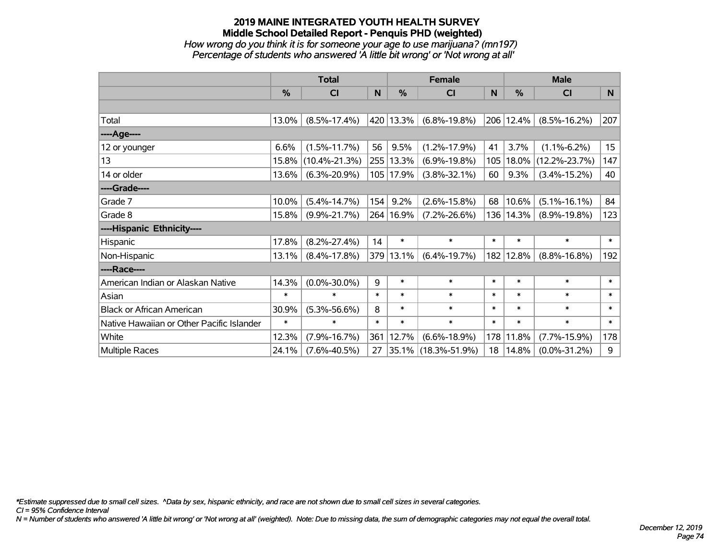*How wrong do you think it is for someone your age to use marijuana? (mn197) Percentage of students who answered 'A little bit wrong' or 'Not wrong at all'*

|                                           | <b>Total</b>  |                     |        | <b>Female</b> | <b>Male</b>         |          |           |                     |                  |
|-------------------------------------------|---------------|---------------------|--------|---------------|---------------------|----------|-----------|---------------------|------------------|
|                                           | $\frac{0}{0}$ | <b>CI</b>           | N      | $\frac{0}{0}$ | <b>CI</b>           | <b>N</b> | %         | <b>CI</b>           | N                |
|                                           |               |                     |        |               |                     |          |           |                     |                  |
| Total                                     | 13.0%         | $(8.5\% - 17.4\%)$  |        | 420 13.3%     | $(6.8\% - 19.8\%)$  |          | 206 12.4% | $(8.5\% - 16.2\%)$  | 207              |
| ----Age----                               |               |                     |        |               |                     |          |           |                     |                  |
| 12 or younger                             | 6.6%          | $(1.5\% - 11.7\%)$  | 56     | 9.5%          | $(1.2\% - 17.9\%)$  | 41       | 3.7%      | $(1.1\% - 6.2\%)$   | 15 <sub>15</sub> |
| 13                                        | 15.8%         | $(10.4\% - 21.3\%)$ |        | 255 13.3%     | $(6.9\% - 19.8\%)$  | 105      | 18.0%     | $(12.2\% - 23.7\%)$ | 147              |
| 14 or older                               | 13.6%         | $(6.3\% - 20.9\%)$  |        | 105   17.9%   | $(3.8\% - 32.1\%)$  | 60       | 9.3%      | $(3.4\% - 15.2\%)$  | 40               |
| ----Grade----                             |               |                     |        |               |                     |          |           |                     |                  |
| Grade 7                                   | 10.0%         | $(5.4\% - 14.7\%)$  | 154    | 9.2%          | $(2.6\% - 15.8\%)$  | 68       | 10.6%     | $(5.1\% - 16.1\%)$  | 84               |
| Grade 8                                   | 15.8%         | $(9.9\% - 21.7\%)$  |        | 264 16.9%     | $(7.2\% - 26.6\%)$  | 136      | 14.3%     | $(8.9\% - 19.8\%)$  | 123              |
| ----Hispanic Ethnicity----                |               |                     |        |               |                     |          |           |                     |                  |
| Hispanic                                  | 17.8%         | $(8.2\% - 27.4\%)$  | 14     | $\ast$        | $\ast$              | $\ast$   | $\ast$    | $\ast$              | $\ast$           |
| Non-Hispanic                              | 13.1%         | $(8.4\% - 17.8\%)$  |        | 379 13.1%     | $(6.4\% - 19.7\%)$  | 182      | 12.8%     | $(8.8\% - 16.8\%)$  | 192              |
| ----Race----                              |               |                     |        |               |                     |          |           |                     |                  |
| American Indian or Alaskan Native         | 14.3%         | $(0.0\% - 30.0\%)$  | 9      | $\ast$        | $\ast$              | $\ast$   | $\ast$    | $\ast$              | $\ast$           |
| Asian                                     | $\ast$        | $\ast$              | $\ast$ | $\ast$        | $\ast$              | $\ast$   | $\ast$    | $\ast$              | $\ast$           |
| <b>Black or African American</b>          | 30.9%         | $(5.3\% - 56.6\%)$  | 8      | $\ast$        | $\ast$              | $\ast$   | $\ast$    | $\ast$              | $\ast$           |
| Native Hawaiian or Other Pacific Islander | $\ast$        | $\ast$              | $\ast$ | $\ast$        | $\ast$              | $\ast$   | $\ast$    | $\ast$              | $\ast$           |
| White                                     | 12.3%         | $(7.9\% - 16.7\%)$  | 361    | 12.7%         | $(6.6\% - 18.9\%)$  | 178      | 11.8%     | $(7.7\% - 15.9\%)$  | 178              |
| <b>Multiple Races</b>                     | 24.1%         | $(7.6\% - 40.5\%)$  | 27     |               | 35.1% (18.3%-51.9%) | 18       | 14.8%     | $(0.0\% - 31.2\%)$  | 9                |

*\*Estimate suppressed due to small cell sizes. ^Data by sex, hispanic ethnicity, and race are not shown due to small cell sizes in several categories.*

*CI = 95% Confidence Interval*

*N = Number of students who answered 'A little bit wrong' or 'Not wrong at all' (weighted). Note: Due to missing data, the sum of demographic categories may not equal the overall total.*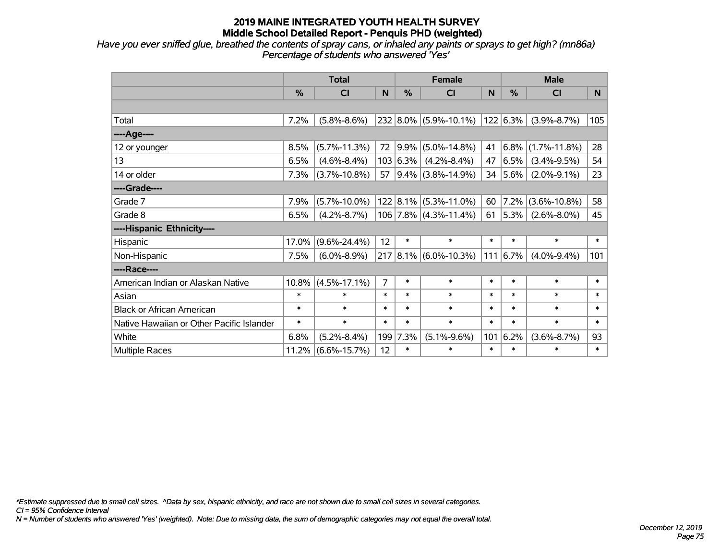*Have you ever sniffed glue, breathed the contents of spray cans, or inhaled any paints or sprays to get high? (mn86a) Percentage of students who answered 'Yes'*

|                                           | <b>Total</b> |                    |                |               | <b>Female</b>               |        |              | <b>Male</b>        |        |  |
|-------------------------------------------|--------------|--------------------|----------------|---------------|-----------------------------|--------|--------------|--------------------|--------|--|
|                                           | %            | CI                 | N              | $\frac{0}{0}$ | <b>CI</b>                   | N      | %            | <b>CI</b>          | N.     |  |
|                                           |              |                    |                |               |                             |        |              |                    |        |  |
| Total                                     | 7.2%         | $(5.8\% - 8.6\%)$  |                |               | 232 8.0% (5.9%-10.1%)       |        | 122 6.3%     | $(3.9\% - 8.7\%)$  | 105    |  |
| ---- Age----                              |              |                    |                |               |                             |        |              |                    |        |  |
| 12 or younger                             | 8.5%         | $(5.7\% - 11.3\%)$ | 72             | $ 9.9\% $     | $(5.0\% - 14.8\%)$          | 41     | 6.8%         | $(1.7\% - 11.8\%)$ | 28     |  |
| 13                                        | 6.5%         | $(4.6\% - 8.4\%)$  |                | 103 6.3%      | $(4.2\% - 8.4\%)$           | 47     | 6.5%         | $(3.4\% - 9.5\%)$  | 54     |  |
| 14 or older                               | 7.3%         | $(3.7\% - 10.8\%)$ | 57             |               | $ 9.4\% $ (3.8%-14.9%)      |        | 34 $ 5.6\% $ | $(2.0\% - 9.1\%)$  | 23     |  |
| ----Grade----                             |              |                    |                |               |                             |        |              |                    |        |  |
| Grade 7                                   | 7.9%         | $(5.7\% - 10.0\%)$ |                |               | $122$   8.1%   (5.3%-11.0%) | 60     | 7.2%         | $(3.6\% - 10.8\%)$ | 58     |  |
| Grade 8                                   | 6.5%         | $(4.2\% - 8.7\%)$  |                |               | 106 7.8% (4.3%-11.4%)       | 61     | $ 5.3\% $    | $(2.6\% - 8.0\%)$  | 45     |  |
| ----Hispanic Ethnicity----                |              |                    |                |               |                             |        |              |                    |        |  |
| Hispanic                                  | 17.0%        | $(9.6\% - 24.4\%)$ | 12             | $\ast$        | $\ast$                      | $\ast$ | $\ast$       | $\ast$             | $\ast$ |  |
| Non-Hispanic                              | 7.5%         | $(6.0\% - 8.9\%)$  |                |               | $217 8.1\% $ (6.0%-10.3%)   | 111    | $6.7\%$      | $(4.0\% - 9.4\%)$  | 101    |  |
| ----Race----                              |              |                    |                |               |                             |        |              |                    |        |  |
| American Indian or Alaskan Native         | 10.8%        | $(4.5\% - 17.1\%)$ | $\overline{7}$ | $\ast$        | $\ast$                      | $\ast$ | $\ast$       | $\ast$             | $\ast$ |  |
| Asian                                     | $\ast$       | $\ast$             | $\ast$         | $\ast$        | $\ast$                      | $\ast$ | $\ast$       | $\ast$             | $\ast$ |  |
| <b>Black or African American</b>          | $\ast$       | $\ast$             | $\ast$         | $\ast$        | $\ast$                      | $\ast$ | $\ast$       | $\ast$             | $\ast$ |  |
| Native Hawaiian or Other Pacific Islander | $\ast$       | $\ast$             | $\ast$         | $\ast$        | $\ast$                      | $\ast$ | $\ast$       | $\ast$             | $\ast$ |  |
| White                                     | 6.8%         | $(5.2\% - 8.4\%)$  |                | 199 7.3%      | $(5.1\% - 9.6\%)$           | 101    | 6.2%         | $(3.6\% - 8.7\%)$  | 93     |  |
| Multiple Races                            | 11.2%        | $(6.6\% - 15.7\%)$ | 12             | $\ast$        | $\ast$                      | $\ast$ | $\ast$       | $\ast$             | $\ast$ |  |

*\*Estimate suppressed due to small cell sizes. ^Data by sex, hispanic ethnicity, and race are not shown due to small cell sizes in several categories.*

*CI = 95% Confidence Interval*

*N = Number of students who answered 'Yes' (weighted). Note: Due to missing data, the sum of demographic categories may not equal the overall total.*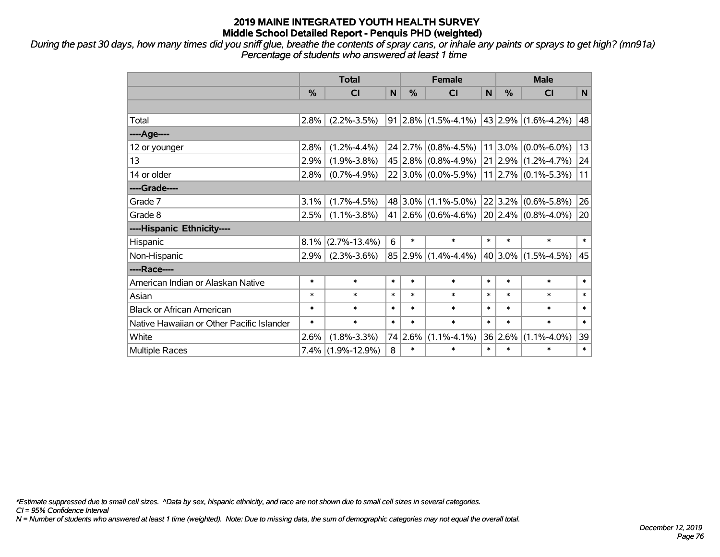*During the past 30 days, how many times did you sniff glue, breathe the contents of spray cans, or inhale any paints or sprays to get high? (mn91a) Percentage of students who answered at least 1 time*

|                                           | <b>Total</b> |                      |        | <b>Female</b> |                                                     |             | <b>Male</b> |                               |        |  |
|-------------------------------------------|--------------|----------------------|--------|---------------|-----------------------------------------------------|-------------|-------------|-------------------------------|--------|--|
|                                           | %            | <b>CI</b>            | N      | %             | <b>CI</b>                                           | $\mathbf N$ | %           | <b>CI</b>                     | N      |  |
|                                           |              |                      |        |               |                                                     |             |             |                               |        |  |
| Total                                     | 2.8%         | $(2.2\% - 3.5\%)$    |        |               | $91 2.8\% (1.5\% - 4.1\%) 43 2.9\% (1.6\% - 4.2\%)$ |             |             |                               | 48     |  |
| ----Age----                               |              |                      |        |               |                                                     |             |             |                               |        |  |
| 12 or younger                             | 2.8%         | $(1.2\% - 4.4\%)$    |        |               | $24$ 2.7% (0.8%-4.5%)                               | 11          | $ 3.0\% $   | $(0.0\% - 6.0\%)$             | 13     |  |
| 13                                        | 2.9%         | $(1.9\% - 3.8\%)$    |        |               | $45 2.8\% $ (0.8%-4.9%) 21 2.9% (1.2%-4.7%)         |             |             |                               | 24     |  |
| 14 or older                               | 2.8%         | $(0.7\% - 4.9\%)$    |        |               | 22 3.0% (0.0%-5.9%)                                 |             |             | $11$   2.7% $(0.1\% - 5.3\%)$ | 11     |  |
| ----Grade----                             |              |                      |        |               |                                                     |             |             |                               |        |  |
| Grade 7                                   | 3.1%         | $(1.7\% - 4.5\%)$    |        |               | $48 3.0\% $ (1.1%-5.0%)                             |             | 22 3.2%     | $(0.6\% - 5.8\%)$             | 26     |  |
| Grade 8                                   | 2.5%         | $(1.1\% - 3.8\%)$    |        |               | 41 2.6% $(0.6\% - 4.6\%)$ 20 2.4% $(0.8\% - 4.0\%)$ |             |             |                               | 20     |  |
| ----Hispanic Ethnicity----                |              |                      |        |               |                                                     |             |             |                               |        |  |
| Hispanic                                  | 8.1%         | $(2.7\% - 13.4\%)$   | 6      | $\ast$        | $\ast$                                              | $\ast$      | $\ast$      | $\ast$                        | $\ast$ |  |
| Non-Hispanic                              | 2.9%         | $(2.3\% - 3.6\%)$    |        | 85 2.9%       | $(1.4\% - 4.4\%)$                                   |             | 40 3.0%     | $(1.5\% - 4.5\%)$             | 45     |  |
| ----Race----                              |              |                      |        |               |                                                     |             |             |                               |        |  |
| American Indian or Alaskan Native         | $\ast$       | $\ast$               | $\ast$ | $\ast$        | $\ast$                                              | $\ast$      | $\ast$      | $\ast$                        | $\ast$ |  |
| Asian                                     | $\ast$       | $\ast$               | $\ast$ | $\ast$        | $\ast$                                              | $\ast$      | $\ast$      | $\ast$                        | $\ast$ |  |
| <b>Black or African American</b>          | $\ast$       | $\ast$               | $\ast$ | $\ast$        | $\ast$                                              | $\ast$      | $\ast$      | $\ast$                        | $\ast$ |  |
| Native Hawaiian or Other Pacific Islander | $\ast$       | $\ast$               | $\ast$ | $\ast$        | $\ast$                                              | $\ast$      | $\ast$      | $\ast$                        | $\ast$ |  |
| White                                     | 2.6%         | $(1.8\% - 3.3\%)$    |        | 74 2.6%       | $(1.1\% - 4.1\%)$                                   |             | 36 2.6%     | $(1.1\% - 4.0\%)$             | 39     |  |
| <b>Multiple Races</b>                     |              | $7.4\%$ (1.9%-12.9%) | 8      | $\ast$        | $\ast$                                              | $\ast$      | $\ast$      | $\ast$                        | $\ast$ |  |

*\*Estimate suppressed due to small cell sizes. ^Data by sex, hispanic ethnicity, and race are not shown due to small cell sizes in several categories.*

*CI = 95% Confidence Interval*

*N = Number of students who answered at least 1 time (weighted). Note: Due to missing data, the sum of demographic categories may not equal the overall total.*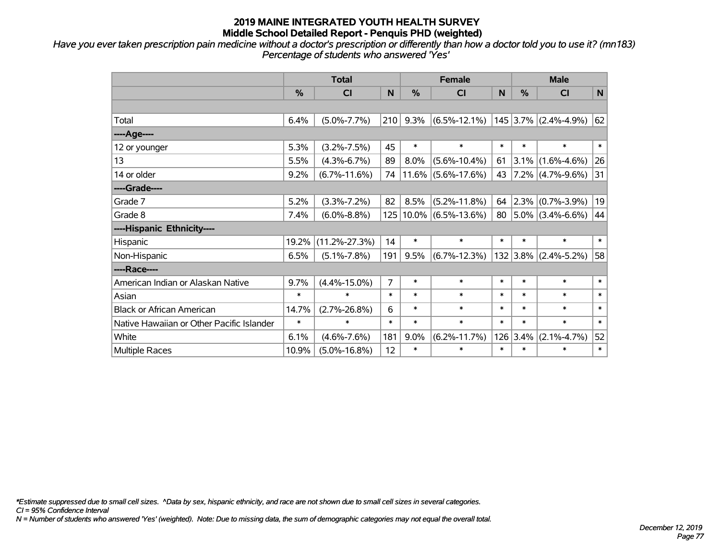*Have you ever taken prescription pain medicine without a doctor's prescription or differently than how a doctor told you to use it? (mn183) Percentage of students who answered 'Yes'*

|                                           | <b>Total</b> |                     |                |          | <b>Female</b>      |        | <b>Male</b> |                       |              |  |
|-------------------------------------------|--------------|---------------------|----------------|----------|--------------------|--------|-------------|-----------------------|--------------|--|
|                                           | $\%$         | CI                  | N              | $\%$     | <b>CI</b>          | N      | $\%$        | <b>CI</b>             | $\mathsf{N}$ |  |
|                                           |              |                     |                |          |                    |        |             |                       |              |  |
| Total                                     | 6.4%         | $(5.0\% - 7.7\%)$   | 210            | 9.3%     | $(6.5\% - 12.1\%)$ |        |             | 145 3.7% (2.4%-4.9%)  | 62           |  |
| ---- Age----                              |              |                     |                |          |                    |        |             |                       |              |  |
| 12 or younger                             | 5.3%         | $(3.2\% - 7.5\%)$   | 45             | $\ast$   | $\ast$             | $\ast$ | $\ast$      | $\ast$                | $\ast$       |  |
| 13                                        | 5.5%         | $(4.3\% - 6.7\%)$   | 89             | 8.0%     | $(5.6\% - 10.4\%)$ | 61     | $3.1\%$     | $(1.6\% - 4.6\%)$     | 26           |  |
| 14 or older                               | 9.2%         | $(6.7\% - 11.6\%)$  | 74             | 11.6%    | $(5.6\% - 17.6\%)$ | 43     |             | $7.2\%$ (4.7%-9.6%)   | 31           |  |
| ----Grade----                             |              |                     |                |          |                    |        |             |                       |              |  |
| Grade 7                                   | 5.2%         | $(3.3\% - 7.2\%)$   | 82             | 8.5%     | $(5.2\% - 11.8\%)$ | 64     |             | $ 2.3\% $ (0.7%-3.9%) | 19           |  |
| Grade 8                                   | 7.4%         | $(6.0\% - 8.8\%)$   | 125            | $10.0\%$ | $(6.5\% - 13.6\%)$ | 80     |             | $5.0\%$ (3.4%-6.6%)   | 44           |  |
| ----Hispanic Ethnicity----                |              |                     |                |          |                    |        |             |                       |              |  |
| Hispanic                                  | 19.2%        | $(11.2\% - 27.3\%)$ | 14             | $\ast$   | $\ast$             | $\ast$ | $\ast$      | $\ast$                | $\ast$       |  |
| Non-Hispanic                              | 6.5%         | $(5.1\% - 7.8\%)$   | 191            | 9.5%     | $(6.7\% - 12.3\%)$ |        | 132 3.8%    | $(2.4\% - 5.2\%)$     | 58           |  |
| ----Race----                              |              |                     |                |          |                    |        |             |                       |              |  |
| American Indian or Alaskan Native         | 9.7%         | $(4.4\% - 15.0\%)$  | $\overline{7}$ | $\ast$   | $\ast$             | $\ast$ | $\ast$      | $\ast$                | $\ast$       |  |
| Asian                                     | $\ast$       | $\ast$              | $\ast$         | $\ast$   | $\ast$             | $\ast$ | *           | $\ast$                | $\ast$       |  |
| <b>Black or African American</b>          | 14.7%        | $(2.7\% - 26.8\%)$  | 6              | $\ast$   | $\ast$             | $\ast$ | $\ast$      | $\ast$                | $\ast$       |  |
| Native Hawaiian or Other Pacific Islander | $\ast$       | $\ast$              | $\ast$         | $\ast$   | $\ast$             | $\ast$ | $\ast$      | $\ast$                | $\ast$       |  |
| White                                     | 6.1%         | $(4.6\% - 7.6\%)$   | 181            | 9.0%     | $(6.2\% - 11.7\%)$ | 126    | 3.4%        | $(2.1\% - 4.7\%)$     | 52           |  |
| Multiple Races                            | 10.9%        | $(5.0\% - 16.8\%)$  | 12             | $\ast$   | $\ast$             | $\ast$ | $\ast$      | $\ast$                | $\ast$       |  |

*\*Estimate suppressed due to small cell sizes. ^Data by sex, hispanic ethnicity, and race are not shown due to small cell sizes in several categories.*

*CI = 95% Confidence Interval*

*N = Number of students who answered 'Yes' (weighted). Note: Due to missing data, the sum of demographic categories may not equal the overall total.*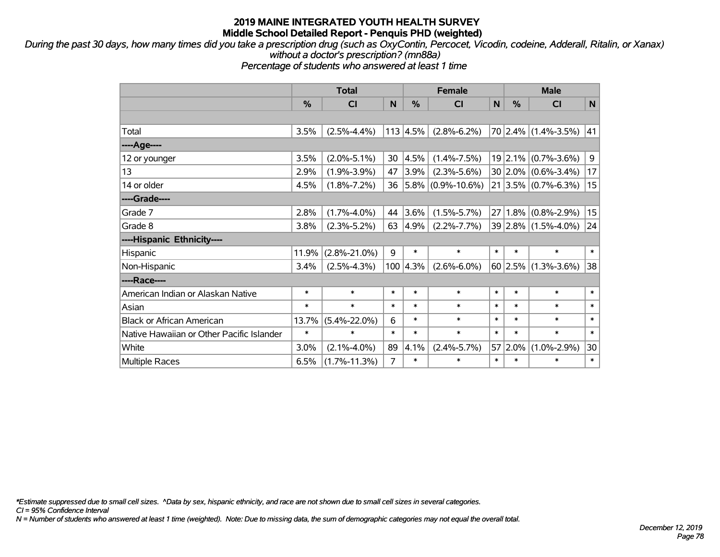*During the past 30 days, how many times did you take a prescription drug (such as OxyContin, Percocet, Vicodin, codeine, Adderall, Ritalin, or Xanax) without a doctor's prescription? (mn88a)*

*Percentage of students who answered at least 1 time*

|                                           | <b>Total</b> |                    |        |            | <b>Female</b>          |        | <b>Male</b> |                           |                |  |
|-------------------------------------------|--------------|--------------------|--------|------------|------------------------|--------|-------------|---------------------------|----------------|--|
|                                           | %            | C <sub>l</sub>     | N      | %          | <b>CI</b>              | N      | %           | <b>CI</b>                 | $\mathsf{N}$   |  |
|                                           |              |                    |        |            |                        |        |             |                           |                |  |
| Total                                     | 3.5%         | $(2.5\% - 4.4\%)$  |        | 113   4.5% | $(2.8\% - 6.2\%)$      |        |             | $70$ 2.4% (1.4%-3.5%)     | 41             |  |
| ----Age----                               |              |                    |        |            |                        |        |             |                           |                |  |
| 12 or younger                             | 3.5%         | $(2.0\% - 5.1\%)$  | 30     | 4.5%       | $(1.4\% - 7.5\%)$      |        |             | $19$  2.1% (0.7%-3.6%)    | $\overline{9}$ |  |
| 13                                        | 2.9%         | $(1.9\% - 3.9\%)$  | 47     | $3.9\%$    | $(2.3\% - 5.6\%)$      |        |             | $30 2.0\% $ (0.6%-3.4%)   | 17             |  |
| 14 or older                               | 4.5%         | $(1.8\% - 7.2\%)$  | 36     |            | $ 5.8\% $ (0.9%-10.6%) |        |             | $21 3.5\% $ (0.7%-6.3%)   | 15             |  |
| ----Grade----                             |              |                    |        |            |                        |        |             |                           |                |  |
| Grade 7                                   | 2.8%         | $(1.7\% - 4.0\%)$  | 44     | 3.6%       | $(1.5\% - 5.7\%)$      | 27     | 1.8%        | $(0.8\% - 2.9\%)$         | 15             |  |
| Grade 8                                   | 3.8%         | $(2.3\% - 5.2\%)$  | 63     | 4.9%       | $(2.2\% - 7.7\%)$      |        |             | $39 2.8\% $ (1.5%-4.0%)   | 24             |  |
| ----Hispanic Ethnicity----                |              |                    |        |            |                        |        |             |                           |                |  |
| Hispanic                                  | 11.9%        | $(2.8\% - 21.0\%)$ | 9      | $\ast$     | $\ast$                 | $\ast$ | $\ast$      | $\ast$                    | $\ast$         |  |
| Non-Hispanic                              | 3.4%         | $(2.5\% - 4.3\%)$  | 100    | 4.3%       | $(2.6\% - 6.0\%)$      |        |             | $60$   2.5%   (1.3%-3.6%) | 38             |  |
| ----Race----                              |              |                    |        |            |                        |        |             |                           |                |  |
| American Indian or Alaskan Native         | $\ast$       | $\ast$             | $\ast$ | $\ast$     | $\ast$                 | $\ast$ | $\ast$      | $\ast$                    | $\ast$         |  |
| Asian                                     | $\ast$       | $\ast$             | $\ast$ | $\ast$     | $\ast$                 | $\ast$ | $\ast$      | $\ast$                    | $\ast$         |  |
| <b>Black or African American</b>          | 13.7%        | $(5.4\% - 22.0\%)$ | 6      | $\ast$     | $\ast$                 | $\ast$ | $\ast$      | $\ast$                    | $\ast$         |  |
| Native Hawaiian or Other Pacific Islander | $\ast$       | $\ast$             | $\ast$ | $\ast$     | $\ast$                 | $\ast$ | $\ast$      | $\ast$                    | $\ast$         |  |
| White                                     | 3.0%         | $(2.1\% - 4.0\%)$  | 89     | 4.1%       | $(2.4\% - 5.7\%)$      | 57     | $ 2.0\%$    | $(1.0\% - 2.9\%)$         | 30             |  |
| Multiple Races                            | 6.5%         | $(1.7\% - 11.3\%)$ | 7      | $\ast$     | $\ast$                 | $\ast$ | $\ast$      | $\ast$                    | $\ast$         |  |

*\*Estimate suppressed due to small cell sizes. ^Data by sex, hispanic ethnicity, and race are not shown due to small cell sizes in several categories.*

*CI = 95% Confidence Interval*

*N = Number of students who answered at least 1 time (weighted). Note: Due to missing data, the sum of demographic categories may not equal the overall total.*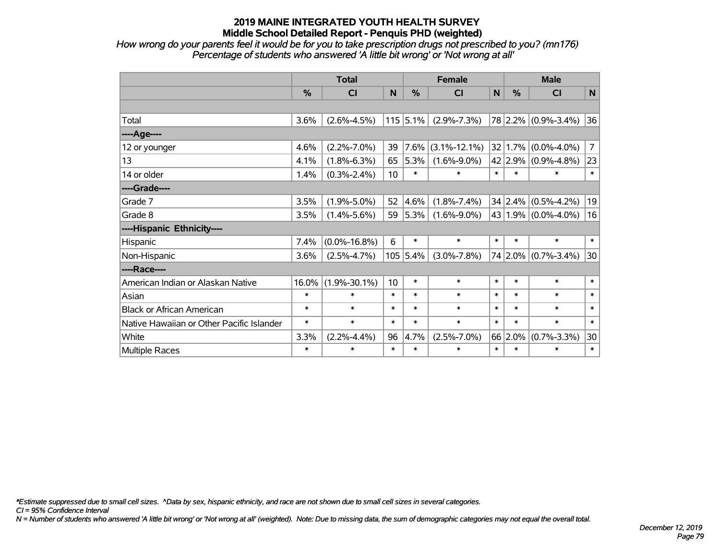*How wrong do your parents feel it would be for you to take prescription drugs not prescribed to you? (mn176) Percentage of students who answered 'A little bit wrong' or 'Not wrong at all'*

|                                           | <b>Total</b> |                    |        |            | <b>Female</b>      |        | <b>Male</b>     |                           |                |  |
|-------------------------------------------|--------------|--------------------|--------|------------|--------------------|--------|-----------------|---------------------------|----------------|--|
|                                           | %            | <b>CI</b>          | N      | %          | <b>CI</b>          | N      | %               | <b>CI</b>                 | N              |  |
|                                           |              |                    |        |            |                    |        |                 |                           |                |  |
| Total                                     | 3.6%         | $(2.6\% - 4.5\%)$  |        | $115$ 5.1% | $(2.9\% - 7.3\%)$  |        |                 | 78 2.2% (0.9%-3.4%)       | 36             |  |
| ----Age----                               |              |                    |        |            |                    |        |                 |                           |                |  |
| 12 or younger                             | 4.6%         | $(2.2\% - 7.0\%)$  | 39     | 7.6%       | $(3.1\% - 12.1\%)$ |        | $32 \mid 1.7\%$ | $(0.0\% - 4.0\%)$         | $\overline{7}$ |  |
| 13                                        | 4.1%         | $(1.8\% - 6.3\%)$  | 65     | 5.3%       | $(1.6\% - 9.0\%)$  |        |                 | 42 2.9% (0.9%-4.8%)       | 23             |  |
| 14 or older                               | 1.4%         | $(0.3\% - 2.4\%)$  | 10     | $\ast$     | $\ast$             | $\ast$ | $\ast$          | *                         | $\ast$         |  |
| ----Grade----                             |              |                    |        |            |                    |        |                 |                           |                |  |
| Grade 7                                   | 3.5%         | $(1.9\% - 5.0\%)$  | 52     | 4.6%       | $(1.8\% - 7.4\%)$  |        |                 | $34 2.4\% $ (0.5%-4.2%)   | 19             |  |
| Grade 8                                   | 3.5%         | $(1.4\% - 5.6\%)$  | 59     | 5.3%       | $(1.6\% - 9.0\%)$  |        |                 | 43 1.9% $(0.0\% - 4.0\%)$ | 16             |  |
| ----Hispanic Ethnicity----                |              |                    |        |            |                    |        |                 |                           |                |  |
| Hispanic                                  | 7.4%         | $(0.0\% - 16.8\%)$ | 6      | $\ast$     | $\ast$             | $\ast$ | $\ast$          | *                         | $\ast$         |  |
| Non-Hispanic                              | 3.6%         | $(2.5\% - 4.7\%)$  |        | 105 5.4%   | $(3.0\% - 7.8\%)$  |        | 74 2.0%         | $(0.7\% - 3.4\%)$         | 30             |  |
| ----Race----                              |              |                    |        |            |                    |        |                 |                           |                |  |
| American Indian or Alaskan Native         | 16.0%        | $(1.9\% - 30.1\%)$ | 10     | $\ast$     | $\ast$             | $\ast$ | $\ast$          | $\ast$                    | $\ast$         |  |
| Asian                                     | $\ast$       | $\ast$             | $\ast$ | $\ast$     | $\ast$             | $\ast$ | $\ast$          | $\ast$                    | $\ast$         |  |
| <b>Black or African American</b>          | $\ast$       | $\ast$             | $\ast$ | $\ast$     | $\ast$             | $\ast$ | $\ast$          | $\ast$                    | $\ast$         |  |
| Native Hawaiian or Other Pacific Islander | $\ast$       | $\ast$             | $\ast$ | $\ast$     | $\ast$             | $\ast$ | $\ast$          | $\ast$                    | $\ast$         |  |
| White                                     | 3.3%         | $(2.2\% - 4.4\%)$  | 96     | 4.7%       | $(2.5\% - 7.0\%)$  |        | 66 2.0%         | $(0.7\% - 3.3\%)$         | 30             |  |
| Multiple Races                            | $\ast$       | $\ast$             | $\ast$ | $\ast$     | $\ast$             | $\ast$ | $\ast$          | *                         | $\ast$         |  |

*\*Estimate suppressed due to small cell sizes. ^Data by sex, hispanic ethnicity, and race are not shown due to small cell sizes in several categories.*

*CI = 95% Confidence Interval*

*N = Number of students who answered 'A little bit wrong' or 'Not wrong at all' (weighted). Note: Due to missing data, the sum of demographic categories may not equal the overall total.*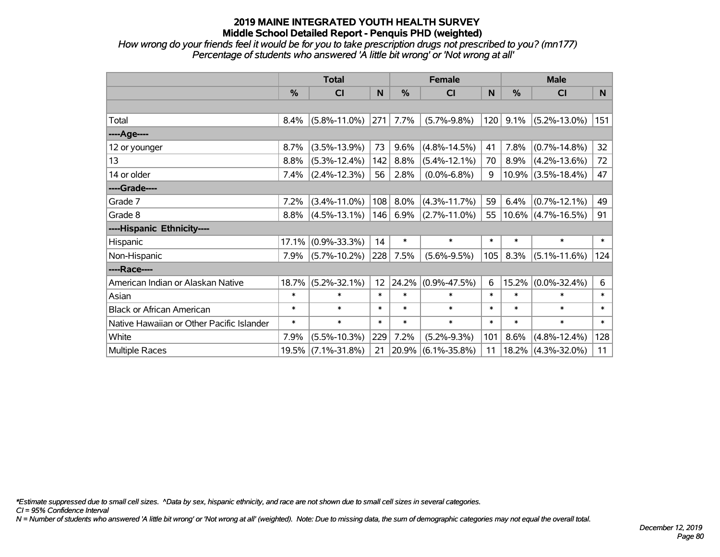*How wrong do your friends feel it would be for you to take prescription drugs not prescribed to you? (mn177) Percentage of students who answered 'A little bit wrong' or 'Not wrong at all'*

|                                           | <b>Total</b> |                    |                 |        | <b>Female</b>      |        | <b>Male</b> |                       |                 |  |
|-------------------------------------------|--------------|--------------------|-----------------|--------|--------------------|--------|-------------|-----------------------|-----------------|--|
|                                           | %            | <b>CI</b>          | N               | %      | <b>CI</b>          | N      | %           | <b>CI</b>             | N               |  |
|                                           |              |                    |                 |        |                    |        |             |                       |                 |  |
| Total                                     | 8.4%         | $(5.8\% - 11.0\%)$ | 271             | 7.7%   | $(5.7\% - 9.8\%)$  | 120    | 9.1%        | $(5.2\% - 13.0\%)$    | 151             |  |
| ----Age----                               |              |                    |                 |        |                    |        |             |                       |                 |  |
| 12 or younger                             | 8.7%         | $(3.5\% - 13.9\%)$ | 73              | 9.6%   | $(4.8\% - 14.5\%)$ | 41     | 7.8%        | $(0.7\% - 14.8\%)$    | 32 <sub>2</sub> |  |
| 13                                        | 8.8%         | $(5.3\% - 12.4\%)$ | 142             | 8.8%   | $(5.4\% - 12.1\%)$ | 70     | 8.9%        | $(4.2\% - 13.6\%)$    | 72              |  |
| 14 or older                               | 7.4%         | $(2.4\% - 12.3\%)$ | 56              | 2.8%   | $(0.0\% - 6.8\%)$  | 9      | 10.9%       | $(3.5\% - 18.4\%)$    | 47              |  |
| ----Grade----                             |              |                    |                 |        |                    |        |             |                       |                 |  |
| Grade 7                                   | 7.2%         | $(3.4\% - 11.0\%)$ | 108             | 8.0%   | $(4.3\% - 11.7\%)$ | 59     | 6.4%        | $(0.7\% - 12.1\%)$    | 49              |  |
| Grade 8                                   | 8.8%         | $(4.5\% - 13.1\%)$ | 146             | 6.9%   | $(2.7\% - 11.0\%)$ | 55     |             | $10.6\%$ (4.7%-16.5%) | 91              |  |
| ----Hispanic Ethnicity----                |              |                    |                 |        |                    |        |             |                       |                 |  |
| Hispanic                                  | 17.1%        | $(0.9\% - 33.3\%)$ | 14              | $\ast$ | $\ast$             | $\ast$ | $\ast$      | $\ast$                | $\ast$          |  |
| Non-Hispanic                              | 7.9%         | $(5.7\% - 10.2\%)$ | 228             | 7.5%   | $(5.6\% - 9.5\%)$  | 105    | 8.3%        | $(5.1\% - 11.6\%)$    | 124             |  |
| ----Race----                              |              |                    |                 |        |                    |        |             |                       |                 |  |
| American Indian or Alaskan Native         | 18.7%        | $(5.2\% - 32.1\%)$ | 12 <sub>2</sub> | 24.2%  | $(0.9\% - 47.5\%)$ | 6      | 15.2%       | $(0.0\% - 32.4\%)$    | 6               |  |
| Asian                                     | $\ast$       | $\ast$             | $\ast$          | $\ast$ | $\ast$             | $\ast$ | $\ast$      | $\ast$                | $\ast$          |  |
| <b>Black or African American</b>          | $\ast$       | $\ast$             | $\ast$          | $\ast$ | $\ast$             | $\ast$ | $\ast$      | $\ast$                | $\ast$          |  |
| Native Hawaiian or Other Pacific Islander | $\ast$       | $\ast$             | $\ast$          | $\ast$ | $\ast$             | $\ast$ | $\ast$      | $\ast$                | $\ast$          |  |
| White                                     | 7.9%         | $(5.5\% - 10.3\%)$ | 229             | 7.2%   | $(5.2\% - 9.3\%)$  | 101    | 8.6%        | $(4.8\% - 12.4\%)$    | 128             |  |
| <b>Multiple Races</b>                     |              | 19.5% (7.1%-31.8%) | 21              | 20.9%  | $(6.1\% - 35.8\%)$ | 11     | 18.2%       | $(4.3\% - 32.0\%)$    | 11              |  |

*\*Estimate suppressed due to small cell sizes. ^Data by sex, hispanic ethnicity, and race are not shown due to small cell sizes in several categories.*

*CI = 95% Confidence Interval*

*N = Number of students who answered 'A little bit wrong' or 'Not wrong at all' (weighted). Note: Due to missing data, the sum of demographic categories may not equal the overall total.*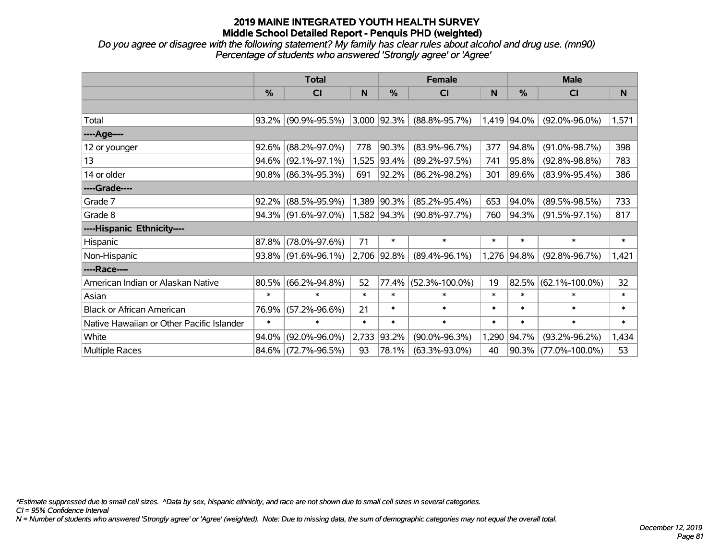*Do you agree or disagree with the following statement? My family has clear rules about alcohol and drug use. (mn90) Percentage of students who answered 'Strongly agree' or 'Agree'*

|                                           |          | <b>Total</b>           |        |                | <b>Female</b>        |        | <b>Male</b>   |                      |        |  |
|-------------------------------------------|----------|------------------------|--------|----------------|----------------------|--------|---------------|----------------------|--------|--|
|                                           | $\%$     | <b>CI</b>              | N.     | %              | <b>CI</b>            | N      | $\frac{0}{0}$ | <b>CI</b>            | N      |  |
|                                           |          |                        |        |                |                      |        |               |                      |        |  |
| Total                                     | $93.2\%$ | $(90.9\% - 95.5\%)$    |        | $3,000$  92.3% | $(88.8\% - 95.7\%)$  |        | 1,419 94.0%   | $(92.0\% - 96.0\%)$  | 1,571  |  |
| ----Age----                               |          |                        |        |                |                      |        |               |                      |        |  |
| 12 or younger                             | 92.6%    | $(88.2\% - 97.0\%)$    | 778    | 90.3%          | $(83.9\% - 96.7\%)$  | 377    | 94.8%         | $(91.0\% - 98.7\%)$  | 398    |  |
| 13                                        | 94.6%    | $(92.1\% - 97.1\%)$    |        | 1,525 93.4%    | $(89.2\% - 97.5\%)$  | 741    | 95.8%         | $(92.8\% - 98.8\%)$  | 783    |  |
| 14 or older                               |          | $90.8\%$ (86.3%-95.3%) | 691    | 92.2%          | $(86.2\% - 98.2\%)$  | 301    | 89.6%         | $(83.9\% - 95.4\%)$  | 386    |  |
| ----Grade----                             |          |                        |        |                |                      |        |               |                      |        |  |
| Grade 7                                   | 92.2%    | $(88.5\% - 95.9\%)$    |        | 1,389 90.3%    | $(85.2\% - 95.4\%)$  | 653    | 94.0%         | $(89.5\% - 98.5\%)$  | 733    |  |
| Grade 8                                   |          | $94.3\%$ (91.6%-97.0%) |        | 1,582 94.3%    | $(90.8\% - 97.7\%)$  | 760    | 94.3%         | $(91.5\% - 97.1\%)$  | 817    |  |
| ----Hispanic Ethnicity----                |          |                        |        |                |                      |        |               |                      |        |  |
| Hispanic                                  | 87.8%    | $(78.0\% - 97.6\%)$    | 71     | $\ast$         | $\ast$               | $\ast$ | $\ast$        | $\ast$               | $\ast$ |  |
| Non-Hispanic                              | $93.8\%$ | $(91.6\% - 96.1\%)$    |        | 2,706 92.8%    | $(89.4\% - 96.1\%)$  |        | 1,276 94.8%   | $(92.8\% - 96.7\%)$  | 1,421  |  |
| ----Race----                              |          |                        |        |                |                      |        |               |                      |        |  |
| American Indian or Alaskan Native         | 80.5%    | $(66.2\% - 94.8\%)$    | 52     | 77.4%          | $(52.3\% - 100.0\%)$ | 19     | 82.5%         | $(62.1\% - 100.0\%)$ | 32     |  |
| Asian                                     | $\ast$   | $\ast$                 | $\ast$ | $\ast$         | $\ast$               | $\ast$ | $\ast$        | $\ast$               | $\ast$ |  |
| <b>Black or African American</b>          | 76.9%    | $(57.2\% - 96.6\%)$    | 21     | $\ast$         | $\ast$               | $\ast$ | $\ast$        | $\ast$               | $\ast$ |  |
| Native Hawaiian or Other Pacific Islander | $\ast$   | $\ast$                 | $\ast$ | $\ast$         | $\ast$               | $\ast$ | $\ast$        | $\ast$               | $\ast$ |  |
| White                                     | 94.0%    | $(92.0\% - 96.0\%)$    | 2,733  | 93.2%          | $(90.0\% - 96.3\%)$  | 1,290  | 94.7%         | $(93.2\% - 96.2\%)$  | 1,434  |  |
| Multiple Races                            |          | 84.6% (72.7%-96.5%)    | 93     | 78.1%          | $(63.3\% - 93.0\%)$  | 40     | 90.3%         | $(77.0\% - 100.0\%)$ | 53     |  |

*\*Estimate suppressed due to small cell sizes. ^Data by sex, hispanic ethnicity, and race are not shown due to small cell sizes in several categories.*

*CI = 95% Confidence Interval*

*N = Number of students who answered 'Strongly agree' or 'Agree' (weighted). Note: Due to missing data, the sum of demographic categories may not equal the overall total.*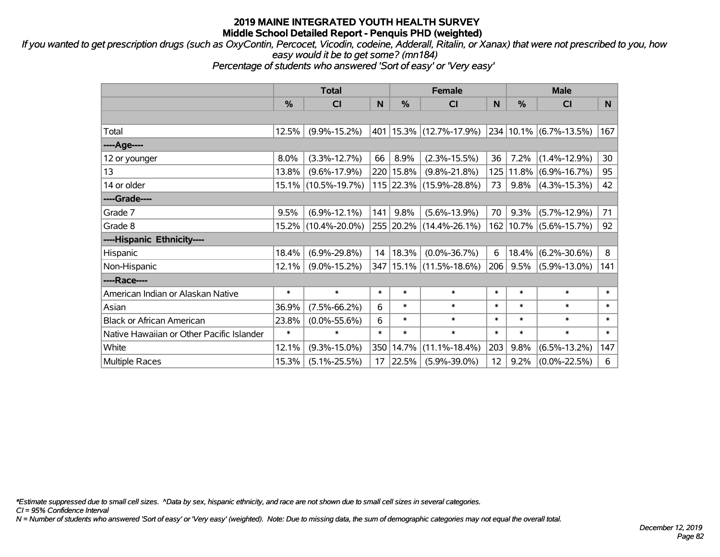*If you wanted to get prescription drugs (such as OxyContin, Percocet, Vicodin, codeine, Adderall, Ritalin, or Xanax) that were not prescribed to you, how easy would it be to get some? (mn184)*

*Percentage of students who answered 'Sort of easy' or 'Very easy'*

|                                           | <b>Total</b> |                     |        | <b>Female</b> |                             |        | <b>Male</b> |                             |              |  |
|-------------------------------------------|--------------|---------------------|--------|---------------|-----------------------------|--------|-------------|-----------------------------|--------------|--|
|                                           | %            | <b>CI</b>           | N      | %             | <b>CI</b>                   | N.     | $\%$        | <b>CI</b>                   | N            |  |
|                                           |              |                     |        |               |                             |        |             |                             |              |  |
| Total                                     | 12.5%        | $(9.9\% - 15.2\%)$  |        |               | 401   15.3%   (12.7%-17.9%) |        |             | $ 234 10.1\% $ (6.7%-13.5%) | 167          |  |
| ----Age----                               |              |                     |        |               |                             |        |             |                             |              |  |
| 12 or younger                             | 8.0%         | $(3.3\% - 12.7\%)$  | 66     | 8.9%          | $(2.3\% - 15.5\%)$          | 36     | 7.2%        | $(1.4\% - 12.9\%)$          | 30           |  |
| 13                                        | 13.8%        | $(9.6\% - 17.9\%)$  |        | 220   15.8%   | $(9.8\% - 21.8\%)$          | 125    | $ 11.8\% $  | $(6.9\% - 16.7\%)$          | 95           |  |
| 14 or older                               |              | 15.1% (10.5%-19.7%) |        |               | 115 22.3% (15.9%-28.8%)     | 73     | 9.8%        | $(4.3\% - 15.3\%)$          | 42           |  |
| ----Grade----                             |              |                     |        |               |                             |        |             |                             |              |  |
| Grade 7                                   | 9.5%         | $(6.9\% - 12.1\%)$  | 141    | 9.8%          | $(5.6\% - 13.9\%)$          | 70     | 9.3%        | $(5.7\% - 12.9\%)$          | 71           |  |
| Grade 8                                   |              | 15.2% (10.4%-20.0%) |        |               | 255 20.2% (14.4%-26.1%)     |        |             | 162 10.7% (5.6%-15.7%)      | 92           |  |
| ----Hispanic Ethnicity----                |              |                     |        |               |                             |        |             |                             |              |  |
| Hispanic                                  | 18.4%        | $(6.9\% - 29.8\%)$  | 14     | 18.3%         | $(0.0\% - 36.7\%)$          | 6      | 18.4%       | $(6.2\% - 30.6\%)$          | 8            |  |
| Non-Hispanic                              | 12.1%        | $(9.0\% - 15.2\%)$  |        |               | 347   15.1%   (11.5%-18.6%) | 206    | 9.5%        | $(5.9\% - 13.0\%)$          | 141          |  |
| ----Race----                              |              |                     |        |               |                             |        |             |                             |              |  |
| American Indian or Alaskan Native         | $\ast$       | $\ast$              | $\ast$ | $\ast$        | $\ast$                      | $\ast$ | $\ast$      | $\ast$                      | $\ast$       |  |
| Asian                                     | 36.9%        | $(7.5\% - 66.2\%)$  | 6      | $\ast$        | $\ast$                      | $\ast$ | $\ast$      | $\ast$                      | $\ast$       |  |
| <b>Black or African American</b>          | 23.8%        | $(0.0\% - 55.6\%)$  | 6      | $\ast$        | $\ast$                      | $\ast$ | $\ast$      | $\ast$                      | $\ast$       |  |
| Native Hawaiian or Other Pacific Islander | $\ast$       | $\ast$              | $\ast$ | $\ast$        | $\ast$                      | $\ast$ | $\ast$      | $\ast$                      | $\pmb{\ast}$ |  |
| White                                     | 12.1%        | $(9.3\% - 15.0\%)$  | 350    | 14.7%         | $(11.1\% - 18.4\%)$         | 203    | 9.8%        | $(6.5\% - 13.2\%)$          | 147          |  |
| <b>Multiple Races</b>                     | 15.3%        | $(5.1\% - 25.5\%)$  | 17     | 22.5%         | $(5.9\% - 39.0\%)$          | 12     | 9.2%        | $(0.0\% - 22.5\%)$          | 6            |  |

*\*Estimate suppressed due to small cell sizes. ^Data by sex, hispanic ethnicity, and race are not shown due to small cell sizes in several categories.*

*CI = 95% Confidence Interval*

*N = Number of students who answered 'Sort of easy' or 'Very easy' (weighted). Note: Due to missing data, the sum of demographic categories may not equal the overall total.*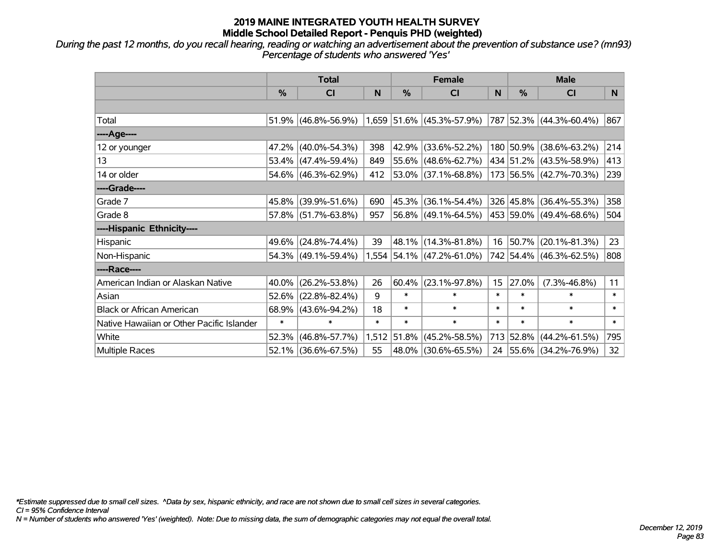*During the past 12 months, do you recall hearing, reading or watching an advertisement about the prevention of substance use? (mn93) Percentage of students who answered 'Yes'*

|                                           | <b>Total</b>  |                     |        | <b>Female</b> |                             | <b>Male</b> |               |                          |        |
|-------------------------------------------|---------------|---------------------|--------|---------------|-----------------------------|-------------|---------------|--------------------------|--------|
|                                           | $\frac{0}{0}$ | <b>CI</b>           | N      | $\%$          | <b>CI</b>                   | N           | $\frac{0}{0}$ | <b>CI</b>                | N.     |
|                                           |               |                     |        |               |                             |             |               |                          |        |
| Total                                     |               | 51.9% (46.8%-56.9%) |        |               | $1,659$ 51.6% (45.3%-57.9%) |             |               | 787 52.3% (44.3%-60.4%)  | 867    |
| ----Age----                               |               |                     |        |               |                             |             |               |                          |        |
| 12 or younger                             | 47.2%         | $(40.0\% - 54.3\%)$ | 398    | 42.9%         | $(33.6\% - 52.2\%)$         |             |               | 180 50.9% (38.6%-63.2%)  | 214    |
| 13                                        |               | 53.4% (47.4%-59.4%) | 849    |               | 55.6% (48.6%-62.7%)         |             |               | 434 51.2% (43.5%-58.9%)  | 413    |
| 14 or older                               |               | 54.6% (46.3%-62.9%) | 412    |               | $ 53.0\% $ (37.1%-68.8%)    |             |               | 173 56.5% (42.7%-70.3%)  | 239    |
| ----Grade----                             |               |                     |        |               |                             |             |               |                          |        |
| Grade 7                                   | 45.8%         | $(39.9\% - 51.6\%)$ | 690    | 45.3%         | $(36.1\% - 54.4\%)$         |             |               | 326 45.8% (36.4%-55.3%)  | 358    |
| Grade 8                                   |               | 57.8% (51.7%-63.8%) | 957    |               | 56.8% (49.1%-64.5%)         |             |               | 453 59.0% (49.4%-68.6%)  | 504    |
| ----Hispanic Ethnicity----                |               |                     |        |               |                             |             |               |                          |        |
| Hispanic                                  | 49.6%         | $(24.8\% - 74.4\%)$ | 39     | 48.1%         | $(14.3\% - 81.8\%)$         | 16          | 50.7%         | $(20.1\% - 81.3\%)$      | 23     |
| Non-Hispanic                              |               | 54.3% (49.1%-59.4%) |        |               | $1,554$ 54.1% (47.2%-61.0%) |             |               | 742 54.4% (46.3%-62.5%)  | 808    |
| ----Race----                              |               |                     |        |               |                             |             |               |                          |        |
| American Indian or Alaskan Native         | 40.0%         | $(26.2\% - 53.8\%)$ | 26     | 60.4%         | $(23.1\% - 97.8\%)$         | 15          | 27.0%         | $(7.3\% - 46.8\%)$       | 11     |
| Asian                                     | 52.6%         | $(22.8\% - 82.4\%)$ | 9      | $\ast$        | $\ast$                      | $\ast$      | $\ast$        | $\ast$                   | $\ast$ |
| <b>Black or African American</b>          | 68.9%         | $(43.6\% - 94.2\%)$ | 18     | $\ast$        | $\ast$                      | $\ast$      | $\ast$        | $\ast$                   | $\ast$ |
| Native Hawaiian or Other Pacific Islander | $\ast$        | $\ast$              | $\ast$ | $\ast$        | $\ast$                      | $\ast$      | $\ast$        | $\ast$                   | $\ast$ |
| White                                     | 52.3%         | $(46.8\% - 57.7\%)$ |        | 1,512 51.8%   | $(45.2\% - 58.5\%)$         |             | 713 52.8%     | $(44.2\% - 61.5\%)$      | 795    |
| Multiple Races                            |               | 52.1% (36.6%-67.5%) | 55     |               | 48.0%   (30.6%-65.5%)       | 24          |               | $ 55.6\% $ (34.2%-76.9%) | 32     |

*\*Estimate suppressed due to small cell sizes. ^Data by sex, hispanic ethnicity, and race are not shown due to small cell sizes in several categories.*

*CI = 95% Confidence Interval*

*N = Number of students who answered 'Yes' (weighted). Note: Due to missing data, the sum of demographic categories may not equal the overall total.*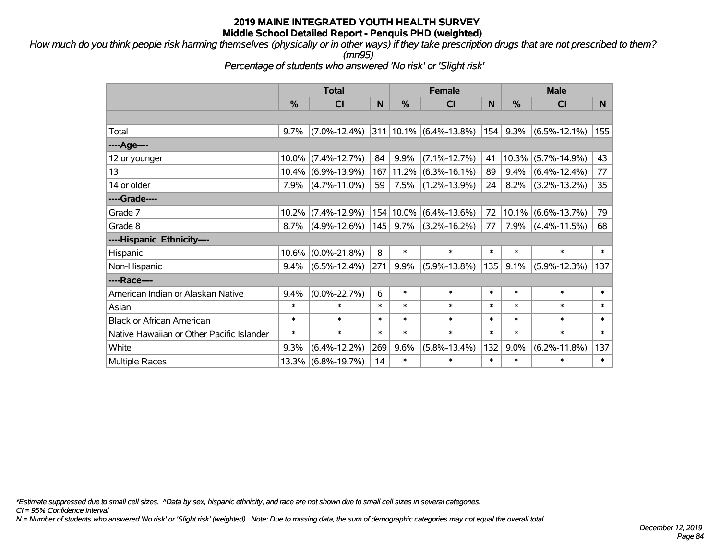*How much do you think people risk harming themselves (physically or in other ways) if they take prescription drugs that are not prescribed to them?*

*(mn95)*

*Percentage of students who answered 'No risk' or 'Slight risk'*

|                                           | <b>Total</b> |                    |        |               | <b>Female</b>                    |        | <b>Male</b>   |                    |                 |  |
|-------------------------------------------|--------------|--------------------|--------|---------------|----------------------------------|--------|---------------|--------------------|-----------------|--|
|                                           | %            | <b>CI</b>          | N      | $\frac{0}{0}$ | <b>CI</b>                        | N      | $\frac{9}{6}$ | <b>CI</b>          | N               |  |
|                                           |              |                    |        |               |                                  |        |               |                    |                 |  |
| Total                                     | $9.7\%$      | $(7.0\% - 12.4\%)$ |        |               | 311   10.1%   $(6.4\% - 13.8\%)$ | 154    | 9.3%          | $(6.5\% - 12.1\%)$ | 155             |  |
| ----Age----                               |              |                    |        |               |                                  |        |               |                    |                 |  |
| 12 or younger                             | 10.0%        | $(7.4\% - 12.7\%)$ | 84     | 9.9%          | $(7.1\% - 12.7\%)$               | 41     | 10.3%         | $(5.7\% - 14.9\%)$ | 43              |  |
| 13                                        | $10.4\%$     | $(6.9\% - 13.9\%)$ | 167    | $ 11.2\%$     | $(6.3\% - 16.1\%)$               | 89     | 9.4%          | $(6.4\% - 12.4\%)$ | 77              |  |
| 14 or older                               | 7.9%         | $(4.7\% - 11.0\%)$ | 59     | 7.5%          | $(1.2\% - 13.9\%)$               | 24     | 8.2%          | $(3.2\% - 13.2\%)$ | 35 <sub>2</sub> |  |
| ----Grade----                             |              |                    |        |               |                                  |        |               |                    |                 |  |
| Grade 7                                   | 10.2%        | $(7.4\% - 12.9\%)$ | 154    | 10.0%         | $(6.4\% - 13.6\%)$               | 72     | 10.1%         | $(6.6\% - 13.7\%)$ | 79              |  |
| Grade 8                                   | 8.7%         | $(4.9\% - 12.6\%)$ | 145    | 9.7%          | $(3.2\% - 16.2\%)$               | 77     | 7.9%          | $(4.4\% - 11.5\%)$ | 68              |  |
| ----Hispanic Ethnicity----                |              |                    |        |               |                                  |        |               |                    |                 |  |
| Hispanic                                  | 10.6%        | $(0.0\% - 21.8\%)$ | 8      | $\ast$        | $\ast$                           | $\ast$ | $\ast$        | $\ast$             | $\ast$          |  |
| Non-Hispanic                              | 9.4%         | $(6.5\% - 12.4\%)$ | 271    | 9.9%          | $(5.9\% - 13.8\%)$               | 135    | 9.1%          | $(5.9\% - 12.3\%)$ | 137             |  |
| ----Race----                              |              |                    |        |               |                                  |        |               |                    |                 |  |
| American Indian or Alaskan Native         | 9.4%         | $(0.0\% - 22.7\%)$ | 6      | $\ast$        | $\ast$                           | $\ast$ | $\ast$        | $\ast$             | $\ast$          |  |
| Asian                                     | $\ast$       | $\ast$             | $\ast$ | $\ast$        | $\ast$                           | $\ast$ | $\ast$        | $\ast$             | $\ast$          |  |
| <b>Black or African American</b>          | $\ast$       | $\ast$             | $\ast$ | $\ast$        | $\ast$                           | $\ast$ | $\ast$        | $\ast$             | $\ast$          |  |
| Native Hawaiian or Other Pacific Islander | $\ast$       | $\ast$             | $\ast$ | $\ast$        | $\ast$                           | $\ast$ | $\ast$        | $\ast$             | $\ast$          |  |
| White                                     | 9.3%         | $(6.4\% - 12.2\%)$ | 269    | 9.6%          | $(5.8\% - 13.4\%)$               | 132    | 9.0%          | $(6.2\% - 11.8\%)$ | 137             |  |
| Multiple Races                            | $13.3\%$     | $(6.8\% - 19.7\%)$ | 14     | $\ast$        | $\ast$                           | $\ast$ | $\ast$        | $\ast$             | $\ast$          |  |

*\*Estimate suppressed due to small cell sizes. ^Data by sex, hispanic ethnicity, and race are not shown due to small cell sizes in several categories.*

*CI = 95% Confidence Interval*

*N = Number of students who answered 'No risk' or 'Slight risk' (weighted). Note: Due to missing data, the sum of demographic categories may not equal the overall total.*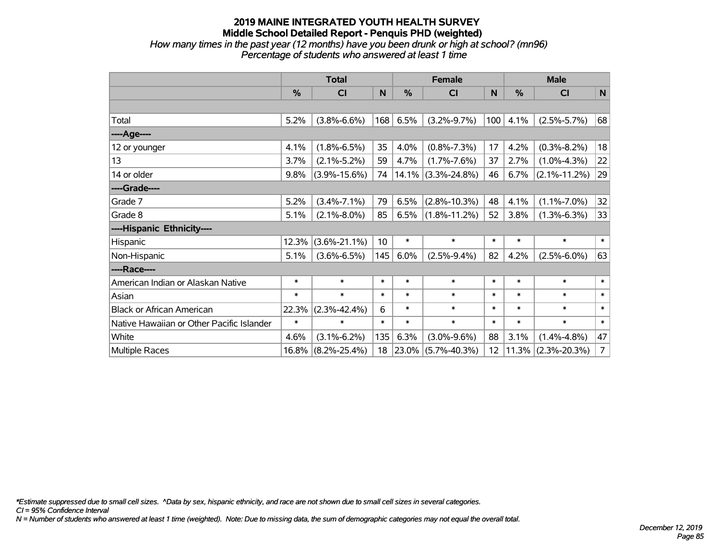### **2019 MAINE INTEGRATED YOUTH HEALTH SURVEY Middle School Detailed Report - Penquis PHD (weighted)** *How many times in the past year (12 months) have you been drunk or high at school? (mn96)*

*Percentage of students who answered at least 1 time*

|                                           | <b>Total</b> |                    |                 | <b>Female</b> |                         |        | <b>Male</b> |                    |                |
|-------------------------------------------|--------------|--------------------|-----------------|---------------|-------------------------|--------|-------------|--------------------|----------------|
|                                           | %            | <b>CI</b>          | N               | %             | <b>CI</b>               | N      | %           | <b>CI</b>          | N              |
|                                           |              |                    |                 |               |                         |        |             |                    |                |
| Total                                     | 5.2%         | $(3.8\% - 6.6\%)$  | 168             | 6.5%          | $(3.2\% - 9.7\%)$       | 100    | 4.1%        | $(2.5\% - 5.7\%)$  | 68             |
| ---- Age----                              |              |                    |                 |               |                         |        |             |                    |                |
| 12 or younger                             | 4.1%         | $(1.8\% - 6.5\%)$  | 35              | 4.0%          | $(0.8\% - 7.3\%)$       | 17     | 4.2%        | $(0.3\% - 8.2\%)$  | 18             |
| 13                                        | 3.7%         | $(2.1\% - 5.2\%)$  | 59              | 4.7%          | $(1.7\% - 7.6\%)$       | 37     | 2.7%        | $(1.0\% - 4.3\%)$  | 22             |
| 14 or older                               | 9.8%         | $(3.9\% - 15.6\%)$ | 74              |               | $ 14.1\% $ (3.3%-24.8%) | 46     | 6.7%        | $(2.1\% - 11.2\%)$ | 29             |
| ----Grade----                             |              |                    |                 |               |                         |        |             |                    |                |
| Grade 7                                   | 5.2%         | $(3.4\% - 7.1\%)$  | 79              | 6.5%          | $(2.8\% - 10.3\%)$      | 48     | 4.1%        | $(1.1\% - 7.0\%)$  | 32             |
| Grade 8                                   | 5.1%         | $(2.1\% - 8.0\%)$  | 85              | 6.5%          | $(1.8\% - 11.2\%)$      | 52     | 3.8%        | $(1.3\% - 6.3\%)$  | 33             |
| ----Hispanic Ethnicity----                |              |                    |                 |               |                         |        |             |                    |                |
| Hispanic                                  | 12.3%        | $(3.6\% - 21.1\%)$ | 10 <sup>°</sup> | $\ast$        | $\ast$                  | $\ast$ | $\ast$      | $\ast$             | $\ast$         |
| Non-Hispanic                              | 5.1%         | $(3.6\% - 6.5\%)$  | 145             | 6.0%          | $(2.5\% - 9.4\%)$       | 82     | 4.2%        | $(2.5\% - 6.0\%)$  | 63             |
| ----Race----                              |              |                    |                 |               |                         |        |             |                    |                |
| American Indian or Alaskan Native         | $\ast$       | $\ast$             | $\ast$          | $\ast$        | $\ast$                  | $\ast$ | $\ast$      | $\ast$             | $\ast$         |
| Asian                                     | $\ast$       | $\ast$             | $\ast$          | $\ast$        | $\ast$                  | $\ast$ | $\ast$      | $\ast$             | $\ast$         |
| <b>Black or African American</b>          | 22.3%        | $(2.3\% - 42.4\%)$ | 6               | $\ast$        | $\ast$                  | $\ast$ | $\ast$      | $\ast$             | $\ast$         |
| Native Hawaiian or Other Pacific Islander | $\ast$       | $\ast$             | $\ast$          | $\ast$        | $\ast$                  | $\ast$ | $\ast$      | $\ast$             | $\ast$         |
| White                                     | 4.6%         | $(3.1\% - 6.2\%)$  | 135             | 6.3%          | $(3.0\% - 9.6\%)$       | 88     | 3.1%        | $(1.4\% - 4.8\%)$  | 47             |
| Multiple Races                            | 16.8%        | $(8.2\% - 25.4\%)$ | 18              | $ 23.0\% $    | $(5.7\% - 40.3\%)$      | 12     | 11.3%       | $(2.3\% - 20.3\%)$ | $\overline{7}$ |

*\*Estimate suppressed due to small cell sizes. ^Data by sex, hispanic ethnicity, and race are not shown due to small cell sizes in several categories.*

*CI = 95% Confidence Interval*

*N = Number of students who answered at least 1 time (weighted). Note: Due to missing data, the sum of demographic categories may not equal the overall total.*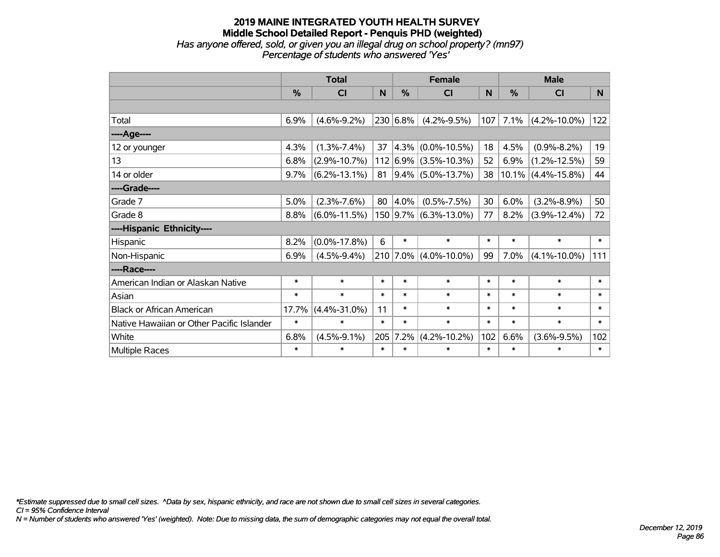### **2019 MAINE INTEGRATED YOUTH HEALTH SURVEY Middle School Detailed Report - Penquis PHD (weighted)** *Has anyone offered, sold, or given you an illegal drug on school property? (mn97) Percentage of students who answered 'Yes'*

|                                           | <b>Total</b>  |                    | <b>Female</b> |               |                           | <b>Male</b> |               |                       |        |
|-------------------------------------------|---------------|--------------------|---------------|---------------|---------------------------|-------------|---------------|-----------------------|--------|
|                                           | $\frac{0}{0}$ | CI                 | N             | $\frac{0}{0}$ | C <sub>l</sub>            | N           | $\frac{0}{0}$ | <b>CI</b>             | N      |
|                                           |               |                    |               |               |                           |             |               |                       |        |
| Total                                     | 6.9%          | $(4.6\% - 9.2\%)$  |               | 230 6.8%      | $(4.2\% - 9.5\%)$         | 107         | 7.1%          | $(4.2\% - 10.0\%)$    | 122    |
| ----Age----                               |               |                    |               |               |                           |             |               |                       |        |
| 12 or younger                             | 4.3%          | $(1.3\% - 7.4\%)$  | 37            |               | $ 4.3\% $ (0.0%-10.5%)    | 18          | 4.5%          | $(0.9\% - 8.2\%)$     | 19     |
| 13                                        | 6.8%          | $(2.9\% - 10.7\%)$ |               |               | $112 6.9\% $ (3.5%-10.3%) | 52          | 6.9%          | $(1.2\% - 12.5\%)$    | 59     |
| 14 or older                               | 9.7%          | $(6.2\% - 13.1\%)$ | 81            |               | $ 9.4\% $ (5.0%-13.7%)    | 38          |               | $10.1\%$ (4.4%-15.8%) | 44     |
| ----Grade----                             |               |                    |               |               |                           |             |               |                       |        |
| Grade 7                                   | 5.0%          | $(2.3\% - 7.6\%)$  | 80            | 4.0%          | $(0.5\% - 7.5\%)$         | 30          | 6.0%          | $(3.2\% - 8.9\%)$     | 50     |
| Grade 8                                   | 8.8%          | $(6.0\% - 11.5\%)$ |               |               | 150   9.7%   (6.3%-13.0%) | 77          | 8.2%          | $(3.9\% - 12.4\%)$    | 72     |
| ----Hispanic Ethnicity----                |               |                    |               |               |                           |             |               |                       |        |
| Hispanic                                  | 8.2%          | $(0.0\% - 17.8\%)$ | 6             | $\ast$        | $\ast$                    | $\ast$      | $\ast$        | $\ast$                | $\ast$ |
| Non-Hispanic                              | 6.9%          | $(4.5\% - 9.4\%)$  |               | 210 7.0%      | $(4.0\% - 10.0\%)$        | 99          | 7.0%          | $(4.1\% - 10.0\%)$    | 111    |
| ----Race----                              |               |                    |               |               |                           |             |               |                       |        |
| American Indian or Alaskan Native         | $\ast$        | $\ast$             | $\ast$        | $\ast$        | $\ast$                    | $\ast$      | $\ast$        | $\ast$                | $\ast$ |
| Asian                                     | $\ast$        | $\ast$             | $\ast$        | $\ast$        | $\ast$                    | $\ast$      | $\ast$        | $\ast$                | $\ast$ |
| <b>Black or African American</b>          | 17.7%         | $(4.4\% - 31.0\%)$ | 11            | $\ast$        | $\ast$                    | $\ast$      | $\ast$        | $\ast$                | $\ast$ |
| Native Hawaiian or Other Pacific Islander | $\ast$        | $\ast$             | $\ast$        | $\ast$        | $\ast$                    | $\ast$      | $\ast$        | $\ast$                | $\ast$ |
| White                                     | 6.8%          | $(4.5\% - 9.1\%)$  | 205           | 7.2%          | $(4.2\% - 10.2\%)$        | 102         | 6.6%          | $(3.6\% - 9.5\%)$     | 102    |
| <b>Multiple Races</b>                     | $\ast$        | $\ast$             | $\ast$        | $\ast$        | $\ast$                    | $\ast$      | $\ast$        | $\ast$                | $\ast$ |

*\*Estimate suppressed due to small cell sizes. ^Data by sex, hispanic ethnicity, and race are not shown due to small cell sizes in several categories.*

*CI = 95% Confidence Interval*

*N = Number of students who answered 'Yes' (weighted). Note: Due to missing data, the sum of demographic categories may not equal the overall total.*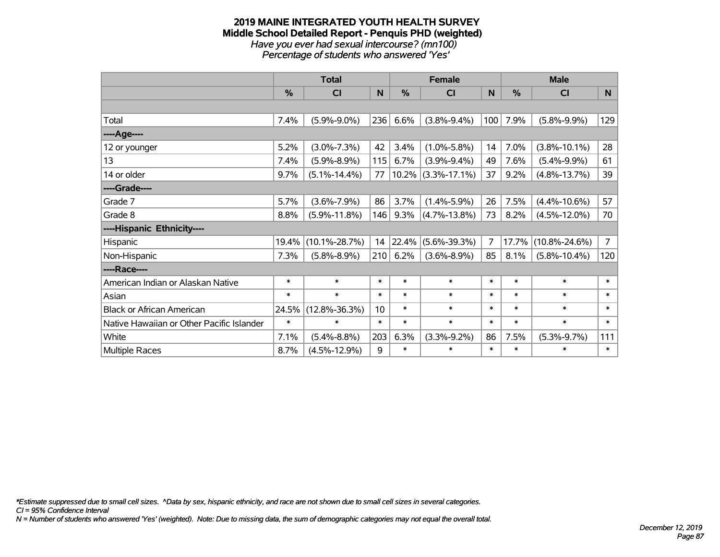#### **2019 MAINE INTEGRATED YOUTH HEALTH SURVEY Middle School Detailed Report - Penquis PHD (weighted)** *Have you ever had sexual intercourse? (mn100) Percentage of students who answered 'Yes'*

|                                           | <b>Total</b> |                     |        |        | <b>Female</b>      |              | <b>Male</b>   |                     |                |  |
|-------------------------------------------|--------------|---------------------|--------|--------|--------------------|--------------|---------------|---------------------|----------------|--|
|                                           | %            | C <sub>l</sub>      | N      | %      | <b>CI</b>          | $\mathsf{N}$ | $\frac{0}{0}$ | <b>CI</b>           | N              |  |
|                                           |              |                     |        |        |                    |              |               |                     |                |  |
| Total                                     | 7.4%         | $(5.9\% - 9.0\%)$   | 236    | 6.6%   | $(3.8\% - 9.4\%)$  | 100          | 7.9%          | $(5.8\% - 9.9\%)$   | 129            |  |
| ----Age----                               |              |                     |        |        |                    |              |               |                     |                |  |
| 12 or younger                             | 5.2%         | $(3.0\% - 7.3\%)$   | 42     | 3.4%   | $(1.0\% - 5.8\%)$  | 14           | 7.0%          | $(3.8\% - 10.1\%)$  | 28             |  |
| 13                                        | 7.4%         | $(5.9\% - 8.9\%)$   | 115    | 6.7%   | $(3.9\% - 9.4\%)$  | 49           | 7.6%          | $(5.4\% - 9.9\%)$   | 61             |  |
| 14 or older                               | 9.7%         | $(5.1\% - 14.4\%)$  | 77     | 10.2%  | $(3.3\% - 17.1\%)$ | 37           | 9.2%          | $(4.8\% - 13.7\%)$  | 39             |  |
| ----Grade----                             |              |                     |        |        |                    |              |               |                     |                |  |
| Grade 7                                   | 5.7%         | $(3.6\% - 7.9\%)$   | 86     | 3.7%   | $(1.4\% - 5.9\%)$  | 26           | 7.5%          | $(4.4\% - 10.6\%)$  | 57             |  |
| Grade 8                                   | 8.8%         | $(5.9\% - 11.8\%)$  | 146    | 9.3%   | $(4.7\% - 13.8\%)$ | 73           | 8.2%          | $(4.5\% - 12.0\%)$  | 70             |  |
| ----Hispanic Ethnicity----                |              |                     |        |        |                    |              |               |                     |                |  |
| Hispanic                                  | 19.4%        | $(10.1\% - 28.7\%)$ | 14     | 22.4%  | $(5.6\% - 39.3\%)$ | 7            | 17.7%         | $(10.8\% - 24.6\%)$ | $\overline{7}$ |  |
| Non-Hispanic                              | 7.3%         | $(5.8\% - 8.9\%)$   | 210    | 6.2%   | $(3.6\% - 8.9\%)$  | 85           | 8.1%          | $(5.8\% - 10.4\%)$  | 120            |  |
| ----Race----                              |              |                     |        |        |                    |              |               |                     |                |  |
| American Indian or Alaskan Native         | $\ast$       | $\ast$              | $\ast$ | $\ast$ | $\ast$             | $\ast$       | $\ast$        | $\ast$              | $\ast$         |  |
| Asian                                     | $\ast$       | $\ast$              | $\ast$ | $\ast$ | $\ast$             | $\ast$       | $\ast$        | $\ast$              | $\ast$         |  |
| <b>Black or African American</b>          | 24.5%        | $(12.8\% - 36.3\%)$ | 10     | $\ast$ | $\ast$             | $\ast$       | $\ast$        | $\ast$              | $\ast$         |  |
| Native Hawaiian or Other Pacific Islander | $\ast$       | $\ast$              | $\ast$ | $\ast$ | $\ast$             | $\ast$       | $\ast$        | $\ast$              | $\ast$         |  |
| White                                     | 7.1%         | $(5.4\% - 8.8\%)$   | 203    | 6.3%   | $(3.3\% - 9.2\%)$  | 86           | 7.5%          | $(5.3\% - 9.7\%)$   | 111            |  |
| <b>Multiple Races</b>                     | 8.7%         | $(4.5\% - 12.9\%)$  | 9      | $\ast$ | $\ast$             | $\ast$       | $\ast$        | $\ast$              | $\pmb{\ast}$   |  |

*\*Estimate suppressed due to small cell sizes. ^Data by sex, hispanic ethnicity, and race are not shown due to small cell sizes in several categories.*

*CI = 95% Confidence Interval*

*N = Number of students who answered 'Yes' (weighted). Note: Due to missing data, the sum of demographic categories may not equal the overall total.*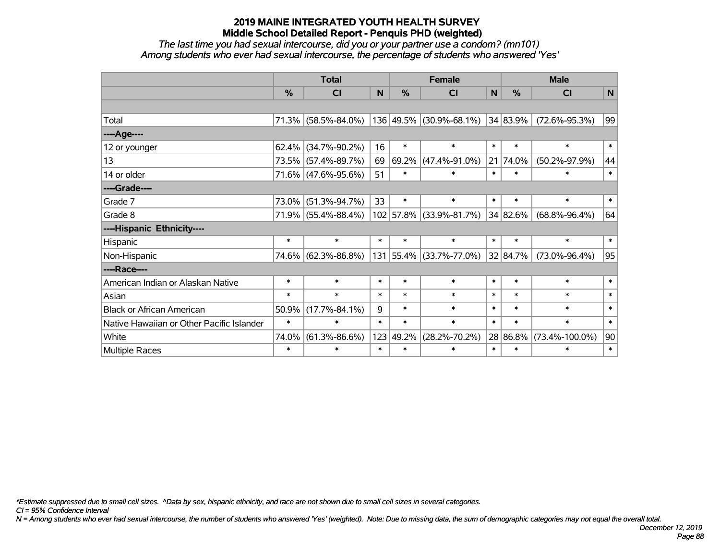*The last time you had sexual intercourse, did you or your partner use a condom? (mn101) Among students who ever had sexual intercourse, the percentage of students who answered 'Yes'*

|                                           | <b>Total</b>  |                     |        | <b>Female</b> |                         |        | <b>Male</b>   |                      |        |
|-------------------------------------------|---------------|---------------------|--------|---------------|-------------------------|--------|---------------|----------------------|--------|
|                                           | $\frac{0}{0}$ | CI                  | N      | %             | CI                      | N      | $\frac{0}{0}$ | <b>CI</b>            | N      |
|                                           |               |                     |        |               |                         |        |               |                      |        |
| Total                                     |               | 71.3% (58.5%-84.0%) |        |               | 136 49.5% (30.9%-68.1%) |        | 34 83.9%      | $(72.6\% - 95.3\%)$  | 99     |
| ----Age----                               |               |                     |        |               |                         |        |               |                      |        |
| 12 or younger                             | 62.4%         | $(34.7\% - 90.2\%)$ | 16     | $\ast$        | $\ast$                  | $\ast$ | $\ast$        | $\ast$               | $\ast$ |
| 13                                        | 73.5%         | $(57.4\% - 89.7\%)$ | 69     | 69.2%         | $(47.4\% - 91.0\%)$     |        | 21 74.0%      | $(50.2\% - 97.9\%)$  | 44     |
| 14 or older                               |               | 71.6% (47.6%-95.6%) | 51     | $\ast$        | $\ast$                  | $\ast$ | $\ast$        | $\ast$               | $\ast$ |
| ----Grade----                             |               |                     |        |               |                         |        |               |                      |        |
| Grade 7                                   | 73.0%         | $(51.3\% - 94.7\%)$ | 33     | $\ast$        | $\ast$                  | $\ast$ | $\ast$        | $\ast$               | $\ast$ |
| Grade 8                                   |               | 71.9% (55.4%-88.4%) |        |               | 102 57.8% (33.9%-81.7%) |        | 34 82.6%      | $(68.8\% - 96.4\%)$  | 64     |
| ----Hispanic Ethnicity----                |               |                     |        |               |                         |        |               |                      |        |
| Hispanic                                  | $\ast$        | $\ast$              | $\ast$ | $\ast$        | $\ast$                  | $\ast$ | $\ast$        | $\ast$               | $\ast$ |
| Non-Hispanic                              |               | 74.6% (62.3%-86.8%) |        | 131 55.4%     | $(33.7\% - 77.0\%)$     |        | 32 84.7%      | $(73.0\% - 96.4\%)$  | 95     |
| ----Race----                              |               |                     |        |               |                         |        |               |                      |        |
| American Indian or Alaskan Native         | $\ast$        | $\ast$              | $\ast$ | $\ast$        | $\ast$                  | $\ast$ | $\ast$        | $\ast$               | $\ast$ |
| Asian                                     | $\ast$        | $\ast$              | $\ast$ | $\ast$        | $\ast$                  | $\ast$ | $\ast$        | $\ast$               | $\ast$ |
| <b>Black or African American</b>          | 50.9%         | $(17.7\% - 84.1\%)$ | 9      | $\ast$        | $\ast$                  | $\ast$ | $\ast$        | $\ast$               | $\ast$ |
| Native Hawaiian or Other Pacific Islander | $\ast$        | $\ast$              | $\ast$ | $\ast$        | $\ast$                  | $\ast$ | $\ast$        | $\ast$               | $\ast$ |
| White                                     | 74.0%         | $(61.3\% - 86.6\%)$ | 123    | 49.2%         | $(28.2\% - 70.2\%)$     |        | 28 86.8%      | $(73.4\% - 100.0\%)$ | 90     |
| Multiple Races                            | $\ast$        | $\ast$              | $\ast$ | $\ast$        | $\ast$                  | $\ast$ | $\ast$        | $\ast$               | $\ast$ |

*\*Estimate suppressed due to small cell sizes. ^Data by sex, hispanic ethnicity, and race are not shown due to small cell sizes in several categories.*

*CI = 95% Confidence Interval*

*N = Among students who ever had sexual intercourse, the number of students who answered 'Yes' (weighted). Note: Due to missing data, the sum of demographic categories may not equal the overall total.*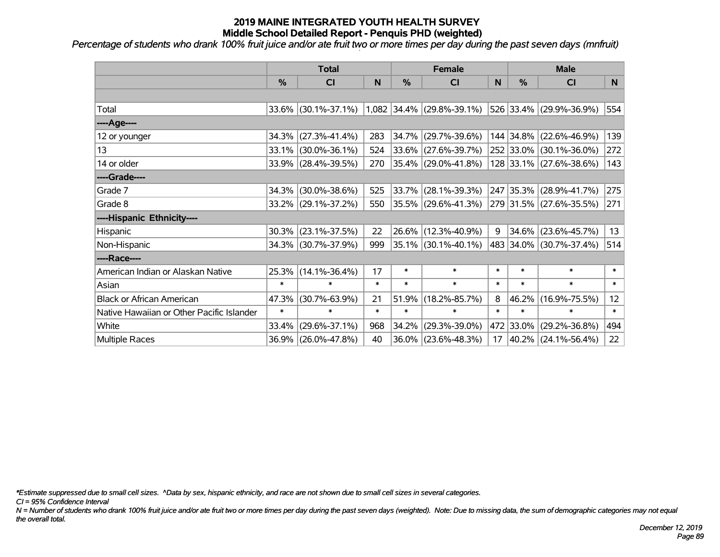*Percentage of students who drank 100% fruit juice and/or ate fruit two or more times per day during the past seven days (mnfruit)*

|                                           | <b>Total</b>  |                     |        | <b>Female</b> |                             | <b>Male</b> |               |                         |                 |
|-------------------------------------------|---------------|---------------------|--------|---------------|-----------------------------|-------------|---------------|-------------------------|-----------------|
|                                           | $\frac{0}{0}$ | <b>CI</b>           | N      | %             | <b>CI</b>                   | N           | $\frac{0}{0}$ | <b>CI</b>               | N               |
|                                           |               |                     |        |               |                             |             |               |                         |                 |
| Total                                     |               | 33.6% (30.1%-37.1%) |        |               | $1,082$ 34.4% (29.8%-39.1%) |             |               | 526 33.4% (29.9%-36.9%) | 554             |
| ----Age----                               |               |                     |        |               |                             |             |               |                         |                 |
| 12 or younger                             | 34.3%         | $(27.3\% - 41.4\%)$ | 283    | 34.7%         | $(29.7\% - 39.6\%)$         |             | 144 34.8%     | $(22.6\% - 46.9\%)$     | 139             |
| 13                                        |               | 33.1% (30.0%-36.1%) | 524    | 33.6%         | $(27.6\% - 39.7\%)$         |             |               | 252 33.0% (30.1%-36.0%) | 272             |
| 14 or older                               |               | 33.9% (28.4%-39.5%) | 270    |               | $ 35.4\% $ (29.0%-41.8%)    |             |               | 128 33.1% (27.6%-38.6%) | 143             |
| ----Grade----                             |               |                     |        |               |                             |             |               |                         |                 |
| Grade 7                                   | 34.3%         | $(30.0\% - 38.6\%)$ | 525    | 33.7%         | $(28.1\% - 39.3\%)$         |             | 247 35.3%     | $(28.9\% - 41.7\%)$     | 275             |
| Grade 8                                   |               | 33.2% (29.1%-37.2%) | 550    |               | $ 35.5\% $ (29.6%-41.3%)    |             |               | 279 31.5% (27.6%-35.5%) | 271             |
| ----Hispanic Ethnicity----                |               |                     |        |               |                             |             |               |                         |                 |
| Hispanic                                  | 30.3%         | $(23.1\% - 37.5\%)$ | 22     | 26.6%         | $(12.3\% - 40.9\%)$         | 9           | $34.6\%$      | $(23.6\% - 45.7\%)$     | 13              |
| Non-Hispanic                              |               | 34.3% (30.7%-37.9%) | 999    |               | 35.1% (30.1%-40.1%)         |             |               | 483 34.0% (30.7%-37.4%) | 514             |
| ----Race----                              |               |                     |        |               |                             |             |               |                         |                 |
| American Indian or Alaskan Native         | 25.3%         | $(14.1\% - 36.4\%)$ | 17     | $\ast$        | $\ast$                      | $\ast$      | $\ast$        | $\ast$                  | $\ast$          |
| Asian                                     | $\ast$        | $\ast$              | $\ast$ | $\ast$        | $\ast$                      | $\ast$      | $\ast$        | $\ast$                  | $\ast$          |
| <b>Black or African American</b>          | 47.3%         | $(30.7\% - 63.9\%)$ | 21     | 51.9%         | $(18.2\% - 85.7\%)$         | 8           | 46.2%         | $(16.9\% - 75.5\%)$     | 12 <sup>2</sup> |
| Native Hawaiian or Other Pacific Islander | $\ast$        | $\ast$              | $\ast$ | $\ast$        | $\ast$                      | $\ast$      | $\ast$        | $\ast$                  | $\ast$          |
| White                                     | 33.4%         | $(29.6\% - 37.1\%)$ | 968    | 34.2%         | $(29.3\% - 39.0\%)$         |             | 472 33.0%     | $(29.2\% - 36.8\%)$     | 494             |
| Multiple Races                            |               | 36.9% (26.0%-47.8%) | 40     | 36.0%         | $(23.6\% - 48.3\%)$         | 17          |               | 40.2% (24.1%-56.4%)     | 22              |

*\*Estimate suppressed due to small cell sizes. ^Data by sex, hispanic ethnicity, and race are not shown due to small cell sizes in several categories.*

*CI = 95% Confidence Interval*

*N = Number of students who drank 100% fruit juice and/or ate fruit two or more times per day during the past seven days (weighted). Note: Due to missing data, the sum of demographic categories may not equal the overall total.*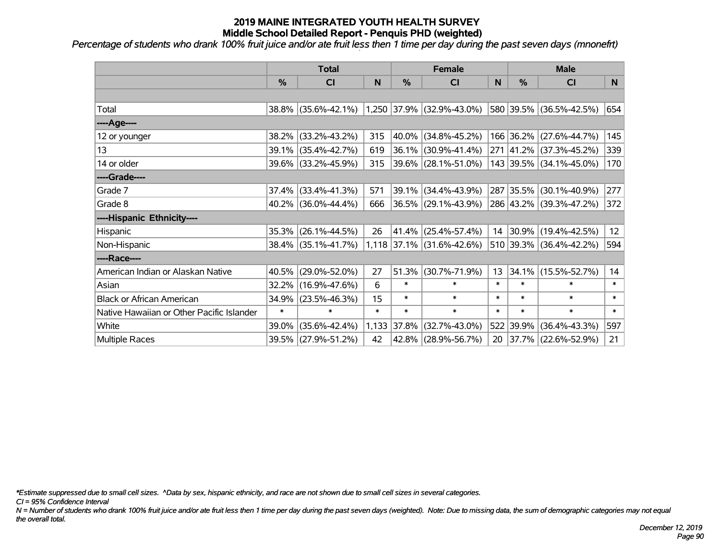*Percentage of students who drank 100% fruit juice and/or ate fruit less then 1 time per day during the past seven days (mnonefrt)*

|                                           | <b>Total</b> |                     |        | <b>Female</b> | <b>Male</b>                 |        |            |                          |        |
|-------------------------------------------|--------------|---------------------|--------|---------------|-----------------------------|--------|------------|--------------------------|--------|
|                                           | %            | CI                  | N      | %             | <b>CI</b>                   | N      | %          | <b>CI</b>                | N      |
|                                           |              |                     |        |               |                             |        |            |                          |        |
| Total                                     |              | 38.8% (35.6%-42.1%) |        | 1,250 37.9%   | $(32.9\% - 43.0\%)$         |        |            | 580 39.5% (36.5%-42.5%)  | 654    |
| ----Age----                               |              |                     |        |               |                             |        |            |                          |        |
| 12 or younger                             | 38.2%        | $(33.2\% - 43.2\%)$ | 315    | 40.0%         | $(34.8\% - 45.2\%)$         |        |            | 166 36.2% (27.6%-44.7%)  | 145    |
| 13                                        |              | 39.1% (35.4%-42.7%) | 619    | 36.1%         | $(30.9\% - 41.4\%)$         |        |            | 271 41.2% (37.3%-45.2%)  | 339    |
| 14 or older                               |              | 39.6% (33.2%-45.9%) | 315    |               | $ 39.6\% $ (28.1%-51.0%)    |        |            | 143 39.5% (34.1%-45.0%)  | 170    |
| ----Grade----                             |              |                     |        |               |                             |        |            |                          |        |
| Grade 7                                   | 37.4%        | $(33.4\% - 41.3\%)$ | 571    | 39.1%         | $(34.4\% - 43.9\%)$         |        | 287 35.5%  | $(30.1\% - 40.9\%)$      | 277    |
| Grade 8                                   |              | 40.2% (36.0%-44.4%) | 666    |               | $ 36.5\% $ (29.1%-43.9%)    |        |            | 286 43.2% (39.3%-47.2%)  | 372    |
| ----Hispanic Ethnicity----                |              |                     |        |               |                             |        |            |                          |        |
| Hispanic                                  | 35.3%        | $(26.1\% - 44.5\%)$ | 26     | 41.4%         | $(25.4\% - 57.4\%)$         | 14     | $ 30.9\% $ | $(19.4\% - 42.5\%)$      | 12     |
| Non-Hispanic                              |              | 38.4% (35.1%-41.7%) |        |               | $1,118$ 37.1% (31.6%-42.6%) |        |            | 510 39.3% (36.4%-42.2%)  | 594    |
| ----Race----                              |              |                     |        |               |                             |        |            |                          |        |
| American Indian or Alaskan Native         | 40.5%        | $(29.0\% - 52.0\%)$ | 27     | 51.3%         | $(30.7\% - 71.9\%)$         | 13     | $ 34.1\% $ | $(15.5\% - 52.7\%)$      | 14     |
| Asian                                     | 32.2%        | $(16.9\% - 47.6\%)$ | 6      | $\ast$        | $\ast$                      | $\ast$ | $\ast$     | $\ast$                   | $\ast$ |
| <b>Black or African American</b>          | 34.9%        | $(23.5\% - 46.3\%)$ | 15     | $\ast$        | $\ast$                      | $\ast$ | $\ast$     | $\ast$                   | $\ast$ |
| Native Hawaiian or Other Pacific Islander | $\ast$       | $\ast$              | $\ast$ | $\ast$        | $\ast$                      | $\ast$ | $\ast$     | $\ast$                   | $\ast$ |
| White                                     | 39.0%        | $(35.6\% - 42.4\%)$ |        | 1,133 37.8%   | $(32.7\% - 43.0\%)$         |        | 522 39.9%  | $(36.4\% - 43.3\%)$      | 597    |
| Multiple Races                            |              | 39.5% (27.9%-51.2%) | 42     |               | 42.8% (28.9%-56.7%)         | 20     |            | $ 37.7\% $ (22.6%-52.9%) | 21     |

*\*Estimate suppressed due to small cell sizes. ^Data by sex, hispanic ethnicity, and race are not shown due to small cell sizes in several categories.*

*CI = 95% Confidence Interval*

*N = Number of students who drank 100% fruit juice and/or ate fruit less then 1 time per day during the past seven days (weighted). Note: Due to missing data, the sum of demographic categories may not equal the overall total.*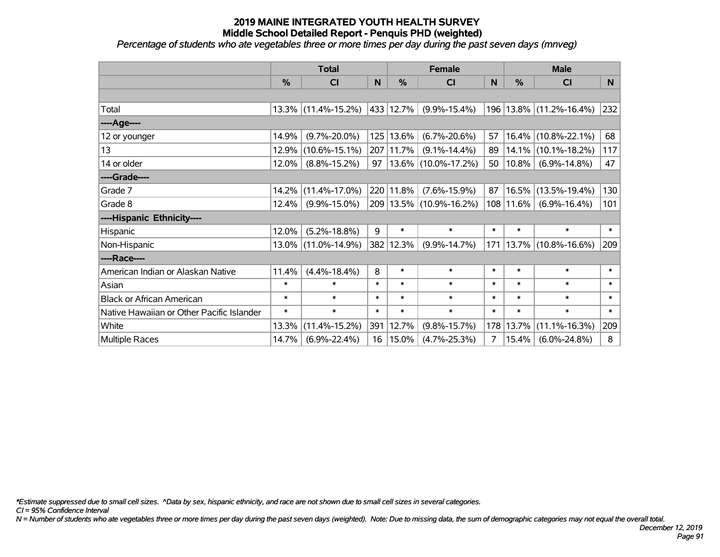*Percentage of students who ate vegetables three or more times per day during the past seven days (mnveg)*

|                                           | <b>Total</b>  |                     |        | <b>Female</b> | <b>Male</b>              |        |               |                     |                |
|-------------------------------------------|---------------|---------------------|--------|---------------|--------------------------|--------|---------------|---------------------|----------------|
|                                           | $\frac{0}{0}$ | <b>CI</b>           | N      | $\frac{9}{6}$ | <b>CI</b>                | N      | %             | <b>CI</b>           | N <sub>1</sub> |
|                                           |               |                     |        |               |                          |        |               |                     |                |
| Total                                     |               | 13.3% (11.4%-15.2%) |        | 433 12.7%     | $(9.9\% - 15.4\%)$       | 196    |               | 13.8% (11.2%-16.4%) | 232            |
| ----Age----                               |               |                     |        |               |                          |        |               |                     |                |
| 12 or younger                             | 14.9%         | $(9.7\% - 20.0\%)$  |        | 125 13.6%     | $(6.7\% - 20.6\%)$       | 57     | 16.4%         | $(10.8\% - 22.1\%)$ | 68             |
| 13                                        | 12.9%         | $(10.6\% - 15.1\%)$ |        | 207 11.7%     | $(9.1\% - 14.4\%)$       | 89     | 14.1%         | $(10.1\% - 18.2\%)$ | 117            |
| 14 or older                               | 12.0%         | $(8.8\% - 15.2\%)$  | 97     |               | $ 13.6\% $ (10.0%-17.2%) | 50     | $10.8\%$      | $(6.9\% - 14.8\%)$  | 47             |
| ----Grade----                             |               |                     |        |               |                          |        |               |                     |                |
| Grade 7                                   | 14.2%         | $(11.4\% - 17.0\%)$ |        | 220 11.8%     | $(7.6\% - 15.9\%)$       | 87     | 16.5%         | $(13.5\% - 19.4\%)$ | 130            |
| Grade 8                                   | 12.4%         | $(9.9\% - 15.0\%)$  |        |               | 209 13.5% (10.9%-16.2%)  |        | $108$   11.6% | $(6.9\% - 16.4\%)$  | 101            |
| ----Hispanic Ethnicity----                |               |                     |        |               |                          |        |               |                     |                |
| Hispanic                                  | 12.0%         | $(5.2\% - 18.8\%)$  | 9      | $\ast$        | $\ast$                   | $\ast$ | $\ast$        | $\ast$              | $\ast$         |
| Non-Hispanic                              |               | 13.0% (11.0%-14.9%) |        | 382 12.3%     | $(9.9\% - 14.7\%)$       | 171    |               | 13.7% (10.8%-16.6%) | 209            |
| ----Race----                              |               |                     |        |               |                          |        |               |                     |                |
| American Indian or Alaskan Native         | 11.4%         | $(4.4\% - 18.4\%)$  | 8      | $\ast$        | $\ast$                   | $\ast$ | $\ast$        | $\ast$              | $\ast$         |
| Asian                                     | $\ast$        | $\ast$              | $\ast$ | $\ast$        | $\ast$                   | $\ast$ | $\ast$        | $\ast$              | $\ast$         |
| <b>Black or African American</b>          | $\ast$        | $\ast$              | $\ast$ | $\ast$        | $\ast$                   | $\ast$ | $\ast$        | $\ast$              | $\ast$         |
| Native Hawaiian or Other Pacific Islander | $\ast$        | $\ast$              | $\ast$ | $\ast$        | $\ast$                   | $\ast$ | $\ast$        | $\ast$              | $\pmb{\ast}$   |
| White                                     | 13.3%         | $(11.4\% - 15.2\%)$ |        | 391 12.7%     | $(9.8\% - 15.7\%)$       | 178    | 13.7%         | $(11.1\% - 16.3\%)$ | 209            |
| Multiple Races                            | 14.7%         | $(6.9\% - 22.4\%)$  |        | 16   15.0%    | $(4.7\% - 25.3\%)$       | 7      | 15.4%         | $(6.0\% - 24.8\%)$  | 8              |

*\*Estimate suppressed due to small cell sizes. ^Data by sex, hispanic ethnicity, and race are not shown due to small cell sizes in several categories.*

*CI = 95% Confidence Interval*

*N = Number of students who ate vegetables three or more times per day during the past seven days (weighted). Note: Due to missing data, the sum of demographic categories may not equal the overall total.*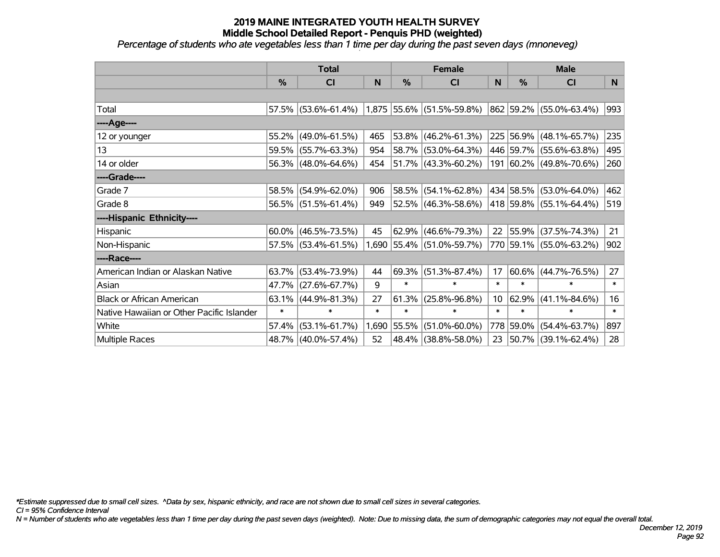*Percentage of students who ate vegetables less than 1 time per day during the past seven days (mnoneveg)*

|                                           | <b>Total</b>  |                     | <b>Female</b> |             |                             | <b>Male</b> |               |                         |        |
|-------------------------------------------|---------------|---------------------|---------------|-------------|-----------------------------|-------------|---------------|-------------------------|--------|
|                                           | $\frac{0}{0}$ | <b>CI</b>           | N             | $\%$        | <b>CI</b>                   | N           | $\frac{0}{0}$ | <b>CI</b>               | N.     |
|                                           |               |                     |               |             |                             |             |               |                         |        |
| Total                                     |               | 57.5% (53.6%-61.4%) |               |             | $1,875$ 55.6% (51.5%-59.8%) |             |               | 862 59.2% (55.0%-63.4%) | 993    |
| ----Age----                               |               |                     |               |             |                             |             |               |                         |        |
| 12 or younger                             | 55.2%         | $(49.0\% - 61.5\%)$ | 465           | 53.8%       | $(46.2\% - 61.3\%)$         |             |               | 225 56.9% (48.1%-65.7%) | 235    |
| 13                                        | 59.5%         | $(55.7\% - 63.3\%)$ | 954           |             | 58.7% (53.0%-64.3%)         |             |               | 446 59.7% (55.6%-63.8%) | 495    |
| 14 or older                               |               | 56.3% (48.0%-64.6%) | 454           |             | $ 51.7\% $ (43.3%-60.2%)    |             |               | 191 60.2% (49.8%-70.6%) | 260    |
| ----Grade----                             |               |                     |               |             |                             |             |               |                         |        |
| Grade 7                                   | 58.5%         | $(54.9\% - 62.0\%)$ | 906           | 58.5%       | $(54.1\% - 62.8\%)$         |             |               | 434 58.5% (53.0%-64.0%) | 462    |
| Grade 8                                   |               | 56.5% (51.5%-61.4%) | 949           |             | 52.5% (46.3%-58.6%)         |             |               | 418 59.8% (55.1%-64.4%) | 519    |
| ----Hispanic Ethnicity----                |               |                     |               |             |                             |             |               |                         |        |
| Hispanic                                  | 60.0%         | $(46.5\% - 73.5\%)$ | 45            | 62.9%       | $(46.6\% - 79.3\%)$         | 22          | 55.9%         | $(37.5\% - 74.3\%)$     | 21     |
| Non-Hispanic                              |               | 57.5% (53.4%-61.5%) |               |             | 1,690 55.4% (51.0%-59.7%)   |             |               | 770 59.1% (55.0%-63.2%) | 902    |
| ----Race----                              |               |                     |               |             |                             |             |               |                         |        |
| American Indian or Alaskan Native         | 63.7%         | $(53.4\% - 73.9\%)$ | 44            | 69.3%       | $(51.3\% - 87.4\%)$         | 17          | $60.6\%$      | $(44.7\% - 76.5\%)$     | 27     |
| Asian                                     | 47.7%         | $(27.6\% - 67.7\%)$ | 9             | $\ast$      | $\ast$                      | $\ast$      | $\ast$        | $\ast$                  | $\ast$ |
| <b>Black or African American</b>          | 63.1%         | $(44.9\% - 81.3\%)$ | 27            | 61.3%       | $(25.8\% - 96.8\%)$         | 10          | 62.9%         | $(41.1\% - 84.6\%)$     | 16     |
| Native Hawaiian or Other Pacific Islander | $\ast$        | $\ast$              | $\ast$        | $\ast$      | $\ast$                      | $\ast$      | $\ast$        | $\ast$                  | $\ast$ |
| White                                     | 57.4%         | $(53.1\% - 61.7\%)$ |               | 1,690 55.5% | $(51.0\% - 60.0\%)$         |             | 778 59.0%     | $(54.4\% - 63.7\%)$     | 897    |
| Multiple Races                            |               | 48.7% (40.0%-57.4%) | 52            |             | 48.4% (38.8%-58.0%)         | 23          |               | 50.7% (39.1%-62.4%)     | 28     |

*\*Estimate suppressed due to small cell sizes. ^Data by sex, hispanic ethnicity, and race are not shown due to small cell sizes in several categories.*

*CI = 95% Confidence Interval*

*N = Number of students who ate vegetables less than 1 time per day during the past seven days (weighted). Note: Due to missing data, the sum of demographic categories may not equal the overall total.*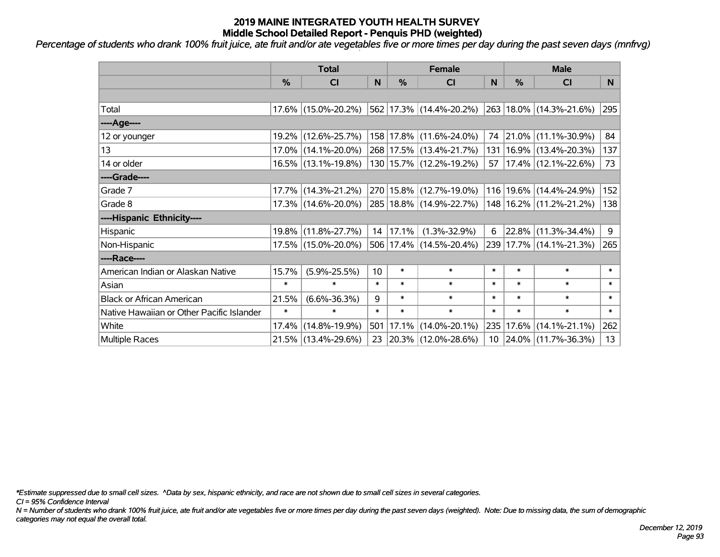*Percentage of students who drank 100% fruit juice, ate fruit and/or ate vegetables five or more times per day during the past seven days (mnfrvg)*

|                                           | <b>Total</b>  |                     | <b>Female</b> |        |                             | <b>Male</b>     |           |                             |        |
|-------------------------------------------|---------------|---------------------|---------------|--------|-----------------------------|-----------------|-----------|-----------------------------|--------|
|                                           | $\frac{0}{0}$ | CI                  | N             | %      | <b>CI</b>                   | N               | %         | <b>CI</b>                   | N.     |
|                                           |               |                     |               |        |                             |                 |           |                             |        |
| Total                                     |               | 17.6% (15.0%-20.2%) |               |        | 562 17.3% (14.4%-20.2%)     |                 |           | 263 18.0% (14.3%-21.6%)     | 295    |
| ----Age----                               |               |                     |               |        |                             |                 |           |                             |        |
| 12 or younger                             |               | 19.2% (12.6%-25.7%) |               |        | 158 17.8% (11.6%-24.0%)     | 74              |           | $ 21.0\% $ (11.1%-30.9%)    | 84     |
| 13                                        |               | 17.0% (14.1%-20.0%) |               |        | 268 17.5% (13.4%-21.7%)     |                 |           | 131   16.9%   (13.4%-20.3%) | 137    |
| 14 or older                               |               | 16.5% (13.1%-19.8%) |               |        | 130 15.7% (12.2%-19.2%)     |                 |           | 57   17.4%   (12.1%-22.6%)  | 73     |
| ----Grade----                             |               |                     |               |        |                             |                 |           |                             |        |
| Grade 7                                   |               | 17.7% (14.3%-21.2%) |               |        | 270 15.8% (12.7%-19.0%)     |                 |           | 116 19.6% (14.4%-24.9%)     | 152    |
| Grade 8                                   |               | 17.3% (14.6%-20.0%) |               |        | 285   18.8%   (14.9%-22.7%) |                 |           | 148 16.2% (11.2%-21.2%)     | 138    |
| ----Hispanic Ethnicity----                |               |                     |               |        |                             |                 |           |                             |        |
| Hispanic                                  |               | 19.8% (11.8%-27.7%) | 14            | 17.1%  | $(1.3\% - 32.9\%)$          | 6               | 22.8%     | $(11.3\% - 34.4\%)$         | 9      |
| Non-Hispanic                              |               | 17.5% (15.0%-20.0%) |               |        | 506 17.4% (14.5%-20.4%)     |                 |           | 239 17.7% (14.1%-21.3%)     | 265    |
| ----Race----                              |               |                     |               |        |                             |                 |           |                             |        |
| American Indian or Alaskan Native         | 15.7%         | $(5.9\% - 25.5\%)$  | 10            | $\ast$ | $\ast$                      | $\ast$          | $\ast$    | $\ast$                      | $\ast$ |
| Asian                                     | $\ast$        | $\ast$              | $\ast$        | $\ast$ | $\ast$                      | $\ast$          | $\ast$    | $\ast$                      | $\ast$ |
| <b>Black or African American</b>          | 21.5%         | $(6.6\% - 36.3\%)$  | 9             | $\ast$ | $\ast$                      | $\ast$          | $\ast$    | $\ast$                      | $\ast$ |
| Native Hawaiian or Other Pacific Islander | $\ast$        | $\ast$              | $\ast$        | $\ast$ | $\ast$                      | $\ast$          | $\ast$    | $\ast$                      | $\ast$ |
| White                                     | 17.4%         | $(14.8\% - 19.9\%)$ | 501           | 17.1%  | $(14.0\% - 20.1\%)$         |                 | 235 17.6% | $(14.1\% - 21.1\%)$         | 262    |
| <b>Multiple Races</b>                     |               | 21.5% (13.4%-29.6%) | 23            |        | $ 20.3\% $ (12.0%-28.6%)    | 10 <sup>°</sup> |           | $ 24.0\% $ (11.7%-36.3%)    | 13     |

*\*Estimate suppressed due to small cell sizes. ^Data by sex, hispanic ethnicity, and race are not shown due to small cell sizes in several categories.*

*CI = 95% Confidence Interval*

*N = Number of students who drank 100% fruit juice, ate fruit and/or ate vegetables five or more times per day during the past seven days (weighted). Note: Due to missing data, the sum of demographic categories may not equal the overall total.*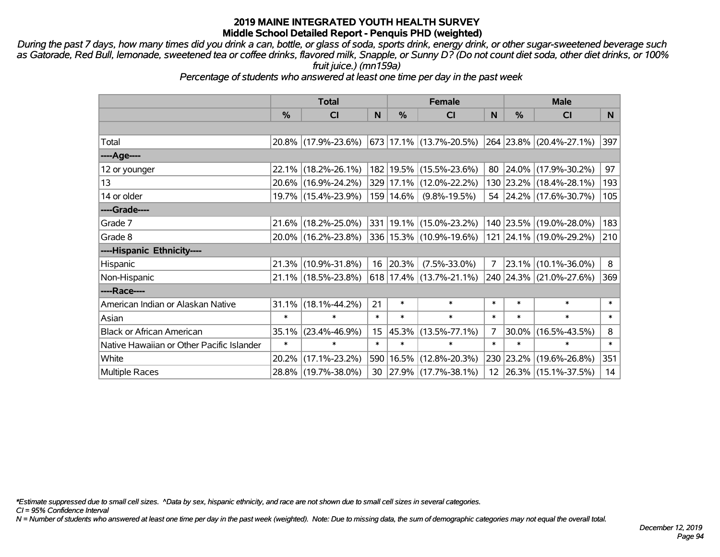*During the past 7 days, how many times did you drink a can, bottle, or glass of soda, sports drink, energy drink, or other sugar-sweetened beverage such as Gatorade, Red Bull, lemonade, sweetened tea or coffee drinks, flavored milk, Snapple, or Sunny D? (Do not count diet soda, other diet drinks, or 100% fruit juice.) (mn159a)*

*Percentage of students who answered at least one time per day in the past week*

|                                           | <b>Total</b>  |                                             |        | <b>Female</b> | <b>Male</b>                   |        |           |                                 |                |
|-------------------------------------------|---------------|---------------------------------------------|--------|---------------|-------------------------------|--------|-----------|---------------------------------|----------------|
|                                           | $\frac{0}{0}$ | <b>CI</b>                                   | N      | %             | <b>CI</b>                     | N      | %         | <b>CI</b>                       | N <sub>1</sub> |
|                                           |               |                                             |        |               |                               |        |           |                                 |                |
| Total                                     |               | 20.8% (17.9%-23.6%)                         |        |               | 673 17.1% (13.7%-20.5%)       |        |           | $ 264 23.8\%  (20.4\% -27.1\%)$ | 397            |
| ----Age----                               |               |                                             |        |               |                               |        |           |                                 |                |
| 12 or younger                             | $22.1\%$      | $(18.2\% - 26.1\%)$                         |        |               | 182   19.5%   (15.5%-23.6%)   | 80     | $24.0\%$  | $(17.9\% - 30.2\%)$             | 97             |
| 13                                        |               | 20.6% (16.9%-24.2%)                         |        |               | 329 17.1% (12.0%-22.2%)       |        |           | 130 23.2% (18.4%-28.1%)         | 193            |
| 14 or older                               |               | 19.7% (15.4%-23.9%)                         |        | 159 14.6%     | $(9.8\% - 19.5\%)$            |        |           | 54 24.2% (17.6%-30.7%)          | 105            |
| ----Grade----                             |               |                                             |        |               |                               |        |           |                                 |                |
| Grade 7                                   | 21.6%         | $(18.2\% - 25.0\%)$                         |        |               | 331 19.1% (15.0%-23.2%)       |        | 140 23.5% | $(19.0\% - 28.0\%)$             | 183            |
| Grade 8                                   |               | 20.0% (16.2%-23.8%) 336 15.3% (10.9%-19.6%) |        |               |                               |        |           | 121 24.1% (19.0%-29.2%)         | 210            |
| ----Hispanic Ethnicity----                |               |                                             |        |               |                               |        |           |                                 |                |
| Hispanic                                  | 21.3%         | $(10.9\% - 31.8\%)$                         | 16     | 20.3%         | $(7.5\% - 33.0\%)$            | 7      | 23.1%     | $(10.1\% - 36.0\%)$             | 8              |
| Non-Hispanic                              |               | 21.1% (18.5%-23.8%)                         |        |               | $618$   17.4%   (13.7%-21.1%) |        |           | 240 24.3% (21.0%-27.6%)         | 369            |
| ----Race----                              |               |                                             |        |               |                               |        |           |                                 |                |
| American Indian or Alaskan Native         | 31.1%         | $(18.1\% - 44.2\%)$                         | 21     | $\ast$        | $\ast$                        | $\ast$ | $\ast$    | $\ast$                          | $\ast$         |
| Asian                                     | $\ast$        | $\ast$                                      | $\ast$ | $\ast$        | $\ast$                        | $\ast$ | $\ast$    | $\ast$                          | $\ast$         |
| <b>Black or African American</b>          | 35.1%         | $(23.4\% - 46.9\%)$                         | 15     |               | 45.3% (13.5%-77.1%)           | 7      | 30.0%     | $(16.5\% - 43.5\%)$             | 8              |
| Native Hawaiian or Other Pacific Islander | $\ast$        | $\ast$                                      | $\ast$ | $\ast$        | $\ast$                        | $\ast$ | $\ast$    | $\ast$                          | $\ast$         |
| White                                     | 20.2%         | $(17.1\% - 23.2\%)$                         | 590    | 16.5%         | $(12.8\% - 20.3\%)$           | 230    | 23.2%     | $(19.6\% - 26.8\%)$             | 351            |
| <b>Multiple Races</b>                     |               | 28.8% (19.7%-38.0%)                         | 30     |               | $ 27.9\% $ (17.7%-38.1%)      |        |           | 12 26.3% (15.1%-37.5%)          | 14             |

*\*Estimate suppressed due to small cell sizes. ^Data by sex, hispanic ethnicity, and race are not shown due to small cell sizes in several categories.*

*CI = 95% Confidence Interval*

*N = Number of students who answered at least one time per day in the past week (weighted). Note: Due to missing data, the sum of demographic categories may not equal the overall total.*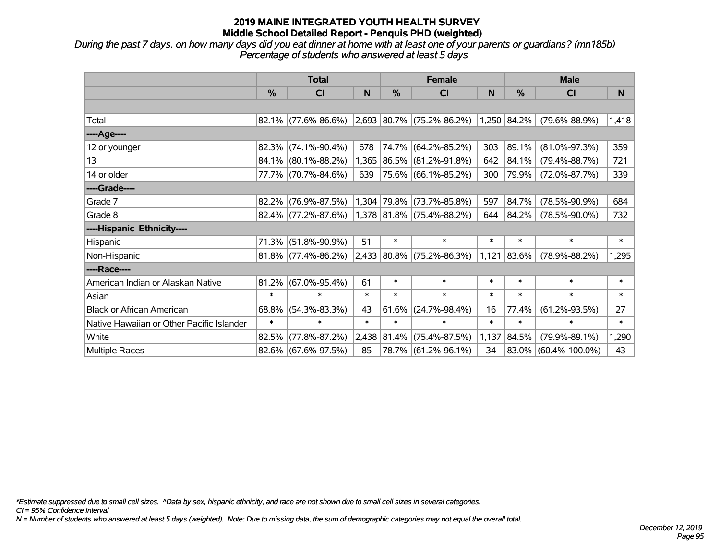*During the past 7 days, on how many days did you eat dinner at home with at least one of your parents or guardians? (mn185b) Percentage of students who answered at least 5 days*

|                                           |               | <b>Total</b>           |        |             | <b>Female</b>                    |        | <b>Male</b> |                      |        |  |
|-------------------------------------------|---------------|------------------------|--------|-------------|----------------------------------|--------|-------------|----------------------|--------|--|
|                                           | $\frac{9}{6}$ | CI                     | N      | %           | <b>CI</b>                        | N      | $\%$        | <b>CI</b>            | N      |  |
|                                           |               |                        |        |             |                                  |        |             |                      |        |  |
| Total                                     |               | $82.1\%$ (77.6%-86.6%) |        |             | 2,693 80.7% (75.2%-86.2%)        |        | 1,250 84.2% | $(79.6\% - 88.9\%)$  | 1,418  |  |
| ----Age----                               |               |                        |        |             |                                  |        |             |                      |        |  |
| 12 or younger                             |               | 82.3% (74.1%-90.4%)    | 678    | 74.7%       | $(64.2\% - 85.2\%)$              | 303    | 89.1%       | $(81.0\% - 97.3\%)$  | 359    |  |
| 13                                        |               | 84.1% (80.1%-88.2%)    |        |             | 1,365 86.5% (81.2%-91.8%)        | 642    | 84.1%       | $(79.4\% - 88.7\%)$  | 721    |  |
| 14 or older                               |               | 77.7% (70.7%-84.6%)    | 639    |             | 75.6% (66.1%-85.2%)              | 300    | 79.9%       | $(72.0\% - 87.7\%)$  | 339    |  |
| ----Grade----                             |               |                        |        |             |                                  |        |             |                      |        |  |
| Grade 7                                   |               | $82.2\%$ (76.9%-87.5%) |        | 1,304 79.8% | $(73.7\% - 85.8\%)$              | 597    | 84.7%       | $(78.5\% - 90.9\%)$  | 684    |  |
| Grade 8                                   |               | $82.4\%$ (77.2%-87.6%) |        |             | $1,378$ $ 81.8\% $ (75.4%-88.2%) | 644    | 84.2%       | $(78.5\% - 90.0\%)$  | 732    |  |
| ----Hispanic Ethnicity----                |               |                        |        |             |                                  |        |             |                      |        |  |
| Hispanic                                  | 71.3%         | $(51.8\% - 90.9\%)$    | 51     | $\ast$      | $\ast$                           | $\ast$ | $\ast$      | $\ast$               | $\ast$ |  |
| Non-Hispanic                              |               | $81.8\%$ (77.4%-86.2%) |        |             | $2,433$ 80.8% (75.2%-86.3%)      | 1,121  | 83.6%       | $(78.9\% - 88.2\%)$  | 1,295  |  |
| ----Race----                              |               |                        |        |             |                                  |        |             |                      |        |  |
| American Indian or Alaskan Native         | 81.2%         | $(67.0\% - 95.4\%)$    | 61     | $\ast$      | $\ast$                           | $\ast$ | $\ast$      | $\ast$               | $\ast$ |  |
| Asian                                     | $\ast$        | $\ast$                 | $\ast$ | $\ast$      | $\ast$                           | $\ast$ | $\ast$      | $\ast$               | $\ast$ |  |
| <b>Black or African American</b>          | 68.8%         | $(54.3\% - 83.3\%)$    | 43     | 61.6%       | $(24.7\% - 98.4\%)$              | 16     | 77.4%       | $(61.2\% - 93.5\%)$  | 27     |  |
| Native Hawaiian or Other Pacific Islander | $\ast$        | $\ast$                 | $\ast$ | $\ast$      | $\ast$                           | $\ast$ | $\ast$      | $\ast$               | $\ast$ |  |
| White                                     | 82.5%         | $(77.8\% - 87.2\%)$    | 2,438  | 81.4%       | $(75.4\% - 87.5\%)$              | 1,137  | 84.5%       | $(79.9\% - 89.1\%)$  | 1,290  |  |
| Multiple Races                            |               | 82.6% (67.6%-97.5%)    | 85     |             | 78.7% (61.2%-96.1%)              | 34     |             | 83.0% (60.4%-100.0%) | 43     |  |

*\*Estimate suppressed due to small cell sizes. ^Data by sex, hispanic ethnicity, and race are not shown due to small cell sizes in several categories.*

*CI = 95% Confidence Interval*

*N = Number of students who answered at least 5 days (weighted). Note: Due to missing data, the sum of demographic categories may not equal the overall total.*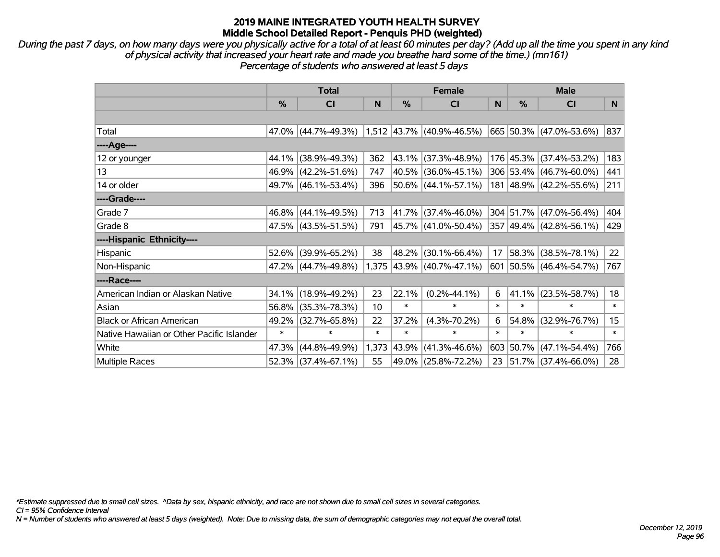*During the past 7 days, on how many days were you physically active for a total of at least 60 minutes per day? (Add up all the time you spent in any kind of physical activity that increased your heart rate and made you breathe hard some of the time.) (mn161) Percentage of students who answered at least 5 days*

|                                           | <b>Total</b> |                     |        | <b>Female</b> |                             | <b>Male</b> |           |                          |        |
|-------------------------------------------|--------------|---------------------|--------|---------------|-----------------------------|-------------|-----------|--------------------------|--------|
|                                           | %            | <b>CI</b>           | N      | %             | <b>CI</b>                   | N           | %         | <b>CI</b>                | N      |
|                                           |              |                     |        |               |                             |             |           |                          |        |
| Total                                     |              | 47.0% (44.7%-49.3%) |        |               | $1,512$ 43.7% (40.9%-46.5%) |             |           | 665 50.3% (47.0%-53.6%)  | 837    |
| ----Age----                               |              |                     |        |               |                             |             |           |                          |        |
| 12 or younger                             |              | 44.1% (38.9%-49.3%) | 362    |               | 43.1% (37.3%-48.9%)         |             |           | 176 45.3% (37.4%-53.2%)  | 183    |
| 13                                        |              | 46.9% (42.2%-51.6%) | 747    |               | 40.5% (36.0%-45.1%)         |             |           | 306 53.4% (46.7%-60.0%)  | 441    |
| 14 or older                               |              | 49.7% (46.1%-53.4%) | 396    |               | 50.6% (44.1%-57.1%)         |             |           | 181 48.9% (42.2%-55.6%)  | 211    |
| ----Grade----                             |              |                     |        |               |                             |             |           |                          |        |
| Grade 7                                   |              | 46.8% (44.1%-49.5%) | 713    |               | 41.7% (37.4%-46.0%)         |             |           | 304 51.7% (47.0%-56.4%)  | 404    |
| Grade 8                                   |              | 47.5% (43.5%-51.5%) | 791    |               | $ 45.7\% $ (41.0%-50.4%)    |             |           | 357 49.4% (42.8%-56.1%)  | 429    |
| ----Hispanic Ethnicity----                |              |                     |        |               |                             |             |           |                          |        |
| Hispanic                                  | 52.6%        | $(39.9\% - 65.2\%)$ | 38     | 48.2%         | $(30.1\% - 66.4\%)$         | 17          | 58.3%     | $(38.5\% - 78.1\%)$      | 22     |
| Non-Hispanic                              |              | 47.2% (44.7%-49.8%) |        |               | 1,375 43.9% (40.7%-47.1%)   |             |           | 601 50.5% (46.4%-54.7%)  | 767    |
| ----Race----                              |              |                     |        |               |                             |             |           |                          |        |
| American Indian or Alaskan Native         |              | 34.1% (18.9%-49.2%) | 23     | 22.1%         | $(0.2\% - 44.1\%)$          | 6           | 41.1%     | $(23.5\% - 58.7\%)$      | 18     |
| Asian                                     | 56.8%        | $(35.3\% - 78.3\%)$ | 10     | $\ast$        | $\ast$                      | $\ast$      | $\ast$    | $\ast$                   | $\ast$ |
| <b>Black or African American</b>          | 49.2%        | $(32.7\% - 65.8\%)$ | 22     | 37.2%         | $(4.3\% - 70.2\%)$          | 6           | 54.8%     | $(32.9\% - 76.7\%)$      | 15     |
| Native Hawaiian or Other Pacific Islander | $\ast$       | $\ast$              | $\ast$ | $\ast$        | $\ast$                      | $\ast$      | $\ast$    | $\ast$                   | $\ast$ |
| White                                     | 47.3%        | $(44.8\% - 49.9\%)$ | 1,373  | 43.9%         | $(41.3\% - 46.6\%)$         |             | 603 50.7% | $(47.1\% - 54.4\%)$      | 766    |
| Multiple Races                            |              | 52.3% (37.4%-67.1%) | 55     |               | 49.0% (25.8%-72.2%)         | 23          |           | $ 51.7\% $ (37.4%-66.0%) | 28     |

*\*Estimate suppressed due to small cell sizes. ^Data by sex, hispanic ethnicity, and race are not shown due to small cell sizes in several categories.*

*CI = 95% Confidence Interval*

*N = Number of students who answered at least 5 days (weighted). Note: Due to missing data, the sum of demographic categories may not equal the overall total.*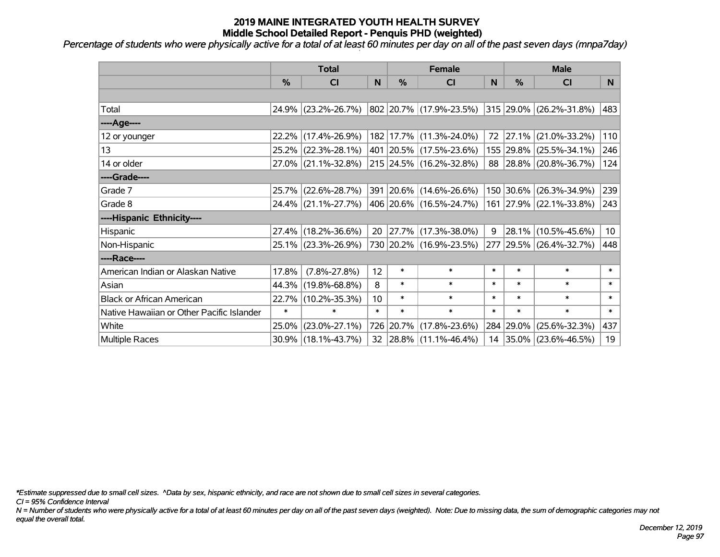*Percentage of students who were physically active for a total of at least 60 minutes per day on all of the past seven days (mnpa7day)*

|                                           | <b>Total</b>  |                                             | <b>Female</b> |               |                                         | <b>Male</b> |               |                              |                 |
|-------------------------------------------|---------------|---------------------------------------------|---------------|---------------|-----------------------------------------|-------------|---------------|------------------------------|-----------------|
|                                           | $\frac{0}{0}$ | <b>CI</b>                                   | N             | $\frac{0}{0}$ | <b>CI</b>                               | N           | $\frac{0}{0}$ | <b>CI</b>                    | N.              |
|                                           |               |                                             |               |               |                                         |             |               |                              |                 |
| Total                                     |               | 24.9% (23.2%-26.7%)                         |               |               | 802   20.7%   (17.9%-23.5%)             |             |               | $ 315 29.0\% $ (26.2%-31.8%) | 483             |
| ----Age----                               |               |                                             |               |               |                                         |             |               |                              |                 |
| 12 or younger                             | $22.2\%$      | $(17.4\% - 26.9\%)$                         |               |               | 182 17.7% (11.3%-24.0%)                 |             | 72 27.1%      | $(21.0\% - 33.2\%)$          | 110             |
| 13                                        |               | 25.2% (22.3%-28.1%)                         |               |               | 401 20.5% (17.5%-23.6%)                 |             |               | 155 29.8% (25.5%-34.1%)      | 246             |
| 14 or older                               |               | 27.0% (21.1%-32.8%)                         |               |               | 215 24.5% (16.2%-32.8%)                 |             |               | 88 28.8% (20.8%-36.7%)       | 124             |
| ----Grade----                             |               |                                             |               |               |                                         |             |               |                              |                 |
| Grade 7                                   | $25.7\%$      | $(22.6\% - 28.7\%)$                         |               |               | 391 20.6% (14.6%-26.6%)                 |             | 150 30.6%     | $(26.3\% - 34.9\%)$          | 239             |
| Grade 8                                   |               | 24.4% (21.1%-27.7%) 406 20.6% (16.5%-24.7%) |               |               |                                         |             |               | 161 27.9% (22.1%-33.8%)      | 243             |
| ----Hispanic Ethnicity----                |               |                                             |               |               |                                         |             |               |                              |                 |
| Hispanic                                  | 27.4%         | $(18.2\% - 36.6\%)$                         | 20            | 27.7%         | $(17.3\% - 38.0\%)$                     | 9           | 28.1%         | $(10.5\% - 45.6\%)$          | 10 <sup>°</sup> |
| Non-Hispanic                              |               | 25.1% (23.3%-26.9%)                         |               |               | 730 20.2% (16.9%-23.5%)                 |             |               | 277 29.5% (26.4%-32.7%)      | 448             |
| ----Race----                              |               |                                             |               |               |                                         |             |               |                              |                 |
| American Indian or Alaskan Native         | 17.8%         | $(7.8\% - 27.8\%)$                          | 12            | $\ast$        | $\ast$                                  | $\ast$      | $\ast$        | $\ast$                       | $\ast$          |
| Asian                                     | 44.3%         | $(19.8\% - 68.8\%)$                         | 8             | $\ast$        | $\ast$                                  | $\ast$      | $\ast$        | $\ast$                       | $\ast$          |
| <b>Black or African American</b>          | 22.7%         | $(10.2\% - 35.3\%)$                         | 10            | $\ast$        | $\ast$                                  | $\ast$      | $\ast$        | $\ast$                       | $\ast$          |
| Native Hawaiian or Other Pacific Islander | $\ast$        | $\ast$                                      | $\ast$        | $\ast$        | $\ast$                                  | $\ast$      | $\ast$        | $\ast$                       | $\ast$          |
| White                                     | 25.0%         | $(23.0\% - 27.1\%)$                         | 726           | 20.7%         | $(17.8\% - 23.6\%)$                     |             | 284 29.0%     | $(25.6\% - 32.3\%)$          | 437             |
| <b>Multiple Races</b>                     |               | 30.9% (18.1%-43.7%)                         |               |               | $32 \mid 28.8\% \mid (11.1\% - 46.4\%)$ |             |               | 14 35.0% (23.6%-46.5%)       | 19              |

*\*Estimate suppressed due to small cell sizes. ^Data by sex, hispanic ethnicity, and race are not shown due to small cell sizes in several categories.*

*CI = 95% Confidence Interval*

*N = Number of students who were physically active for a total of at least 60 minutes per day on all of the past seven days (weighted). Note: Due to missing data, the sum of demographic categories may not equal the overall total.*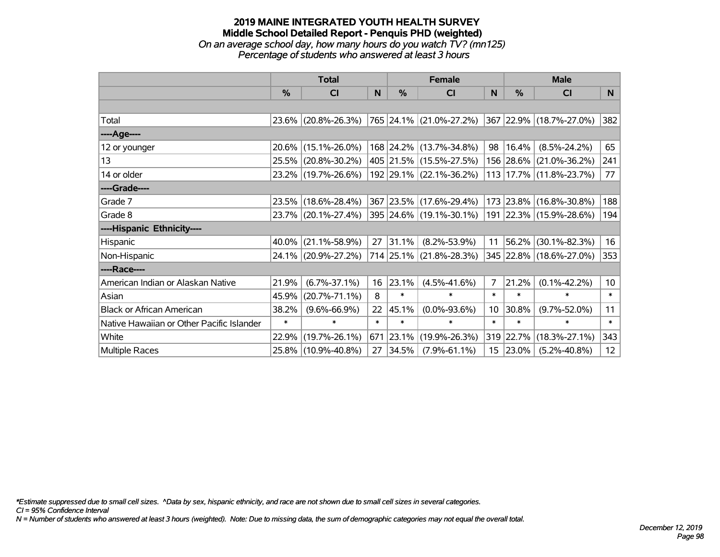#### **2019 MAINE INTEGRATED YOUTH HEALTH SURVEY Middle School Detailed Report - Penquis PHD (weighted)** *On an average school day, how many hours do you watch TV? (mn125) Percentage of students who answered at least 3 hours*

|                                           | <b>Total</b>  |                     |        | <b>Female</b> | <b>Male</b>             |                 |           |                         |                 |
|-------------------------------------------|---------------|---------------------|--------|---------------|-------------------------|-----------------|-----------|-------------------------|-----------------|
|                                           | $\frac{0}{0}$ | CI                  | N      | %             | CI                      | <sub>N</sub>    | %         | <b>CI</b>               | N               |
|                                           |               |                     |        |               |                         |                 |           |                         |                 |
| Total                                     |               | 23.6% (20.8%-26.3%) |        |               | 765 24.1% (21.0%-27.2%) |                 |           | 367 22.9% (18.7%-27.0%) | 382             |
| ----Age----                               |               |                     |        |               |                         |                 |           |                         |                 |
| 12 or younger                             |               | 20.6% (15.1%-26.0%) |        |               | 168 24.2% (13.7%-34.8%) | 98              | 16.4%     | $(8.5\% - 24.2\%)$      | 65              |
| 13                                        |               | 25.5% (20.8%-30.2%) |        |               | 405 21.5% (15.5%-27.5%) |                 | 156 28.6% | $(21.0\% - 36.2\%)$     | 241             |
| 14 or older                               |               | 23.2% (19.7%-26.6%) |        |               | 192 29.1% (22.1%-36.2%) |                 |           | 113 17.7% (11.8%-23.7%) | 77              |
| ----Grade----                             |               |                     |        |               |                         |                 |           |                         |                 |
| Grade 7                                   |               | 23.5% (18.6%-28.4%) |        |               | 367 23.5% (17.6%-29.4%) |                 | 173 23.8% | $(16.8\% - 30.8\%)$     | 188             |
| Grade 8                                   |               | 23.7% (20.1%-27.4%) |        |               | 395 24.6% (19.1%-30.1%) |                 |           | 191 22.3% (15.9%-28.6%) | 194             |
| ----Hispanic Ethnicity----                |               |                     |        |               |                         |                 |           |                         |                 |
| Hispanic                                  | 40.0%         | $(21.1\% - 58.9\%)$ | 27     | 31.1%         | $(8.2\% - 53.9\%)$      | 11              | 56.2%     | $(30.1\% - 82.3\%)$     | 16              |
| Non-Hispanic                              |               | 24.1% (20.9%-27.2%) |        |               | 714 25.1% (21.8%-28.3%) |                 |           | 345 22.8% (18.6%-27.0%) | 353             |
| ----Race----                              |               |                     |        |               |                         |                 |           |                         |                 |
| American Indian or Alaskan Native         | 21.9%         | $(6.7\% - 37.1\%)$  | 16     | 23.1%         | $(4.5\% - 41.6\%)$      | $\overline{7}$  | 21.2%     | $(0.1\% - 42.2\%)$      | 10 <sup>°</sup> |
| Asian                                     | 45.9%         | $(20.7\% - 71.1\%)$ | 8      | $\ast$        | $\ast$                  | $\ast$          | $\ast$    | $\ast$                  | $\ast$          |
| <b>Black or African American</b>          | 38.2%         | $(9.6\% - 66.9\%)$  | 22     | 45.1%         | $(0.0\% - 93.6\%)$      | 10 <sup>°</sup> | 30.8%     | $(9.7\% - 52.0\%)$      | 11              |
| Native Hawaiian or Other Pacific Islander | $\ast$        | $\ast$              | $\ast$ | $\ast$        | $\ast$                  | $\ast$          | $\ast$    | $\ast$                  | $\ast$          |
| White                                     | 22.9%         | $(19.7\% - 26.1\%)$ | 671    | 23.1%         | $(19.9\% - 26.3\%)$     | 319             | 22.7%     | $(18.3\% - 27.1\%)$     | 343             |
| <b>Multiple Races</b>                     |               | 25.8% (10.9%-40.8%) | 27     | $ 34.5\% $    | $(7.9\% - 61.1\%)$      | 15              | 23.0%     | $(5.2\% - 40.8\%)$      | 12              |

*\*Estimate suppressed due to small cell sizes. ^Data by sex, hispanic ethnicity, and race are not shown due to small cell sizes in several categories.*

*CI = 95% Confidence Interval*

*N = Number of students who answered at least 3 hours (weighted). Note: Due to missing data, the sum of demographic categories may not equal the overall total.*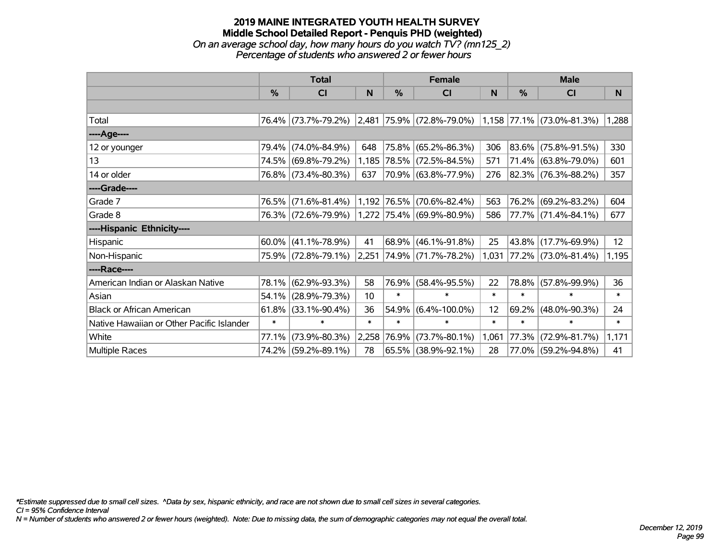#### **2019 MAINE INTEGRATED YOUTH HEALTH SURVEY Middle School Detailed Report - Penquis PHD (weighted)** *On an average school day, how many hours do you watch TV? (mn125\_2) Percentage of students who answered 2 or fewer hours*

|                                           | <b>Total</b> |                     |        |             | <b>Female</b>                                 |        | <b>Male</b> |                           |        |  |
|-------------------------------------------|--------------|---------------------|--------|-------------|-----------------------------------------------|--------|-------------|---------------------------|--------|--|
|                                           | $\%$         | <b>CI</b>           | N      | $\%$        | <b>CI</b>                                     | N      | $\%$        | <b>CI</b>                 | N      |  |
|                                           |              |                     |        |             |                                               |        |             |                           |        |  |
| Total                                     |              |                     |        |             | 76.4% (73.7%-79.2%) 2,481 75.9% (72.8%-79.0%) |        |             | 1,158 77.1% (73.0%-81.3%) | 1,288  |  |
| ---- Age----                              |              |                     |        |             |                                               |        |             |                           |        |  |
| 12 or younger                             | 79.4%        | $(74.0\% - 84.9\%)$ | 648    |             | 75.8% (65.2%-86.3%)                           | 306    | 83.6%       | $(75.8\% - 91.5\%)$       | 330    |  |
| 13                                        |              | 74.5% (69.8%-79.2%) |        |             | 1,185 78.5% (72.5%-84.5%)                     | 571    |             | 71.4% (63.8%-79.0%)       | 601    |  |
| 14 or older                               |              | 76.8% (73.4%-80.3%) | 637    |             | 70.9% (63.8%-77.9%)                           | 276    |             | 82.3% (76.3%-88.2%)       | 357    |  |
| ----Grade----                             |              |                     |        |             |                                               |        |             |                           |        |  |
| Grade 7                                   | 76.5%        | $(71.6\% - 81.4\%)$ |        |             | 1,192 76.5% (70.6%-82.4%)                     | 563    | 76.2%       | $(69.2\% - 83.2\%)$       | 604    |  |
| Grade 8                                   |              | 76.3% (72.6%-79.9%) |        |             | 1,272 75.4% (69.9%-80.9%)                     | 586    |             | 77.7% (71.4%-84.1%)       | 677    |  |
| ----Hispanic Ethnicity----                |              |                     |        |             |                                               |        |             |                           |        |  |
| Hispanic                                  | 60.0%        | $(41.1\% - 78.9\%)$ | 41     | 68.9%       | $(46.1\% - 91.8\%)$                           | 25     | 43.8%       | $(17.7\% - 69.9\%)$       | 12     |  |
| Non-Hispanic                              |              | 75.9% (72.8%-79.1%) | 2,251  |             | $ 74.9\% $ (71.7%-78.2%)                      | 1,031  |             | 77.2%   (73.0%-81.4%)     | 1,195  |  |
| ----Race----                              |              |                     |        |             |                                               |        |             |                           |        |  |
| American Indian or Alaskan Native         | 78.1%        | $(62.9\% - 93.3\%)$ | 58     | 76.9%       | $(58.4\% - 95.5\%)$                           | 22     | 78.8%       | $(57.8\% - 99.9\%)$       | 36     |  |
| Asian                                     | 54.1%        | $(28.9\% - 79.3\%)$ | 10     | $\ast$      | $\ast$                                        | $\ast$ | $\ast$      | $\ast$                    | $\ast$ |  |
| <b>Black or African American</b>          | 61.8%        | $(33.1\% - 90.4\%)$ | 36     | 54.9%       | $(6.4\% - 100.0\%)$                           | 12     | 69.2%       | $(48.0\% - 90.3\%)$       | 24     |  |
| Native Hawaiian or Other Pacific Islander | $\ast$       | $\ast$              | $\ast$ | $\ast$      | $\ast$                                        | $\ast$ | $\ast$      | $\ast$                    | $\ast$ |  |
| White                                     | 77.1%        | $(73.9\% - 80.3\%)$ |        | 2,258 76.9% | $(73.7\% - 80.1\%)$                           | 1,061  | 77.3%       | $(72.9\% - 81.7\%)$       | 1,171  |  |
| Multiple Races                            |              | 74.2% (59.2%-89.1%) | 78     |             | 65.5% (38.9%-92.1%)                           | 28     |             | 77.0% (59.2%-94.8%)       | 41     |  |

*\*Estimate suppressed due to small cell sizes. ^Data by sex, hispanic ethnicity, and race are not shown due to small cell sizes in several categories.*

*CI = 95% Confidence Interval*

*N = Number of students who answered 2 or fewer hours (weighted). Note: Due to missing data, the sum of demographic categories may not equal the overall total.*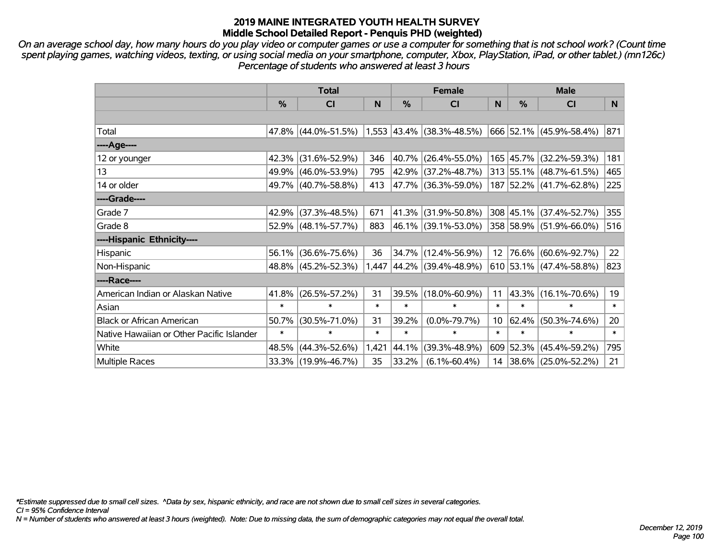*On an average school day, how many hours do you play video or computer games or use a computer for something that is not school work? (Count time spent playing games, watching videos, texting, or using social media on your smartphone, computer, Xbox, PlayStation, iPad, or other tablet.) (mn126c) Percentage of students who answered at least 3 hours*

|                                           | <b>Total</b> |                     |        |        | <b>Female</b>               |                 | <b>Male</b>   |                          |        |
|-------------------------------------------|--------------|---------------------|--------|--------|-----------------------------|-----------------|---------------|--------------------------|--------|
|                                           | %            | <b>CI</b>           | N      | %      | <b>CI</b>                   | N               | $\frac{0}{0}$ | <b>CI</b>                | N      |
|                                           |              |                     |        |        |                             |                 |               |                          |        |
| Total                                     |              | 47.8% (44.0%-51.5%) |        |        | $1,553$ 43.4% (38.3%-48.5%) |                 |               | 666 52.1% (45.9%-58.4%)  | 871    |
| ----Age----                               |              |                     |        |        |                             |                 |               |                          |        |
| 12 or younger                             | 42.3%        | $(31.6\% - 52.9\%)$ | 346    | 40.7%  | $(26.4\% - 55.0\%)$         |                 |               | 165 45.7% (32.2%-59.3%)  | 181    |
| 13                                        |              | 49.9% (46.0%-53.9%) | 795    | 42.9%  | $(37.2\% - 48.7\%)$         |                 |               | 313 55.1% (48.7%-61.5%)  | 465    |
| 14 or older                               |              | 49.7% (40.7%-58.8%) | 413    |        | 47.7% (36.3%-59.0%)         |                 |               | 187 52.2% (41.7%-62.8%)  | 225    |
| ----Grade----                             |              |                     |        |        |                             |                 |               |                          |        |
| Grade 7                                   |              | 42.9% (37.3%-48.5%) | 671    | 41.3%  | $(31.9\% - 50.8\%)$         |                 |               | 308 45.1% (37.4%-52.7%)  | 355    |
| Grade 8                                   |              | 52.9% (48.1%-57.7%) | 883    |        | 46.1% (39.1%-53.0%)         |                 |               | 358 58.9% (51.9%-66.0%)  | 516    |
| ----Hispanic Ethnicity----                |              |                     |        |        |                             |                 |               |                          |        |
| Hispanic                                  | 56.1%        | $(36.6\% - 75.6\%)$ | 36     | 34.7%  | $(12.4\% - 56.9\%)$         | 12 <sup>2</sup> |               | 76.6% (60.6%-92.7%)      | 22     |
| Non-Hispanic                              |              | 48.8% (45.2%-52.3%) |        |        | 1,447 44.2% (39.4%-48.9%)   |                 |               | 610 53.1% (47.4%-58.8%)  | 823    |
| ----Race----                              |              |                     |        |        |                             |                 |               |                          |        |
| American Indian or Alaskan Native         | 41.8%        | $(26.5\% - 57.2\%)$ | 31     | 39.5%  | $(18.0\% - 60.9\%)$         | 11              |               | 43.3% (16.1%-70.6%)      | 19     |
| Asian                                     | $\ast$       | $\ast$              | $\ast$ | $\ast$ | $\ast$                      | $\ast$          | $\ast$        | $\ast$                   | $\ast$ |
| <b>Black or African American</b>          | 50.7%        | $(30.5\% - 71.0\%)$ | 31     | 39.2%  | $(0.0\% - 79.7\%)$          | 10              | 62.4%         | $(50.3\% - 74.6\%)$      | 20     |
| Native Hawaiian or Other Pacific Islander | $\ast$       | $\ast$              | $\ast$ | $\ast$ | $\ast$                      | $\ast$          | $\ast$        | $\ast$                   | $\ast$ |
| White                                     | 48.5%        | $(44.3\% - 52.6\%)$ | 1,421  | 44.1%  | $(39.3\% - 48.9\%)$         |                 | 609 52.3%     | $(45.4\% - 59.2\%)$      | 795    |
| <b>Multiple Races</b>                     |              | 33.3% (19.9%-46.7%) | 35     | 33.2%  | $(6.1\% - 60.4\%)$          | 14              |               | $ 38.6\% $ (25.0%-52.2%) | 21     |

*\*Estimate suppressed due to small cell sizes. ^Data by sex, hispanic ethnicity, and race are not shown due to small cell sizes in several categories.*

*CI = 95% Confidence Interval*

*N = Number of students who answered at least 3 hours (weighted). Note: Due to missing data, the sum of demographic categories may not equal the overall total.*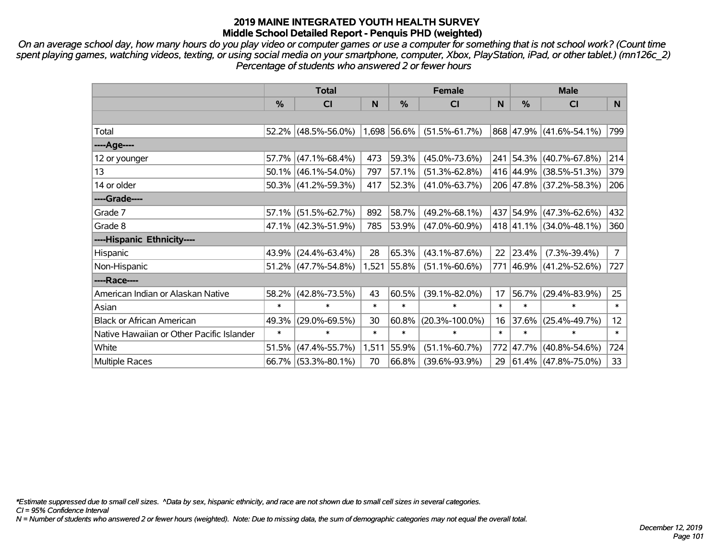*On an average school day, how many hours do you play video or computer games or use a computer for something that is not school work? (Count time spent playing games, watching videos, texting, or using social media on your smartphone, computer, Xbox, PlayStation, iPad, or other tablet.) (mn126c\_2) Percentage of students who answered 2 or fewer hours*

|                                           | <b>Total</b> |                        |        |             | <b>Female</b>        | <b>Male</b> |        |                         |                |
|-------------------------------------------|--------------|------------------------|--------|-------------|----------------------|-------------|--------|-------------------------|----------------|
|                                           | $\%$         | CI                     | N      | $\%$        | <b>CI</b>            | N           | %      | <b>CI</b>               | N.             |
|                                           |              |                        |        |             |                      |             |        |                         |                |
| Total                                     | $52.2\%$     | $(48.5\% - 56.0\%)$    |        | 1,698 56.6% | $(51.5\% - 61.7\%)$  |             |        | 868 47.9% (41.6%-54.1%) | 799            |
| ----Age----                               |              |                        |        |             |                      |             |        |                         |                |
| 12 or younger                             | 57.7%        | $(47.1\% - 68.4\%)$    | 473    | 59.3%       | $(45.0\% - 73.6\%)$  | 241         |        | 54.3% (40.7%-67.8%)     | 214            |
| 13                                        | 50.1%        | $(46.1\% - 54.0\%)$    | 797    | 57.1%       | $(51.3\% - 62.8\%)$  |             |        | 416 44.9% (38.5%-51.3%) | 379            |
| 14 or older                               |              | $50.3\%$ (41.2%-59.3%) | 417    | 52.3%       | $(41.0\% - 63.7\%)$  |             |        | 206 47.8% (37.2%-58.3%) | 206            |
| ----Grade----                             |              |                        |        |             |                      |             |        |                         |                |
| Grade 7                                   | 57.1%        | $(51.5\% - 62.7\%)$    | 892    | 58.7%       | $(49.2\% - 68.1\%)$  |             |        | 437 54.9% (47.3%-62.6%) | 432            |
| Grade 8                                   |              | 47.1% (42.3%-51.9%)    | 785    | 53.9%       | $(47.0\% - 60.9\%)$  |             |        | 418 41.1% (34.0%-48.1%) | 360            |
| ----Hispanic Ethnicity----                |              |                        |        |             |                      |             |        |                         |                |
| Hispanic                                  | 43.9%        | $(24.4\% - 63.4\%)$    | 28     | 65.3%       | $(43.1\% - 87.6\%)$  | 22          | 23.4%  | $(7.3\% - 39.4\%)$      | $\overline{7}$ |
| Non-Hispanic                              |              | $51.2\%$ (47.7%-54.8%) | 1,521  | 55.8%       | $(51.1\% - 60.6\%)$  |             |        | 771 46.9% (41.2%-52.6%) | 727            |
| ----Race----                              |              |                        |        |             |                      |             |        |                         |                |
| American Indian or Alaskan Native         | 58.2%        | $(42.8\% - 73.5\%)$    | 43     | 60.5%       | $(39.1\% - 82.0\%)$  | 17          | 56.7%  | $(29.4\% - 83.9\%)$     | 25             |
| Asian                                     | $\ast$       | $\ast$                 | $\ast$ | $\ast$      | $\ast$               | $\ast$      | $\ast$ | $\ast$                  | $\ast$         |
| <b>Black or African American</b>          | 49.3%        | $(29.0\% - 69.5\%)$    | 30     | 60.8%       | $(20.3\% - 100.0\%)$ | 16          | 37.6%  | $(25.4\% - 49.7\%)$     | 12             |
| Native Hawaiian or Other Pacific Islander | $\ast$       | $\ast$                 | $\ast$ | $\ast$      | $\ast$               | $\ast$      | $\ast$ | $\ast$                  | $\ast$         |
| White                                     | 51.5%        | $(47.4\% - 55.7\%)$    | 1,511  | 55.9%       | $(51.1\% - 60.7\%)$  | 772         |        | 47.7% (40.8%-54.6%)     | 724            |
| <b>Multiple Races</b>                     | 66.7%        | $(53.3\% - 80.1\%)$    | 70     | 66.8%       | $(39.6\% - 93.9\%)$  | 29          |        | $61.4\%$ (47.8%-75.0%)  | 33             |

*\*Estimate suppressed due to small cell sizes. ^Data by sex, hispanic ethnicity, and race are not shown due to small cell sizes in several categories.*

*CI = 95% Confidence Interval*

*N = Number of students who answered 2 or fewer hours (weighted). Note: Due to missing data, the sum of demographic categories may not equal the overall total.*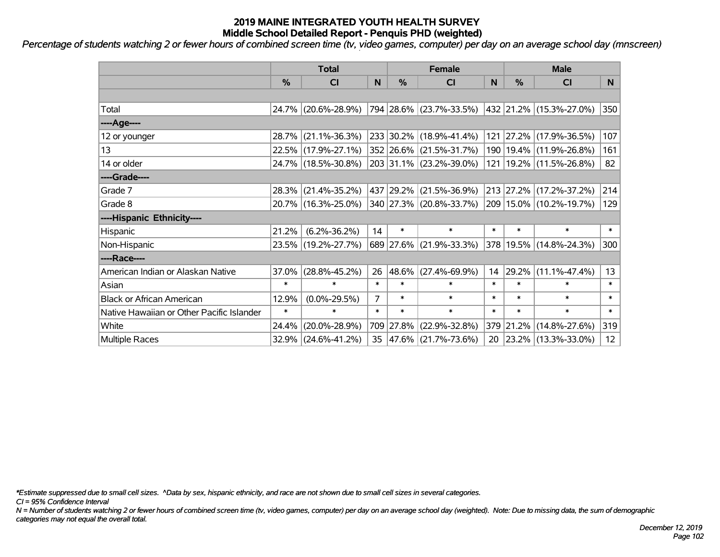*Percentage of students watching 2 or fewer hours of combined screen time (tv, video games, computer) per day on an average school day (mnscreen)*

|                                           | <b>Total</b>  |                     |                | <b>Female</b> |                          |        | <b>Male</b> |                             |                 |  |
|-------------------------------------------|---------------|---------------------|----------------|---------------|--------------------------|--------|-------------|-----------------------------|-----------------|--|
|                                           | $\frac{0}{0}$ | <b>CI</b>           | N              | %             | <b>CI</b>                | N      | %           | <b>CI</b>                   | N.              |  |
|                                           |               |                     |                |               |                          |        |             |                             |                 |  |
| Total                                     |               | 24.7% (20.6%-28.9%) |                |               | 794 28.6% (23.7%-33.5%)  |        |             | 432 21.2% (15.3%-27.0%)     | 350             |  |
| ----Age----                               |               |                     |                |               |                          |        |             |                             |                 |  |
| 12 or younger                             |               | 28.7% (21.1%-36.3%) |                |               | 233 30.2% (18.9%-41.4%)  |        |             | 121 27.2% (17.9%-36.5%)     | 107             |  |
| 13                                        |               | 22.5% (17.9%-27.1%) |                |               | 352 26.6% (21.5%-31.7%)  |        |             | 190   19.4%   (11.9%-26.8%) | 161             |  |
| 14 or older                               |               | 24.7% (18.5%-30.8%) |                |               | 203 31.1% (23.2%-39.0%)  |        |             | 121   19.2%   (11.5%-26.8%) | 82              |  |
| ----Grade----                             |               |                     |                |               |                          |        |             |                             |                 |  |
| Grade 7                                   |               | 28.3% (21.4%-35.2%) |                | 437 29.2%     | $(21.5\% - 36.9\%)$      |        |             | 213 27.2% (17.2%-37.2%)     | 214             |  |
| Grade 8                                   |               | 20.7% (16.3%-25.0%) |                |               | 340 27.3% (20.8%-33.7%)  |        |             | 209 15.0% (10.2%-19.7%)     | 129             |  |
| ----Hispanic Ethnicity----                |               |                     |                |               |                          |        |             |                             |                 |  |
| Hispanic                                  | 21.2%         | $(6.2\% - 36.2\%)$  | 14             | $\ast$        | $\ast$                   | $\ast$ | $\ast$      | $\ast$                      | $\ast$          |  |
| Non-Hispanic                              |               | 23.5% (19.2%-27.7%) |                |               | 689 27.6% (21.9%-33.3%)  |        |             | 378 19.5% (14.8%-24.3%)     | 300             |  |
| ----Race----                              |               |                     |                |               |                          |        |             |                             |                 |  |
| American Indian or Alaskan Native         | $37.0\%$      | $(28.8\% - 45.2\%)$ | 26             | 48.6%         | $(27.4\% - 69.9\%)$      | 14     | 29.2%       | $(11.1\% - 47.4\%)$         | 13              |  |
| Asian                                     | $\ast$        | $\ast$              | $\ast$         | $\ast$        | $\ast$                   | $\ast$ | $\ast$      | $\ast$                      | $\ast$          |  |
| <b>Black or African American</b>          | 12.9%         | $(0.0\% - 29.5\%)$  | $\overline{7}$ | $\ast$        | $\ast$                   | $\ast$ | $\ast$      | $\ast$                      | $\ast$          |  |
| Native Hawaiian or Other Pacific Islander | $\ast$        | $\ast$              | $\ast$         | $\ast$        | $\ast$                   | $\ast$ | $\ast$      | $\ast$                      | $\ast$          |  |
| White                                     | 24.4%         | $(20.0\% - 28.9\%)$ |                | 709 27.8%     | $(22.9\% - 32.8\%)$      |        | 379 21.2%   | $(14.8\% - 27.6\%)$         | 319             |  |
| <b>Multiple Races</b>                     |               | 32.9% (24.6%-41.2%) | 35             |               | $ 47.6\% $ (21.7%-73.6%) | 20     |             | $ 23.2\% $ (13.3%-33.0%)    | 12 <sup>2</sup> |  |

*\*Estimate suppressed due to small cell sizes. ^Data by sex, hispanic ethnicity, and race are not shown due to small cell sizes in several categories.*

*CI = 95% Confidence Interval*

*N = Number of students watching 2 or fewer hours of combined screen time (tv, video games, computer) per day on an average school day (weighted). Note: Due to missing data, the sum of demographic categories may not equal the overall total.*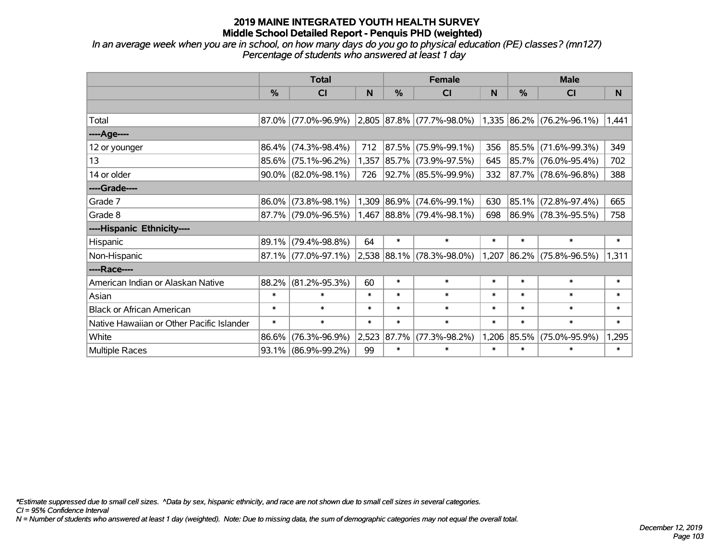*In an average week when you are in school, on how many days do you go to physical education (PE) classes? (mn127) Percentage of students who answered at least 1 day*

|                                           | <b>Total</b>  |                        |        |               | <b>Female</b>                                 |        | <b>Male</b> |                           |        |  |
|-------------------------------------------|---------------|------------------------|--------|---------------|-----------------------------------------------|--------|-------------|---------------------------|--------|--|
|                                           | $\frac{9}{6}$ | CI                     | N      | $\frac{0}{0}$ | C <sub>l</sub>                                | N      | %           | <b>CI</b>                 | N      |  |
|                                           |               |                        |        |               |                                               |        |             |                           |        |  |
| Total                                     |               |                        |        |               | 87.0% (77.0%-96.9%) 2,805 87.8% (77.7%-98.0%) |        |             | 1,335 86.2% (76.2%-96.1%) | 1,441  |  |
| ----Age----                               |               |                        |        |               |                                               |        |             |                           |        |  |
| 12 or younger                             | 86.4%         | $(74.3\% - 98.4\%)$    | 712    |               | 87.5% (75.9%-99.1%)                           | 356    | 85.5%       | $(71.6\% - 99.3\%)$       | 349    |  |
| 13                                        |               | $85.6\%$ (75.1%-96.2%) |        |               | 1,357 85.7% (73.9%-97.5%)                     | 645    |             | 85.7% (76.0%-95.4%)       | 702    |  |
| 14 or older                               |               | $90.0\%$ (82.0%-98.1%) | 726    |               | 92.7% (85.5%-99.9%)                           | 332    |             | 87.7% (78.6%-96.8%)       | 388    |  |
| ----Grade----                             |               |                        |        |               |                                               |        |             |                           |        |  |
| Grade 7                                   | 86.0%         | $(73.8\% - 98.1\%)$    |        |               | 1,309 86.9% (74.6%-99.1%)                     | 630    |             | 85.1% (72.8%-97.4%)       | 665    |  |
| Grade 8                                   |               | 87.7% (79.0%-96.5%)    |        |               | $1,467$ 88.8% (79.4%-98.1%)                   | 698    |             | 86.9% (78.3%-95.5%)       | 758    |  |
| ----Hispanic Ethnicity----                |               |                        |        |               |                                               |        |             |                           |        |  |
| Hispanic                                  | 89.1%         | $(79.4\% - 98.8\%)$    | 64     | $\ast$        | $\ast$                                        | $\ast$ | $\ast$      | $\ast$                    | $\ast$ |  |
| Non-Hispanic                              |               | 87.1% (77.0%-97.1%)    |        |               | $2,538$ 88.1% (78.3%-98.0%)                   | 1,207  |             | 86.2% (75.8%-96.5%)       | 1,311  |  |
| ----Race----                              |               |                        |        |               |                                               |        |             |                           |        |  |
| American Indian or Alaskan Native         | 88.2%         | $(81.2\% - 95.3\%)$    | 60     | $\ast$        | $\ast$                                        | $\ast$ | $\ast$      | $\ast$                    | $\ast$ |  |
| Asian                                     | $\ast$        | $\ast$                 | $\ast$ | $\ast$        | $\ast$                                        | $\ast$ | $\ast$      | $\ast$                    | $\ast$ |  |
| <b>Black or African American</b>          | $\ast$        | $\ast$                 | $\ast$ | $\ast$        | $\ast$                                        | $\ast$ | $\ast$      | $\ast$                    | $\ast$ |  |
| Native Hawaiian or Other Pacific Islander | $\ast$        | $\ast$                 | $\ast$ | $\ast$        | $\ast$                                        | $\ast$ | $\ast$      | $\ast$                    | $\ast$ |  |
| White                                     | 86.6%         | $(76.3\% - 96.9\%)$    | 2,523  | 87.7%         | $(77.3\% - 98.2\%)$                           |        | 1,206 85.5% | $(75.0\% - 95.9\%)$       | 1,295  |  |
| <b>Multiple Races</b>                     |               | 93.1% (86.9%-99.2%)    | 99     | $\ast$        | $\ast$                                        | $\ast$ | $\ast$      | $\ast$                    | $\ast$ |  |

*\*Estimate suppressed due to small cell sizes. ^Data by sex, hispanic ethnicity, and race are not shown due to small cell sizes in several categories.*

*CI = 95% Confidence Interval*

*N = Number of students who answered at least 1 day (weighted). Note: Due to missing data, the sum of demographic categories may not equal the overall total.*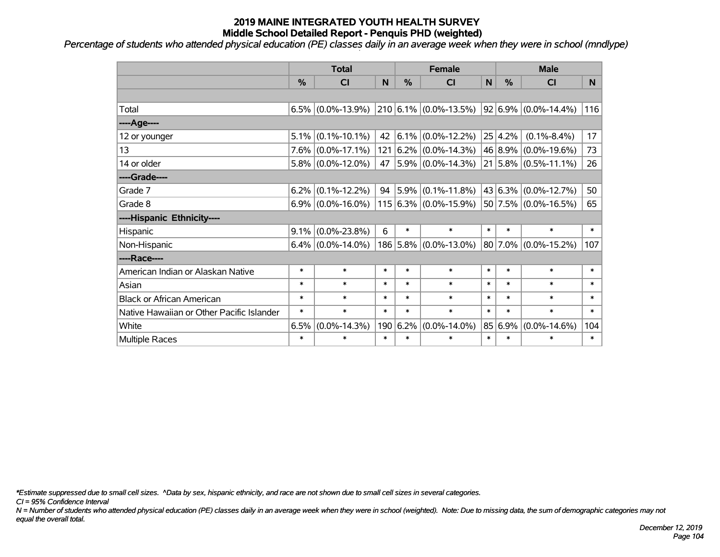*Percentage of students who attended physical education (PE) classes daily in an average week when they were in school (mndlype)*

|                                           | <b>Total</b> |                      |        | <b>Female</b> |                                                |             | <b>Male</b> |                                 |        |
|-------------------------------------------|--------------|----------------------|--------|---------------|------------------------------------------------|-------------|-------------|---------------------------------|--------|
|                                           | %            | <b>CI</b>            | N      | %             | <b>CI</b>                                      | $\mathbf N$ | %           | <b>CI</b>                       | N.     |
|                                           |              |                      |        |               |                                                |             |             |                                 |        |
| Total                                     | 6.5%         |                      |        |               | $(0.0\% - 13.9\%)$ 210 6.1% $(0.0\% - 13.5\%)$ |             |             | $ 92 6.9\%  (0.0\% - 14.4\%)$   | 116    |
| ----Age----                               |              |                      |        |               |                                                |             |             |                                 |        |
| 12 or younger                             | 5.1%         | $(0.1\% - 10.1\%)$   | 42     |               | $ 6.1\% $ (0.0%-12.2%)                         |             | 25 4.2%     | $(0.1\% - 8.4\%)$               | 17     |
| 13                                        | $7.6\%$      | $(0.0\% - 17.1\%)$   |        |               | $121   6.2\%   (0.0\% - 14.3\%)$               |             | 46 8.9%     | $(0.0\% - 19.6\%)$              | 73     |
| 14 or older                               |              | $5.8\%$ (0.0%-12.0%) |        |               | 47 5.9% (0.0%-14.3%)                           |             |             | $21   5.8\%   (0.5\% - 11.1\%)$ | 26     |
| ----Grade----                             |              |                      |        |               |                                                |             |             |                                 |        |
| Grade 7                                   | $6.2\%$      | $(0.1\% - 12.2\%)$   |        |               | 94 $ 5.9\% $ (0.1%-11.8%)                      |             |             | $43 6.3\% $ (0.0%-12.7%)        | 50     |
| Grade 8                                   |              | $6.9\%$ (0.0%-16.0%) |        |               | $115 6.3\%  (0.0\% - 15.9\%)$                  |             |             | $50 7.5\% $ (0.0%-16.5%)        | 65     |
| ----Hispanic Ethnicity----                |              |                      |        |               |                                                |             |             |                                 |        |
| Hispanic                                  | 9.1%         | $(0.0\% - 23.8\%)$   | 6      | $\ast$        | $\ast$                                         | $\ast$      | $\ast$      | $\ast$                          | $\ast$ |
| Non-Hispanic                              |              | $6.4\%$ (0.0%-14.0%) |        |               | 186 5.8% (0.0%-13.0%)                          |             | 80 7.0%     | $(0.0\% - 15.2\%)$              | 107    |
| ----Race----                              |              |                      |        |               |                                                |             |             |                                 |        |
| American Indian or Alaskan Native         | $\ast$       | $\ast$               | $\ast$ | $\ast$        | $\ast$                                         | $\ast$      | $\ast$      | $\ast$                          | $\ast$ |
| Asian                                     | $\ast$       | $\ast$               | $\ast$ | $\ast$        | $\ast$                                         | $\ast$      | $\ast$      | $\ast$                          | $\ast$ |
| <b>Black or African American</b>          | $\ast$       | $\ast$               | $\ast$ | $\ast$        | $\ast$                                         | $\ast$      | $\ast$      | $\ast$                          | $\ast$ |
| Native Hawaiian or Other Pacific Islander | $\ast$       | $\ast$               | $\ast$ | $\ast$        | $\ast$                                         | $\ast$      | $\ast$      | $\ast$                          | $\ast$ |
| White                                     | 6.5%         | $(0.0\% - 14.3\%)$   |        | 190 6.2%      | $(0.0\% - 14.0\%)$                             | 85          | 6.9%        | $(0.0\% - 14.6\%)$              | 104    |
| Multiple Races                            | $\ast$       | $\ast$               | $\ast$ | $\ast$        | $\ast$                                         | $\ast$      | $\ast$      | *                               | $\ast$ |

*\*Estimate suppressed due to small cell sizes. ^Data by sex, hispanic ethnicity, and race are not shown due to small cell sizes in several categories.*

*CI = 95% Confidence Interval*

*N = Number of students who attended physical education (PE) classes daily in an average week when they were in school (weighted). Note: Due to missing data, the sum of demographic categories may not equal the overall total.*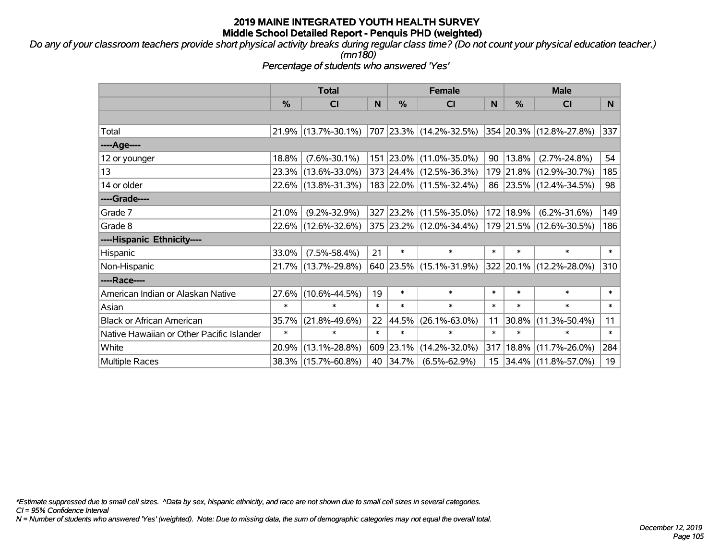*Do any of your classroom teachers provide short physical activity breaks during regular class time? (Do not count your physical education teacher.) (mn180)*

*Percentage of students who answered 'Yes'*

|                                           | <b>Total</b> |                                                      | <b>Female</b> |           |                         | <b>Male</b> |               |                                 |        |
|-------------------------------------------|--------------|------------------------------------------------------|---------------|-----------|-------------------------|-------------|---------------|---------------------------------|--------|
|                                           | $\%$         | <b>CI</b>                                            | N             | %         | <b>CI</b>               | N           | $\frac{0}{0}$ | <b>CI</b>                       | N      |
|                                           |              |                                                      |               |           |                         |             |               |                                 |        |
| Total                                     |              | $21.9\%$ (13.7%-30.1%)   707   23.3%   (14.2%-32.5%) |               |           |                         |             |               | $ 354 20.3\% (12.8\% - 27.8\%)$ | 337    |
| ----Age----                               |              |                                                      |               |           |                         |             |               |                                 |        |
| 12 or younger                             | 18.8%        | $(7.6\% - 30.1\%)$                                   |               |           | 151 23.0% (11.0%-35.0%) | 90          | 13.8%         | $(2.7\% - 24.8\%)$              | 54     |
| 13                                        |              | 23.3% (13.6%-33.0%)                                  |               |           | 373 24.4% (12.5%-36.3%) |             |               | 179 21.8% (12.9%-30.7%)         | 185    |
| 14 or older                               |              | 22.6% (13.8%-31.3%)                                  |               |           | 183 22.0% (11.5%-32.4%) |             |               | 86 23.5% (12.4%-34.5%)          | 98     |
| ----Grade----                             |              |                                                      |               |           |                         |             |               |                                 |        |
| Grade 7                                   | 21.0%        | $(9.2\% - 32.9\%)$                                   |               |           | 327 23.2% (11.5%-35.0%) | 172         | 18.9%         | $(6.2\% - 31.6\%)$              | 149    |
| Grade 8                                   |              | 22.6% (12.6%-32.6%)                                  |               |           | 375 23.2% (12.0%-34.4%) |             |               | 179 21.5% (12.6%-30.5%)         | 186    |
| ----Hispanic Ethnicity----                |              |                                                      |               |           |                         |             |               |                                 |        |
| Hispanic                                  | 33.0%        | $(7.5\% - 58.4\%)$                                   | 21            | $\ast$    | $\ast$                  | $\ast$      | $\ast$        | $\ast$                          | $\ast$ |
| Non-Hispanic                              |              | 21.7% (13.7%-29.8%)                                  |               |           | 640 23.5% (15.1%-31.9%) |             |               | 322 20.1% (12.2%-28.0%)         | 310    |
| ----Race----                              |              |                                                      |               |           |                         |             |               |                                 |        |
| American Indian or Alaskan Native         | $27.6\%$     | $(10.6\% - 44.5\%)$                                  | 19            | $\ast$    | $\ast$                  | $\ast$      | $\ast$        | $\ast$                          | $\ast$ |
| Asian                                     | $\ast$       | $\ast$                                               | $\ast$        | $\ast$    | $\ast$                  | $\ast$      | $\ast$        | $\ast$                          | $\ast$ |
| <b>Black or African American</b>          | 35.7%        | $(21.8\% - 49.6\%)$                                  | 22            | 44.5%     | $(26.1\% - 63.0\%)$     | 11          | 30.8%         | $(11.3\% - 50.4\%)$             | 11     |
| Native Hawaiian or Other Pacific Islander | $\ast$       | $\ast$                                               | $\ast$        | $\ast$    | $\ast$                  | $\ast$      | $\ast$        | $\ast$                          | $\ast$ |
| White                                     | 20.9%        | $(13.1\% - 28.8\%)$                                  |               | 609 23.1% | $(14.2\% - 32.0\%)$     | 317         | 18.8%         | $(11.7\% - 26.0\%)$             | 284    |
| Multiple Races                            |              | 38.3% (15.7%-60.8%)                                  |               | 40 34.7%  | $(6.5\% - 62.9\%)$      |             |               | 15 34.4% (11.8%-57.0%)          | 19     |

*\*Estimate suppressed due to small cell sizes. ^Data by sex, hispanic ethnicity, and race are not shown due to small cell sizes in several categories.*

*CI = 95% Confidence Interval*

*N = Number of students who answered 'Yes' (weighted). Note: Due to missing data, the sum of demographic categories may not equal the overall total.*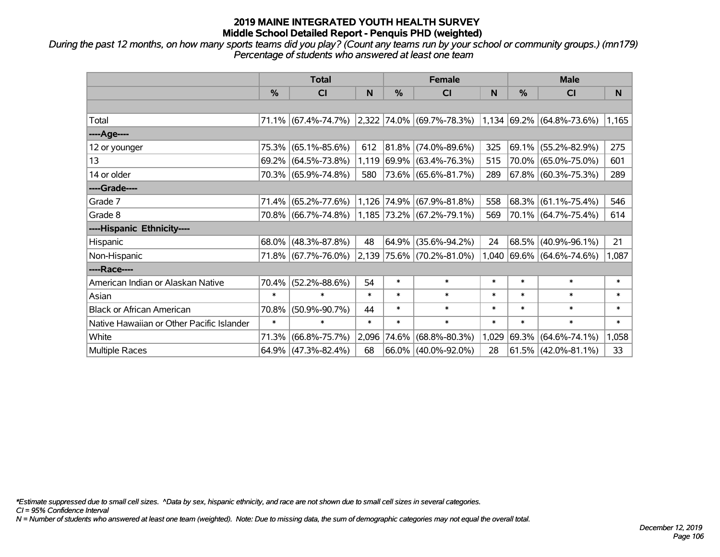*During the past 12 months, on how many sports teams did you play? (Count any teams run by your school or community groups.) (mn179) Percentage of students who answered at least one team*

|                                           | <b>Total</b> |                        |        |               | <b>Female</b>                      |        | <b>Male</b> |                             |        |  |
|-------------------------------------------|--------------|------------------------|--------|---------------|------------------------------------|--------|-------------|-----------------------------|--------|--|
|                                           | $\%$         | <b>CI</b>              | N      | $\frac{0}{0}$ | <b>CI</b>                          | N      | %           | <b>CI</b>                   | N      |  |
|                                           |              |                        |        |               |                                    |        |             |                             |        |  |
| Total                                     |              | 71.1% (67.4%-74.7%)    |        |               | $ 2,322 74.0\%  (69.7\% - 78.3\%)$ |        |             | $1,134$ 69.2% (64.8%-73.6%) | 1,165  |  |
| ----Age----                               |              |                        |        |               |                                    |        |             |                             |        |  |
| 12 or younger                             | 75.3%        | $(65.1\% - 85.6\%)$    | 612    |               | 81.8% (74.0%-89.6%)                | 325    | 69.1%       | $(55.2\% - 82.9\%)$         | 275    |  |
| 13                                        |              | 69.2% (64.5%-73.8%)    |        |               | 1,119 69.9% (63.4%-76.3%)          | 515    |             | 70.0% (65.0%-75.0%)         | 601    |  |
| 14 or older                               |              | 70.3% (65.9%-74.8%)    | 580    |               | 73.6% (65.6%-81.7%)                | 289    |             | 67.8% (60.3%-75.3%)         | 289    |  |
| ----Grade----                             |              |                        |        |               |                                    |        |             |                             |        |  |
| Grade 7                                   | 71.4%        | $(65.2\% - 77.6\%)$    |        |               | 1,126 74.9% (67.9%-81.8%)          | 558    | 68.3%       | $(61.1\% - 75.4\%)$         | 546    |  |
| Grade 8                                   |              | 70.8% (66.7%-74.8%)    |        |               | $1,185$ 73.2% (67.2%-79.1%)        | 569    |             | 70.1% (64.7%-75.4%)         | 614    |  |
| ----Hispanic Ethnicity----                |              |                        |        |               |                                    |        |             |                             |        |  |
| Hispanic                                  | 68.0%        | $(48.3\% - 87.8\%)$    | 48     | 64.9%         | $(35.6\% - 94.2\%)$                | 24     | 68.5%       | $(40.9\% - 96.1\%)$         | 21     |  |
| Non-Hispanic                              |              | 71.8% (67.7%-76.0%)    |        |               | 2,139 75.6% (70.2%-81.0%)          |        |             | 1,040 69.6% (64.6%-74.6%)   | 1,087  |  |
| ----Race----                              |              |                        |        |               |                                    |        |             |                             |        |  |
| American Indian or Alaskan Native         | 70.4%        | $(52.2\% - 88.6\%)$    | 54     | $\ast$        | $\ast$                             | $\ast$ | $\ast$      | $\ast$                      | $\ast$ |  |
| Asian                                     | $\ast$       | $\ast$                 | $\ast$ | $\ast$        | $\ast$                             | $\ast$ | $\ast$      | $\ast$                      | $\ast$ |  |
| <b>Black or African American</b>          | 70.8%        | $(50.9\% - 90.7\%)$    | 44     | $\ast$        | $\ast$                             | $\ast$ | $\ast$      | $\ast$                      | $\ast$ |  |
| Native Hawaiian or Other Pacific Islander | $\ast$       | $\ast$                 | $\ast$ | $\ast$        | $\ast$                             | $\ast$ | $\ast$      | $\ast$                      | $\ast$ |  |
| White                                     | 71.3%        | $(66.8\% - 75.7\%)$    |        | 2,096 74.6%   | $(68.8\% - 80.3\%)$                | 1,029  | 69.3%       | $(64.6\% - 74.1\%)$         | 1,058  |  |
| Multiple Races                            |              | $64.9\%$ (47.3%-82.4%) | 68     |               | $66.0\%$ (40.0%-92.0%)             | 28     |             | $ 61.5\% $ (42.0%-81.1%)    | 33     |  |

*\*Estimate suppressed due to small cell sizes. ^Data by sex, hispanic ethnicity, and race are not shown due to small cell sizes in several categories.*

*CI = 95% Confidence Interval*

*N = Number of students who answered at least one team (weighted). Note: Due to missing data, the sum of demographic categories may not equal the overall total.*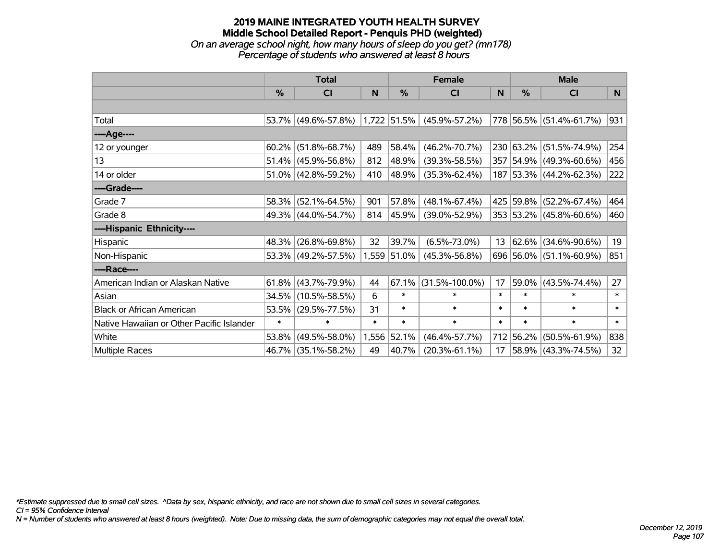### **2019 MAINE INTEGRATED YOUTH HEALTH SURVEY Middle School Detailed Report - Penquis PHD (weighted)** *On an average school night, how many hours of sleep do you get? (mn178) Percentage of students who answered at least 8 hours*

|                                           | <b>Total</b> |                        |        |               | <b>Female</b>        | <b>Male</b> |           |                         |        |
|-------------------------------------------|--------------|------------------------|--------|---------------|----------------------|-------------|-----------|-------------------------|--------|
|                                           | $\%$         | <b>CI</b>              | N      | $\%$          | <b>CI</b>            | N           | $\%$      | <b>CI</b>               | N      |
|                                           |              |                        |        |               |                      |             |           |                         |        |
| Total                                     |              | 53.7% (49.6%-57.8%)    |        | $1,722$ 51.5% | $(45.9\% - 57.2\%)$  |             |           | 778 56.5% (51.4%-61.7%) | 931    |
| ----Age----                               |              |                        |        |               |                      |             |           |                         |        |
| 12 or younger                             | 60.2%        | $(51.8\% - 68.7\%)$    | 489    | 58.4%         | $(46.2\% - 70.7\%)$  |             |           | 230 63.2% (51.5%-74.9%) | 254    |
| 13                                        | 51.4%        | $(45.9\% - 56.8\%)$    | 812    | 48.9%         | $(39.3\% - 58.5\%)$  |             |           | 357 54.9% (49.3%-60.6%) | 456    |
| 14 or older                               |              | $51.0\%$ (42.8%-59.2%) | 410    | $ 48.9\% $    | $(35.3\% - 62.4\%)$  |             |           | 187 53.3% (44.2%-62.3%) | 222    |
| ----Grade----                             |              |                        |        |               |                      |             |           |                         |        |
| Grade 7                                   | 58.3%        | $(52.1\% - 64.5\%)$    | 901    | 57.8%         | $(48.1\% - 67.4\%)$  |             |           | 425 59.8% (52.2%-67.4%) | 464    |
| Grade 8                                   |              | 49.3% (44.0%-54.7%)    | 814    | $ 45.9\% $    | $(39.0\% - 52.9\%)$  |             |           | 353 53.2% (45.8%-60.6%) | 460    |
| ----Hispanic Ethnicity----                |              |                        |        |               |                      |             |           |                         |        |
| Hispanic                                  | 48.3%        | $(26.8\% - 69.8\%)$    | 32     | 39.7%         | $(6.5\% - 73.0\%)$   | 13          |           | $62.6\%$ (34.6%-90.6%)  | 19     |
| Non-Hispanic                              |              | 53.3% (49.2%-57.5%)    |        | 1,559 51.0%   | $(45.3\% - 56.8\%)$  |             |           | 696 56.0% (51.1%-60.9%) | 851    |
| ----Race----                              |              |                        |        |               |                      |             |           |                         |        |
| American Indian or Alaskan Native         | 61.8%        | $(43.7\% - 79.9\%)$    | 44     | 67.1%         | $(31.5\% - 100.0\%)$ | 17          | 59.0%     | $(43.5\% - 74.4\%)$     | 27     |
| Asian                                     | 34.5%        | $(10.5\% - 58.5\%)$    | 6      | $\ast$        | $\ast$               | $\ast$      | $\ast$    | $\ast$                  | $\ast$ |
| <b>Black or African American</b>          | 53.5%        | $(29.5\% - 77.5\%)$    | 31     | $\ast$        | $\ast$               | $\ast$      | $\ast$    | $\ast$                  | $\ast$ |
| Native Hawaiian or Other Pacific Islander | $\ast$       | $\ast$                 | $\ast$ | $\ast$        | $\ast$               | $\ast$      | $\ast$    | $\ast$                  | $\ast$ |
| White                                     | 53.8%        | $(49.5\% - 58.0\%)$    | 1,556  | 52.1%         | $(46.4\% - 57.7\%)$  |             | 712 56.2% | $(50.5\% - 61.9\%)$     | 838    |
| Multiple Races                            | 46.7%        | $(35.1\% - 58.2\%)$    | 49     | 40.7%         | $(20.3\% - 61.1\%)$  | 17          |           | 58.9% (43.3%-74.5%)     | 32     |

*\*Estimate suppressed due to small cell sizes. ^Data by sex, hispanic ethnicity, and race are not shown due to small cell sizes in several categories.*

*CI = 95% Confidence Interval*

*N = Number of students who answered at least 8 hours (weighted). Note: Due to missing data, the sum of demographic categories may not equal the overall total.*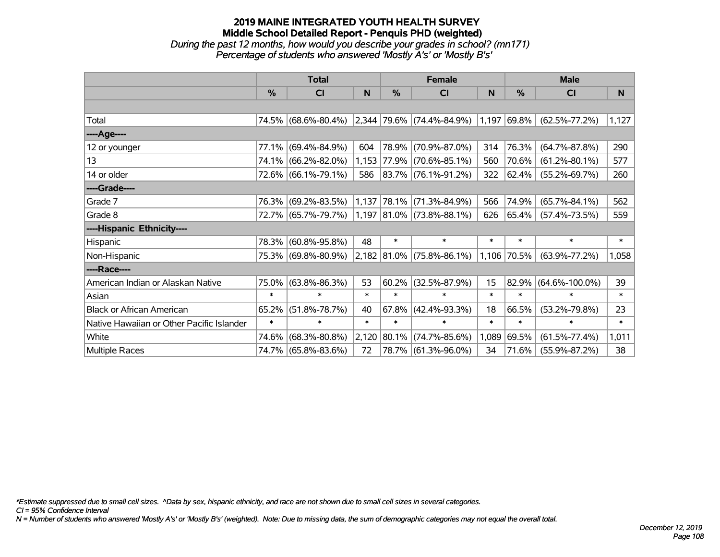# **2019 MAINE INTEGRATED YOUTH HEALTH SURVEY Middle School Detailed Report - Penquis PHD (weighted)** *During the past 12 months, how would you describe your grades in school? (mn171) Percentage of students who answered 'Mostly A's' or 'Mostly B's'*

|                                           |        | <b>Total</b>        |        |               | <b>Female</b>                    |        | <b>Male</b>   |                      |        |  |
|-------------------------------------------|--------|---------------------|--------|---------------|----------------------------------|--------|---------------|----------------------|--------|--|
|                                           | $\%$   | <b>CI</b>           | N      | $\frac{0}{0}$ | <b>CI</b>                        | N      | $\%$          | <b>CI</b>            | N      |  |
|                                           |        |                     |        |               |                                  |        |               |                      |        |  |
| Total                                     |        | 74.5% (68.6%-80.4%) |        |               | $ 2,344 79.6\% $ (74.4%-84.9%)   |        | $1,197$ 69.8% | $(62.5\% - 77.2\%)$  | 1,127  |  |
| ----Age----                               |        |                     |        |               |                                  |        |               |                      |        |  |
| 12 or younger                             | 77.1%  | $(69.4\% - 84.9\%)$ | 604    |               | 78.9% (70.9%-87.0%)              | 314    | 76.3%         | $(64.7\% - 87.8\%)$  | 290    |  |
| 13                                        |        | 74.1% (66.2%-82.0%) |        |               | 1,153 77.9% (70.6%-85.1%)        | 560    | 70.6%         | $(61.2\% - 80.1\%)$  | 577    |  |
| 14 or older                               |        | 72.6% (66.1%-79.1%) | 586    |               | 83.7% (76.1%-91.2%)              | 322    | 62.4%         | $(55.2\% - 69.7\%)$  | 260    |  |
| ----Grade----                             |        |                     |        |               |                                  |        |               |                      |        |  |
| Grade 7                                   |        | 76.3% (69.2%-83.5%) |        |               | $1,137$ 78.1% (71.3%-84.9%)      | 566    | 74.9%         | $(65.7\% - 84.1\%)$  | 562    |  |
| Grade 8                                   |        | 72.7% (65.7%-79.7%) |        |               | $1,197$ $ 81.0\% $ (73.8%-88.1%) | 626    | 65.4%         | $(57.4\% - 73.5\%)$  | 559    |  |
| ----Hispanic Ethnicity----                |        |                     |        |               |                                  |        |               |                      |        |  |
| Hispanic                                  | 78.3%  | $(60.8\% - 95.8\%)$ | 48     | $\ast$        | $\ast$                           | $\ast$ | $\ast$        | $\ast$               | $\ast$ |  |
| Non-Hispanic                              |        | 75.3% (69.8%-80.9%) |        |               | $2,182$ 81.0% (75.8%-86.1%)      |        | 1,106 70.5%   | $(63.9\% - 77.2\%)$  | 1,058  |  |
| ----Race----                              |        |                     |        |               |                                  |        |               |                      |        |  |
| American Indian or Alaskan Native         | 75.0%  | $(63.8\% - 86.3\%)$ | 53     | 60.2%         | $(32.5\% - 87.9\%)$              | 15     | 82.9%         | $(64.6\% - 100.0\%)$ | 39     |  |
| Asian                                     | $\ast$ | $\ast$              | $\ast$ | $\ast$        | $\ast$                           | $\ast$ | $\ast$        | $\ast$               | $\ast$ |  |
| <b>Black or African American</b>          | 65.2%  | $(51.8\% - 78.7\%)$ | 40     | 67.8%         | $(42.4\% - 93.3\%)$              | 18     | 66.5%         | $(53.2\% - 79.8\%)$  | 23     |  |
| Native Hawaiian or Other Pacific Islander | $\ast$ | $\ast$              | $\ast$ | $\ast$        | $\ast$                           | $\ast$ | $\ast$        | $\ast$               | $\ast$ |  |
| White                                     | 74.6%  | $(68.3\% - 80.8\%)$ | 2,120  |               | 80.1% (74.7%-85.6%)              | 1,089  | 69.5%         | $(61.5\% - 77.4\%)$  | 1,011  |  |
| Multiple Races                            |        | 74.7% (65.8%-83.6%) | 72     |               | 78.7% (61.3%-96.0%)              | 34     | $71.6\%$      | $(55.9\% - 87.2\%)$  | 38     |  |

*\*Estimate suppressed due to small cell sizes. ^Data by sex, hispanic ethnicity, and race are not shown due to small cell sizes in several categories.*

*CI = 95% Confidence Interval*

*N = Number of students who answered 'Mostly A's' or 'Mostly B's' (weighted). Note: Due to missing data, the sum of demographic categories may not equal the overall total.*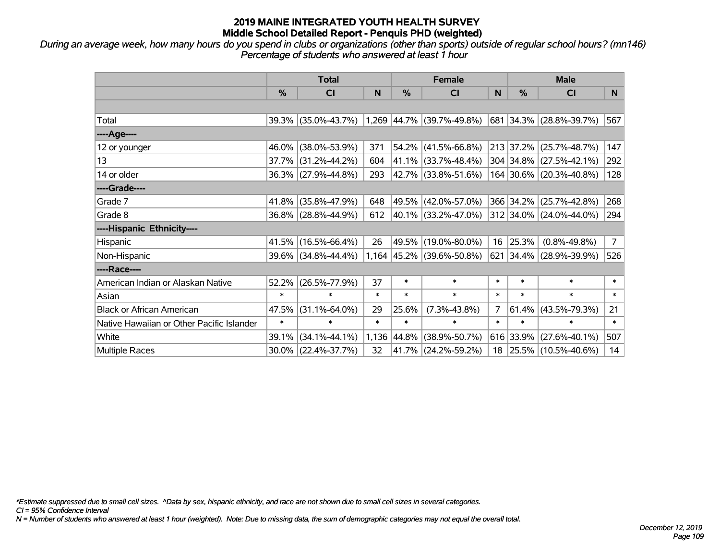*During an average week, how many hours do you spend in clubs or organizations (other than sports) outside of regular school hours? (mn146) Percentage of students who answered at least 1 hour*

|                                           | <b>Total</b> |                     |        | <b>Female</b> |                             |                | <b>Male</b> |                         |                |  |
|-------------------------------------------|--------------|---------------------|--------|---------------|-----------------------------|----------------|-------------|-------------------------|----------------|--|
|                                           | %            | CI                  | N      | %             | <b>CI</b>                   | N              | %           | <b>CI</b>               | N <sub>1</sub> |  |
|                                           |              |                     |        |               |                             |                |             |                         |                |  |
| Total                                     |              | 39.3% (35.0%-43.7%) |        |               | $1,269$ 44.7% (39.7%-49.8%) |                |             | 681 34.3% (28.8%-39.7%) | 567            |  |
| ----Age----                               |              |                     |        |               |                             |                |             |                         |                |  |
| 12 or younger                             | 46.0%        | $(38.0\% - 53.9\%)$ | 371    | 54.2%         | $(41.5\% - 66.8\%)$         |                | 213 37.2%   | $(25.7\% - 48.7\%)$     | 147            |  |
| 13                                        |              | 37.7% (31.2%-44.2%) | 604    |               | 41.1% (33.7%-48.4%)         |                |             | 304 34.8% (27.5%-42.1%) | 292            |  |
| 14 or older                               |              | 36.3% (27.9%-44.8%) | 293    |               | 42.7% (33.8%-51.6%)         |                |             | 164 30.6% (20.3%-40.8%) | 128            |  |
| ----Grade----                             |              |                     |        |               |                             |                |             |                         |                |  |
| Grade 7                                   | 41.8%        | $(35.8\% - 47.9\%)$ | 648    | 49.5%         | $(42.0\% - 57.0\%)$         |                | 366 34.2%   | $(25.7\% - 42.8\%)$     | 268            |  |
| Grade 8                                   |              | 36.8% (28.8%-44.9%) | 612    |               | 40.1% (33.2%-47.0%)         |                |             | 312 34.0% (24.0%-44.0%) | 294            |  |
| ----Hispanic Ethnicity----                |              |                     |        |               |                             |                |             |                         |                |  |
| Hispanic                                  | 41.5%        | $(16.5\% - 66.4\%)$ | 26     | 49.5%         | $(19.0\% - 80.0\%)$         | 16             | 25.3%       | $(0.8\% - 49.8\%)$      | $\overline{7}$ |  |
| Non-Hispanic                              |              | 39.6% (34.8%-44.4%) |        |               | 1,164 45.2% (39.6%-50.8%)   | 621            |             | 34.4% (28.9%-39.9%)     | 526            |  |
| ----Race----                              |              |                     |        |               |                             |                |             |                         |                |  |
| American Indian or Alaskan Native         | 52.2%        | $(26.5\% - 77.9\%)$ | 37     | $\ast$        | $\ast$                      | $\ast$         | $\ast$      | $\ast$                  | $\ast$         |  |
| Asian                                     | $\ast$       | $\ast$              | $\ast$ | $\ast$        | $\ast$                      | $\ast$         | $\ast$      | $\ast$                  | $\ast$         |  |
| <b>Black or African American</b>          | 47.5%        | $(31.1\% - 64.0\%)$ | 29     | 25.6%         | $(7.3\% - 43.8\%)$          | $\overline{7}$ | 61.4%       | $(43.5\% - 79.3\%)$     | 21             |  |
| Native Hawaiian or Other Pacific Islander | $\ast$       | $\ast$              | $\ast$ | $\ast$        | $\ast$                      | $\ast$         | $\ast$      | $\ast$                  | $\ast$         |  |
| White                                     | 39.1%        | $(34.1\% - 44.1\%)$ | 1,136  | 44.8%         | $(38.9\% - 50.7\%)$         |                | 616 33.9%   | $(27.6\% - 40.1\%)$     | 507            |  |
| Multiple Races                            |              | 30.0% (22.4%-37.7%) | 32     | 41.7%         | $(24.2\% - 59.2\%)$         | 18             |             | 25.5% (10.5%-40.6%)     | 14             |  |

*\*Estimate suppressed due to small cell sizes. ^Data by sex, hispanic ethnicity, and race are not shown due to small cell sizes in several categories.*

*CI = 95% Confidence Interval*

*N = Number of students who answered at least 1 hour (weighted). Note: Due to missing data, the sum of demographic categories may not equal the overall total.*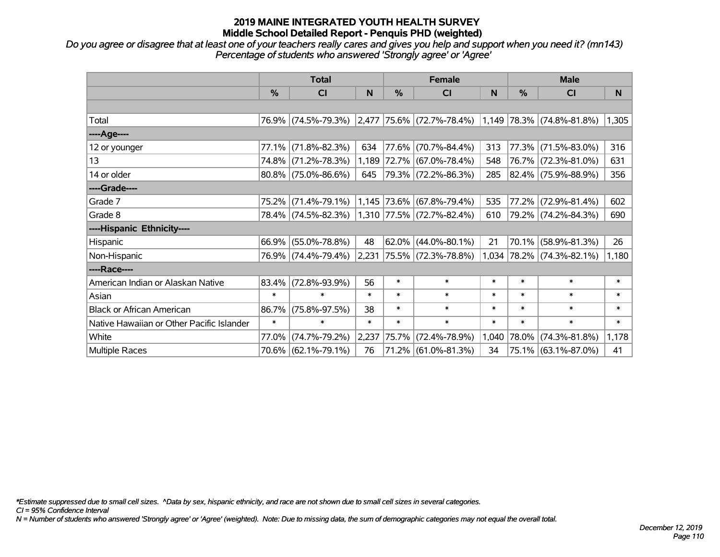*Do you agree or disagree that at least one of your teachers really cares and gives you help and support when you need it? (mn143) Percentage of students who answered 'Strongly agree' or 'Agree'*

|                                           | <b>Total</b> |                                               |        |          | <b>Female</b>             |        | <b>Male</b>   |                           |        |
|-------------------------------------------|--------------|-----------------------------------------------|--------|----------|---------------------------|--------|---------------|---------------------------|--------|
|                                           | $\%$         | <b>CI</b>                                     | N      | %        | <b>CI</b>                 | N      | $\frac{0}{0}$ | <b>CI</b>                 | N      |
|                                           |              |                                               |        |          |                           |        |               |                           |        |
| Total                                     |              | 76.9% (74.5%-79.3%) 2,477 75.6% (72.7%-78.4%) |        |          |                           |        |               | 1,149 78.3% (74.8%-81.8%) | 1,305  |
| ----Age----                               |              |                                               |        |          |                           |        |               |                           |        |
| 12 or younger                             | 77.1%        | $(71.8\% - 82.3\%)$                           | 634    |          | 77.6% (70.7%-84.4%)       | 313    | 77.3%         | $(71.5\% - 83.0\%)$       | 316    |
| 13                                        |              | 74.8% (71.2%-78.3%)                           |        |          | 1,189 72.7% (67.0%-78.4%) | 548    |               | 76.7% (72.3%-81.0%)       | 631    |
| 14 or older                               |              | $80.8\%$ (75.0%-86.6%)                        | 645    |          | 79.3% (72.2%-86.3%)       | 285    |               | 82.4% (75.9%-88.9%)       | 356    |
| ----Grade----                             |              |                                               |        |          |                           |        |               |                           |        |
| Grade 7                                   |              | 75.2% (71.4%-79.1%)                           |        |          | 1,145 73.6% (67.8%-79.4%) | 535    | 77.2%         | $(72.9\% - 81.4\%)$       | 602    |
| Grade 8                                   |              | 78.4% (74.5%-82.3%) 1,310 77.5% (72.7%-82.4%) |        |          |                           | 610    |               | 79.2% (74.2%-84.3%)       | 690    |
| ----Hispanic Ethnicity----                |              |                                               |        |          |                           |        |               |                           |        |
| Hispanic                                  |              | 66.9% (55.0%-78.8%)                           | 48     | $62.0\%$ | $(44.0\% - 80.1\%)$       | 21     | 70.1%         | $(58.9\% - 81.3\%)$       | 26     |
| Non-Hispanic                              |              | 76.9% (74.4%-79.4%)                           | 2,231  |          | $ 75.5\% $ (72.3%-78.8%)  |        |               | 1,034 78.2% (74.3%-82.1%) | 1,180  |
| ----Race----                              |              |                                               |        |          |                           |        |               |                           |        |
| American Indian or Alaskan Native         |              | 83.4% (72.8%-93.9%)                           | 56     | $\ast$   | $\ast$                    | $\ast$ | $\ast$        | $\ast$                    | $\ast$ |
| Asian                                     | $\ast$       | $\ast$                                        | $\ast$ | $\ast$   | $\ast$                    | $\ast$ | $\ast$        | $\ast$                    | $\ast$ |
| <b>Black or African American</b>          | 86.7%        | $(75.8\% - 97.5\%)$                           | 38     | $\ast$   | $\ast$                    | $\ast$ | $\ast$        | $\ast$                    | $\ast$ |
| Native Hawaiian or Other Pacific Islander | $\ast$       | $\ast$                                        | $\ast$ | $\ast$   | $\ast$                    | $\ast$ | $\ast$        | $\ast$                    | $\ast$ |
| White                                     | 77.0%        | $(74.7\% - 79.2\%)$                           | 2,237  | 75.7%    | $(72.4\% - 78.9\%)$       | 1,040  | 78.0%         | $(74.3\% - 81.8\%)$       | 1,178  |
| <b>Multiple Races</b>                     |              | 70.6% (62.1%-79.1%)                           | 76     |          | 71.2% (61.0%-81.3%)       | 34     |               | 75.1% (63.1%-87.0%)       | 41     |

*\*Estimate suppressed due to small cell sizes. ^Data by sex, hispanic ethnicity, and race are not shown due to small cell sizes in several categories.*

*CI = 95% Confidence Interval*

*N = Number of students who answered 'Strongly agree' or 'Agree' (weighted). Note: Due to missing data, the sum of demographic categories may not equal the overall total.*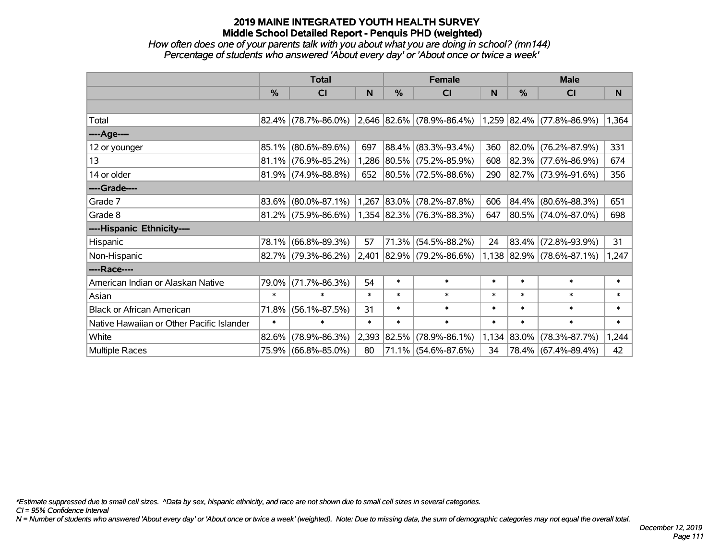#### *How often does one of your parents talk with you about what you are doing in school? (mn144) Percentage of students who answered 'About every day' or 'About once or twice a week'*

|                                           | <b>Total</b> |                        |        |            | <b>Female</b>                    |        | <b>Male</b>   |                             |        |
|-------------------------------------------|--------------|------------------------|--------|------------|----------------------------------|--------|---------------|-----------------------------|--------|
|                                           | %            | CI                     | N      | %          | <b>CI</b>                        | N      | $\frac{0}{0}$ | <b>CI</b>                   | N      |
|                                           |              |                        |        |            |                                  |        |               |                             |        |
| Total                                     |              | $82.4\%$ (78.7%-86.0%) |        |            | $ 2,646 82.6\% $ (78.9%-86.4%)   |        |               | $1,259$ 82.4% (77.8%-86.9%) | 1,364  |
| ----Age----                               |              |                        |        |            |                                  |        |               |                             |        |
| 12 or younger                             | 85.1%        | $(80.6\% - 89.6\%)$    | 697    |            | 88.4% (83.3%-93.4%)              | 360    |               | 82.0% (76.2%-87.9%)         | 331    |
| 13                                        |              | $81.1\%$ (76.9%-85.2%) | 1,286  |            | $ 80.5\% $ (75.2%-85.9%)         | 608    |               | $82.3\%$ (77.6%-86.9%)      | 674    |
| 14 or older                               |              | $81.9\%$ (74.9%-88.8%) | 652    |            | 80.5% (72.5%-88.6%)              | 290    |               | 82.7% (73.9%-91.6%)         | 356    |
| ----Grade----                             |              |                        |        |            |                                  |        |               |                             |        |
| Grade 7                                   | 83.6%        | $(80.0\% - 87.1\%)$    | 1,267  |            | $ 83.0\% $ (78.2%-87.8%)         | 606    |               | 84.4% (80.6%-88.3%)         | 651    |
| Grade 8                                   |              | $81.2\%$ (75.9%-86.6%) |        |            | $1,354$ $ 82.3\% $ (76.3%-88.3%) | 647    |               | 80.5% (74.0%-87.0%)         | 698    |
| ----Hispanic Ethnicity----                |              |                        |        |            |                                  |        |               |                             |        |
| Hispanic                                  | 78.1%        | $(66.8\% - 89.3\%)$    | 57     |            | $71.3\%$ (54.5%-88.2%)           | 24     |               | 83.4% (72.8%-93.9%)         | 31     |
| Non-Hispanic                              |              | $82.7\%$ (79.3%-86.2%) | 2,401  |            | $ 82.9\% $ (79.2%-86.6%)         |        |               | $1,138$ 82.9% (78.6%-87.1%) | 1,247  |
| ----Race----                              |              |                        |        |            |                                  |        |               |                             |        |
| American Indian or Alaskan Native         | 79.0%        | $(71.7\% - 86.3\%)$    | 54     | $\ast$     | $\ast$                           | $\ast$ | $\ast$        | $\ast$                      | $\ast$ |
| Asian                                     | $\ast$       | $\ast$                 | $\ast$ | $\ast$     | $\ast$                           | $\ast$ | $\ast$        | $\ast$                      | $\ast$ |
| <b>Black or African American</b>          | 71.8%        | $(56.1\% - 87.5\%)$    | 31     | $\ast$     | $\ast$                           | $\ast$ | $\ast$        | $\ast$                      | $\ast$ |
| Native Hawaiian or Other Pacific Islander | $\ast$       | $\ast$                 | $\ast$ | $\ast$     | $\ast$                           | $\ast$ | $\ast$        | $\ast$                      | $\ast$ |
| White                                     | 82.6%        | $(78.9\% - 86.3\%)$    | 2,393  | $ 82.5\% $ | $(78.9\% - 86.1\%)$              | 1,134  | 83.0%         | $(78.3\% - 87.7\%)$         | 1,244  |
| <b>Multiple Races</b>                     | 75.9%        | $(66.8\% - 85.0\%)$    | 80     |            | 71.1% (54.6%-87.6%)              | 34     |               | 78.4% (67.4%-89.4%)         | 42     |

*\*Estimate suppressed due to small cell sizes. ^Data by sex, hispanic ethnicity, and race are not shown due to small cell sizes in several categories.*

*CI = 95% Confidence Interval*

*N = Number of students who answered 'About every day' or 'About once or twice a week' (weighted). Note: Due to missing data, the sum of demographic categories may not equal the overall total.*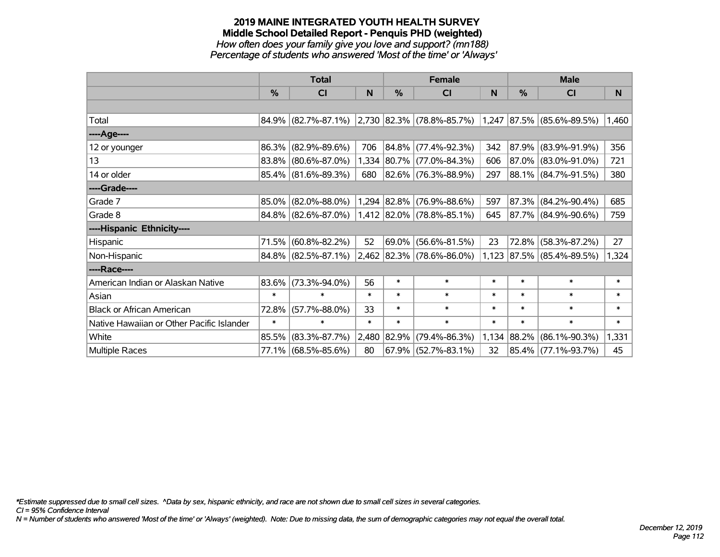# **2019 MAINE INTEGRATED YOUTH HEALTH SURVEY Middle School Detailed Report - Penquis PHD (weighted)** *How often does your family give you love and support? (mn188)*

*Percentage of students who answered 'Most of the time' or 'Always'*

|                                           | <b>Total</b> |                     |        |               | <b>Female</b>                                            |        | <b>Male</b> |                           |                       |  |
|-------------------------------------------|--------------|---------------------|--------|---------------|----------------------------------------------------------|--------|-------------|---------------------------|-----------------------|--|
|                                           | $\%$         | C <sub>l</sub>      | N      | $\frac{0}{0}$ | <b>CI</b>                                                | N      | %           | CI                        | N                     |  |
|                                           |              |                     |        |               |                                                          |        |             |                           |                       |  |
| Total                                     |              | 84.9% (82.7%-87.1%) |        |               | $ 2,730 82.3\% $ (78.8%-85.7%) 1,247 87.5% (85.6%-89.5%) |        |             |                           | $\vert$ 1,460 $\vert$ |  |
| ----Age----                               |              |                     |        |               |                                                          |        |             |                           |                       |  |
| 12 or younger                             | 86.3%        | $(82.9\% - 89.6\%)$ | 706    |               | 84.8% (77.4%-92.3%)                                      | 342    | 87.9%       | $(83.9\% - 91.9\%)$       | 356                   |  |
| 13                                        |              | 83.8% (80.6%-87.0%) |        |               | 1,334 80.7% (77.0%-84.3%)                                | 606    |             | 87.0% (83.0%-91.0%)       | 721                   |  |
| 14 or older                               |              | 85.4% (81.6%-89.3%) | 680    |               | 82.6% (76.3%-88.9%)                                      | 297    |             | 88.1% (84.7%-91.5%)       | 380                   |  |
| ----Grade----                             |              |                     |        |               |                                                          |        |             |                           |                       |  |
| Grade 7                                   | 85.0%        | $(82.0\% - 88.0\%)$ |        | 1,294 82.8%   | $(76.9\% - 88.6\%)$                                      | 597    | $ 87.3\% $  | $(84.2\% - 90.4\%)$       | 685                   |  |
| Grade 8                                   |              | 84.8% (82.6%-87.0%) |        |               | 1,412 82.0% (78.8%-85.1%)                                | 645    |             | $ 87.7\% $ (84.9%-90.6%)  | 759                   |  |
| ----Hispanic Ethnicity----                |              |                     |        |               |                                                          |        |             |                           |                       |  |
| Hispanic                                  | 71.5%        | $(60.8\% - 82.2\%)$ | 52     | $ 69.0\% $    | $(56.6\% - 81.5\%)$                                      | 23     | 72.8%       | $(58.3\% - 87.2\%)$       | 27                    |  |
| Non-Hispanic                              |              | 84.8% (82.5%-87.1%) |        |               | 2,462 82.3% (78.6%-86.0%)                                |        |             | 1,123 87.5% (85.4%-89.5%) | 1,324                 |  |
| ----Race----                              |              |                     |        |               |                                                          |        |             |                           |                       |  |
| American Indian or Alaskan Native         | 83.6%        | $(73.3\% - 94.0\%)$ | 56     | $\ast$        | $\ast$                                                   | $\ast$ | $\ast$      | $\ast$                    | $\ast$                |  |
| Asian                                     | $\ast$       | $\ast$              | $\ast$ | $\ast$        | $\ast$                                                   | $\ast$ | $\ast$      | $\ast$                    | $\ast$                |  |
| <b>Black or African American</b>          | 72.8%        | $(57.7\% - 88.0\%)$ | 33     | $\ast$        | $\ast$                                                   | $\ast$ | $\ast$      | $\ast$                    | $\ast$                |  |
| Native Hawaiian or Other Pacific Islander | $\ast$       | $\ast$              | $\ast$ | $\ast$        | $\ast$                                                   | $\ast$ | $\ast$      | $\ast$                    | $\ast$                |  |
| White                                     | 85.5%        | $(83.3\% - 87.7\%)$ | 2,480  | 82.9%         | $(79.4\% - 86.3\%)$                                      | 1,134  | 88.2%       | $(86.1\% - 90.3\%)$       | 1,331                 |  |
| <b>Multiple Races</b>                     |              | 77.1% (68.5%-85.6%) | 80     |               | $67.9\%$ (52.7%-83.1%)                                   | 32     |             | 85.4% (77.1%-93.7%)       | 45                    |  |

*\*Estimate suppressed due to small cell sizes. ^Data by sex, hispanic ethnicity, and race are not shown due to small cell sizes in several categories.*

*CI = 95% Confidence Interval*

*N = Number of students who answered 'Most of the time' or 'Always' (weighted). Note: Due to missing data, the sum of demographic categories may not equal the overall total.*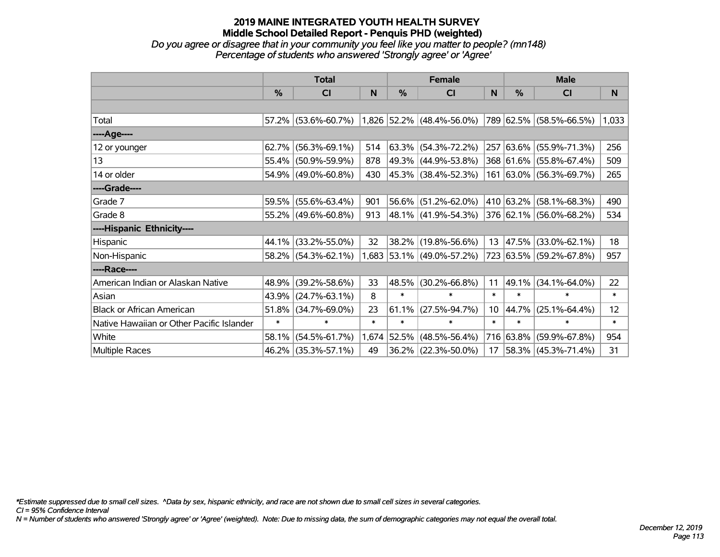*Do you agree or disagree that in your community you feel like you matter to people? (mn148) Percentage of students who answered 'Strongly agree' or 'Agree'*

|                                           | <b>Total</b>  |                                                                       |        | <b>Female</b> |                           |                 | <b>Male</b> |                          |        |  |
|-------------------------------------------|---------------|-----------------------------------------------------------------------|--------|---------------|---------------------------|-----------------|-------------|--------------------------|--------|--|
|                                           | $\frac{0}{0}$ | <b>CI</b>                                                             | N      | $\%$          | <b>CI</b>                 | N               | $\%$        | <b>CI</b>                | N      |  |
|                                           |               |                                                                       |        |               |                           |                 |             |                          |        |  |
| Total                                     |               | 57.2% (53.6%-60.7%) 1,826 52.2% (48.4%-56.0%) 789 62.5% (58.5%-66.5%) |        |               |                           |                 |             |                          | 1,033  |  |
| ----Age----                               |               |                                                                       |        |               |                           |                 |             |                          |        |  |
| 12 or younger                             | 62.7%         | $(56.3\% - 69.1\%)$                                                   | 514    |               | $63.3\%$ (54.3%-72.2%)    | 257             |             | $ 63.6\% $ (55.9%-71.3%) | 256    |  |
| 13                                        | 55.4%         | $(50.9\% - 59.9\%)$                                                   | 878    |               | 49.3% (44.9%-53.8%)       |                 |             | 368 61.6% (55.8%-67.4%)  | 509    |  |
| 14 or older                               | 54.9%         | $(49.0\% - 60.8\%)$                                                   | 430    |               | 45.3% (38.4%-52.3%)       |                 |             | 161 63.0% (56.3%-69.7%)  | 265    |  |
| ----Grade----                             |               |                                                                       |        |               |                           |                 |             |                          |        |  |
| Grade 7                                   | 59.5%         | $(55.6\% - 63.4\%)$                                                   | 901    |               | 56.6% (51.2%-62.0%)       |                 |             | 410 63.2% (58.1%-68.3%)  | 490    |  |
| Grade 8                                   |               | $55.2\%$ (49.6%-60.8%)                                                | 913    |               | 48.1% (41.9%-54.3%)       |                 |             | 376 62.1% (56.0%-68.2%)  | 534    |  |
| ----Hispanic Ethnicity----                |               |                                                                       |        |               |                           |                 |             |                          |        |  |
| Hispanic                                  | 44.1%         | $(33.2\% - 55.0\%)$                                                   | 32     |               | 38.2% (19.8%-56.6%)       | 13              | 47.5%       | $(33.0\% - 62.1\%)$      | 18     |  |
| Non-Hispanic                              |               | 58.2% (54.3%-62.1%)                                                   |        |               | 1,683 53.1% (49.0%-57.2%) |                 |             | 723 63.5% (59.2%-67.8%)  | 957    |  |
| ----Race----                              |               |                                                                       |        |               |                           |                 |             |                          |        |  |
| American Indian or Alaskan Native         | 48.9%         | $(39.2\% - 58.6\%)$                                                   | 33     | 48.5%         | $(30.2\% - 66.8\%)$       | 11              | 49.1%       | $(34.1\% - 64.0\%)$      | 22     |  |
| Asian                                     | 43.9%         | $(24.7\% - 63.1\%)$                                                   | 8      | $\ast$        | $\ast$                    | $\ast$          | $\ast$      | $\ast$                   | $\ast$ |  |
| <b>Black or African American</b>          | 51.8%         | $(34.7\% - 69.0\%)$                                                   | 23     | 61.1%         | $(27.5\% - 94.7\%)$       | 10 <sup>°</sup> | 44.7%       | $(25.1\% - 64.4\%)$      | 12     |  |
| Native Hawaiian or Other Pacific Islander | $\ast$        | $\ast$                                                                | $\ast$ | $\ast$        | $\ast$                    | $\ast$          | $\ast$      | $\ast$                   | $\ast$ |  |
| White                                     | 58.1%         | $(54.5\% - 61.7\%)$                                                   | 1,674  | 52.5%         | $(48.5\% - 56.4\%)$       | 716             | 63.8%       | $(59.9\% - 67.8\%)$      | 954    |  |
| <b>Multiple Races</b>                     | $46.2\%$      | $(35.3\% - 57.1\%)$                                                   | 49     |               | $36.2\%$ (22.3%-50.0%)    | 17              |             | 58.3%   (45.3%-71.4%)    | 31     |  |

*\*Estimate suppressed due to small cell sizes. ^Data by sex, hispanic ethnicity, and race are not shown due to small cell sizes in several categories.*

*CI = 95% Confidence Interval*

*N = Number of students who answered 'Strongly agree' or 'Agree' (weighted). Note: Due to missing data, the sum of demographic categories may not equal the overall total.*